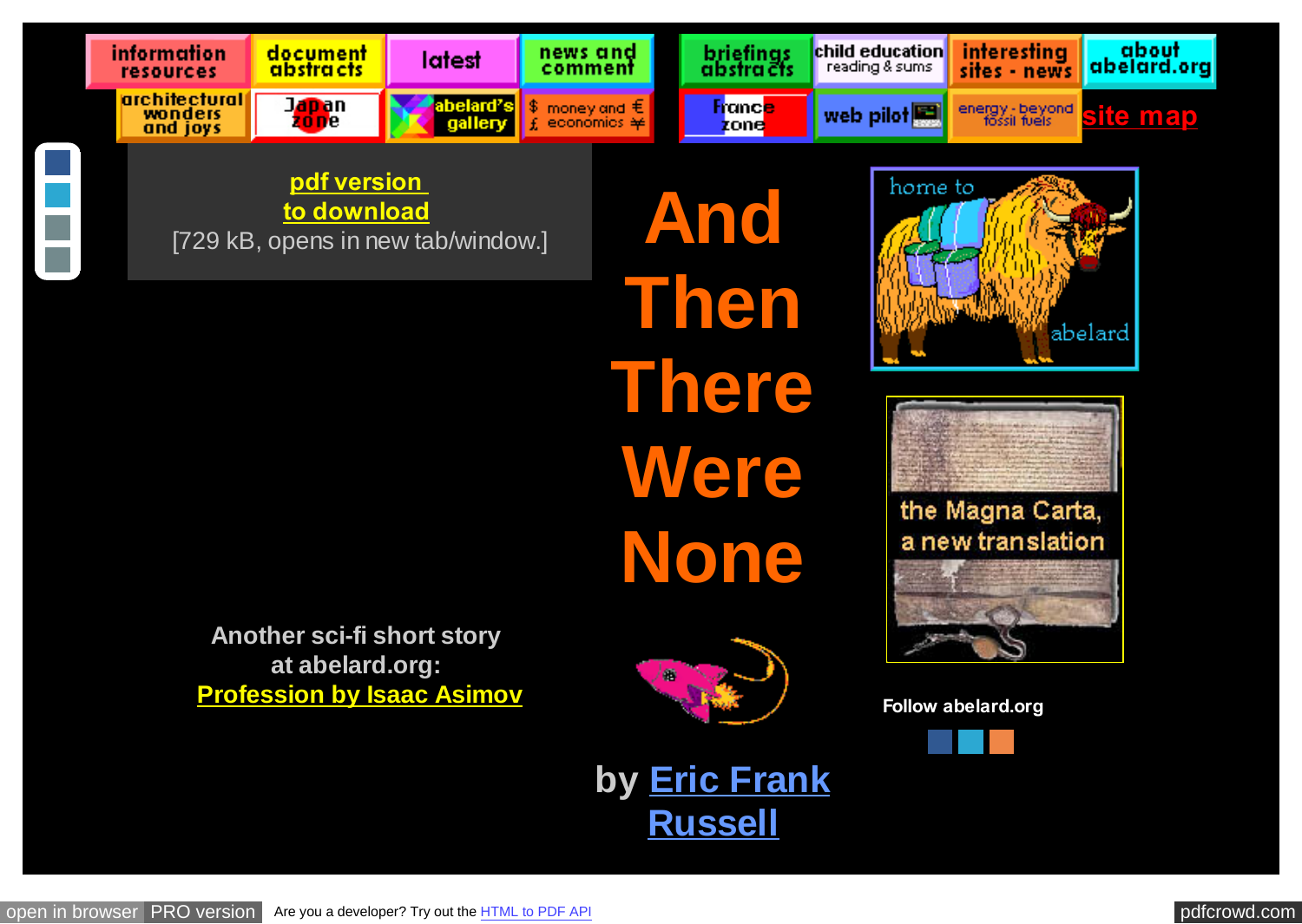<span id="page-0-0"></span>

**pdf version [to download](http://www.abelard.org/e-f-russell/e_f_russell_php.pdf) Examples 125 Millions**<br>[729 kB, opens in new tab/window.]

**Then There Were None**

**Another sci-fi short story at abelard.org: [Profession by Isaac Asimov](http://www.abelard.org/asimov.php)**









the Magna Carta, a new translation



**Follow abelard.org** 

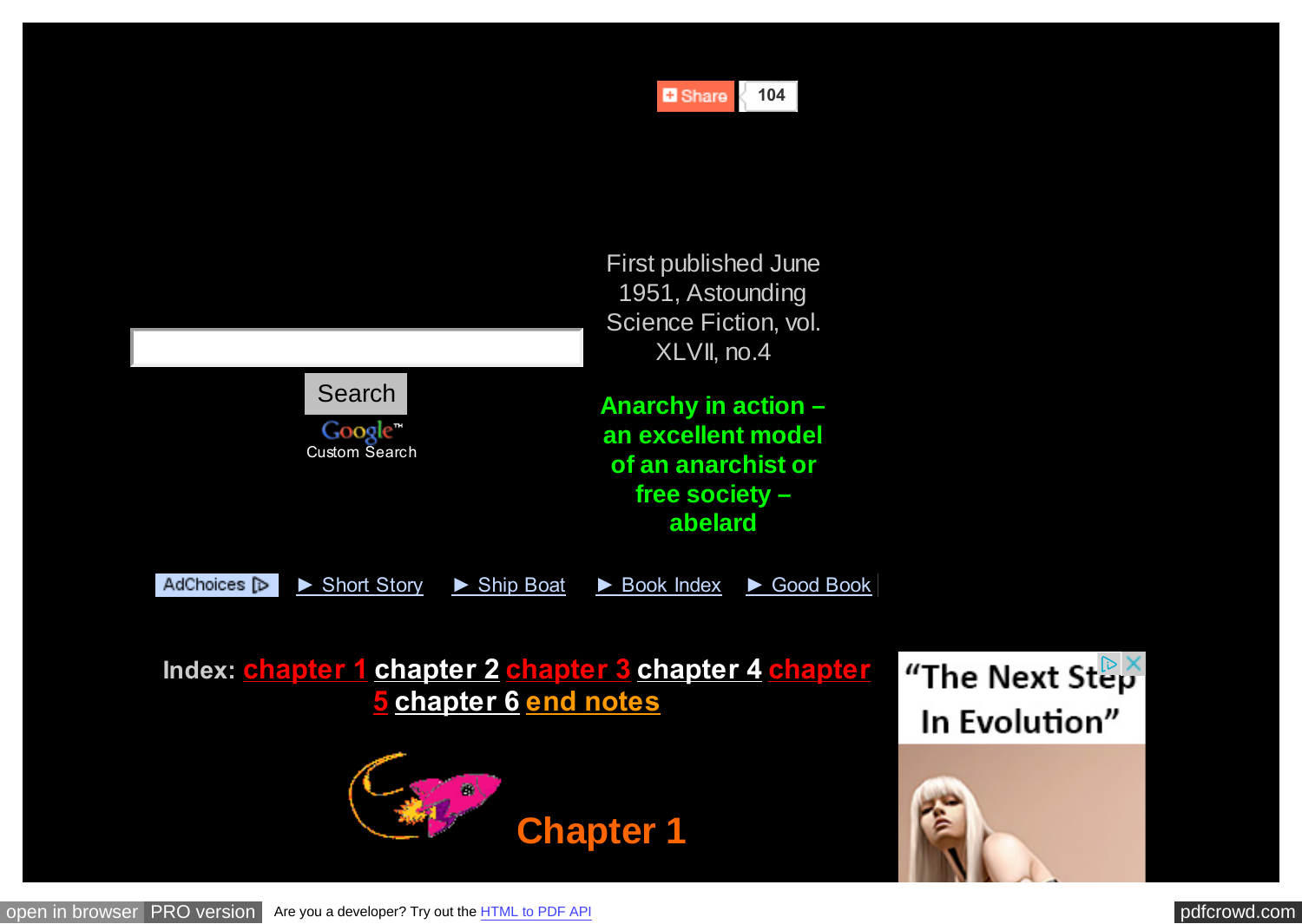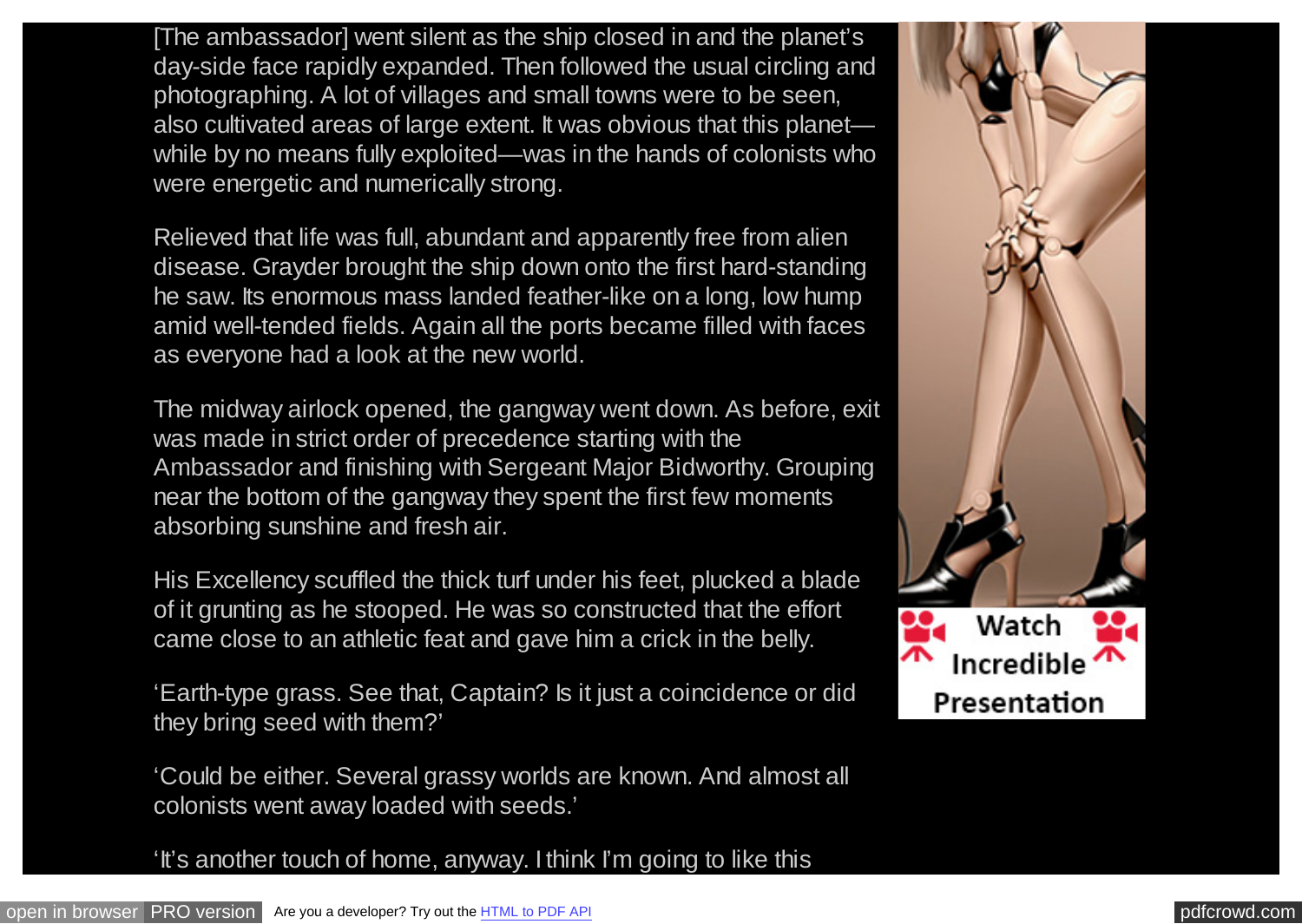[The ambassador] went silent as the ship closed in and the planet's day-side face rapidly expanded. Then followed the usual circling and photographing. A lot of villages and small towns were to be seen, also cultivated areas of large extent. It was obvious that this planet while by no means fully exploited—was in the hands of colonists who were energetic and numerically strong.

Relieved that life was full, abundant and apparently free from alien disease. Grayder brought the ship down onto the first hard-standing he saw. Its enormous mass landed feather-like on a long, low hump amid well-tended fields. Again all the ports became filled with faces as everyone had a look at the new world.

The midway airlock opened, the gangway went down. As before, exit was made in strict order of precedence starting with the Ambassador and finishing with Sergeant Major Bidworthy. Grouping near the bottom of the gangway they spent the first few moments absorbing sunshine and fresh air.

His Excellency scuffled the thick turf under his feet, plucked a blade of it grunting as he stooped. He was so constructed that the effort came close to an athletic feat and gave him a crick in the belly.

'Earth-type grass. See that, Captain? Is it just a coincidence or did they bring seed with them?'

'Could be either. Several grassy worlds are known. And almost all colonists went away loaded with seeds.'

# 'It's another touch of home, anyway. I think I'm going to like this

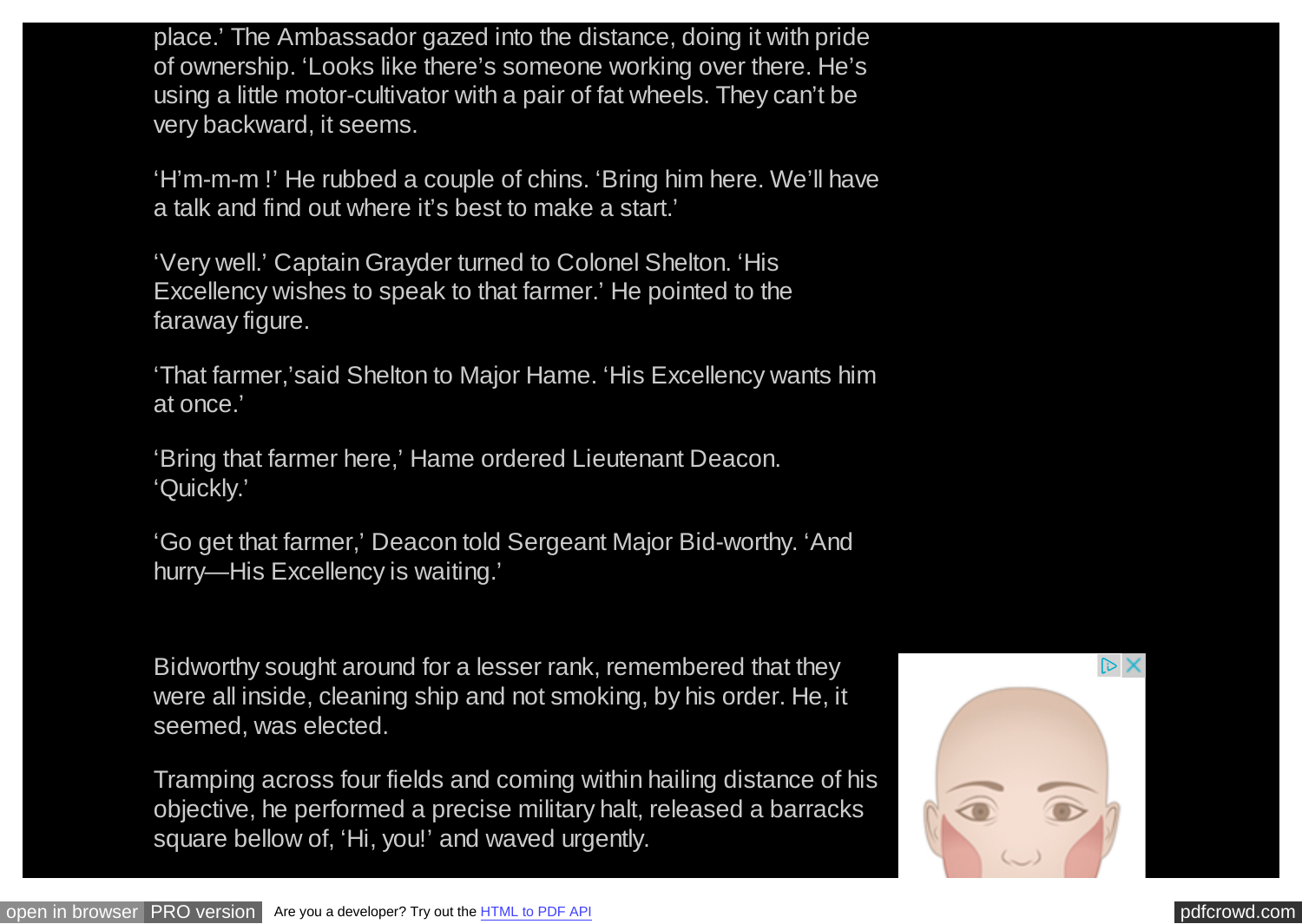place.' The Ambassador gazed into the distance, doing it with pride of ownership. 'Looks like there's someone working over there. He's using a little motor-cultivator with a pair of fat wheels. They can't be very backward, it seems.

'H'm-m-m !' He rubbed a couple of chins. 'Bring him here. We'll have a talk and find out where it's best to make a start.'

'Very well.' Captain Grayder turned to Colonel Shelton. 'His Excellency wishes to speak to that farmer.' He pointed to the faraway figure.

'That farmer,'said Shelton to Major Hame. 'His Excellency wants him at once.'

'Bring that farmer here,' Hame ordered Lieutenant Deacon. 'Quickly.'

'Go get that farmer,' Deacon told Sergeant Major Bid-worthy. 'And hurry—His Excellency is waiting.'

Bidworthy sought around for a lesser rank, remembered that they were all inside, cleaning ship and not smoking, by his order. He, it seemed, was elected.

Tramping across four fields and coming within hailing distance of his objective, he performed a precise military halt, released a barracks square bellow of, 'Hi, you!' and waved urgently.

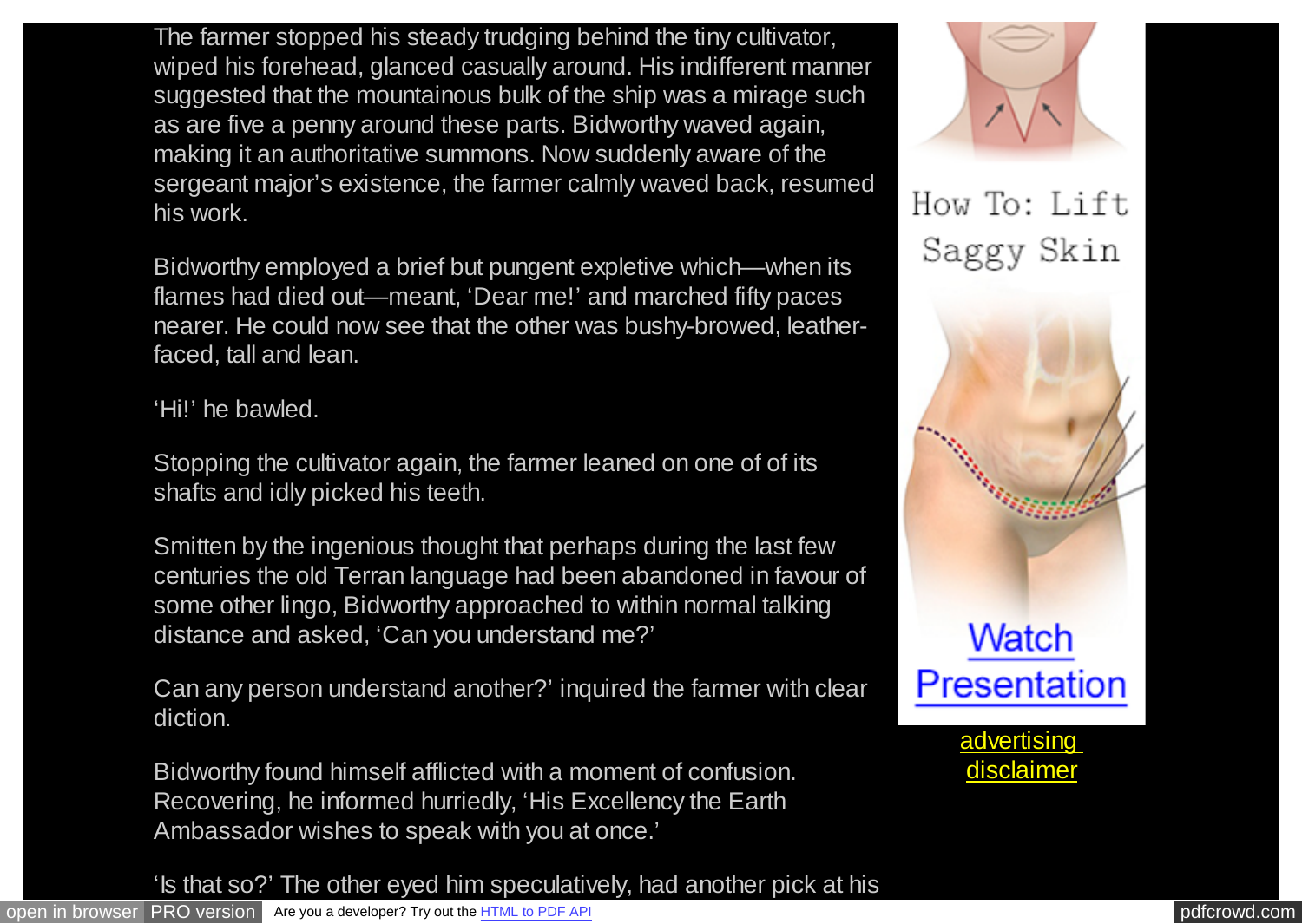The farmer stopped his steady trudging behind the tiny cultivator, wiped his forehead, glanced casually around. His indifferent manner suggested that the mountainous bulk of the ship was a mirage such as are five a penny around these parts. Bidworthy waved again, making it an authoritative summons. Now suddenly aware of the sergeant major's existence, the farmer calmly waved back, resumed his work.

Bidworthy employed a brief but pungent expletive which—when its flames had died out—meant, 'Dear me!' and marched fifty paces nearer. He could now see that the other was bushy-browed, leatherfaced, tall and lean.

'Hi!' he bawled.

Stopping the cultivator again, the farmer leaned on one of of its shafts and idly picked his teeth.

Smitten by the ingenious thought that perhaps during the last few centuries the old Terran language had been abandoned in favour of some other lingo, Bidworthy approached to within normal talking distance and asked, 'Can you understand me?'

Can any person understand another?' inquired the farmer with clear diction.

Bidworthy found himself afflicted with a moment of confusion. Recovering, he informed hurriedly, 'His Excellency the Earth Ambassador wishes to speak with you at once.'

'Is that so?' The other eyed him speculatively, had another pick at his





How To: Lift Saggy Skin



[advertising](http://www.abelard.org/choose/choose.htm#disclaimer)  disclaimer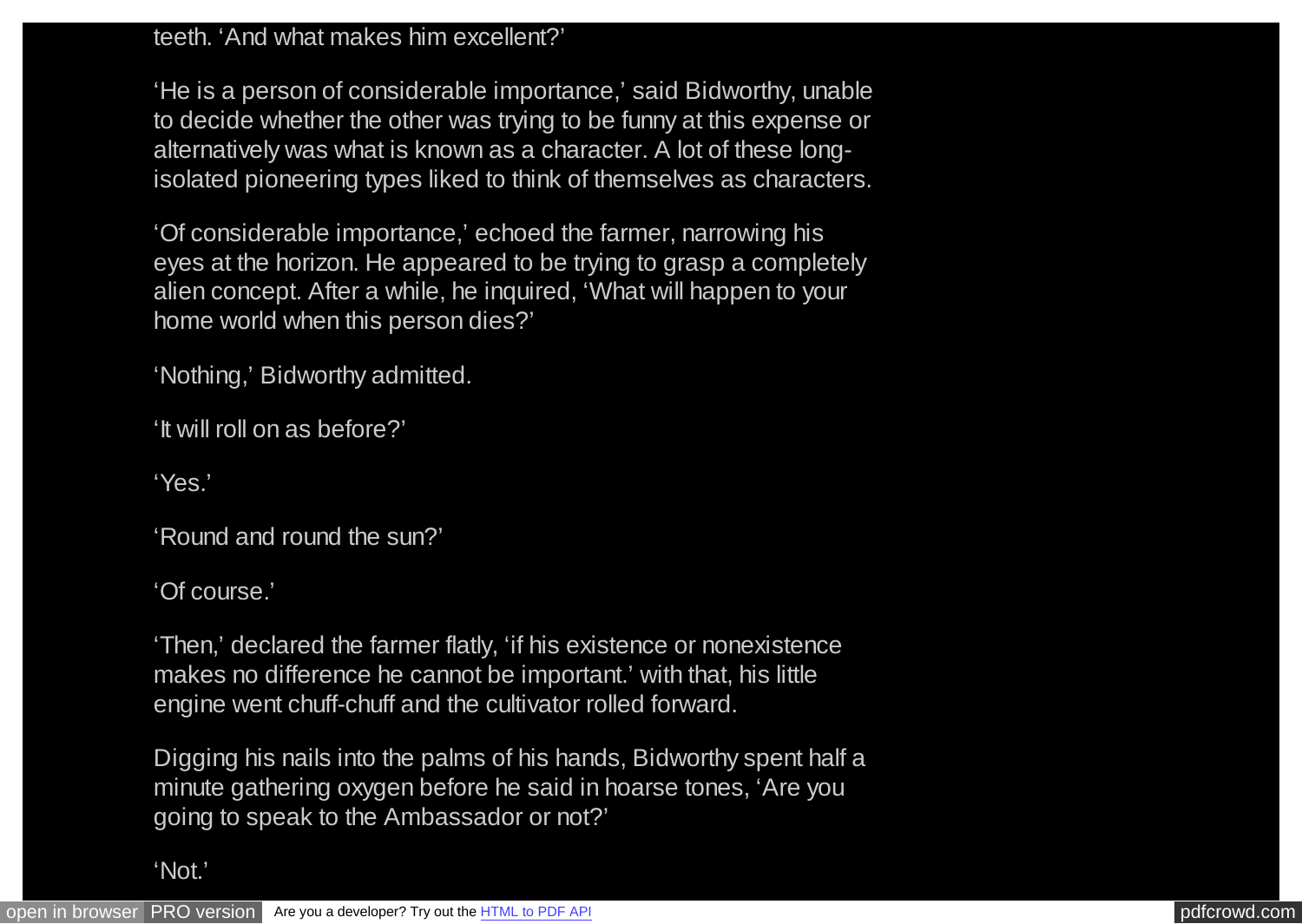#### teeth. 'And what makes him excellent?'

'He is a person of considerable importance,' said Bidworthy, unable to decide whether the other was trying to be funny at this expense or alternatively was what is known as a character. A lot of these longisolated pioneering types liked to think of themselves as characters.

'Of considerable importance,' echoed the farmer, narrowing his eyes at the horizon. He appeared to be trying to grasp a completely alien concept. After a while, he inquired, 'What will happen to your home world when this person dies?'

'Nothing,' Bidworthy admitted.

'It will roll on as before?'

'Yes.'

'Round and round the sun?'

'Of course.'

'Then,' declared the farmer flatly, 'if his existence or nonexistence makes no difference he cannot be important.' with that, his little engine went chuff-chuff and the cultivator rolled forward.

Digging his nails into the palms of his hands, Bidworthy spent half a minute gathering oxygen before he said in hoarse tones, 'Are you going to speak to the Ambassador or not?'

'Not.'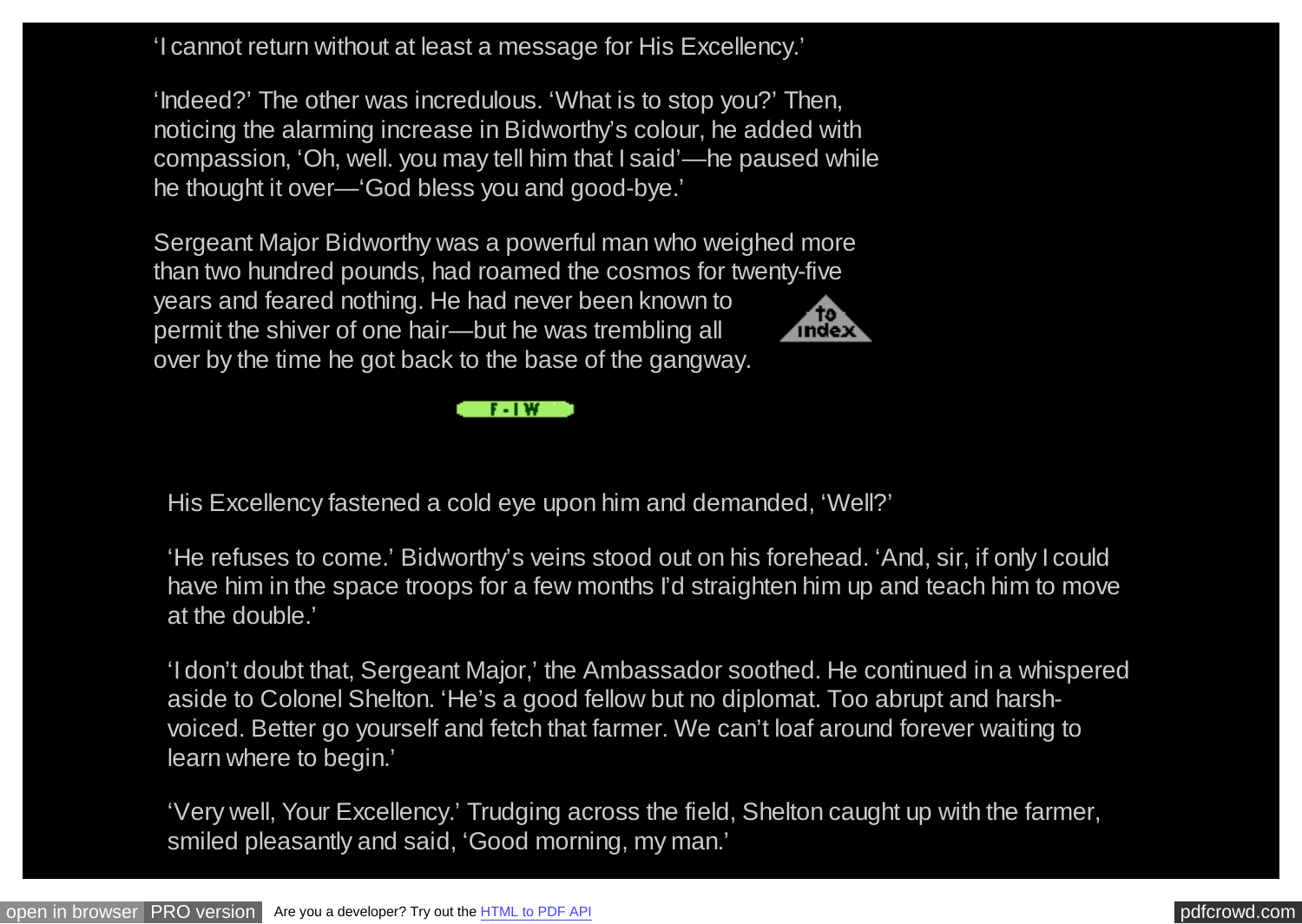'I cannot return without at least a message for His Excellency.'

'Indeed?' The other was incredulous. 'What is to stop you?' Then, noticing the alarming increase in Bidworthy's colour, he added with compassion, 'Oh, well. you may tell him that I said'—he paused while he thought it over—'God bless you and good-bye.'

Sergeant Major Bidworthy was a powerful man who weighed more than two hundred pounds, had roamed the cosmos for twenty-five years and feared nothing. He had never been known to permit the shiver of one hair—but he was trembling all over by the time he got back to the base of the gangway.



 $F - I W$ 

His Excellency fastened a cold eye upon him and demanded, 'Well?'

'He refuses to come.' Bidworthy's veins stood out on his forehead. 'And, sir, if only I could have him in the space troops for a few months I'd straighten him up and teach him to move at the double.'

'I don't doubt that, Sergeant Major,' the Ambassador soothed. He continued in a whispered aside to Colonel Shelton. 'He's a good fellow but no diplomat. Too abrupt and harshvoiced. Better go yourself and fetch that farmer. We can't loaf around forever waiting to learn where to begin.'

'Very well, Your Excellency.' Trudging across the field, Shelton caught up with the farmer, smiled pleasantly and said, 'Good morning, my man.'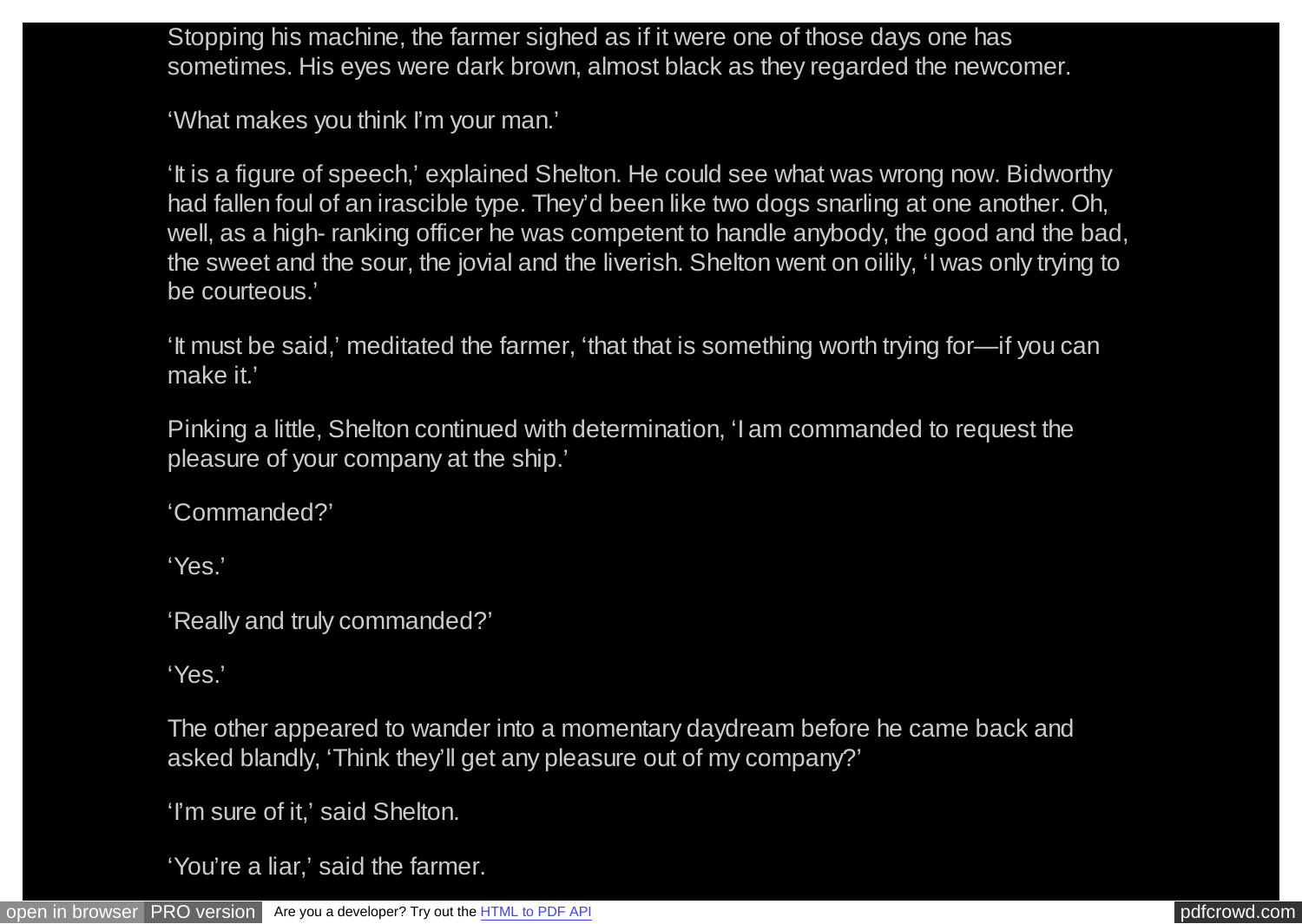Stopping his machine, the farmer sighed as if it were one of those days one has sometimes. His eyes were dark brown, almost black as they regarded the newcomer.

'What makes you think I'm your man.'

'It is a figure of speech,' explained Shelton. He could see what was wrong now. Bidworthy had fallen foul of an irascible type. They'd been like two dogs snarling at one another. Oh, well, as a high- ranking officer he was competent to handle anybody, the good and the bad, the sweet and the sour, the jovial and the liverish. Shelton went on oilily, 'I was only trying to be courteous.'

'It must be said,' meditated the farmer, 'that that is something worth trying for—if you can make it.'

Pinking a little, Shelton continued with determination, 'I am commanded to request the pleasure of your company at the ship.'

'Commanded?'

'Yes.'

'Really and truly commanded?'

'Yes.'

The other appeared to wander into a momentary daydream before he came back and asked blandly, 'Think they'll get any pleasure out of my company?'

'I'm sure of it,' said Shelton.

'You're a liar,' said the farmer.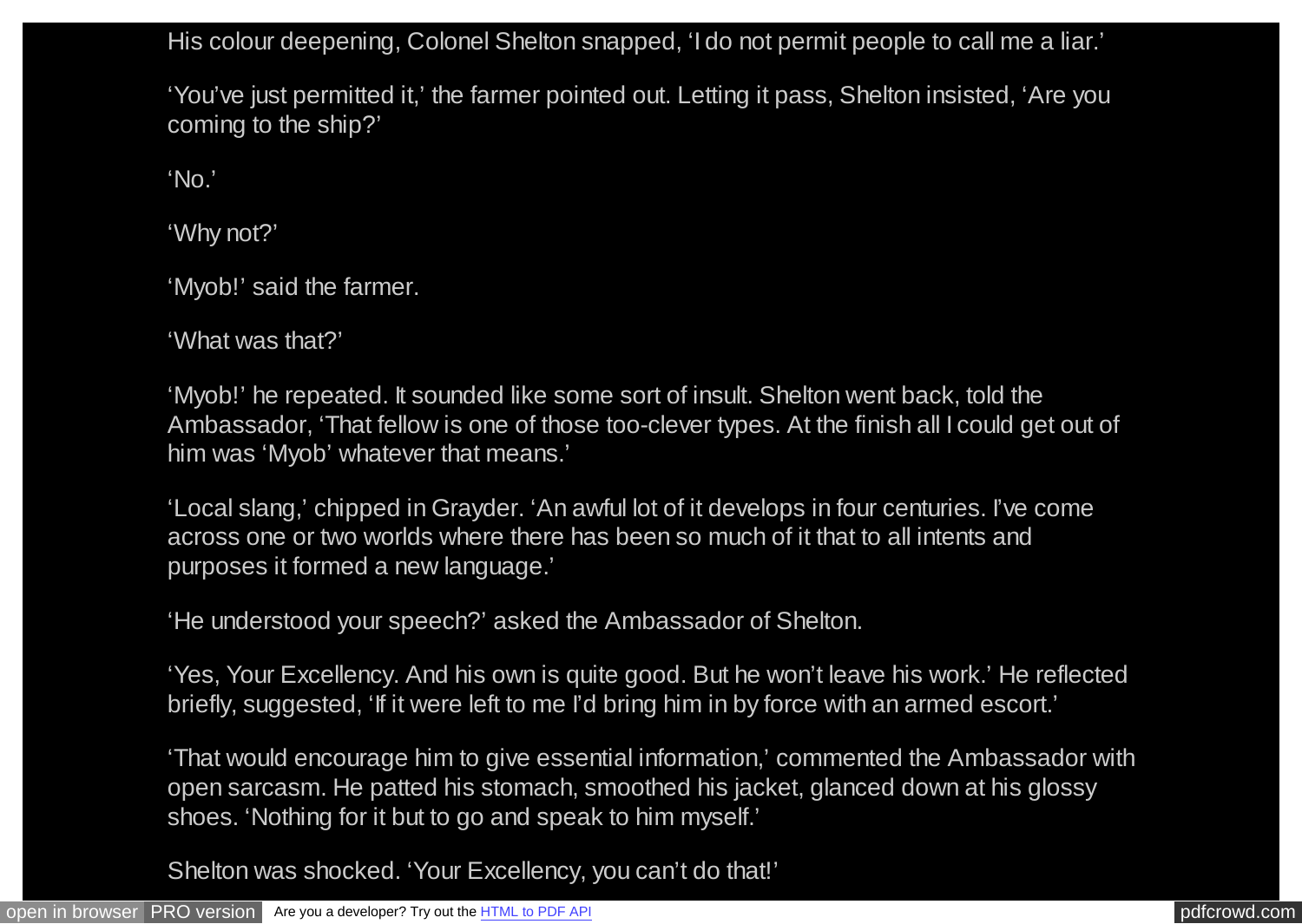## His colour deepening, Colonel Shelton snapped, 'I do not permit people to call me a liar.'

'You've just permitted it,' the farmer pointed out. Letting it pass, Shelton insisted, 'Are you coming to the ship?'

'No.'

'Why not?'

'Myob!' said the farmer.

'What was that?'

'Myob!' he repeated. It sounded like some sort of insult. Shelton went back, told the Ambassador, 'That fellow is one of those too-clever types. At the finish all I could get out of him was 'Myob' whatever that means.'

'Local slang,' chipped in Grayder. 'An awful lot of it develops in four centuries. I've come across one or two worlds where there has been so much of it that to all intents and purposes it formed a new language.'

'He understood your speech?' asked the Ambassador of Shelton.

'Yes, Your Excellency. And his own is quite good. But he won't leave his work.' He reflected briefly, suggested, 'If it were left to me I'd bring him in by force with an armed escort.'

'That would encourage him to give essential information,' commented the Ambassador with open sarcasm. He patted his stomach, smoothed his jacket, glanced down at his glossy shoes. 'Nothing for it but to go and speak to him myself.'

Shelton was shocked. 'Your Excellency, you can't do that!'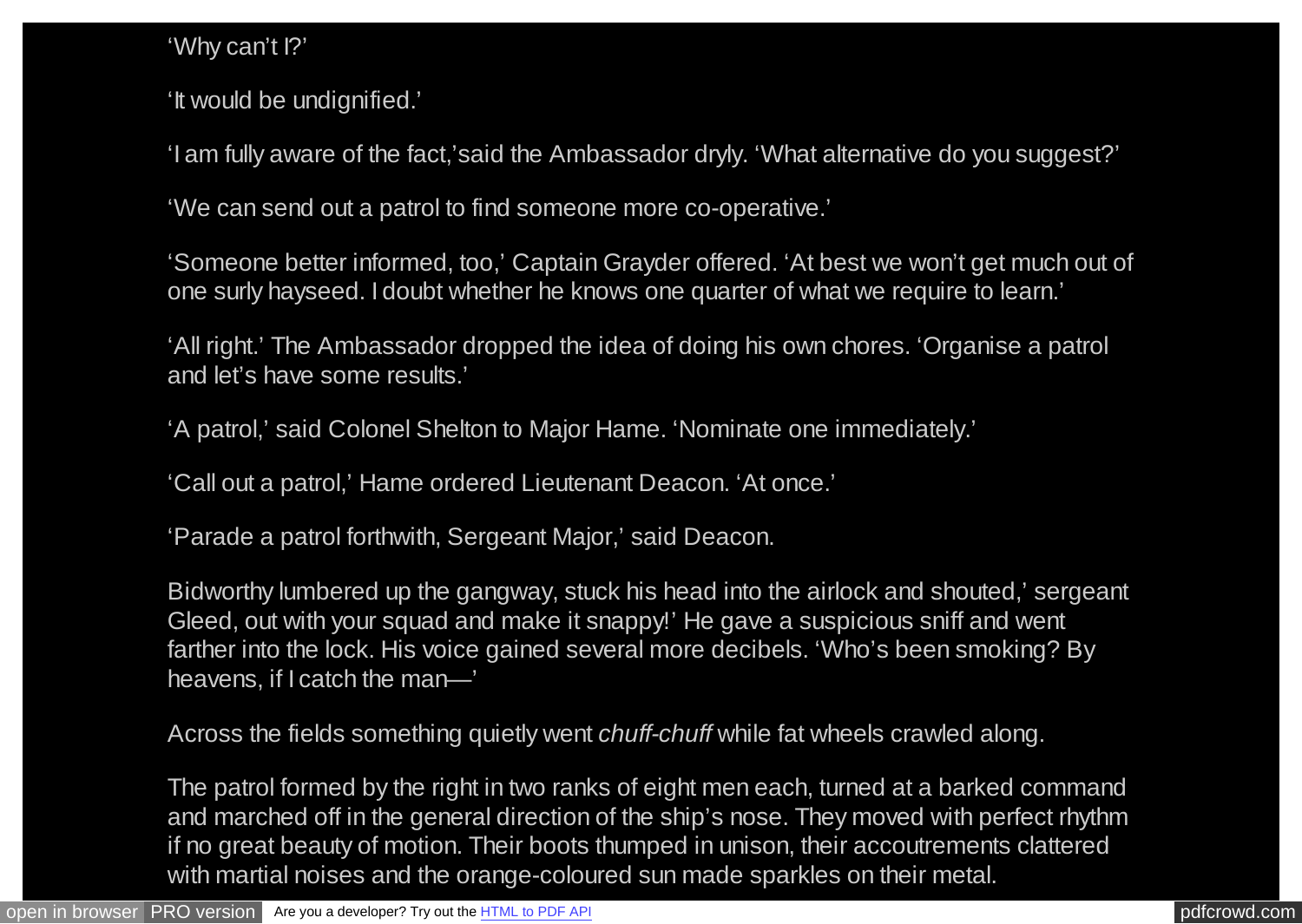### 'Why can't I?'

'It would be undignified.'

'I am fully aware of the fact,'said the Ambassador dryly. 'What alternative do you suggest?'

'We can send out a patrol to find someone more co-operative.'

'Someone better informed, too,' Captain Grayder offered. 'At best we won't get much out of one surly hayseed. I doubt whether he knows one quarter of what we require to learn.'

'All right.' The Ambassador dropped the idea of doing his own chores. 'Organise a patrol and let's have some results.'

'A patrol,' said Colonel Shelton to Major Hame. 'Nominate one immediately.'

'Call out a patrol,' Hame ordered Lieutenant Deacon. 'At once.'

'Parade a patrol forthwith, Sergeant Major,' said Deacon.

Bidworthy lumbered up the gangway, stuck his head into the airlock and shouted,' sergeant Gleed, out with your squad and make it snappy!' He gave a suspicious sniff and went farther into the lock. His voice gained several more decibels. 'Who's been smoking? By heavens, if I catch the man—'

Across the fields something quietly went *chuff-chuff* while fat wheels crawled along.

The patrol formed by the right in two ranks of eight men each, turned at a barked command and marched off in the general direction of the ship's nose. They moved with perfect rhythm if no great beauty of motion. Their boots thumped in unison, their accoutrements clattered with martial noises and the orange-coloured sun made sparkles on their metal.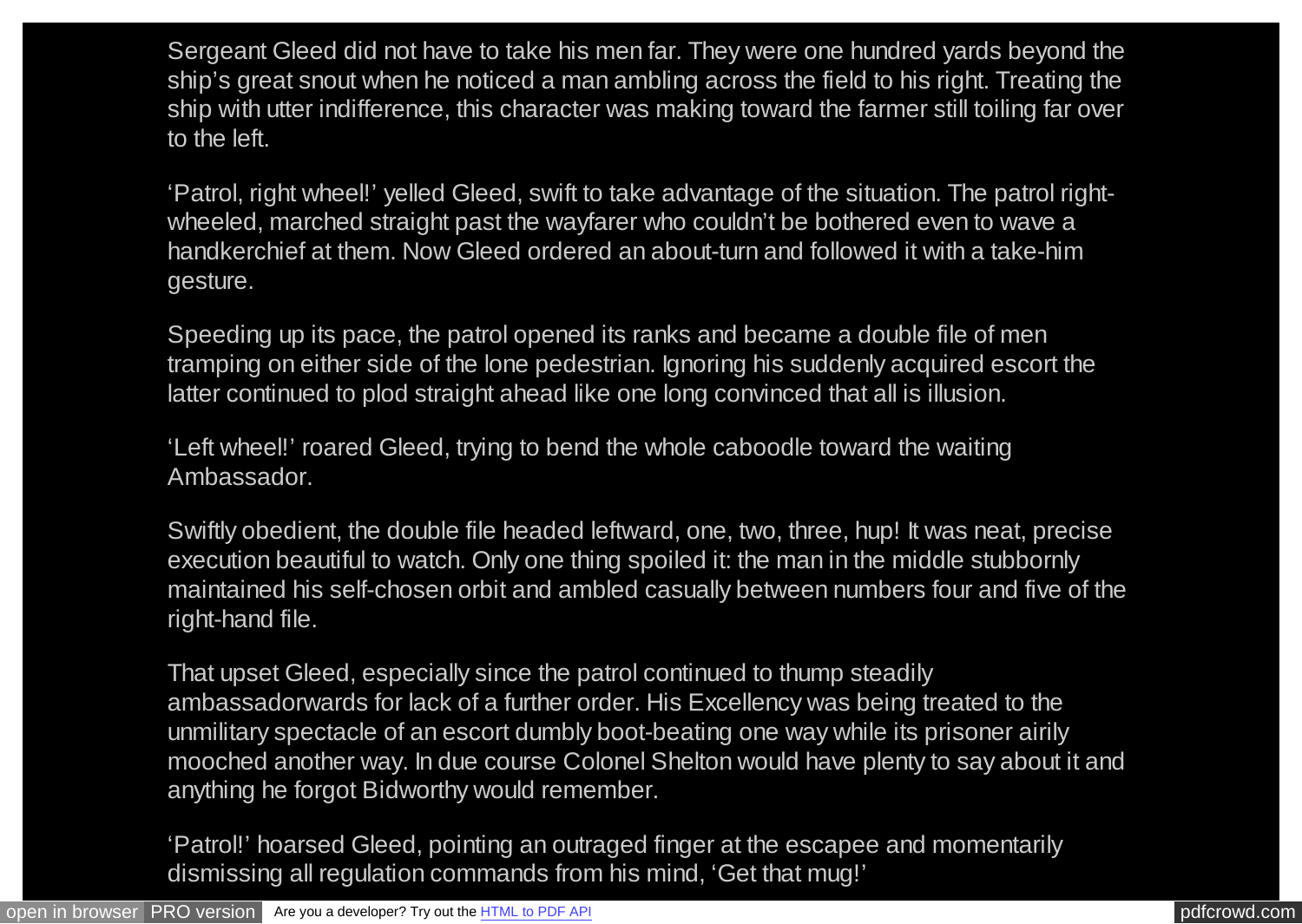Sergeant Gleed did not have to take his men far. They were one hundred yards beyond the ship's great snout when he noticed a man ambling across the field to his right. Treating the ship with utter indifference, this character was making toward the farmer still toiling far over to the left.

'Patrol, right wheel!' yelled Gleed, swift to take advantage of the situation. The patrol rightwheeled, marched straight past the wayfarer who couldn't be bothered even to wave a handkerchief at them. Now Gleed ordered an about-turn and followed it with a take-him gesture.

Speeding up its pace, the patrol opened its ranks and became a double file of men tramping on either side of the lone pedestrian. Ignoring his suddenly acquired escort the latter continued to plod straight ahead like one long convinced that all is illusion.

'Left wheel!' roared Gleed, trying to bend the whole caboodle toward the waiting Ambassador.

Swiftly obedient, the double file headed leftward, one, two, three, hup! It was neat, precise execution beautiful to watch. Only one thing spoiled it: the man in the middle stubbornly maintained his self-chosen orbit and ambled casually between numbers four and five of the right-hand file.

That upset Gleed, especially since the patrol continued to thump steadily ambassadorwards for lack of a further order. His Excellency was being treated to the unmilitary spectacle of an escort dumbly boot-beating one way while its prisoner airily mooched another way. In due course Colonel Shelton would have plenty to say about it and anything he forgot Bidworthy would remember.

'Patrol!' hoarsed Gleed, pointing an outraged finger at the escapee and momentarily dismissing all regulation commands from his mind, 'Get that mug!'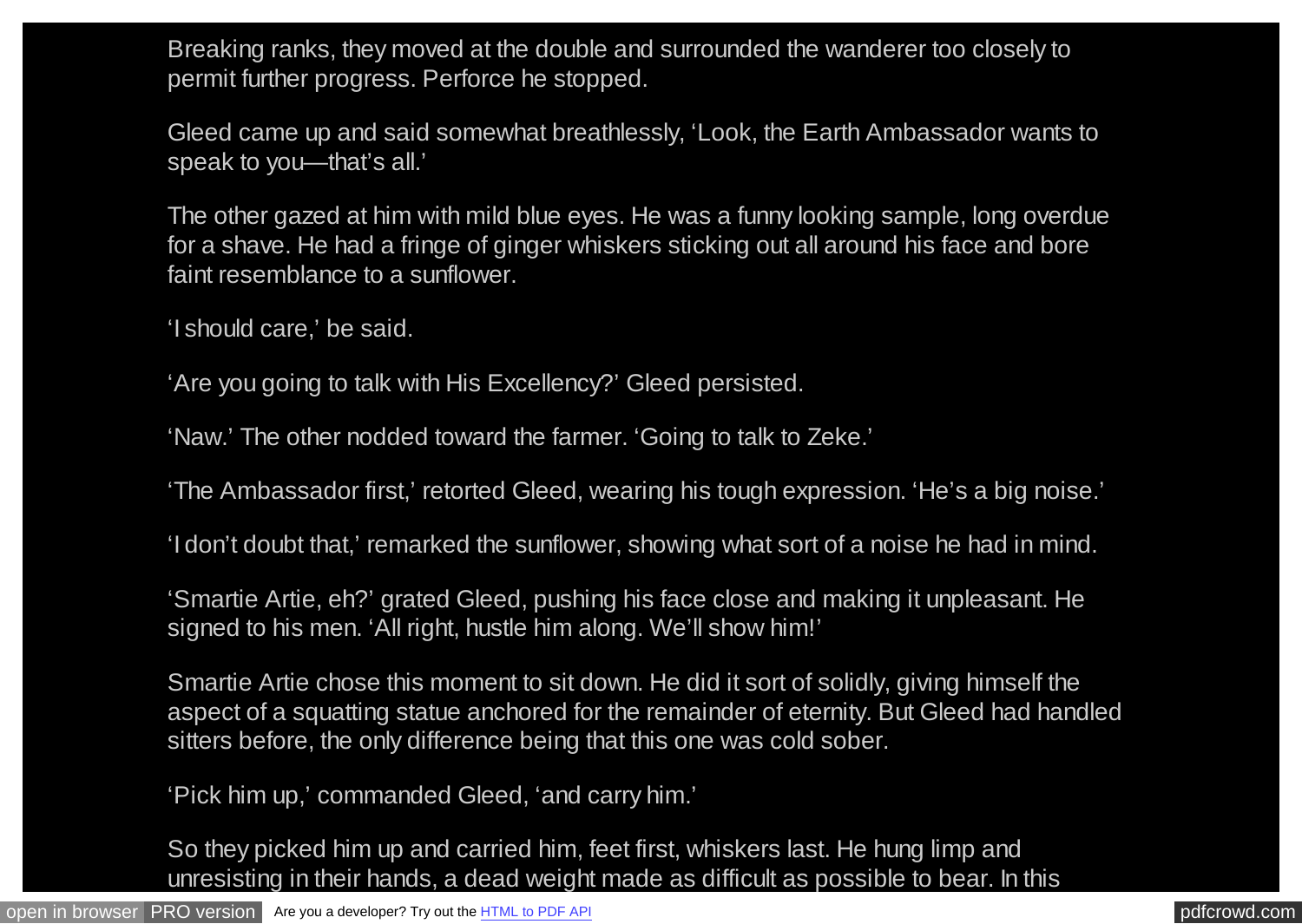Breaking ranks, they moved at the double and surrounded the wanderer too closely to permit further progress. Perforce he stopped.

Gleed came up and said somewhat breathlessly, 'Look, the Earth Ambassador wants to speak to you—that's all.'

The other gazed at him with mild blue eyes. He was a funny looking sample, long overdue for a shave. He had a fringe of ginger whiskers sticking out all around his face and bore faint resemblance to a sunflower.

'I should care,' be said.

'Are you going to talk with His Excellency?' Gleed persisted.

'Naw.' The other nodded toward the farmer. 'Going to talk to Zeke.'

'The Ambassador first,' retorted Gleed, wearing his tough expression. 'He's a big noise.'

'I don't doubt that,' remarked the sunflower, showing what sort of a noise he had in mind.

'Smartie Artie, eh?' grated Gleed, pushing his face close and making it unpleasant. He signed to his men. 'All right, hustle him along. We'll show him!'

Smartie Artie chose this moment to sit down. He did it sort of solidly, giving himself the aspect of a squatting statue anchored for the remainder of eternity. But Gleed had handled sitters before, the only difference being that this one was cold sober.

'Pick him up,' commanded Gleed, 'and carry him.'

So they picked him up and carried him, feet first, whiskers last. He hung limp and unresisting in their hands, a dead weight made as difficult as possible to bear. In this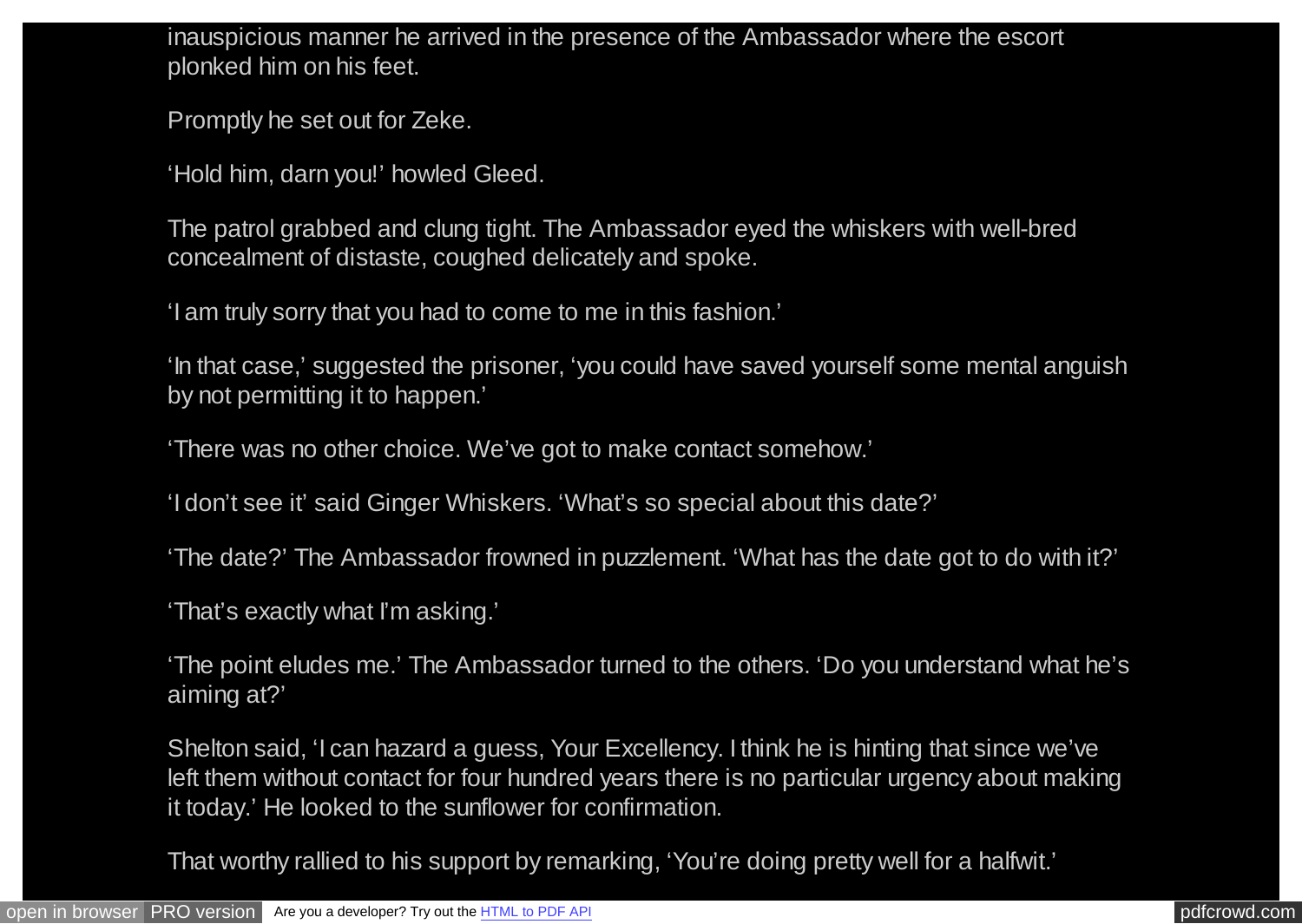inauspicious manner he arrived in the presence of the Ambassador where the escort plonked him on his feet.

Promptly he set out for Zeke.

'Hold him, darn you!' howled Gleed.

The patrol grabbed and clung tight. The Ambassador eyed the whiskers with well-bred concealment of distaste, coughed delicately and spoke.

'I am truly sorry that you had to come to me in this fashion.'

'In that case,' suggested the prisoner, 'you could have saved yourself some mental anguish by not permitting it to happen.'

'There was no other choice. We've got to make contact somehow.'

'I don't see it' said Ginger Whiskers. 'What's so special about this date?'

'The date?' The Ambassador frowned in puzzlement. 'What has the date got to do with it?'

'That's exactly what I'm asking.'

'The point eludes me.' The Ambassador turned to the others. 'Do you understand what he's aiming at?'

Shelton said, 'I can hazard a guess, Your Excellency. I think he is hinting that since we've left them without contact for four hundred years there is no particular urgency about making it today.' He looked to the sunflower for confirmation.

That worthy rallied to his support by remarking, 'You're doing pretty well for a halfwit.'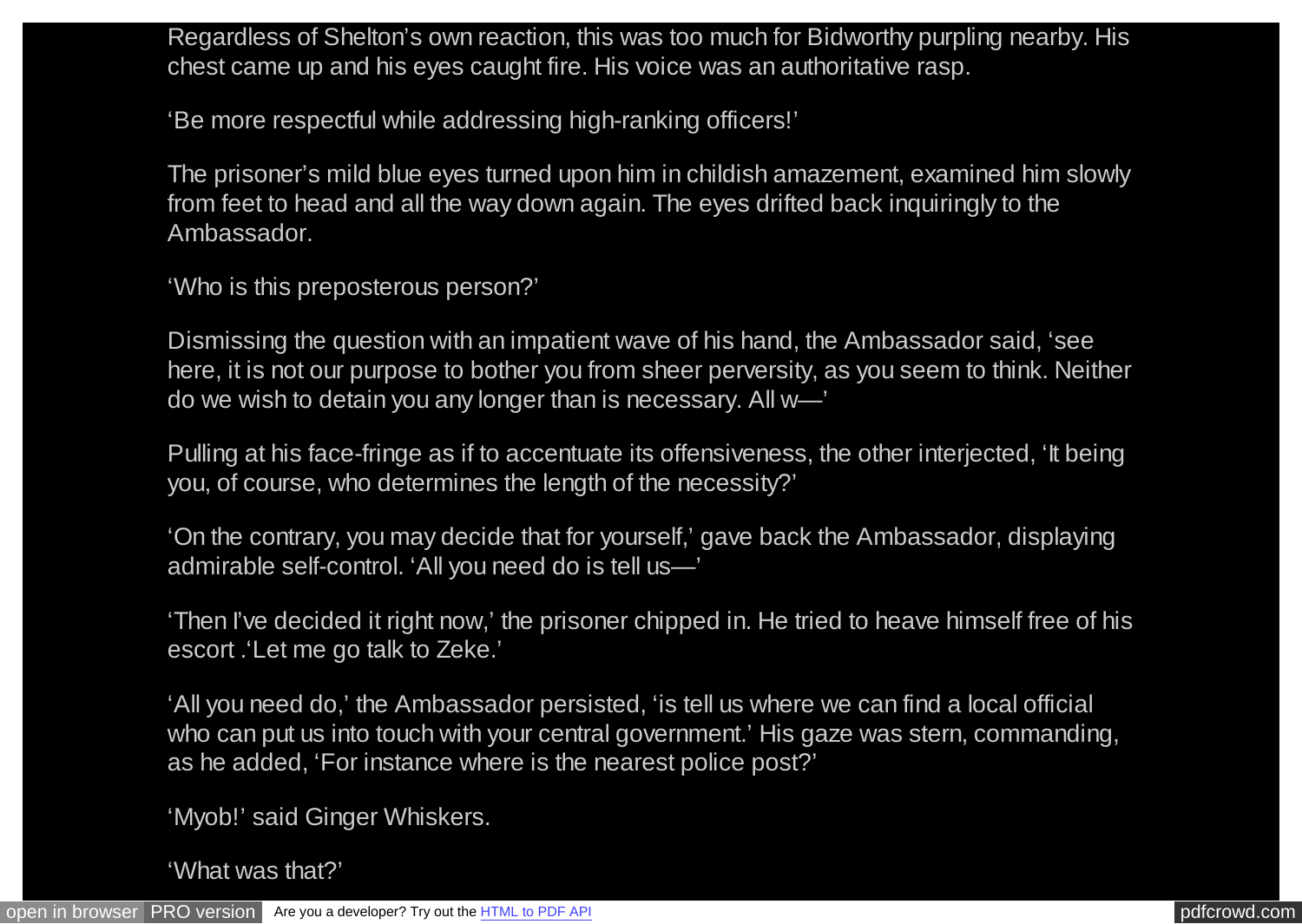Regardless of Shelton's own reaction, this was too much for Bidworthy purpling nearby. His chest came up and his eyes caught fire. His voice was an authoritative rasp.

'Be more respectful while addressing high-ranking officers!'

The prisoner's mild blue eyes turned upon him in childish amazement, examined him slowly from feet to head and all the way down again. The eyes drifted back inquiringly to the Ambassador.

'Who is this preposterous person?'

Dismissing the question with an impatient wave of his hand, the Ambassador said, 'see here, it is not our purpose to bother you from sheer perversity, as you seem to think. Neither do we wish to detain you any longer than is necessary. All w—'

Pulling at his face-fringe as if to accentuate its offensiveness, the other interjected, 'It being you, of course, who determines the length of the necessity?'

'On the contrary, you may decide that for yourself,' gave back the Ambassador, displaying admirable self-control. 'All you need do is tell us—'

'Then I've decided it right now,' the prisoner chipped in. He tried to heave himself free of his escort .'Let me go talk to Zeke.'

'All you need do,' the Ambassador persisted, 'is tell us where we can find a local official who can put us into touch with your central government.' His gaze was stern, commanding, as he added, 'For instance where is the nearest police post?'

'Myob!' said Ginger Whiskers.

'What was that?'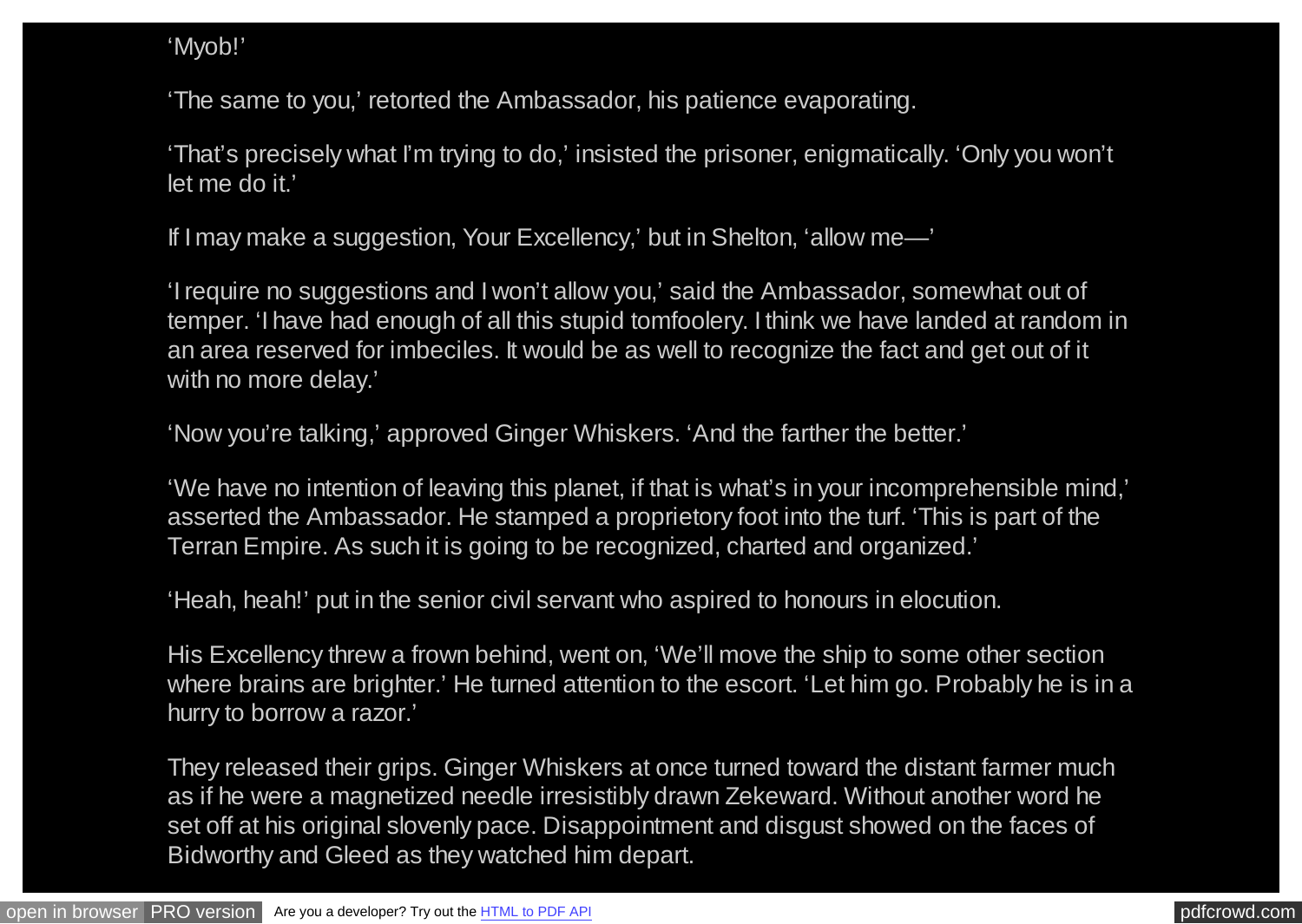'Myob!'

'The same to you,' retorted the Ambassador, his patience evaporating.

'That's precisely what I'm trying to do,' insisted the prisoner, enigmatically. 'Only you won't let me do it.'

If I may make a suggestion, Your Excellency,' but in Shelton, 'allow me—'

'I require no suggestions and I won't allow you,' said the Ambassador, somewhat out of temper. 'I have had enough of all this stupid tomfoolery. I think we have landed at random in an area reserved for imbeciles. It would be as well to recognize the fact and get out of it with no more delay.'

'Now you're talking,' approved Ginger Whiskers. 'And the farther the better.'

'We have no intention of leaving this planet, if that is what's in your incomprehensible mind,' asserted the Ambassador. He stamped a proprietory foot into the turf. 'This is part of the Terran Empire. As such it is going to be recognized, charted and organized.'

'Heah, heah!' put in the senior civil servant who aspired to honours in elocution.

His Excellency threw a frown behind, went on, 'We'll move the ship to some other section where brains are brighter.' He turned attention to the escort. 'Let him go. Probably he is in a hurry to borrow a razor.'

They released their grips. Ginger Whiskers at once turned toward the distant farmer much as if he were a magnetized needle irresistibly drawn Zekeward. Without another word he set off at his original slovenly pace. Disappointment and disgust showed on the faces of Bidworthy and Gleed as they watched him depart.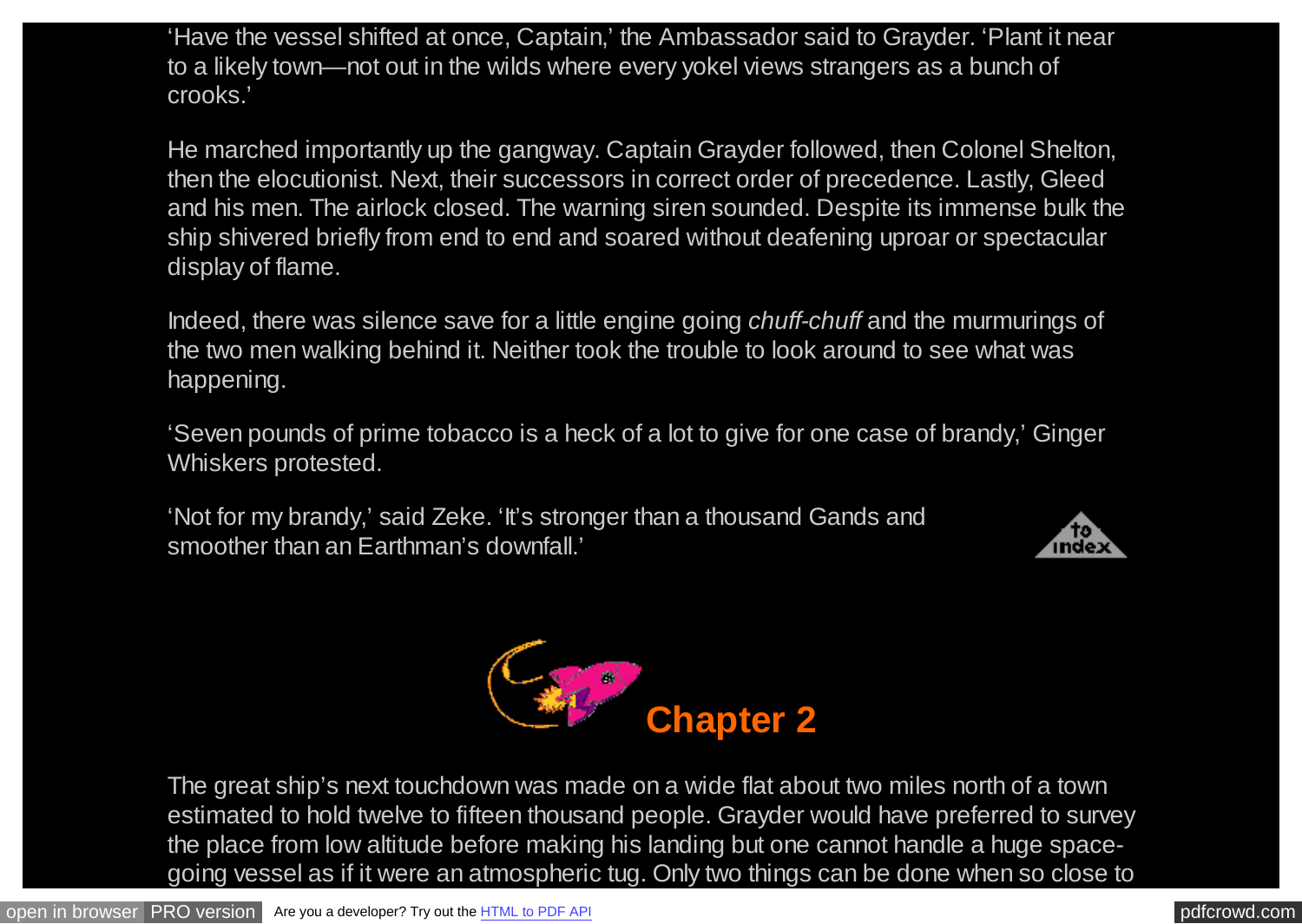<span id="page-15-0"></span>'Have the vessel shifted at once, Captain,' the Ambassador said to Grayder. 'Plant it near to a likely town—not out in the wilds where every yokel views strangers as a bunch of crooks.'

He marched importantly up the gangway. Captain Grayder followed, then Colonel Shelton, then the elocutionist. Next, their successors in correct order of precedence. Lastly, Gleed and his men. The airlock closed. The warning siren sounded. Despite its immense bulk the ship shivered briefly from end to end and soared without deafening uproar or spectacular display of flame.

Indeed, there was silence save for a little engine going *chuff-chuff* and the murmurings of the two men walking behind it. Neither took the trouble to look around to see what was happening.

'Seven pounds of prime tobacco is a heck of a lot to give for one case of brandy,' Ginger Whiskers protested.

'Not for my brandy,' said Zeke. 'It's stronger than a thousand Gands and smoother than an Earthman's downfall.'





The great ship's next touchdown was made on a wide flat about two miles north of a town estimated to hold twelve to fifteen thousand people. Grayder would have preferred to survey the place from low altitude before making his landing but one cannot handle a huge spacegoing vessel as if it were an atmospheric tug. Only two things can be done when so close to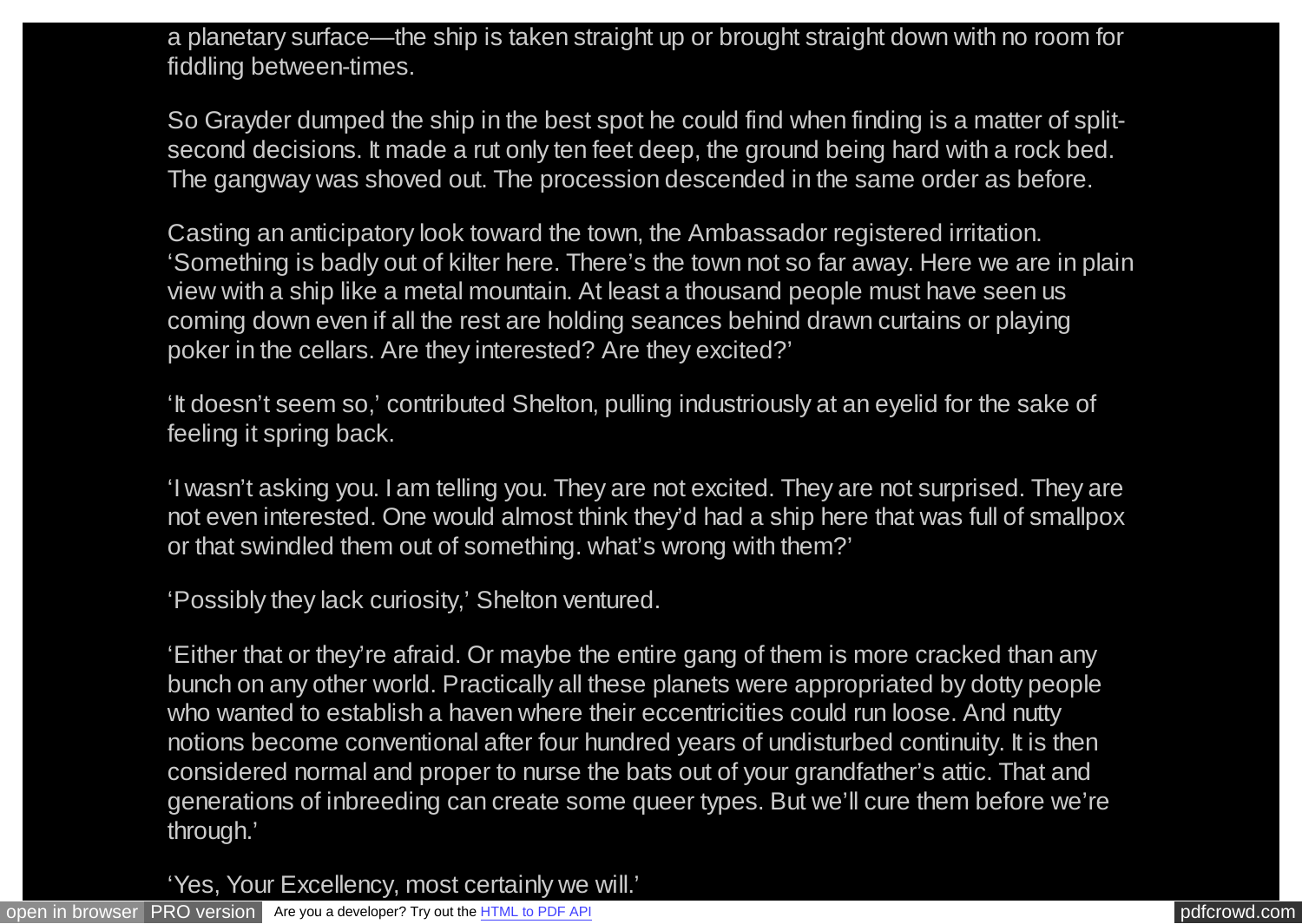a planetary surface—the ship is taken straight up or brought straight down with no room for fiddling between-times.

So Grayder dumped the ship in the best spot he could find when finding is a matter of splitsecond decisions. It made a rut only ten feet deep, the ground being hard with a rock bed. The gangway was shoved out. The procession descended in the same order as before.

Casting an anticipatory look toward the town, the Ambassador registered irritation. 'Something is badly out of kilter here. There's the town not so far away. Here we are in plain view with a ship like a metal mountain. At least a thousand people must have seen us coming down even if all the rest are holding seances behind drawn curtains or playing poker in the cellars. Are they interested? Are they excited?'

'It doesn't seem so,' contributed Shelton, pulling industriously at an eyelid for the sake of feeling it spring back.

'I wasn't asking you. I am telling you. They are not excited. They are not surprised. They are not even interested. One would almost think they'd had a ship here that was full of smallpox or that swindled them out of something. what's wrong with them?'

'Possibly they lack curiosity,' Shelton ventured.

'Either that or they're afraid. Or maybe the entire gang of them is more cracked than any bunch on any other world. Practically all these planets were appropriated by dotty people who wanted to establish a haven where their eccentricities could run loose. And nutty notions become conventional after four hundred years of undisturbed continuity. It is then considered normal and proper to nurse the bats out of your grandfather's attic. That and generations of inbreeding can create some queer types. But we'll cure them before we're through.'

'Yes, Your Excellency, most certainly we will.'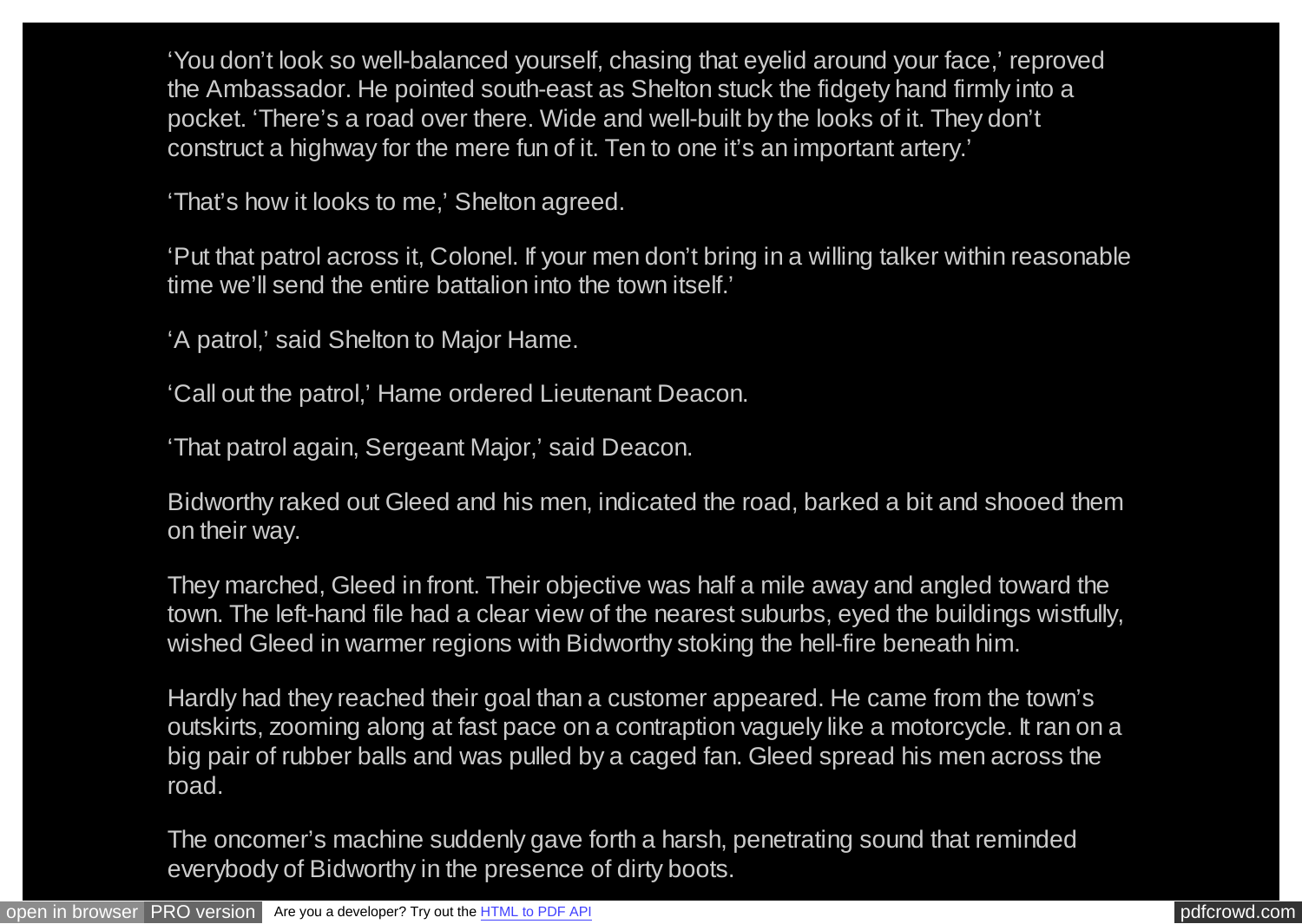'You don't look so well-balanced yourself, chasing that eyelid around your face,' reproved the Ambassador. He pointed south-east as Shelton stuck the fidgety hand firmly into a pocket. 'There's a road over there. Wide and well-built by the looks of it. They don't construct a highway for the mere fun of it. Ten to one it's an important artery.'

'That's how it looks to me,' Shelton agreed.

'Put that patrol across it, Colonel. If your men don't bring in a willing talker within reasonable time we'll send the entire battalion into the town itself.'

'A patrol,' said Shelton to Major Hame.

'Call out the patrol,' Hame ordered Lieutenant Deacon.

'That patrol again, Sergeant Major,' said Deacon.

Bidworthy raked out Gleed and his men, indicated the road, barked a bit and shooed them on their way.

They marched, Gleed in front. Their objective was half a mile away and angled toward the town. The left-hand file had a clear view of the nearest suburbs, eyed the buildings wistfully, wished Gleed in warmer regions with Bidworthy stoking the hell-fire beneath him.

Hardly had they reached their goal than a customer appeared. He came from the town's outskirts, zooming along at fast pace on a contraption vaguely like a motorcycle. It ran on a big pair of rubber balls and was pulled by a caged fan. Gleed spread his men across the road.

The oncomer's machine suddenly gave forth a harsh, penetrating sound that reminded everybody of Bidworthy in the presence of dirty boots.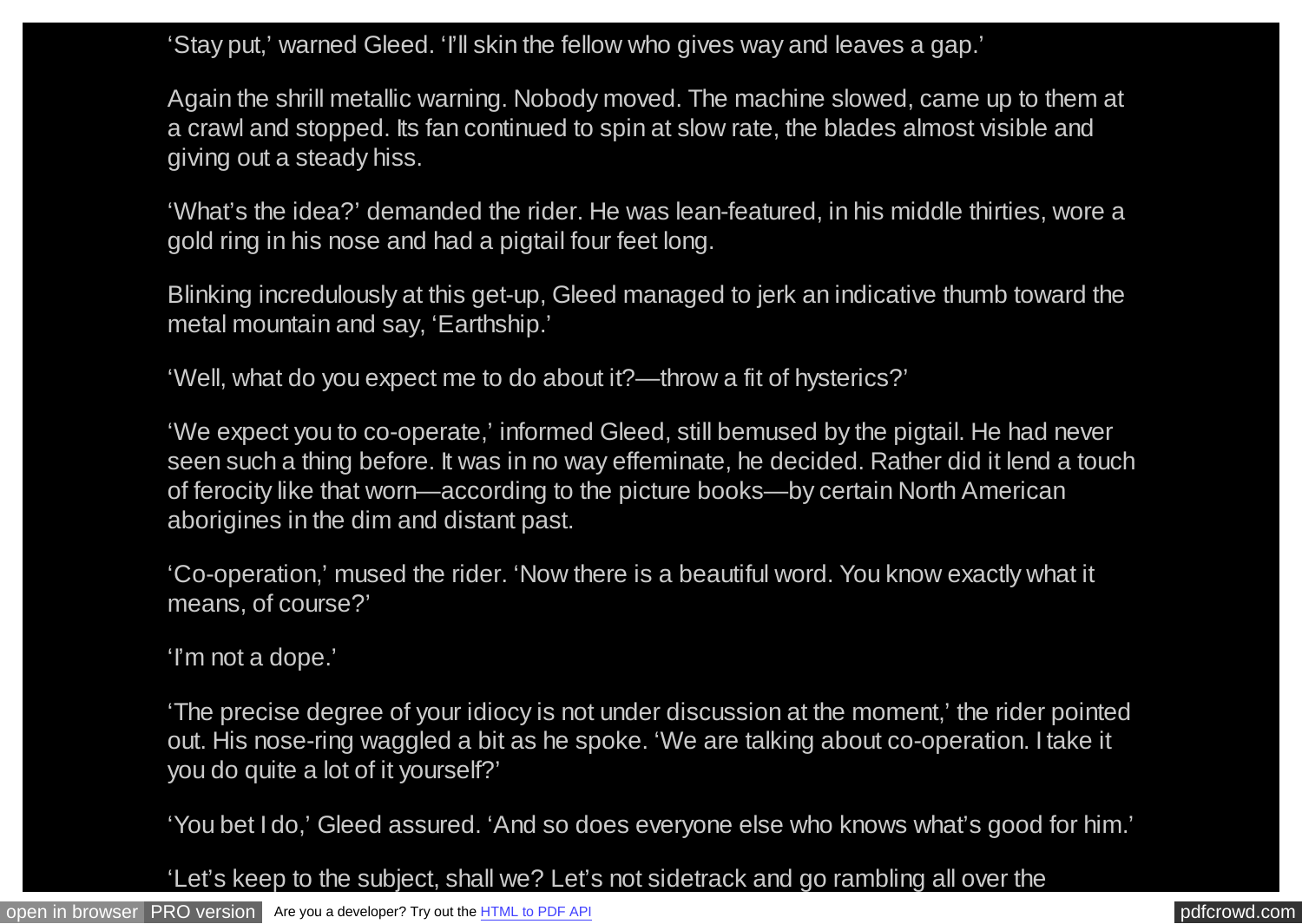'Stay put,' warned Gleed. 'I'll skin the fellow who gives way and leaves a gap.'

Again the shrill metallic warning. Nobody moved. The machine slowed, came up to them at a crawl and stopped. Its fan continued to spin at slow rate, the blades almost visible and giving out a steady hiss.

'What's the idea?' demanded the rider. He was lean-featured, in his middle thirties, wore a gold ring in his nose and had a pigtail four feet long.

Blinking incredulously at this get-up, Gleed managed to jerk an indicative thumb toward the metal mountain and say, 'Earthship.'

'Well, what do you expect me to do about it?—throw a fit of hysterics?'

'We expect you to co-operate,' informed Gleed, still bemused by the pigtail. He had never seen such a thing before. It was in no way effeminate, he decided. Rather did it lend a touch of ferocity like that worn—according to the picture books—by certain North American aborigines in the dim and distant past.

'Co-operation,' mused the rider. 'Now there is a beautiful word. You know exactly what it means, of course?'

'I'm not a dope.'

'The precise degree of your idiocy is not under discussion at the moment,' the rider pointed out. His nose-ring waggled a bit as he spoke. 'We are talking about co-operation. I take it you do quite a lot of it yourself?'

'You bet I do,' Gleed assured. 'And so does everyone else who knows what's good for him.'

'Let's keep to the subject, shall we? Let's not sidetrack and go rambling all over the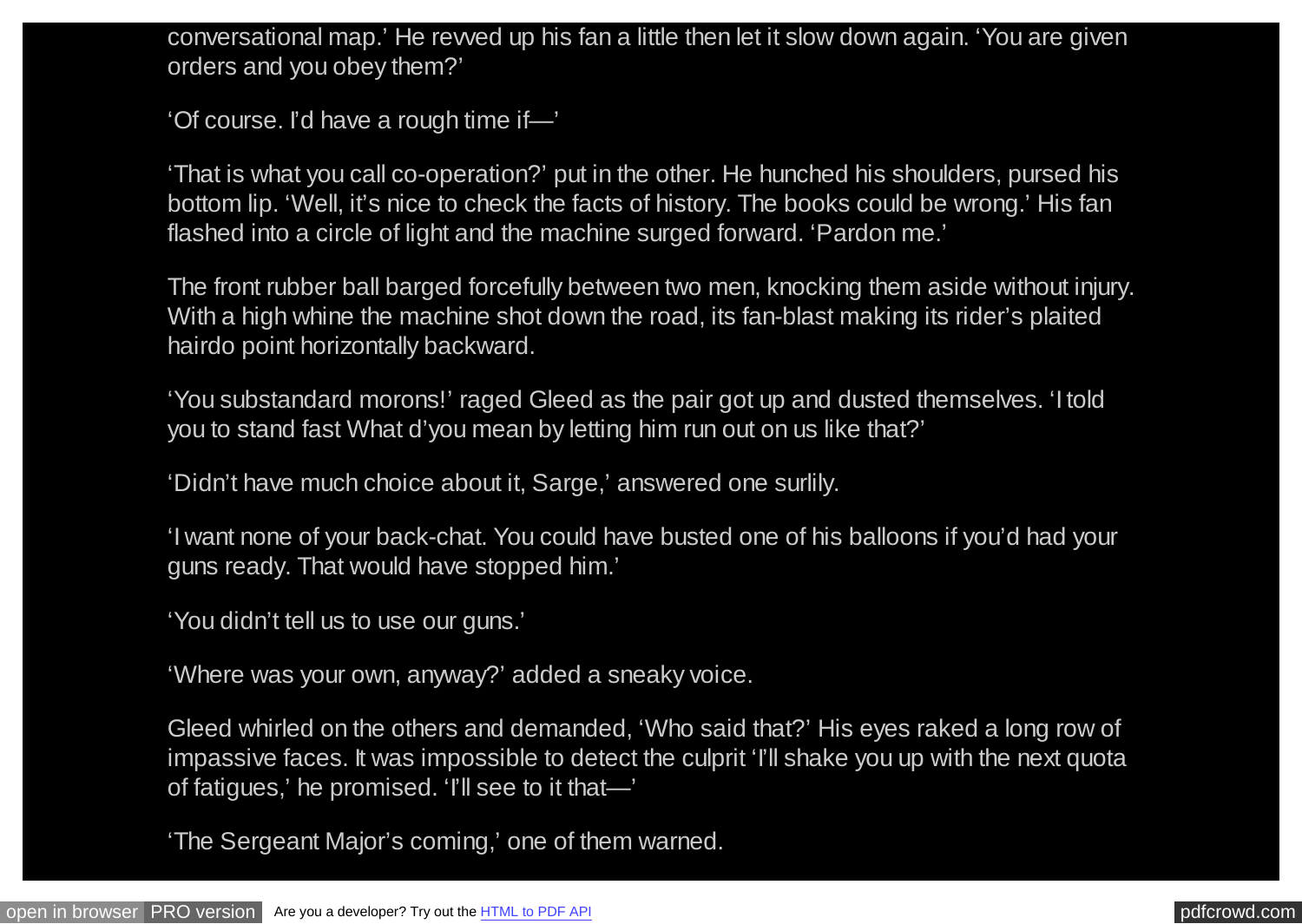conversational map.' He revved up his fan a little then let it slow down again. 'You are given orders and you obey them?'

'Of course. I'd have a rough time if—'

'That is what you call co-operation?' put in the other. He hunched his shoulders, pursed his bottom lip. 'Well, it's nice to check the facts of history. The books could be wrong.' His fan flashed into a circle of light and the machine surged forward. 'Pardon me.'

The front rubber ball barged forcefully between two men, knocking them aside without injury. With a high whine the machine shot down the road, its fan-blast making its rider's plaited hairdo point horizontally backward.

'You substandard morons!' raged Gleed as the pair got up and dusted themselves. 'I told you to stand fast What d'you mean by letting him run out on us like that?'

'Didn't have much choice about it, Sarge,' answered one surlily.

'I want none of your back-chat. You could have busted one of his balloons if you'd had your guns ready. That would have stopped him.'

'You didn't tell us to use our guns.'

'Where was your own, anyway?' added a sneaky voice.

Gleed whirled on the others and demanded, 'Who said that?' His eyes raked a long row of impassive faces. It was impossible to detect the culprit 'I'll shake you up with the next quota of fatigues,' he promised. 'I'll see to it that—'

'The Sergeant Major's coming,' one of them warned.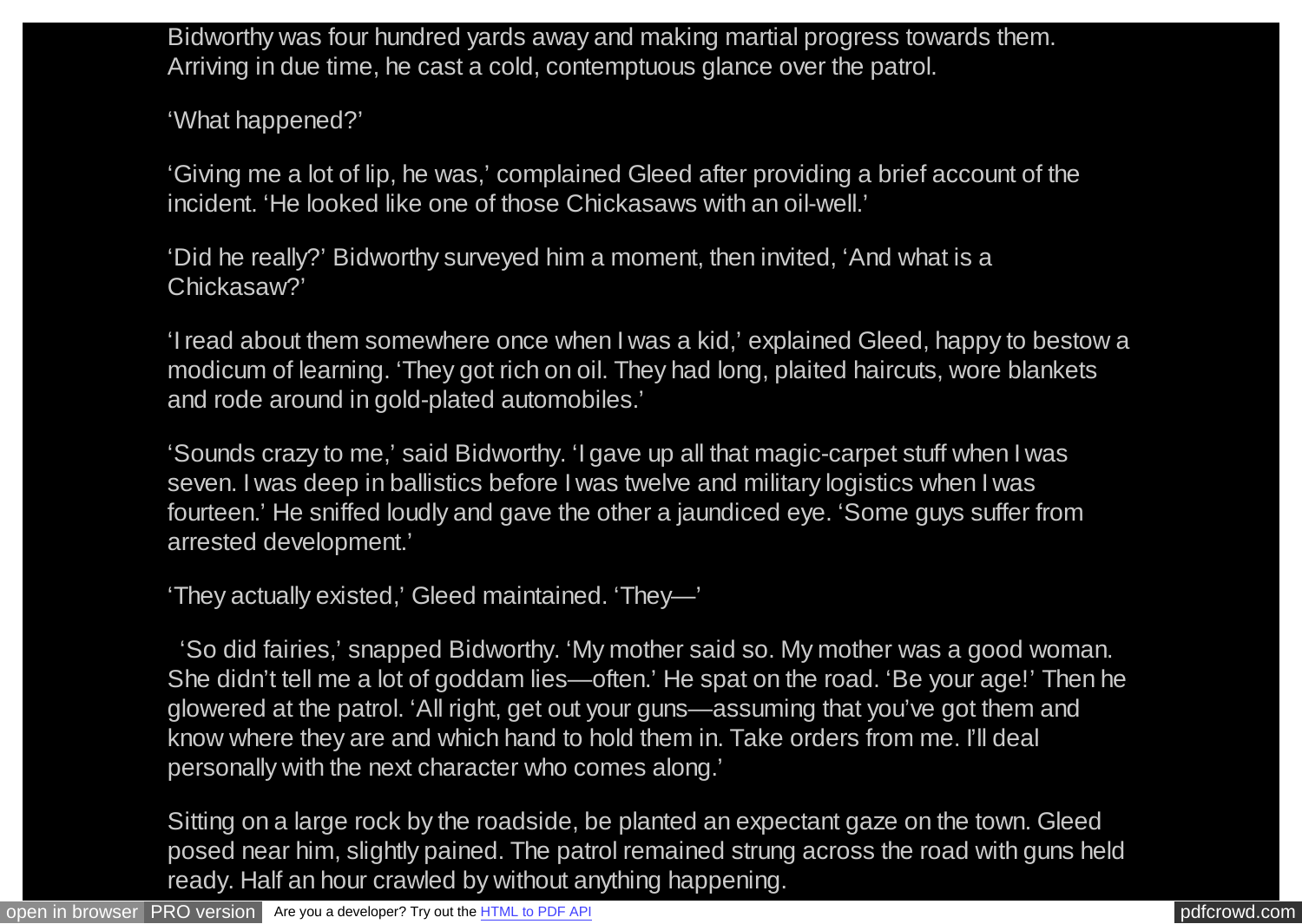Bidworthy was four hundred yards away and making martial progress towards them. Arriving in due time, he cast a cold, contemptuous glance over the patrol.

'What happened?'

'Giving me a lot of lip, he was,' complained Gleed after providing a brief account of the incident. 'He looked like one of those Chickasaws with an oil-well.'

'Did he really?' Bidworthy surveyed him a moment, then invited, 'And what is a Chickasaw?'

'I read about them somewhere once when I was a kid,' explained Gleed, happy to bestow a modicum of learning. 'They got rich on oil. They had long, plaited haircuts, wore blankets and rode around in gold-plated automobiles.'

'Sounds crazy to me,' said Bidworthy. 'I gave up all that magic-carpet stuff when I was seven. I was deep in ballistics before I was twelve and military logistics when I was fourteen.' He sniffed loudly and gave the other a jaundiced eye. 'Some guys suffer from arrested development.'

'They actually existed,' Gleed maintained. 'They—'

 'So did fairies,' snapped Bidworthy. 'My mother said so. My mother was a good woman. She didn't tell me a lot of goddam lies—often.' He spat on the road. 'Be your age!' Then he glowered at the patrol. 'All right, get out your guns—assuming that you've got them and know where they are and which hand to hold them in. Take orders from me. I'll deal personally with the next character who comes along.'

Sitting on a large rock by the roadside, be planted an expectant gaze on the town. Gleed posed near him, slightly pained. The patrol remained strung across the road with guns held ready. Half an hour crawled by without anything happening.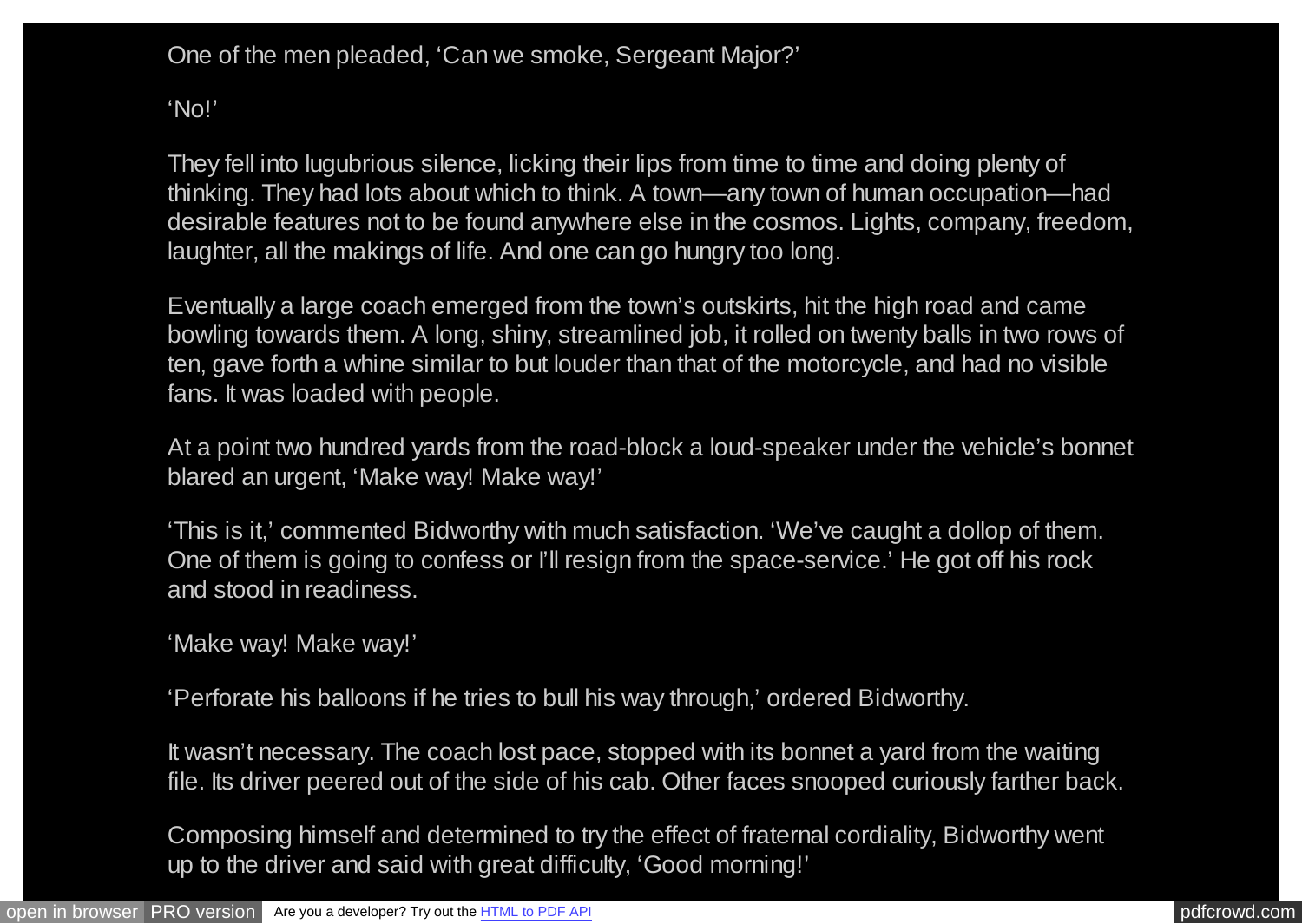One of the men pleaded, 'Can we smoke, Sergeant Major?'

'No!'

They fell into lugubrious silence, licking their lips from time to time and doing plenty of thinking. They had lots about which to think. A town—any town of human occupation—had desirable features not to be found anywhere else in the cosmos. Lights, company, freedom, laughter, all the makings of life. And one can go hungry too long.

Eventually a large coach emerged from the town's outskirts, hit the high road and came bowling towards them. A long, shiny, streamlined job, it rolled on twenty balls in two rows of ten, gave forth a whine similar to but louder than that of the motorcycle, and had no visible fans. It was loaded with people.

At a point two hundred yards from the road-block a loud-speaker under the vehicle's bonnet blared an urgent, 'Make way! Make way!'

'This is it,' commented Bidworthy with much satisfaction. 'We've caught a dollop of them. One of them is going to confess or I'll resign from the space-service.' He got off his rock and stood in readiness.

'Make way! Make way!'

'Perforate his balloons if he tries to bull his way through,' ordered Bidworthy.

It wasn't necessary. The coach lost pace, stopped with its bonnet a yard from the waiting file. Its driver peered out of the side of his cab. Other faces snooped curiously farther back.

Composing himself and determined to try the effect of fraternal cordiality, Bidworthy went up to the driver and said with great difficulty, 'Good morning!'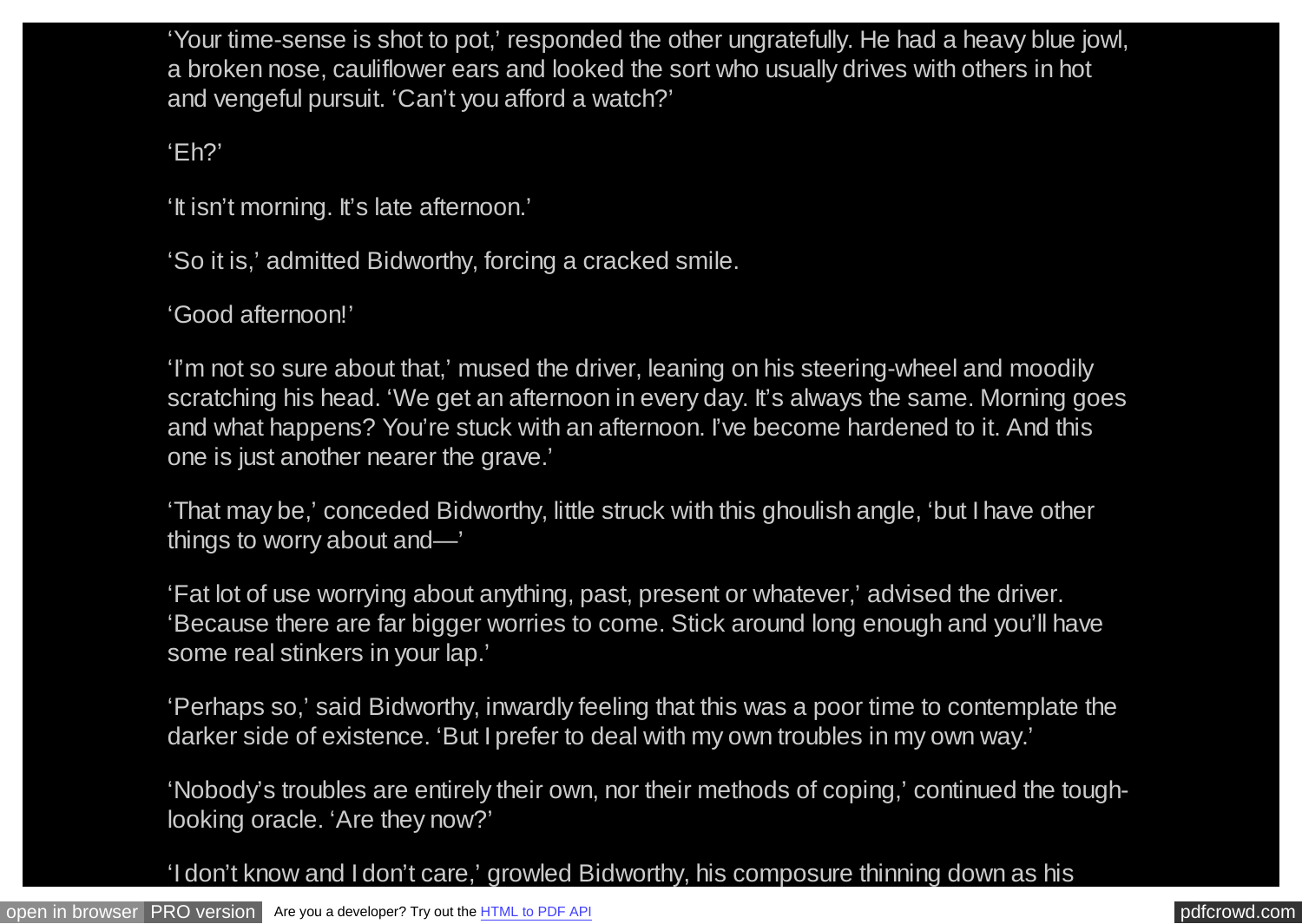'Your time-sense is shot to pot,' responded the other ungratefully. He had a heavy blue jowl, a broken nose, cauliflower ears and looked the sort who usually drives with others in hot and vengeful pursuit. 'Can't you afford a watch?'

'Eh?'

'It isn't morning. It's late afternoon.'

'So it is,' admitted Bidworthy, forcing a cracked smile.

'Good afternoon!'

'I'm not so sure about that,' mused the driver, leaning on his steering-wheel and moodily scratching his head. 'We get an afternoon in every day. It's always the same. Morning goes and what happens? You're stuck with an afternoon. I've become hardened to it. And this one is just another nearer the grave.'

'That may be,' conceded Bidworthy, little struck with this ghoulish angle, 'but I have other things to worry about and—'

'Fat lot of use worrying about anything, past, present or whatever,' advised the driver. 'Because there are far bigger worries to come. Stick around long enough and you'll have some real stinkers in your lap.'

'Perhaps so,' said Bidworthy, inwardly feeling that this was a poor time to contemplate the darker side of existence. 'But I prefer to deal with my own troubles in my own way.'

'Nobody's troubles are entirely their own, nor their methods of coping,' continued the toughlooking oracle. 'Are they now?'

'I don't know and I don't care,' growled Bidworthy, his composure thinning down as his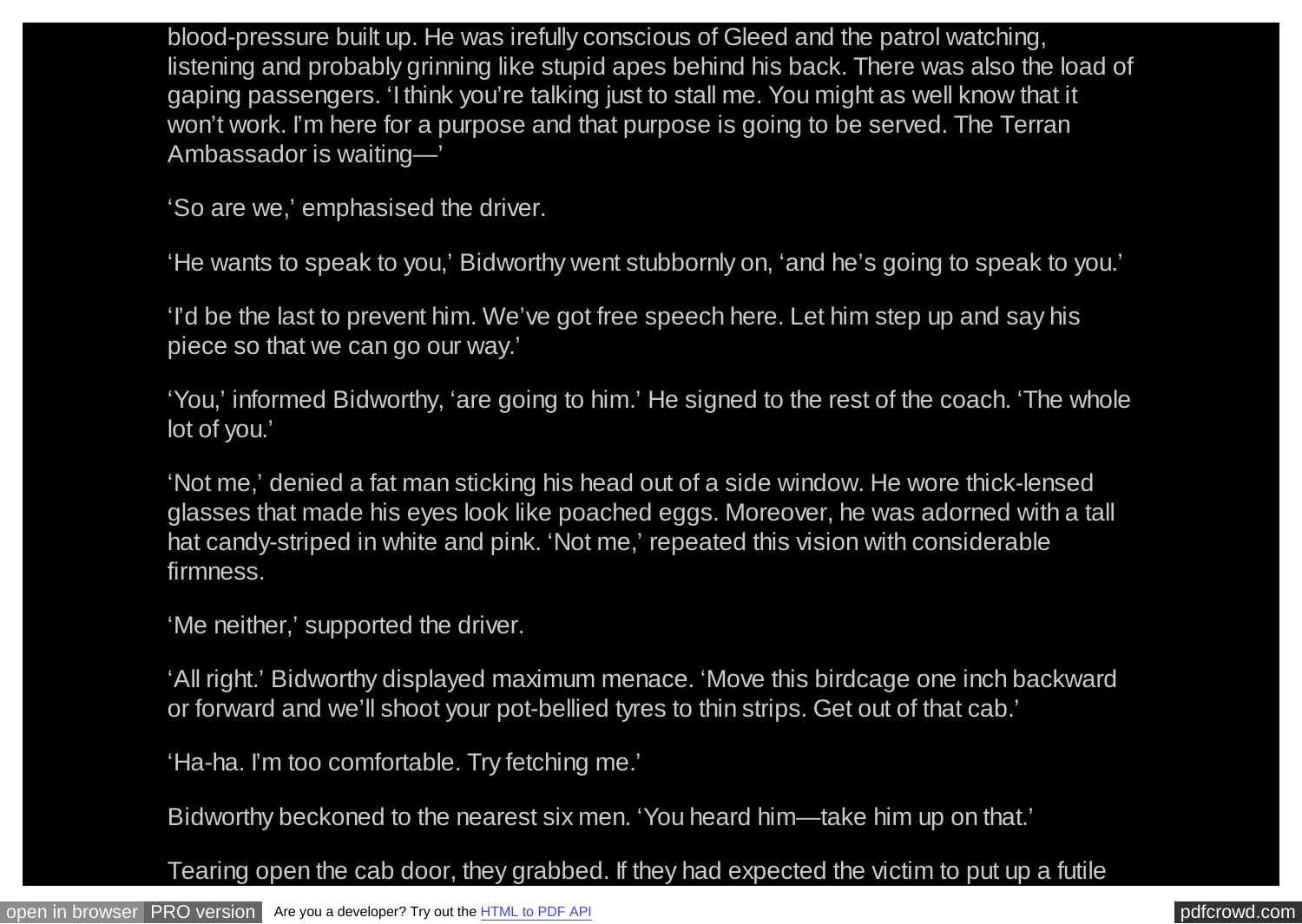blood-pressure built up. He was irefully conscious of Gleed and the patrol watching, listening and probably grinning like stupid apes behind his back. There was also the load of gaping passengers. 'I think you're talking just to stall me. You might as well know that it won't work. I'm here for a purpose and that purpose is going to be served. The Terran Ambassador is waiting—'

'So are we,' emphasised the driver.

'He wants to speak to you,' Bidworthy went stubbornly on, 'and he's going to speak to you.'

'I'd be the last to prevent him. We've got free speech here. Let him step up and say his piece so that we can go our way.'

'You,' informed Bidworthy, 'are going to him.' He signed to the rest of the coach. 'The whole lot of you.'

'Not me,' denied a fat man sticking his head out of a side window. He wore thick-lensed glasses that made his eyes look like poached eggs. Moreover, he was adorned with a tall hat candy-striped in white and pink. 'Not me,' repeated this vision with considerable firmness.

'Me neither,' supported the driver.

'All right.' Bidworthy displayed maximum menace. 'Move this birdcage one inch backward or forward and we'll shoot your pot-bellied tyres to thin strips. Get out of that cab.'

'Ha-ha. I'm too comfortable. Try fetching me.'

Bidworthy beckoned to the nearest six men. 'You heard him—take him up on that.'

Tearing open the cab door, they grabbed. If they had expected the victim to put up a futile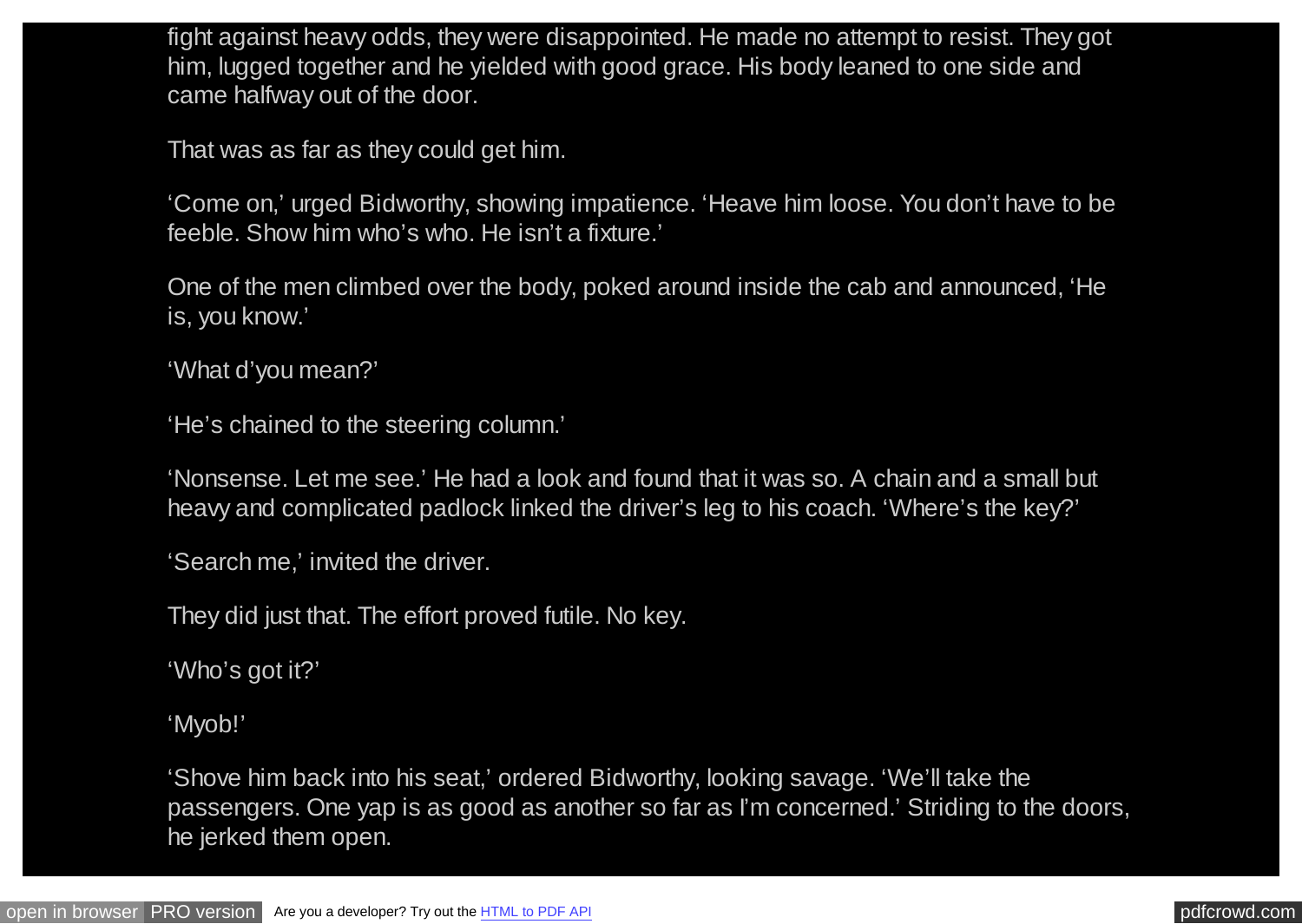fight against heavy odds, they were disappointed. He made no attempt to resist. They got him, lugged together and he yielded with good grace. His body leaned to one side and came halfway out of the door.

That was as far as they could get him.

'Come on,' urged Bidworthy, showing impatience. 'Heave him loose. You don't have to be feeble. Show him who's who. He isn't a fixture.'

One of the men climbed over the body, poked around inside the cab and announced, 'He is, you know.'

'What d'you mean?'

'He's chained to the steering column.'

'Nonsense. Let me see.' He had a look and found that it was so. A chain and a small but heavy and complicated padlock linked the driver's leg to his coach. 'Where's the key?'

'Search me,' invited the driver.

They did just that. The effort proved futile. No key.

'Who's got it?'

'Myob!'

'Shove him back into his seat,' ordered Bidworthy, looking savage. 'We'll take the passengers. One yap is as good as another so far as I'm concerned.' Striding to the doors, he jerked them open.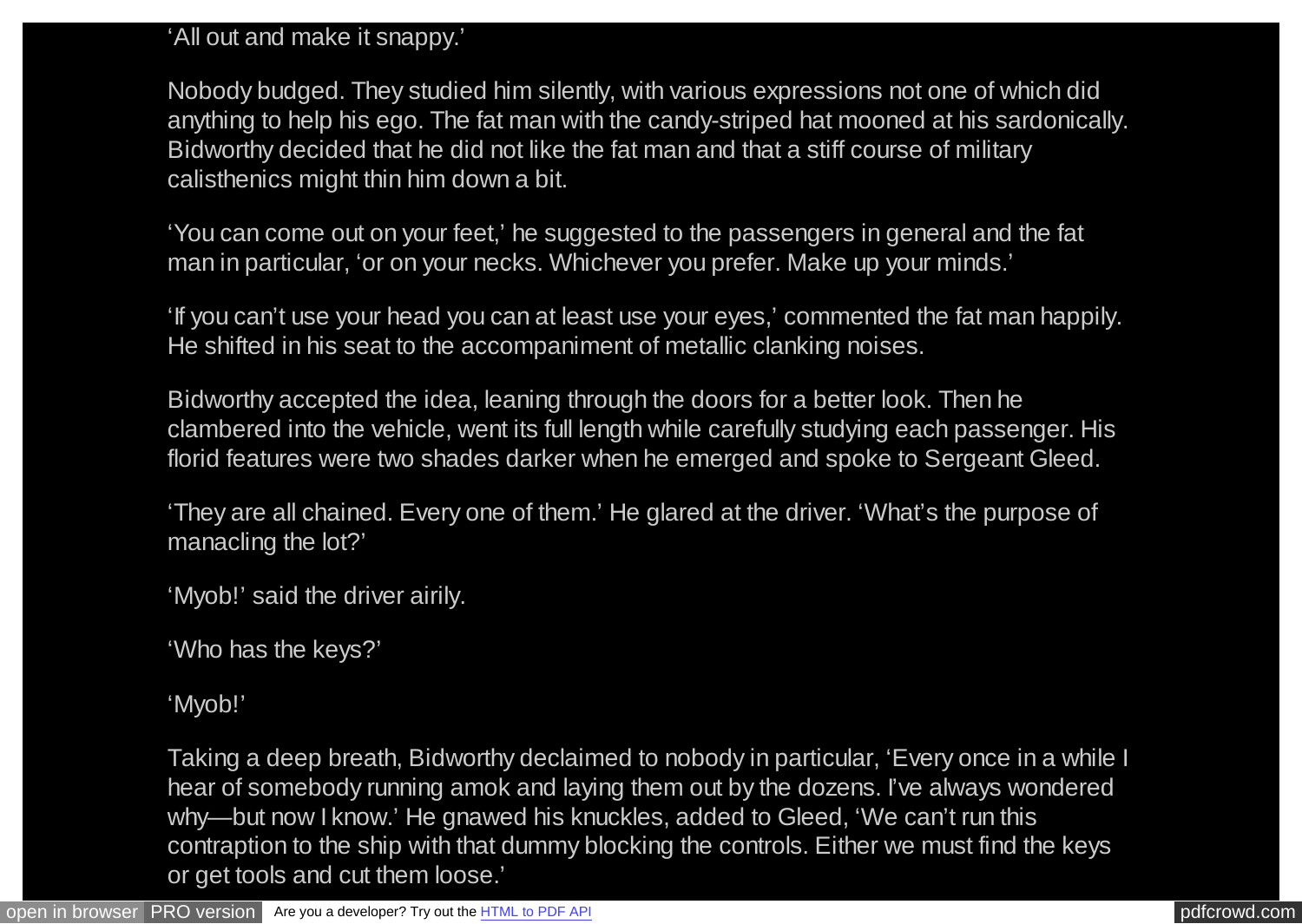### 'All out and make it snappy.'

Nobody budged. They studied him silently, with various expressions not one of which did anything to help his ego. The fat man with the candy-striped hat mooned at his sardonically. Bidworthy decided that he did not like the fat man and that a stiff course of military calisthenics might thin him down a bit.

'You can come out on your feet,' he suggested to the passengers in general and the fat man in particular, 'or on your necks. Whichever you prefer. Make up your minds.'

'If you can't use your head you can at least use your eyes,' commented the fat man happily. He shifted in his seat to the accompaniment of metallic clanking noises.

Bidworthy accepted the idea, leaning through the doors for a better look. Then he clambered into the vehicle, went its full length while carefully studying each passenger. His florid features were two shades darker when he emerged and spoke to Sergeant Gleed.

'They are all chained. Every one of them.' He glared at the driver. 'What's the purpose of manacling the lot?'

'Myob!' said the driver airily.

'Who has the keys?'

'Myob!'

Taking a deep breath, Bidworthy declaimed to nobody in particular, 'Every once in a while I hear of somebody running amok and laying them out by the dozens. I've always wondered why—but now I know.' He gnawed his knuckles, added to Gleed, 'We can't run this contraption to the ship with that dummy blocking the controls. Either we must find the keys or get tools and cut them loose.'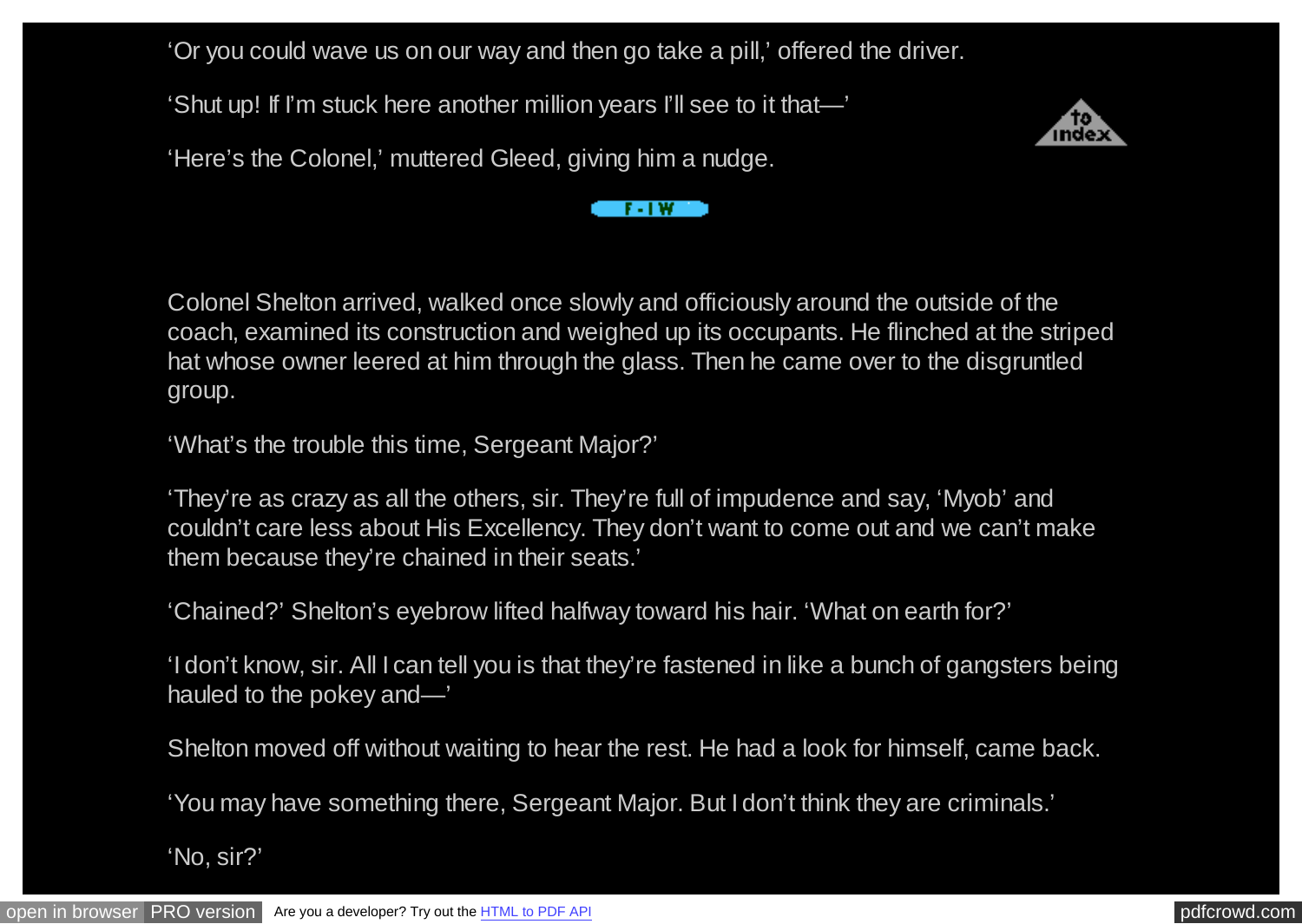'Or you could wave us on our way and then go take a pill,' offered the driver.

'Shut up! If I'm stuck here another million years I'll see to it that—'

'Here's the Colonel,' muttered Gleed, giving him a nudge.





Colonel Shelton arrived, walked once slowly and officiously around the outside of the coach, examined its construction and weighed up its occupants. He flinched at the striped hat whose owner leered at him through the glass. Then he came over to the disgruntled group.

'What's the trouble this time, Sergeant Major?'

'They're as crazy as all the others, sir. They're full of impudence and say, 'Myob' and couldn't care less about His Excellency. They don't want to come out and we can't make them because they're chained in their seats.'

'Chained?' Shelton's eyebrow lifted halfway toward his hair. 'What on earth for?'

'I don't know, sir. All I can tell you is that they're fastened in like a bunch of gangsters being hauled to the pokey and—'

Shelton moved off without waiting to hear the rest. He had a look for himself, came back.

'You may have something there, Sergeant Major. But I don't think they are criminals.'

'No, sir?'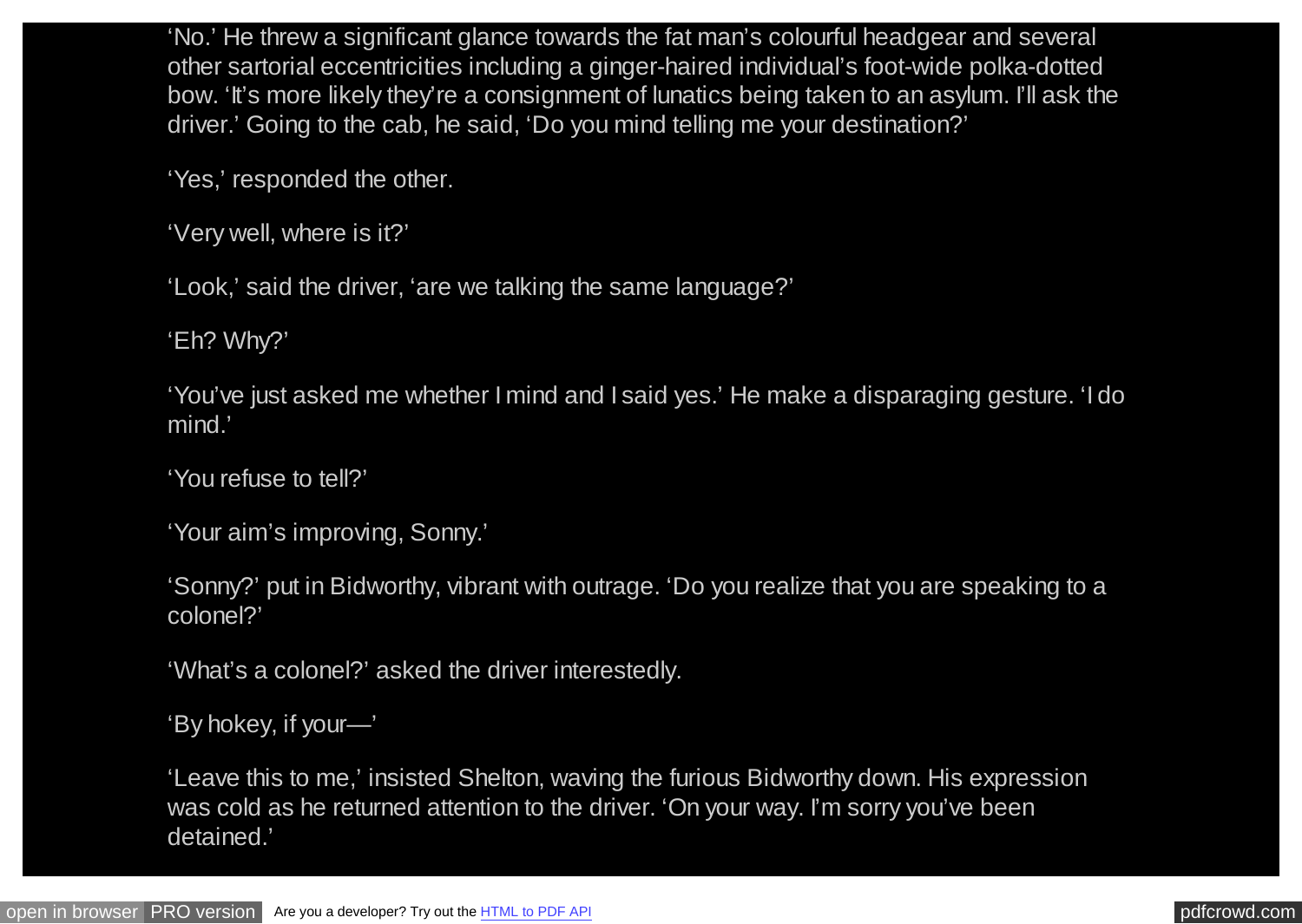'No.' He threw a significant glance towards the fat man's colourful headgear and several other sartorial eccentricities including a ginger-haired individual's foot-wide polka-dotted bow. 'It's more likely they're a consignment of lunatics being taken to an asylum. I'll ask the driver.' Going to the cab, he said, 'Do you mind telling me your destination?'

'Yes,' responded the other.

'Very well, where is it?'

'Look,' said the driver, 'are we talking the same language?'

'Eh? Why?'

'You've just asked me whether I mind and I said yes.' He make a disparaging gesture. 'I do mind.'

'You refuse to tell?'

```
'Your aim's improving, Sonny.'
```
'Sonny?' put in Bidworthy, vibrant with outrage. 'Do you realize that you are speaking to a colonel?'

'What's a colonel?' asked the driver interestedly.

'By hokey, if your—'

'Leave this to me,' insisted Shelton, waving the furious Bidworthy down. His expression was cold as he returned attention to the driver. 'On your way. I'm sorry you've been detained.'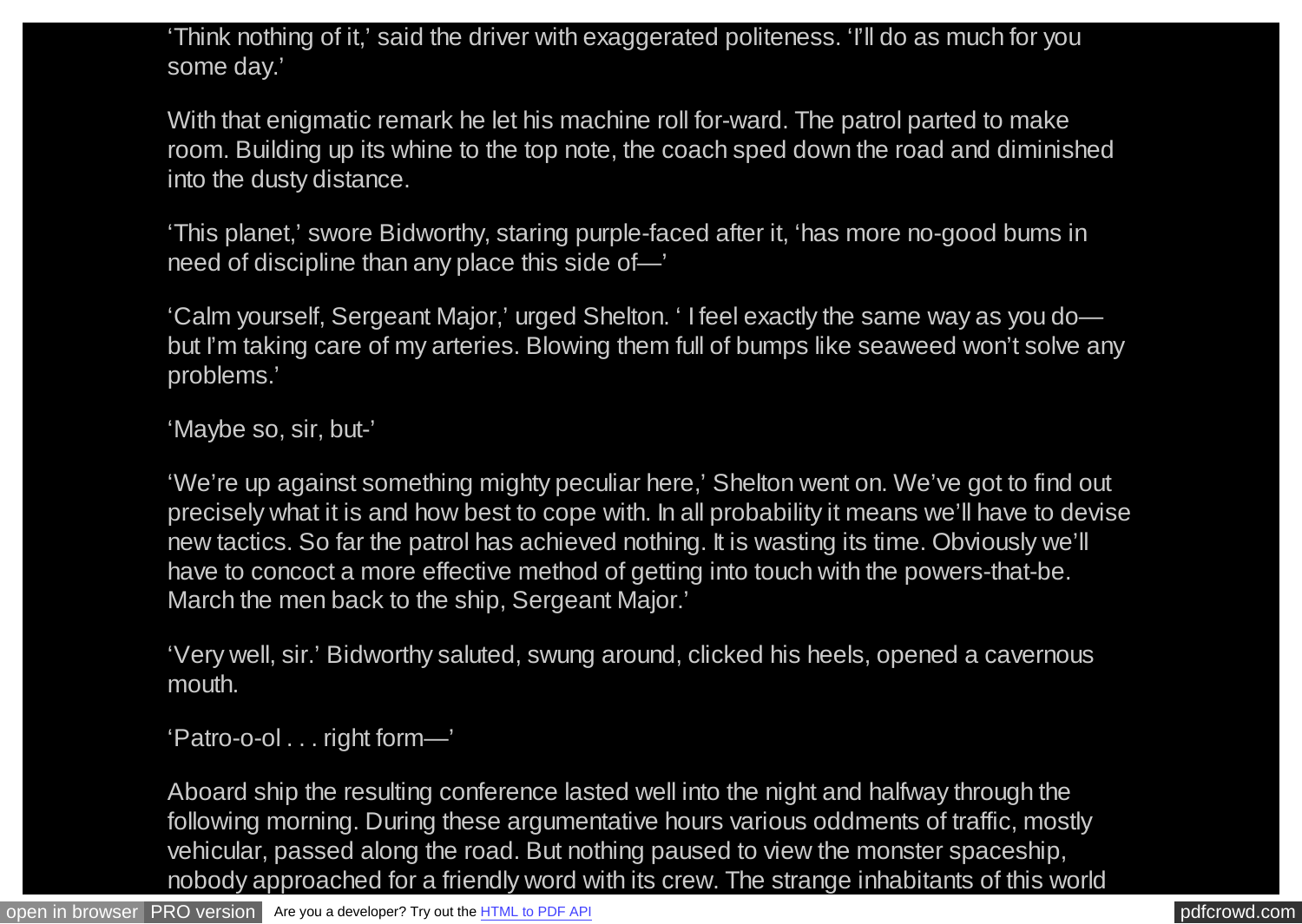'Think nothing of it,' said the driver with exaggerated politeness. 'I'll do as much for you some day.'

With that enigmatic remark he let his machine roll for-ward. The patrol parted to make room. Building up its whine to the top note, the coach sped down the road and diminished into the dusty distance.

'This planet,' swore Bidworthy, staring purple-faced after it, 'has more no-good bums in need of discipline than any place this side of—'

'Calm yourself, Sergeant Major,' urged Shelton. ' I feel exactly the same way as you do but I'm taking care of my arteries. Blowing them full of bumps like seaweed won't solve any problems.'

'Maybe so, sir, but-'

'We're up against something mighty peculiar here,' Shelton went on. We've got to find out precisely what it is and how best to cope with. In all probability it means we'll have to devise new tactics. So far the patrol has achieved nothing. It is wasting its time. Obviously we'll have to concoct a more effective method of getting into touch with the powers-that-be. March the men back to the ship, Sergeant Major.'

'Very well, sir.' Bidworthy saluted, swung around, clicked his heels, opened a cavernous mouth.

'Patro-o-ol . . . right form—'

Aboard ship the resulting conference lasted well into the night and halfway through the following morning. During these argumentative hours various oddments of traffic, mostly vehicular, passed along the road. But nothing paused to view the monster spaceship, nobody approached for a friendly word with its crew. The strange inhabitants of this world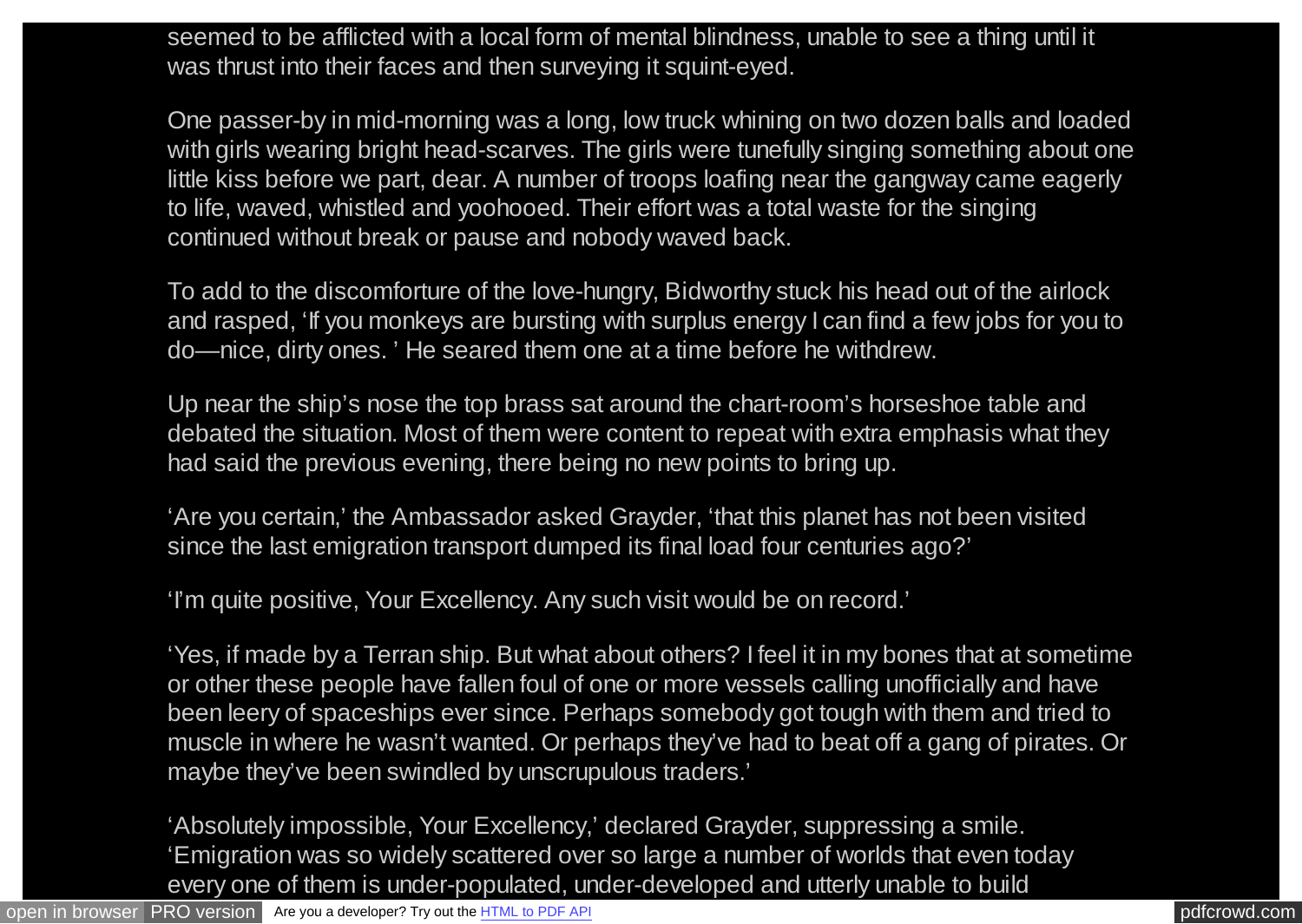seemed to be afflicted with a local form of mental blindness, unable to see a thing until it was thrust into their faces and then surveying it squint-eyed.

One passer-by in mid-morning was a long, low truck whining on two dozen balls and loaded with girls wearing bright head-scarves. The girls were tunefully singing something about one little kiss before we part, dear. A number of troops loafing near the gangway came eagerly to life, waved, whistled and yoohooed. Their effort was a total waste for the singing continued without break or pause and nobody waved back.

To add to the discomforture of the love-hungry, Bidworthy stuck his head out of the airlock and rasped, 'If you monkeys are bursting with surplus energy I can find a few jobs for you to do—nice, dirty ones. ' He seared them one at a time before he withdrew.

Up near the ship's nose the top brass sat around the chart-room's horseshoe table and debated the situation. Most of them were content to repeat with extra emphasis what they had said the previous evening, there being no new points to bring up.

'Are you certain,' the Ambassador asked Grayder, 'that this planet has not been visited since the last emigration transport dumped its final load four centuries ago?'

'I'm quite positive, Your Excellency. Any such visit would be on record.'

'Yes, if made by a Terran ship. But what about others? I feel it in my bones that at sometime or other these people have fallen foul of one or more vessels calling unofficially and have been leery of spaceships ever since. Perhaps somebody got tough with them and tried to muscle in where he wasn't wanted. Or perhaps they've had to beat off a gang of pirates. Or maybe they've been swindled by unscrupulous traders.'

'Absolutely impossible, Your Excellency,' declared Grayder, suppressing a smile. 'Emigration was so widely scattered over so large a number of worlds that even today every one of them is under-populated, under-developed and utterly unable to build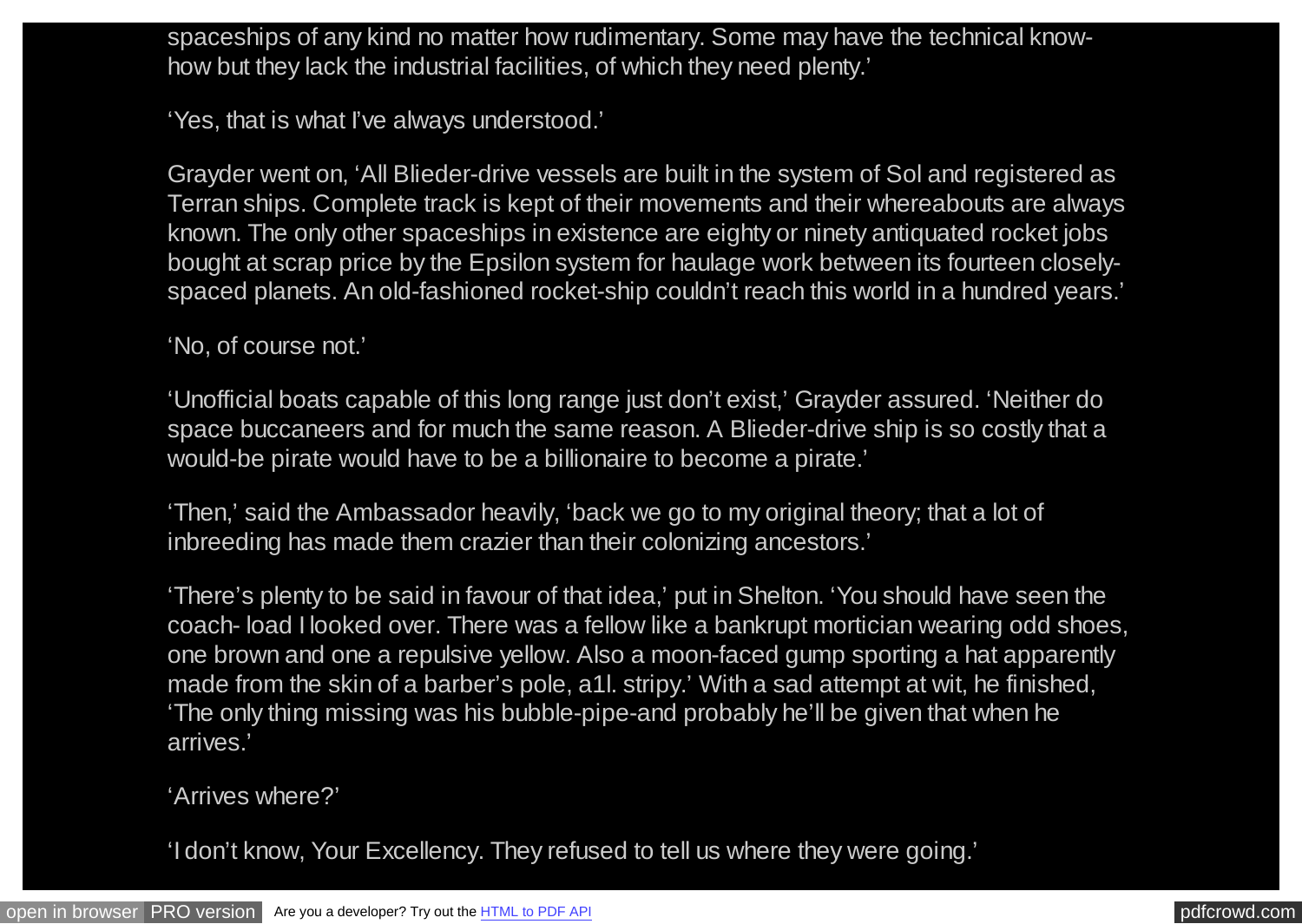spaceships of any kind no matter how rudimentary. Some may have the technical knowhow but they lack the industrial facilities, of which they need plenty.'

'Yes, that is what I've always understood.'

Grayder went on, 'All Blieder-drive vessels are built in the system of Sol and registered as Terran ships. Complete track is kept of their movements and their whereabouts are always known. The only other spaceships in existence are eighty or ninety antiquated rocket jobs bought at scrap price by the Epsilon system for haulage work between its fourteen closelyspaced planets. An old-fashioned rocket-ship couldn't reach this world in a hundred years.'

'No, of course not.'

'Unofficial boats capable of this long range just don't exist,' Grayder assured. 'Neither do space buccaneers and for much the same reason. A Blieder-drive ship is so costly that a would-be pirate would have to be a billionaire to become a pirate.'

'Then,' said the Ambassador heavily, 'back we go to my original theory; that a lot of inbreeding has made them crazier than their colonizing ancestors.'

'There's plenty to be said in favour of that idea,' put in Shelton. 'You should have seen the coach- load I looked over. There was a fellow like a bankrupt mortician wearing odd shoes, one brown and one a repulsive yellow. Also a moon-faced gump sporting a hat apparently made from the skin of a barber's pole, a1l. stripy.' With a sad attempt at wit, he finished, 'The only thing missing was his bubble-pipe-and probably he'll be given that when he arrives.'

'Arrives where?'

'I don't know, Your Excellency. They refused to tell us where they were going.'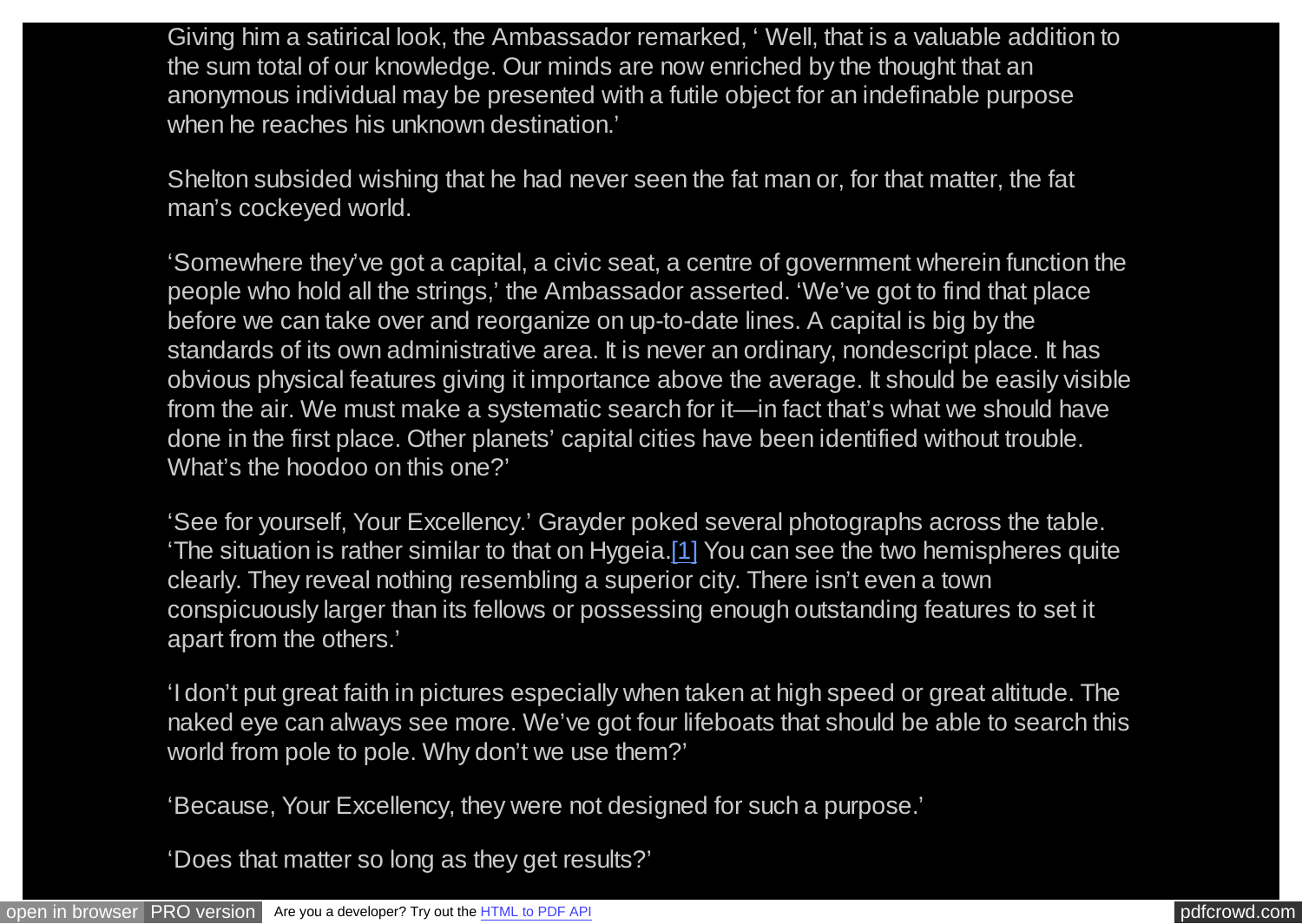Giving him a satirical look, the Ambassador remarked, ' Well, that is a valuable addition to the sum total of our knowledge. Our minds are now enriched by the thought that an anonymous individual may be presented with a futile object for an indefinable purpose when he reaches his unknown destination.'

Shelton subsided wishing that he had never seen the fat man or, for that matter, the fat man's cockeyed world.

'Somewhere they've got a capital, a civic seat, a centre of government wherein function the people who hold all the strings,' the Ambassador asserted. 'We've got to find that place before we can take over and reorganize on up-to-date lines. A capital is big by the standards of its own administrative area. It is never an ordinary, nondescript place. It has obvious physical features giving it importance above the average. It should be easily visible from the air. We must make a systematic search for it—in fact that's what we should have done in the first place. Other planets' capital cities have been identified without trouble. What's the hoodoo on this one?'

'See for yourself, Your Excellency.' Grayder poked several photographs across the table. 'The situation is rather similar to that on Hygeia. $[1]$  You can see the two hemispheres quite clearly. They reveal nothing resembling a superior city. There isn't even a town conspicuously larger than its fellows or possessing enough outstanding features to set it apart from the others.'

'I don't put great faith in pictures especially when taken at high speed or great altitude. The naked eye can always see more. We've got four lifeboats that should be able to search this world from pole to pole. Why don't we use them?'

'Because, Your Excellency, they were not designed for such a purpose.'

'Does that matter so long as they get results?'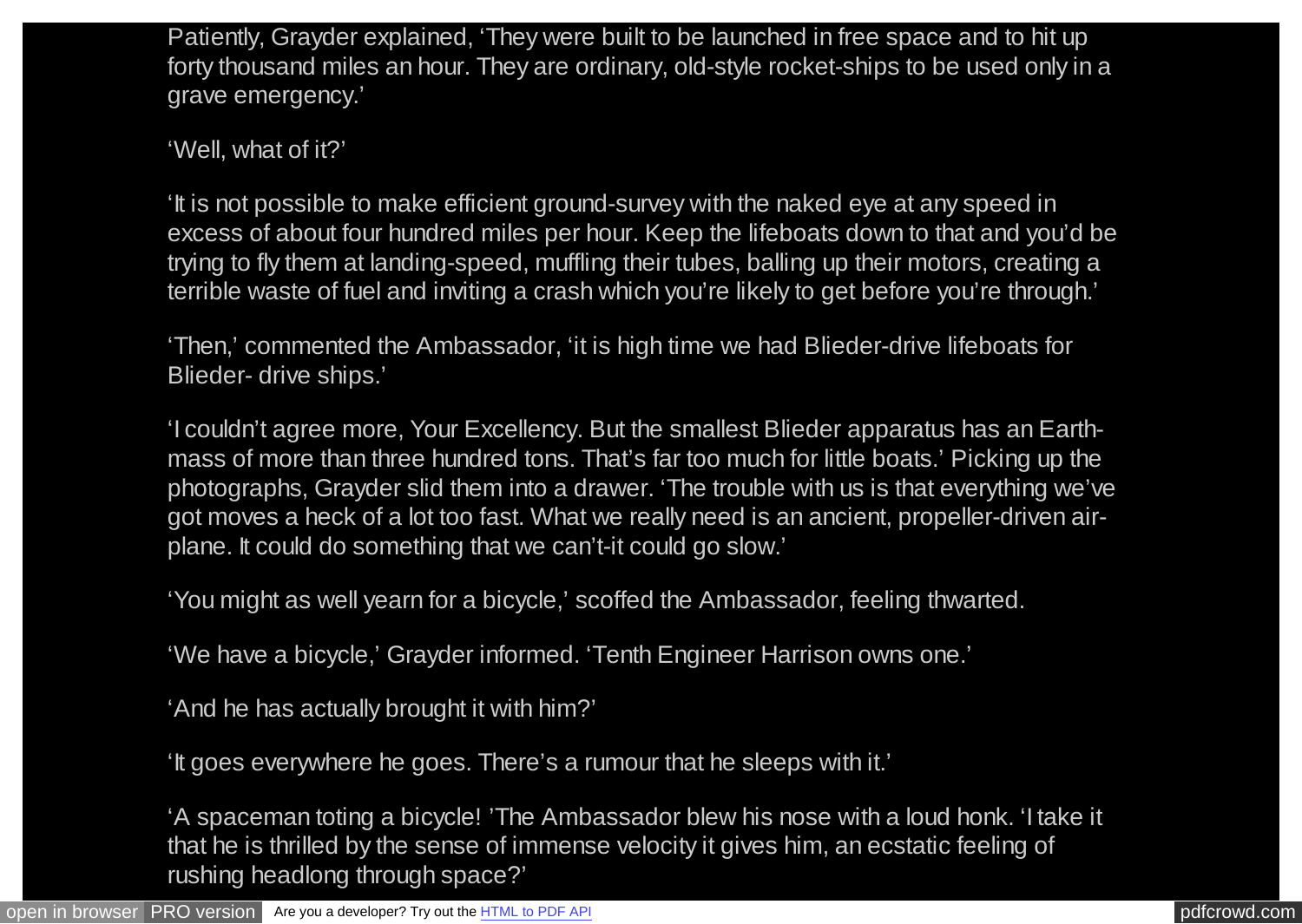Patiently, Grayder explained, 'They were built to be launched in free space and to hit up forty thousand miles an hour. They are ordinary, old-style rocket-ships to be used only in a grave emergency.'

'Well, what of it?'

'It is not possible to make efficient ground-survey with the naked eye at any speed in excess of about four hundred miles per hour. Keep the lifeboats down to that and you'd be trying to fly them at landing-speed, muffling their tubes, balling up their motors, creating a terrible waste of fuel and inviting a crash which you're likely to get before you're through.'

'Then,' commented the Ambassador, 'it is high time we had Blieder-drive lifeboats for Blieder- drive ships.'

'I couldn't agree more, Your Excellency. But the smallest Blieder apparatus has an Earthmass of more than three hundred tons. That's far too much for little boats.' Picking up the photographs, Grayder slid them into a drawer. 'The trouble with us is that everything we've got moves a heck of a lot too fast. What we really need is an ancient, propeller-driven airplane. It could do something that we can't-it could go slow.'

'You might as well yearn for a bicycle,' scoffed the Ambassador, feeling thwarted.

'We have a bicycle,' Grayder informed. 'Tenth Engineer Harrison owns one.'

'And he has actually brought it with him?'

'It goes everywhere he goes. There's a rumour that he sleeps with it.'

'A spaceman toting a bicycle! 'The Ambassador blew his nose with a loud honk. 'I take it that he is thrilled by the sense of immense velocity it gives him, an ecstatic feeling of rushing headlong through space?'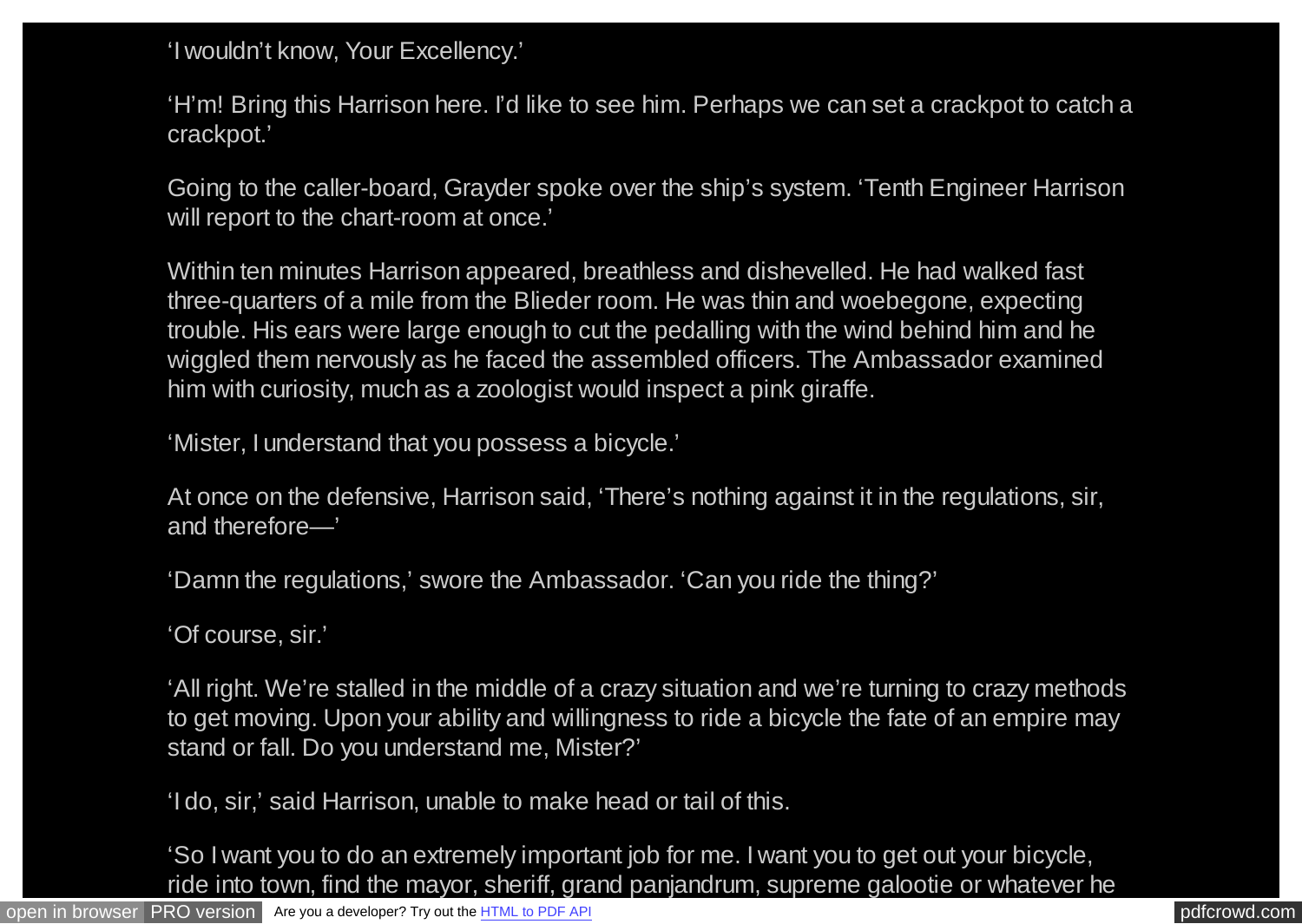'I wouldn't know, Your Excellency.'

'H'm! Bring this Harrison here. I'd like to see him. Perhaps we can set a crackpot to catch a crackpot.'

Going to the caller-board, Grayder spoke over the ship's system. 'Tenth Engineer Harrison will report to the chart-room at once.'

Within ten minutes Harrison appeared, breathless and dishevelled. He had walked fast three-quarters of a mile from the Blieder room. He was thin and woebegone, expecting trouble. His ears were large enough to cut the pedalling with the wind behind him and he wiggled them nervously as he faced the assembled officers. The Ambassador examined him with curiosity, much as a zoologist would inspect a pink giraffe.

'Mister, I understand that you possess a bicycle.'

At once on the defensive, Harrison said, 'There's nothing against it in the regulations, sir, and therefore—'

'Damn the regulations,' swore the Ambassador. 'Can you ride the thing?'

'Of course, sir.'

'All right. We're stalled in the middle of a crazy situation and we're turning to crazy methods to get moving. Upon your ability and willingness to ride a bicycle the fate of an empire may stand or fall. Do you understand me, Mister?'

'I do, sir,' said Harrison, unable to make head or tail of this.

'So I want you to do an extremely important job for me. I want you to get out your bicycle, ride into town, find the mayor, sheriff, grand panjandrum, supreme galootie or whatever he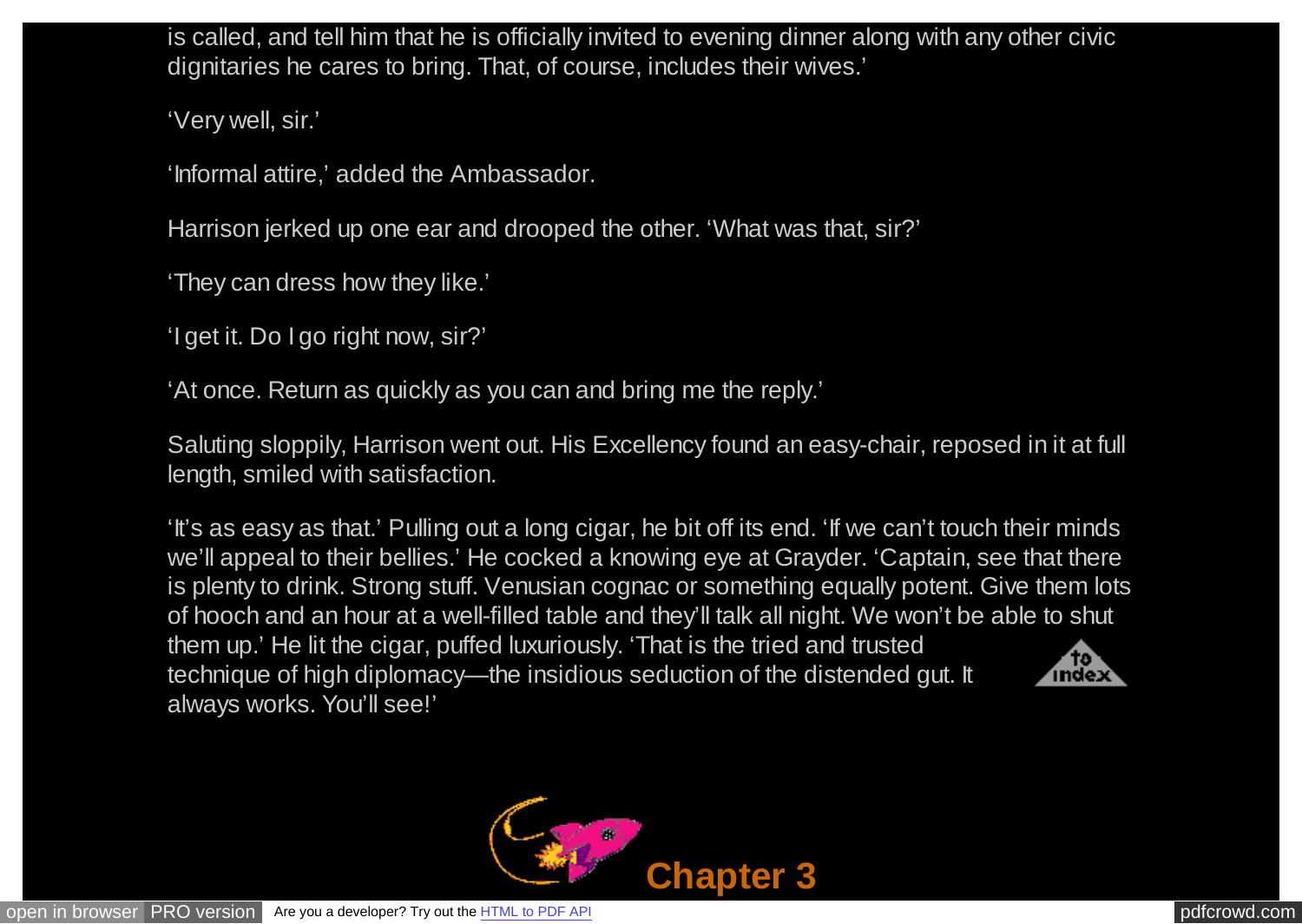<span id="page-34-0"></span>is called, and tell him that he is officially invited to evening dinner along with any other civic dignitaries he cares to bring. That, of course, includes their wives.'

'Very well, sir.'

'Informal attire,' added the Ambassador.

Harrison jerked up one ear and drooped the other. 'What was that, sir?'

'They can dress how they like.'

'I get it. Do I go right now, sir?'

'At once. Return as quickly as you can and bring me the reply.'

Saluting sloppily, Harrison went out. His Excellency found an easy-chair, reposed in it at full length, smiled with satisfaction.

'It's as easy as that.' Pulling out a long cigar, he bit off its end. 'If we can't touch their minds we'll appeal to their bellies.' He cocked a knowing eye at Grayder. 'Captain, see that there is plenty to drink. Strong stuff. Venusian cognac or something equally potent. Give them lots of hooch and an hour at a well-filled table and they'll talk all night. We won't be able to shut them up.' He lit the cigar, puffed luxuriously. 'That is the tried and trusted fo technique of high diplomacy—the insidious seduction of the distended gut. It index` always works. You'll see!'

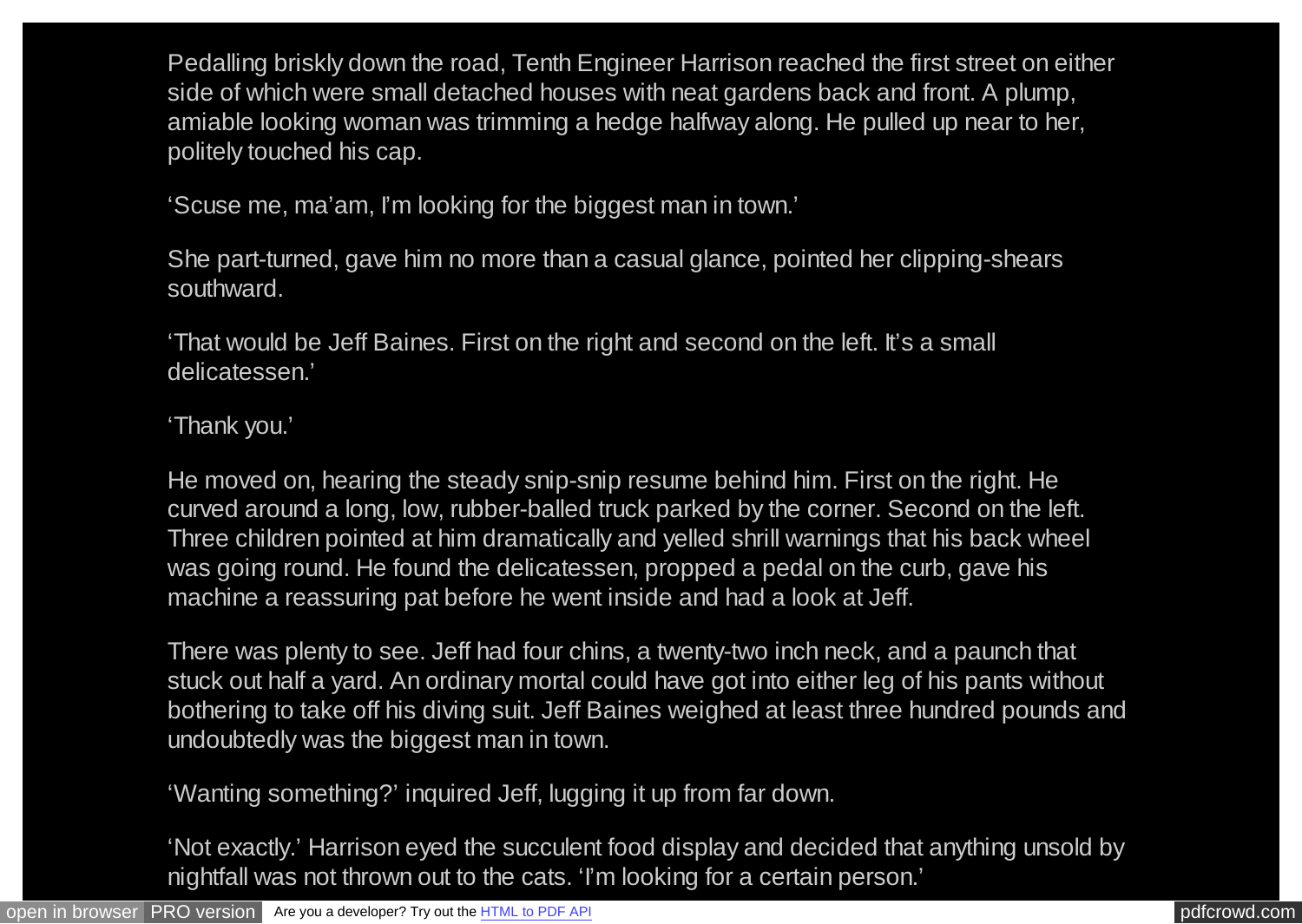Pedalling briskly down the road, Tenth Engineer Harrison reached the first street on either side of which were small detached houses with neat gardens back and front. A plump, amiable looking woman was trimming a hedge halfway along. He pulled up near to her, politely touched his cap.

'Scuse me, ma'am, I'm looking for the biggest man in town.'

She part-turned, gave him no more than a casual glance, pointed her clipping-shears southward.

'That would be Jeff Baines. First on the right and second on the left. It's a small delicatessen.'

'Thank you.'

He moved on, hearing the steady snip-snip resume behind him. First on the right. He curved around a long, low, rubber-balled truck parked by the corner. Second on the left. Three children pointed at him dramatically and yelled shrill warnings that his back wheel was going round. He found the delicatessen, propped a pedal on the curb, gave his machine a reassuring pat before he went inside and had a look at Jeff.

There was plenty to see. Jeff had four chins, a twenty-two inch neck, and a paunch that stuck out half a yard. An ordinary mortal could have got into either leg of his pants without bothering to take off his diving suit. Jeff Baines weighed at least three hundred pounds and undoubtedly was the biggest man in town.

'Wanting something?' inquired Jeff, lugging it up from far down.

'Not exactly.' Harrison eyed the succulent food display and decided that anything unsold by nightfall was not thrown out to the cats. 'I'm looking for a certain person.'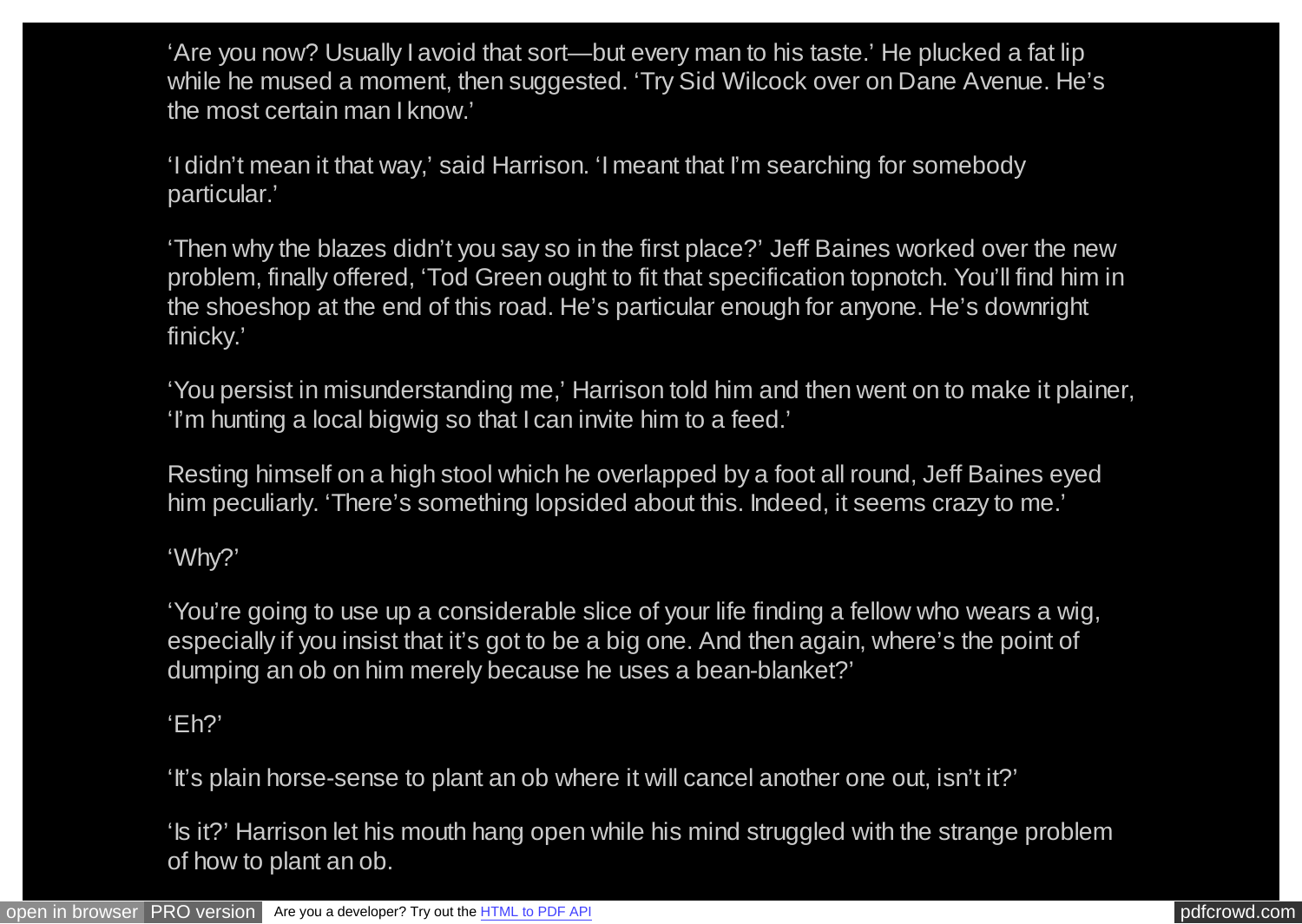'Are you now? Usually I avoid that sort—but every man to his taste.' He plucked a fat lip while he mused a moment, then suggested. 'Try Sid Wilcock over on Dane Avenue. He's the most certain man I know.'

'I didn't mean it that way,' said Harrison. 'I meant that I'm searching for somebody particular.'

'Then why the blazes didn't you say so in the first place?' Jeff Baines worked over the new problem, finally offered, 'Tod Green ought to fit that specification topnotch. You'll find him in the shoeshop at the end of this road. He's particular enough for anyone. He's downright finicky.'

'You persist in misunderstanding me,' Harrison told him and then went on to make it plainer, 'I'm hunting a local bigwig so that I can invite him to a feed.'

Resting himself on a high stool which he overlapped by a foot all round, Jeff Baines eyed him peculiarly. 'There's something lopsided about this. Indeed, it seems crazy to me.'

#### 'Why?'

'You're going to use up a considerable slice of your life finding a fellow who wears a wig, especially if you insist that it's got to be a big one. And then again, where's the point of dumping an ob on him merely because he uses a bean-blanket?'

# 'Eh?'

'It's plain horse-sense to plant an ob where it will cancel another one out, isn't it?'

'Is it?' Harrison let his mouth hang open while his mind struggled with the strange problem of how to plant an ob.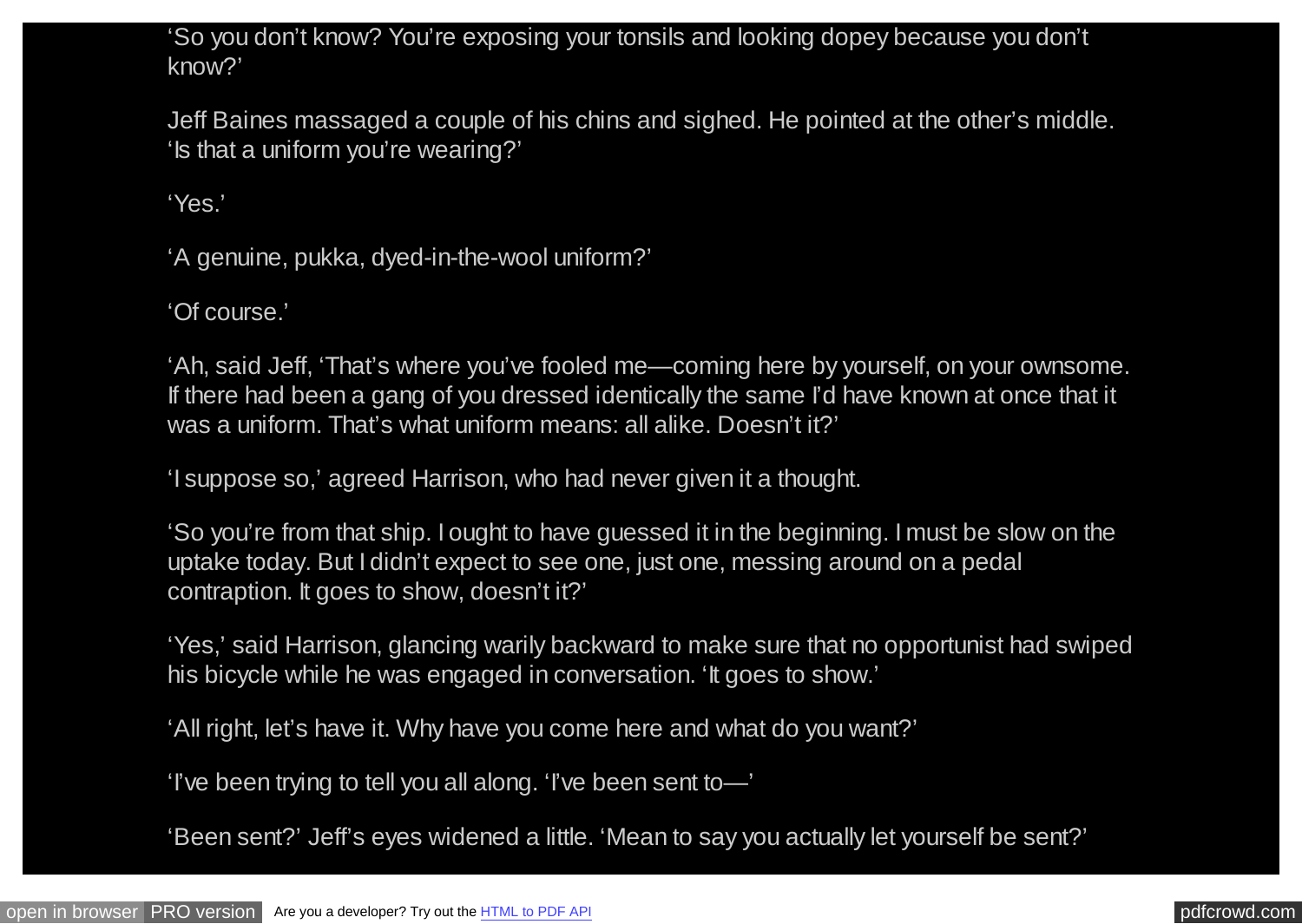# 'So you don't know? You're exposing your tonsils and looking dopey because you don't know?'

Jeff Baines massaged a couple of his chins and sighed. He pointed at the other's middle. 'Is that a uniform you're wearing?'

'Yes.'

'A genuine, pukka, dyed-in-the-wool uniform?'

'Of course.'

'Ah, said Jeff, 'That's where you've fooled me—coming here by yourself, on your ownsome. If there had been a gang of you dressed identically the same I'd have known at once that it was a uniform. That's what uniform means: all alike. Doesn't it?'

'I suppose so,' agreed Harrison, who had never given it a thought.

'So you're from that ship. I ought to have guessed it in the beginning. I must be slow on the uptake today. But I didn't expect to see one, just one, messing around on a pedal contraption. It goes to show, doesn't it?'

'Yes,' said Harrison, glancing warily backward to make sure that no opportunist had swiped his bicycle while he was engaged in conversation. 'It goes to show.'

'All right, let's have it. Why have you come here and what do you want?'

'I've been trying to tell you all along. 'I've been sent to—'

'Been sent?' Jeff's eyes widened a little. 'Mean to say you actually let yourself be sent?'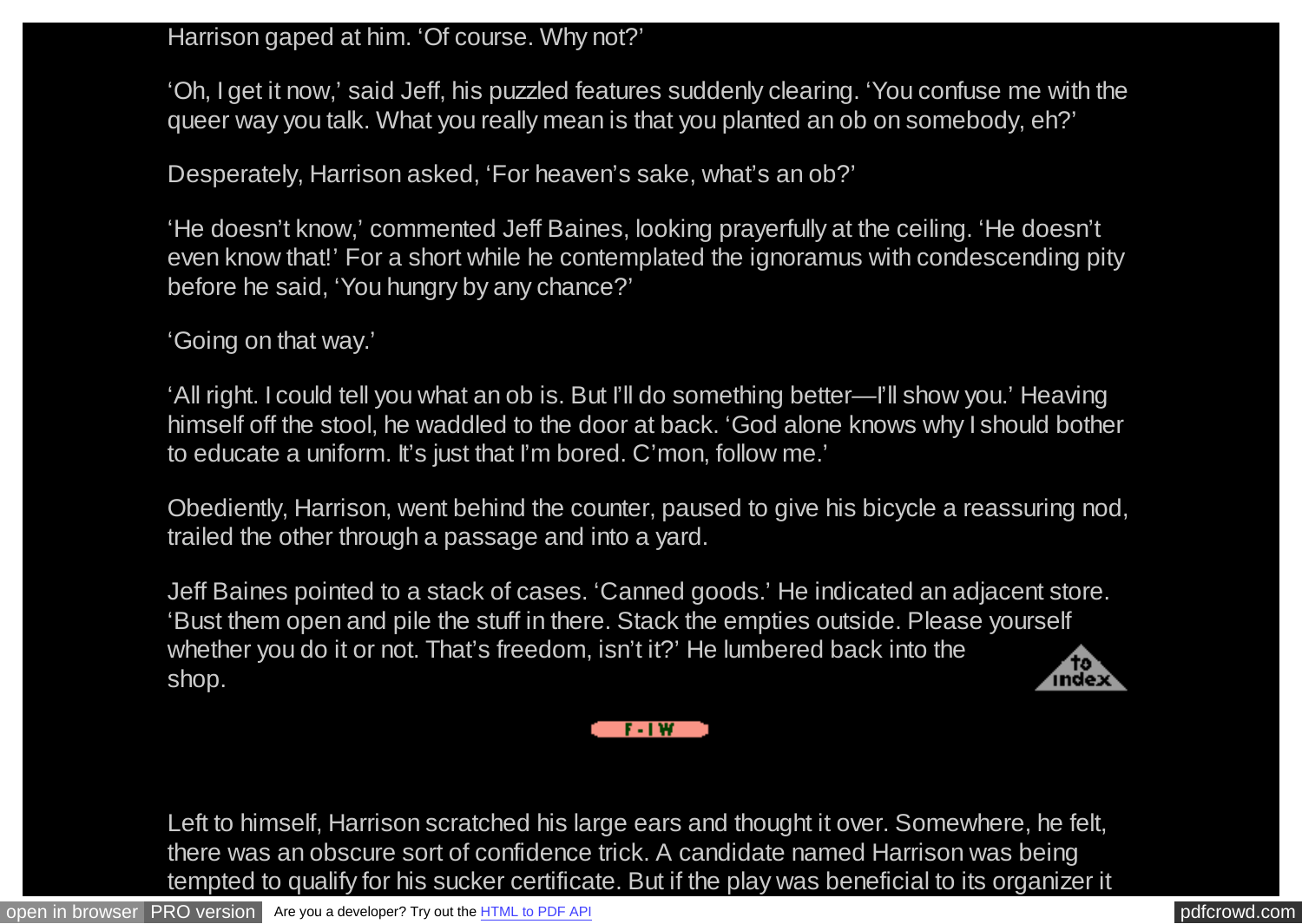## Harrison gaped at him. 'Of course. Why not?'

'Oh, I get it now,' said Jeff, his puzzled features suddenly clearing. 'You confuse me with the queer way you talk. What you really mean is that you planted an ob on somebody, eh?'

Desperately, Harrison asked, 'For heaven's sake, what's an ob?'

'He doesn't know,' commented Jeff Baines, looking prayerfully at the ceiling. 'He doesn't even know that!' For a short while he contemplated the ignoramus with condescending pity before he said, 'You hungry by any chance?'

'Going on that way.'

'All right. I could tell you what an ob is. But I'll do something better—I'll show you.' Heaving himself off the stool, he waddled to the door at back. 'God alone knows why I should bother to educate a uniform. It's just that I'm bored. C'mon, follow me.'

Obediently, Harrison, went behind the counter, paused to give his bicycle a reassuring nod, trailed the other through a passage and into a yard.

Jeff Baines pointed to a stack of cases. 'Canned goods.' He indicated an adjacent store. 'Bust them open and pile the stuff in there. Stack the empties outside. Please yourself whether you do it or not. That's freedom, isn't it?' He lumbered back into the ŦО shop. **index** 





Left to himself, Harrison scratched his large ears and thought it over. Somewhere, he felt, there was an obscure sort of confidence trick. A candidate named Harrison was being tempted to qualify for his sucker certificate. But if the play was beneficial to its organizer it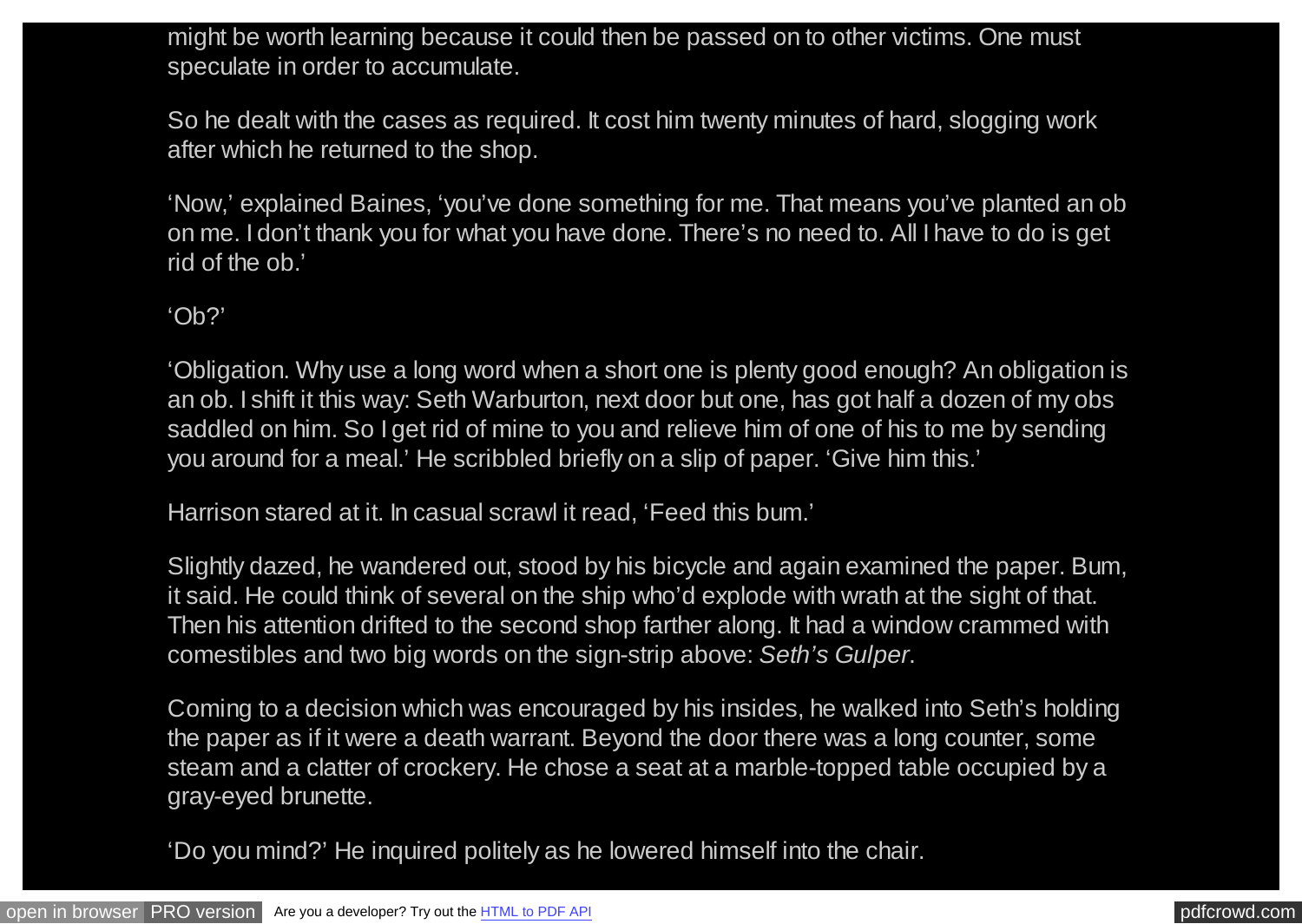might be worth learning because it could then be passed on to other victims. One must speculate in order to accumulate.

So he dealt with the cases as required. It cost him twenty minutes of hard, slogging work after which he returned to the shop.

'Now,' explained Baines, 'you've done something for me. That means you've planted an ob on me. I don't thank you for what you have done. There's no need to. All I have to do is get rid of the ob.'

'Ob?'

'Obligation. Why use a long word when a short one is plenty good enough? An obligation is an ob. I shift it this way: Seth Warburton, next door but one, has got half a dozen of my obs saddled on him. So I get rid of mine to you and relieve him of one of his to me by sending you around for a meal.' He scribbled briefly on a slip of paper. 'Give him this.'

Harrison stared at it. In casual scrawl it read, 'Feed this bum.'

Slightly dazed, he wandered out, stood by his bicycle and again examined the paper. Bum, it said. He could think of several on the ship who'd explode with wrath at the sight of that. Then his attention drifted to the second shop farther along. It had a window crammed with comestibles and two big words on the sign-strip above: *Seth's Gulper*.

Coming to a decision which was encouraged by his insides, he walked into Seth's holding the paper as if it were a death warrant. Beyond the door there was a long counter, some steam and a clatter of crockery. He chose a seat at a marble-topped table occupied by a gray-eyed brunette.

'Do you mind?' He inquired politely as he lowered himself into the chair.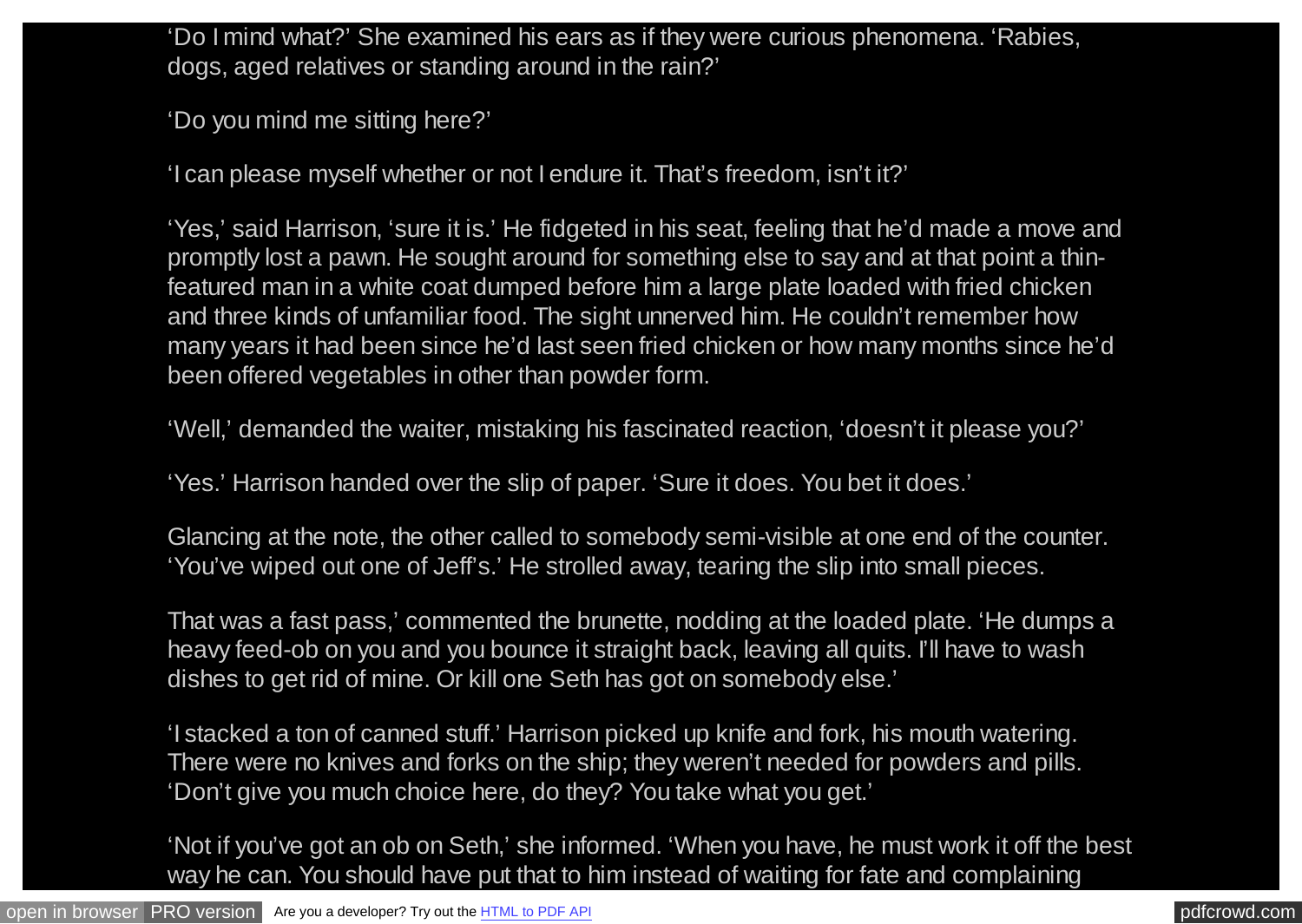'Do I mind what?' She examined his ears as if they were curious phenomena. 'Rabies, dogs, aged relatives or standing around in the rain?'

'Do you mind me sitting here?'

'I can please myself whether or not I endure it. That's freedom, isn't it?'

'Yes,' said Harrison, 'sure it is.' He fidgeted in his seat, feeling that he'd made a move and promptly lost a pawn. He sought around for something else to say and at that point a thinfeatured man in a white coat dumped before him a large plate loaded with fried chicken and three kinds of unfamiliar food. The sight unnerved him. He couldn't remember how many years it had been since he'd last seen fried chicken or how many months since he'd been offered vegetables in other than powder form.

'Well,' demanded the waiter, mistaking his fascinated reaction, 'doesn't it please you?'

'Yes.' Harrison handed over the slip of paper. 'Sure it does. You bet it does.'

Glancing at the note, the other called to somebody semi-visible at one end of the counter. 'You've wiped out one of Jeff's.' He strolled away, tearing the slip into small pieces.

That was a fast pass,' commented the brunette, nodding at the loaded plate. 'He dumps a heavy feed-ob on you and you bounce it straight back, leaving all quits. I'll have to wash dishes to get rid of mine. Or kill one Seth has got on somebody else.'

'I stacked a ton of canned stuff.' Harrison picked up knife and fork, his mouth watering. There were no knives and forks on the ship; they weren't needed for powders and pills. 'Don't give you much choice here, do they? You take what you get.'

'Not if you've got an ob on Seth,' she informed. 'When you have, he must work it off the best way he can. You should have put that to him instead of waiting for fate and complaining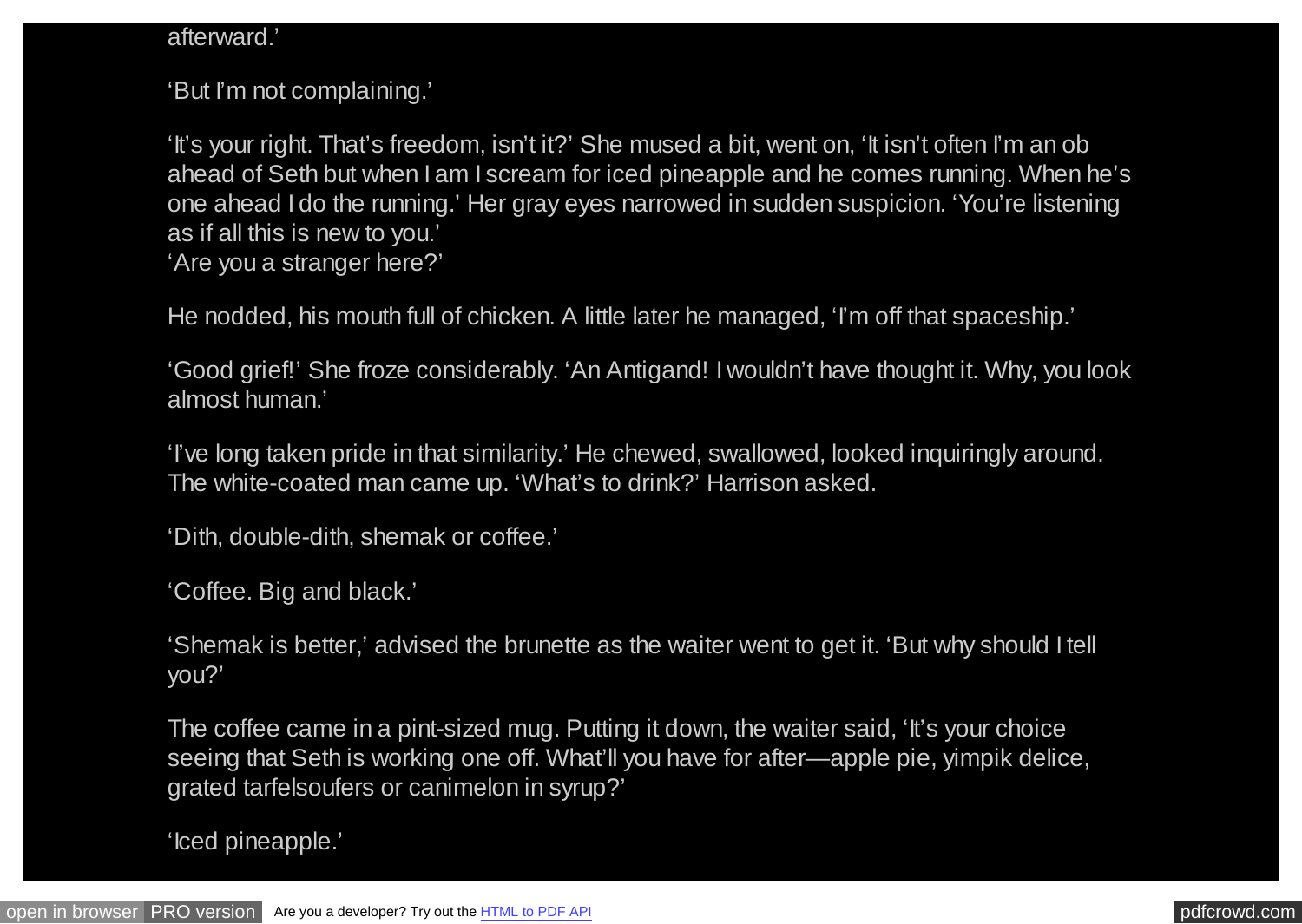#### afterward.'

'But I'm not complaining.'

'It's your right. That's freedom, isn't it?' She mused a bit, went on, 'It isn't often I'm an ob ahead of Seth but when I am I scream for iced pineapple and he comes running. When he's one ahead I do the running.' Her gray eyes narrowed in sudden suspicion. 'You're listening as if all this is new to you.' 'Are you a stranger here?'

He nodded, his mouth full of chicken. A little later he managed, 'I'm off that spaceship.'

'Good grief!' She froze considerably. 'An Antigand! I wouldn't have thought it. Why, you look almost human.'

'I've long taken pride in that similarity.' He chewed, swallowed, looked inquiringly around. The white-coated man came up. 'What's to drink?' Harrison asked.

'Dith, double-dith, shemak or coffee.'

'Coffee. Big and black.'

'Shemak is better,' advised the brunette as the waiter went to get it. 'But why should I tell you?'

The coffee came in a pint-sized mug. Putting it down, the waiter said, 'It's your choice seeing that Seth is working one off. What'll you have for after—apple pie, yimpik delice, grated tarfelsoufers or canimelon in syrup?'

'Iced pineapple.'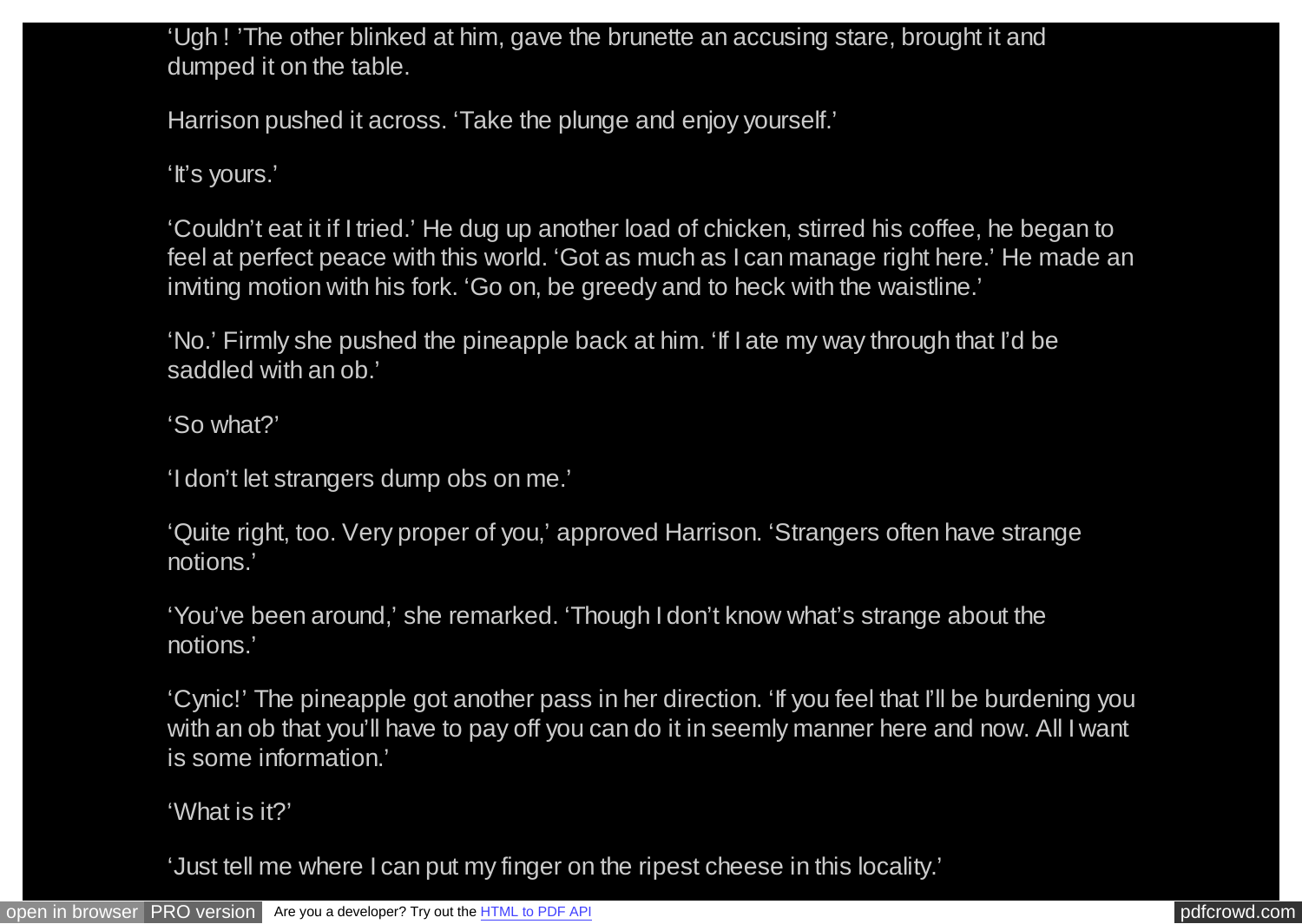'Ugh ! 'The other blinked at him, gave the brunette an accusing stare, brought it and dumped it on the table.

Harrison pushed it across. 'Take the plunge and enjoy yourself.'

'It's yours.'

'Couldn't eat it if I tried.' He dug up another load of chicken, stirred his coffee, he began to feel at perfect peace with this world. 'Got as much as I can manage right here.' He made an inviting motion with his fork. 'Go on, be greedy and to heck with the waistline.'

'No.' Firmly she pushed the pineapple back at him. 'If I ate my way through that I'd be saddled with an ob.'

'So what?'

'I don't let strangers dump obs on me.'

'Quite right, too. Very proper of you,' approved Harrison. 'Strangers often have strange notions.'

'You've been around,' she remarked. 'Though I don't know what's strange about the notions.'

'Cynic!' The pineapple got another pass in her direction. 'If you feel that I'll be burdening you with an ob that you'll have to pay off you can do it in seemly manner here and now. All I want is some information.'

'What is it?'

'Just tell me where I can put my finger on the ripest cheese in this locality.'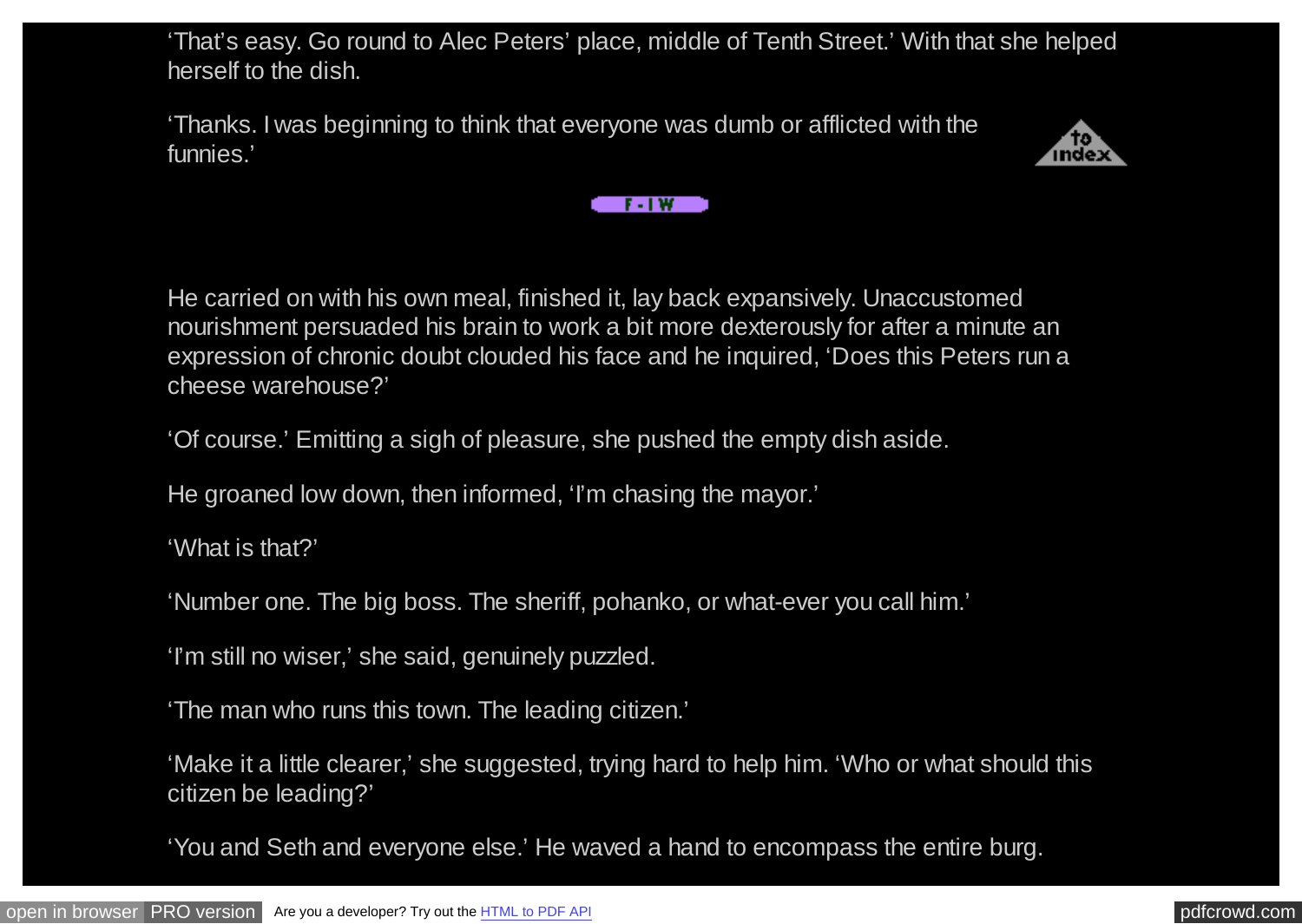'That's easy. Go round to Alec Peters' place, middle of Tenth Street.' With that she helped herself to the dish.

 $F - I W$ 

'Thanks. I was beginning to think that everyone was dumb or afflicted with the funnies.'



He carried on with his own meal, finished it, lay back expansively. Unaccustomed nourishment persuaded his brain to work a bit more dexterously for after a minute an expression of chronic doubt clouded his face and he inquired, 'Does this Peters run a cheese warehouse?'

'Of course.' Emitting a sigh of pleasure, she pushed the empty dish aside.

He groaned low down, then informed, 'I'm chasing the mayor.'

'What is that?'

'Number one. The big boss. The sheriff, pohanko, or what-ever you call him.'

'I'm still no wiser,' she said, genuinely puzzled.

'The man who runs this town. The leading citizen.'

'Make it a little clearer,' she suggested, trying hard to help him. 'Who or what should this citizen be leading?'

'You and Seth and everyone else.' He waved a hand to encompass the entire burg.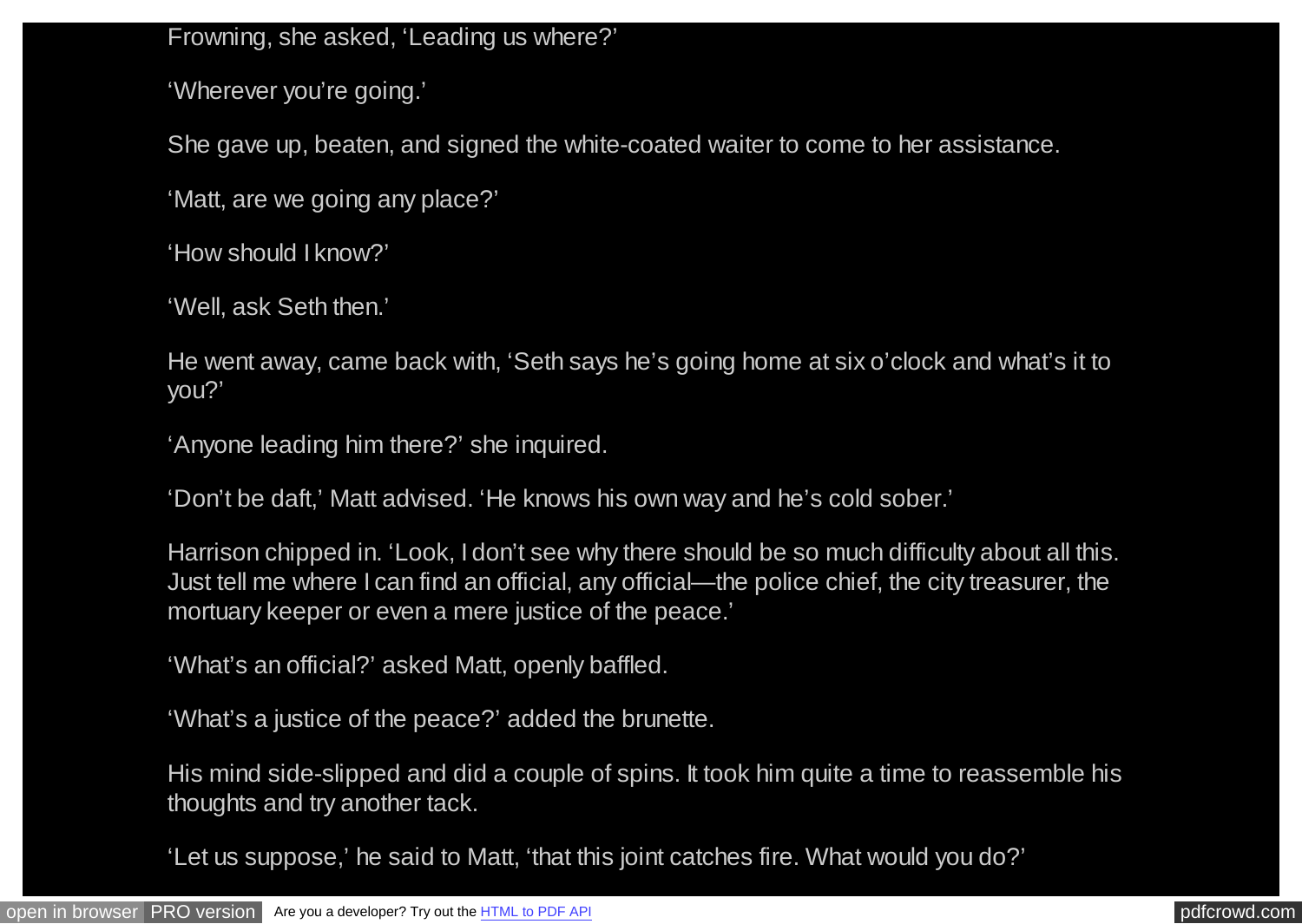# Frowning, she asked, 'Leading us where?'

'Wherever you're going.'

She gave up, beaten, and signed the white-coated waiter to come to her assistance.

'Matt, are we going any place?'

'How should I know?'

'Well, ask Seth then.'

He went away, came back with, 'Seth says he's going home at six o'clock and what's it to you?'

'Anyone leading him there?' she inquired.

'Don't be daft,' Matt advised. 'He knows his own way and he's cold sober.'

Harrison chipped in. 'Look, I don't see why there should be so much difficulty about all this. Just tell me where I can find an official, any official—the police chief, the city treasurer, the mortuary keeper or even a mere justice of the peace.'

'What's an official?' asked Matt, openly baffled.

'What's a justice of the peace?' added the brunette.

His mind side-slipped and did a couple of spins. It took him quite a time to reassemble his thoughts and try another tack.

'Let us suppose,' he said to Matt, 'that this joint catches fire. What would you do?'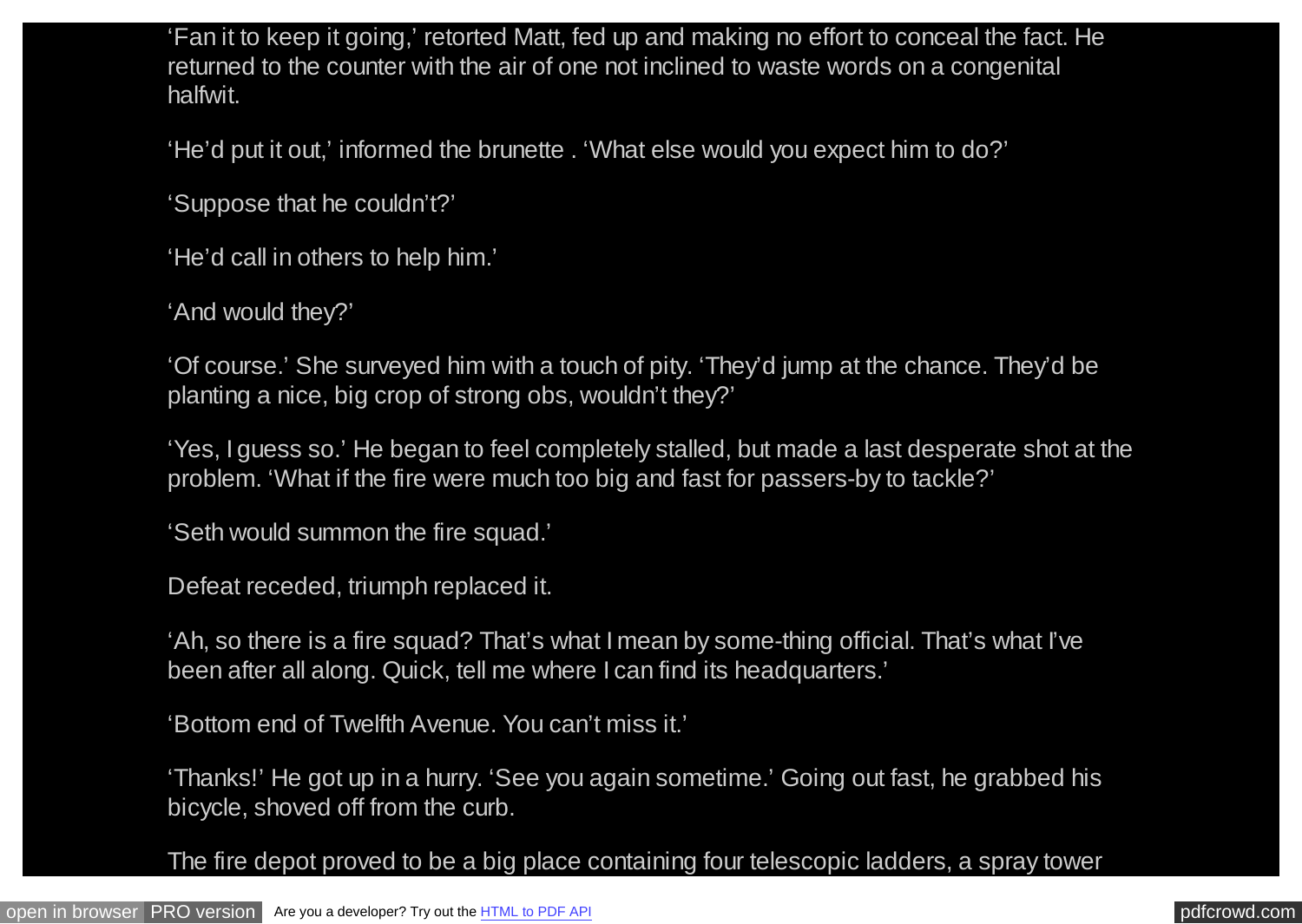'Fan it to keep it going,' retorted Matt, fed up and making no effort to conceal the fact. He returned to the counter with the air of one not inclined to waste words on a congenital halfwit.

'He'd put it out,' informed the brunette . 'What else would you expect him to do?'

'Suppose that he couldn't?'

'He'd call in others to help him.'

'And would they?'

'Of course.' She surveyed him with a touch of pity. 'They'd jump at the chance. They'd be planting a nice, big crop of strong obs, wouldn't they?'

'Yes, I guess so.' He began to feel completely stalled, but made a last desperate shot at the problem. 'What if the fire were much too big and fast for passers-by to tackle?'

'Seth would summon the fire squad.'

Defeat receded, triumph replaced it.

'Ah, so there is a fire squad? That's what I mean by some-thing official. That's what I've been after all along. Quick, tell me where I can find its headquarters.'

'Bottom end of Twelfth Avenue. You can't miss it.'

'Thanks!' He got up in a hurry. 'See you again sometime.' Going out fast, he grabbed his bicycle, shoved off from the curb.

The fire depot proved to be a big place containing four telescopic ladders, a spray tower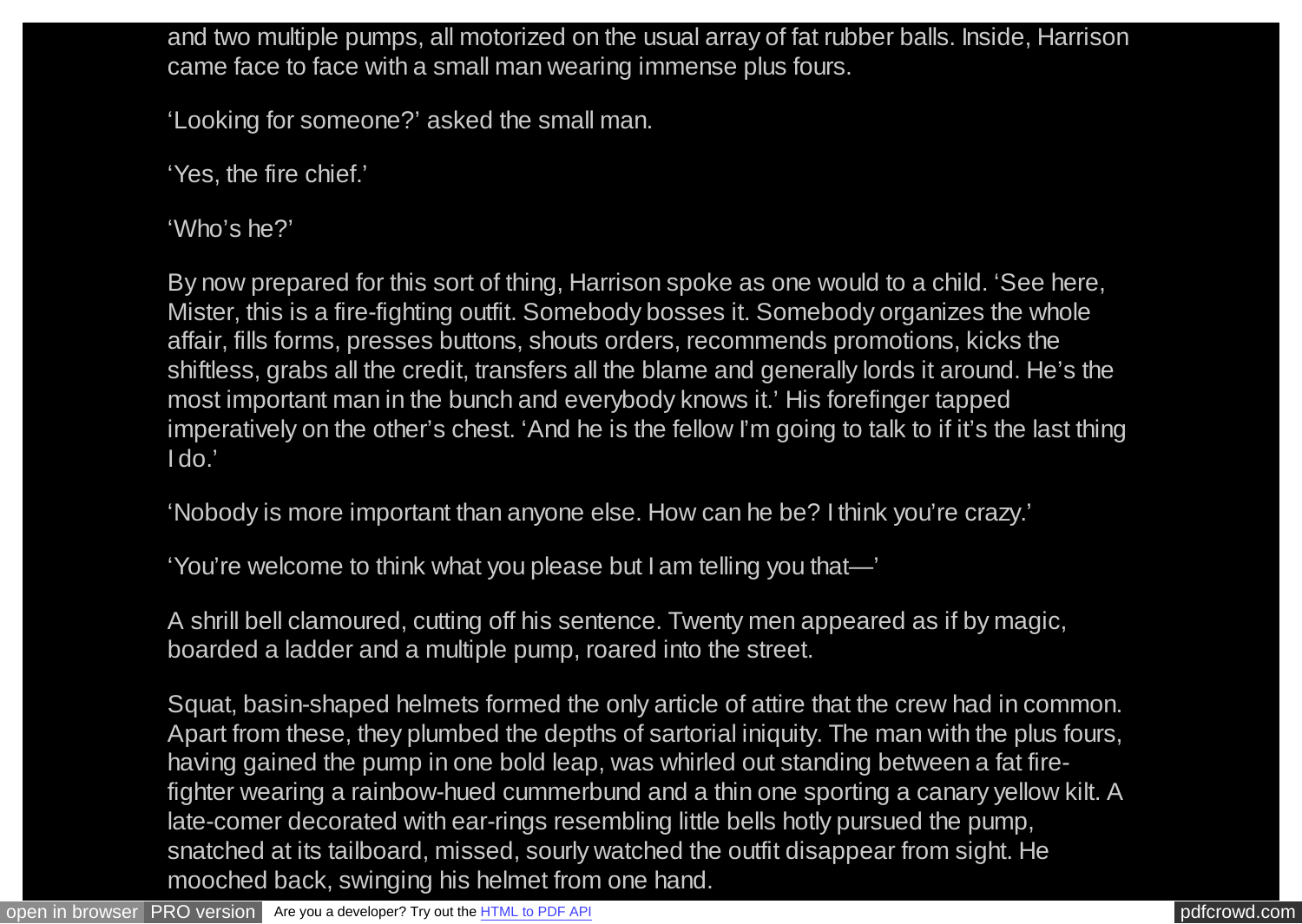and two multiple pumps, all motorized on the usual array of fat rubber balls. Inside, Harrison came face to face with a small man wearing immense plus fours.

'Looking for someone?' asked the small man.

'Yes, the fire chief.'

'Who's he?'

By now prepared for this sort of thing, Harrison spoke as one would to a child. 'See here, Mister, this is a fire-fighting outfit. Somebody bosses it. Somebody organizes the whole affair, fills forms, presses buttons, shouts orders, recommends promotions, kicks the shiftless, grabs all the credit, transfers all the blame and generally lords it around. He's the most important man in the bunch and everybody knows it.' His forefinger tapped imperatively on the other's chest. 'And he is the fellow I'm going to talk to if it's the last thing I do.'

'Nobody is more important than anyone else. How can he be? I think you're crazy.'

'You're welcome to think what you please but I am telling you that—'

A shrill bell clamoured, cutting off his sentence. Twenty men appeared as if by magic, boarded a ladder and a multiple pump, roared into the street.

Squat, basin-shaped helmets formed the only article of attire that the crew had in common. Apart from these, they plumbed the depths of sartorial iniquity. The man with the plus fours, having gained the pump in one bold leap, was whirled out standing between a fat firefighter wearing a rainbow-hued cummerbund and a thin one sporting a canary yellow kilt. A late-comer decorated with ear-rings resembling little bells hotly pursued the pump, snatched at its tailboard, missed, sourly watched the outfit disappear from sight. He mooched back, swinging his helmet from one hand.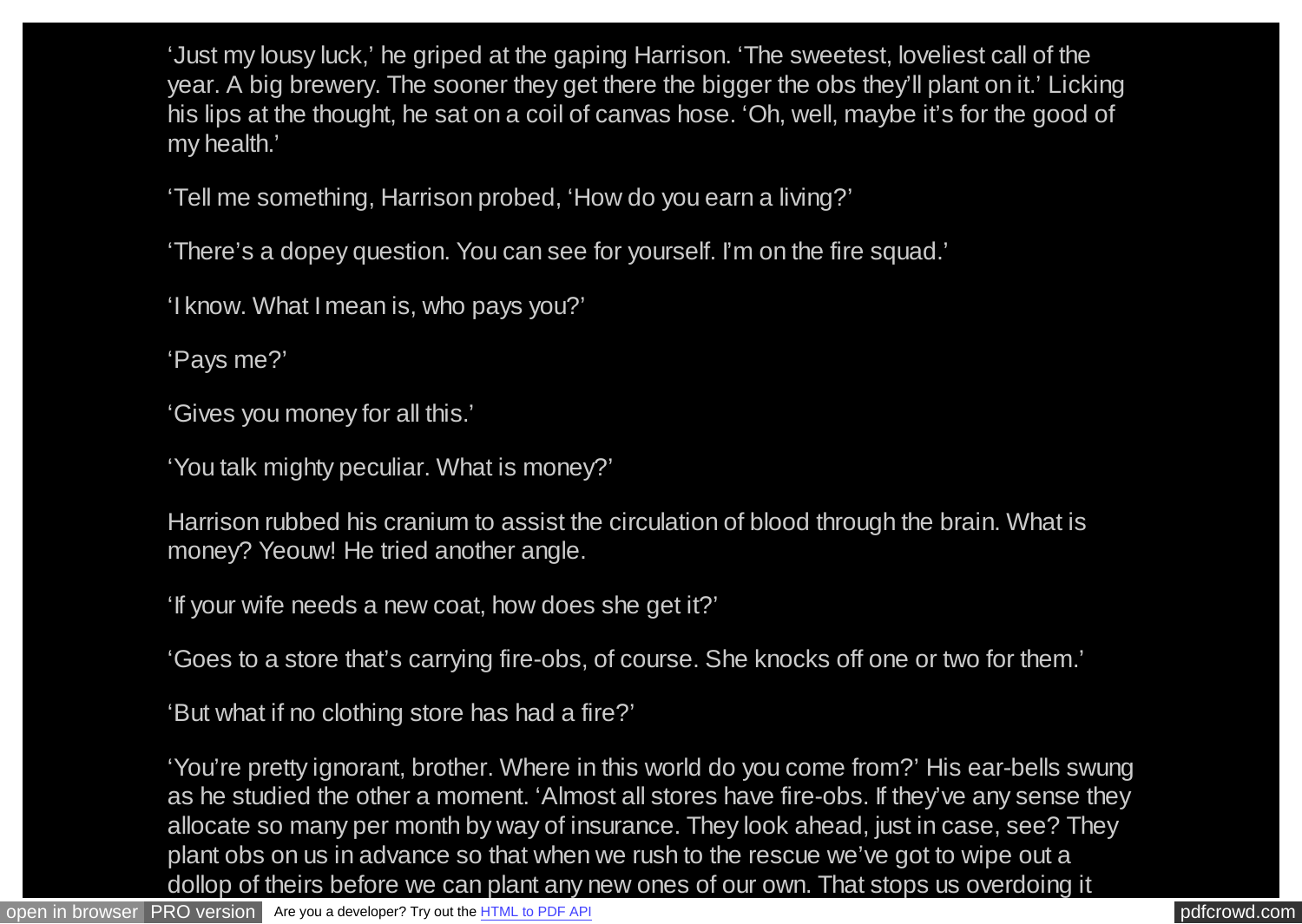'Just my lousy luck,' he griped at the gaping Harrison. 'The sweetest, loveliest call of the year. A big brewery. The sooner they get there the bigger the obs they'll plant on it.' Licking his lips at the thought, he sat on a coil of canvas hose. 'Oh, well, maybe it's for the good of my health.'

'Tell me something, Harrison probed, 'How do you earn a living?'

'There's a dopey question. You can see for yourself. I'm on the fire squad.'

'I know. What I mean is, who pays you?'

'Pays me?'

'Gives you money for all this.'

'You talk mighty peculiar. What is money?'

Harrison rubbed his cranium to assist the circulation of blood through the brain. What is money? Yeouw! He tried another angle.

'If your wife needs a new coat, how does she get it?'

'Goes to a store that's carrying fire-obs, of course. She knocks off one or two for them.'

'But what if no clothing store has had a fire?'

'You're pretty ignorant, brother. Where in this world do you come from?' His ear-bells swung as he studied the other a moment. 'Almost all stores have fire-obs. If they've any sense they allocate so many per month by way of insurance. They look ahead, just in case, see? They plant obs on us in advance so that when we rush to the rescue we've got to wipe out a dollop of theirs before we can plant any new ones of our own. That stops us overdoing it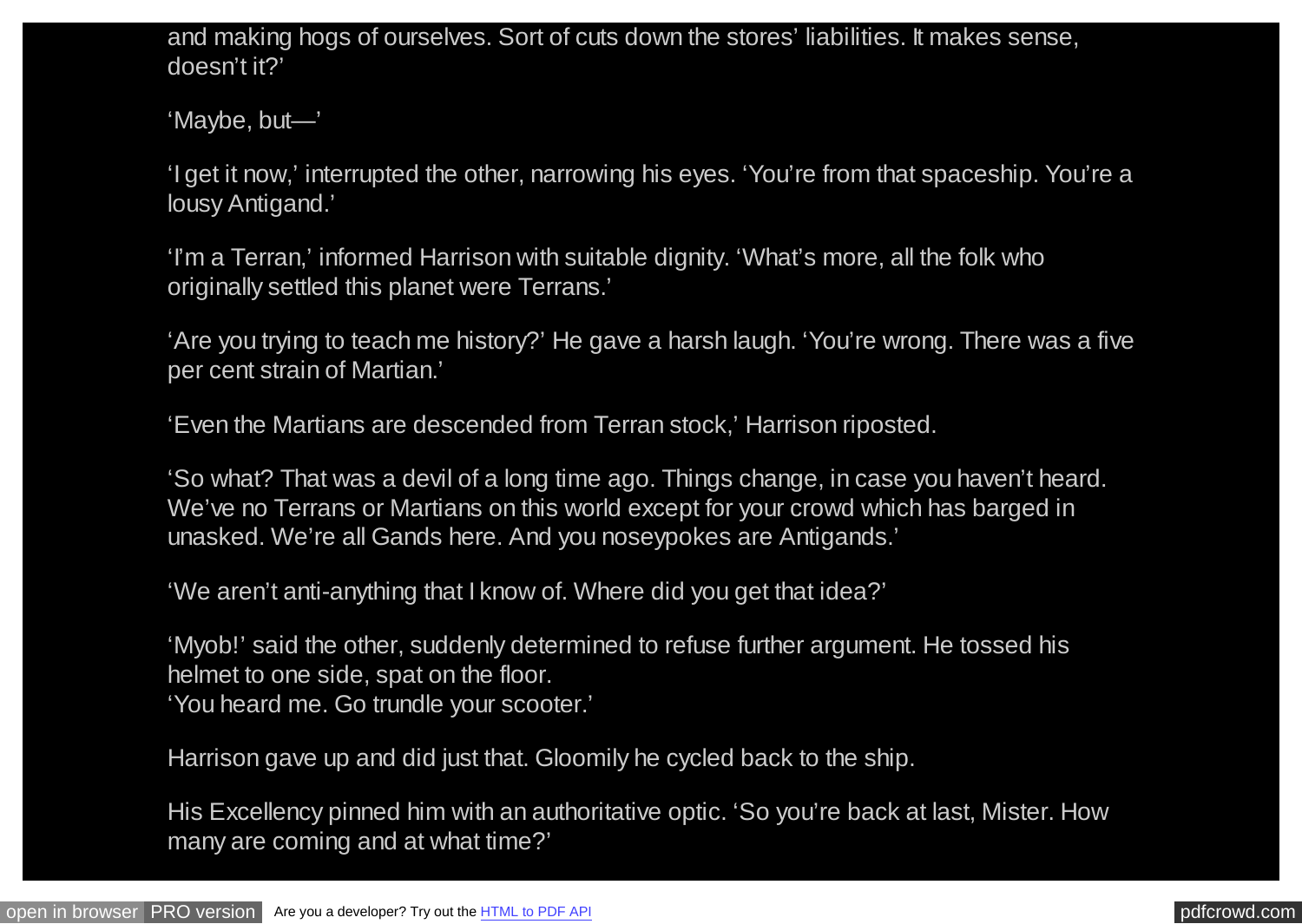and making hogs of ourselves. Sort of cuts down the stores' liabilities. It makes sense, doesn't it?'

'Maybe, but—'

'I get it now,' interrupted the other, narrowing his eyes. 'You're from that spaceship. You're a lousy Antigand.'

'I'm a Terran,' informed Harrison with suitable dignity. 'What's more, all the folk who originally settled this planet were Terrans.'

'Are you trying to teach me history?' He gave a harsh laugh. 'You're wrong. There was a five per cent strain of Martian.'

'Even the Martians are descended from Terran stock,' Harrison riposted.

'So what? That was a devil of a long time ago. Things change, in case you haven't heard. We've no Terrans or Martians on this world except for your crowd which has barged in unasked. We're all Gands here. And you noseypokes are Antigands.'

'We aren't anti-anything that I know of. Where did you get that idea?'

'Myob!' said the other, suddenly determined to refuse further argument. He tossed his helmet to one side, spat on the floor. 'You heard me. Go trundle your scooter.'

Harrison gave up and did just that. Gloomily he cycled back to the ship.

His Excellency pinned him with an authoritative optic. 'So you're back at last, Mister. How many are coming and at what time?'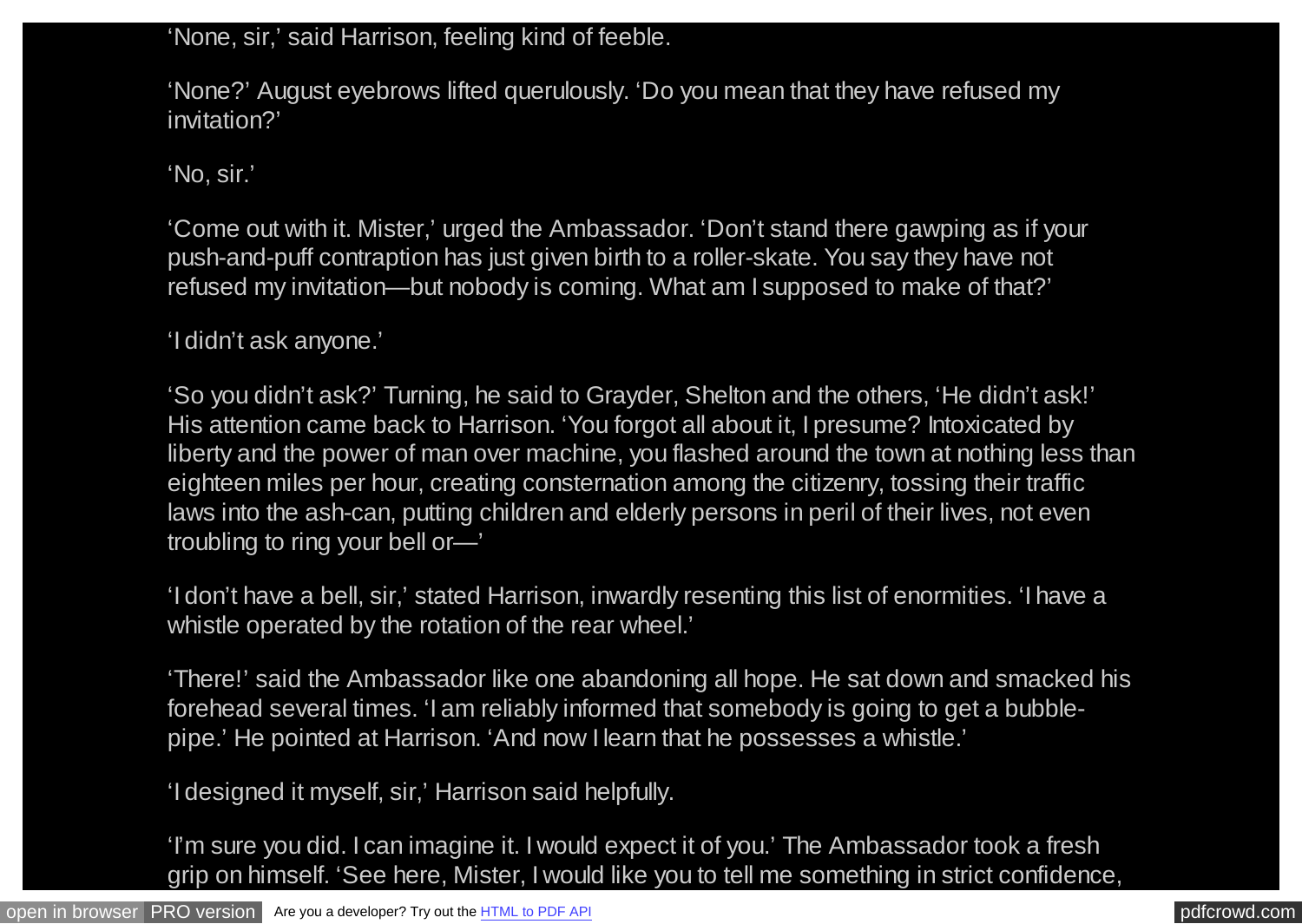### 'None, sir,' said Harrison, feeling kind of feeble.

'None?' August eyebrows lifted querulously. 'Do you mean that they have refused my invitation?'

'No, sir.'

'Come out with it. Mister,' urged the Ambassador. 'Don't stand there gawping as if your push-and-puff contraption has just given birth to a roller-skate. You say they have not refused my invitation—but nobody is coming. What am I supposed to make of that?'

'I didn't ask anyone.'

'So you didn't ask?' Turning, he said to Grayder, Shelton and the others, 'He didn't ask!' His attention came back to Harrison. 'You forgot all about it, I presume? Intoxicated by liberty and the power of man over machine, you flashed around the town at nothing less than eighteen miles per hour, creating consternation among the citizenry, tossing their traffic laws into the ash-can, putting children and elderly persons in peril of their lives, not even troubling to ring your bell or—'

'I don't have a bell, sir,' stated Harrison, inwardly resenting this list of enormities. 'I have a whistle operated by the rotation of the rear wheel.'

'There!' said the Ambassador like one abandoning all hope. He sat down and smacked his forehead several times. 'I am reliably informed that somebody is going to get a bubblepipe.' He pointed at Harrison. 'And now I learn that he possesses a whistle.'

'I designed it myself, sir,' Harrison said helpfully.

'I'm sure you did. I can imagine it. I would expect it of you.' The Ambassador took a fresh grip on himself. 'See here, Mister, I would like you to tell me something in strict confidence,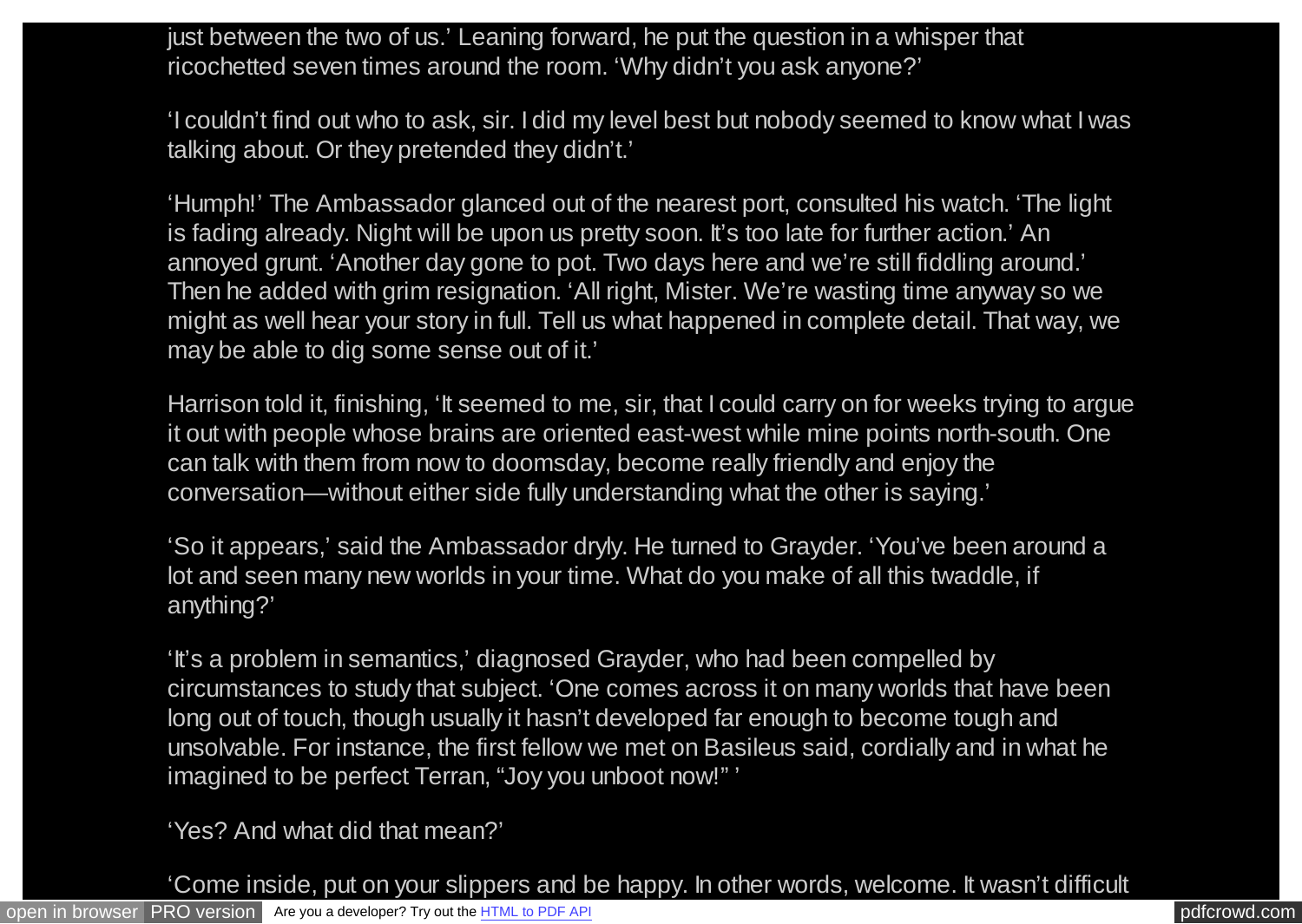just between the two of us.' Leaning forward, he put the question in a whisper that ricochetted seven times around the room. 'Why didn't you ask anyone?'

'I couldn't find out who to ask, sir. I did my level best but nobody seemed to know what I was talking about. Or they pretended they didn't.'

'Humph!' The Ambassador glanced out of the nearest port, consulted his watch. 'The light is fading already. Night will be upon us pretty soon. It's too late for further action.' An annoyed grunt. 'Another day gone to pot. Two days here and we're still fiddling around.' Then he added with grim resignation. 'All right, Mister. We're wasting time anyway so we might as well hear your story in full. Tell us what happened in complete detail. That way, we may be able to dig some sense out of it.'

Harrison told it, finishing, 'It seemed to me, sir, that I could carry on for weeks trying to argue it out with people whose brains are oriented east-west while mine points north-south. One can talk with them from now to doomsday, become really friendly and enjoy the conversation—without either side fully understanding what the other is saying.'

'So it appears,' said the Ambassador dryly. He turned to Grayder. 'You've been around a lot and seen many new worlds in your time. What do you make of all this twaddle, if anything?'

'It's a problem in semantics,' diagnosed Grayder, who had been compelled by circumstances to study that subject. 'One comes across it on many worlds that have been long out of touch, though usually it hasn't developed far enough to become tough and unsolvable. For instance, the first fellow we met on Basileus said, cordially and in what he imagined to be perfect Terran, "Joy you unboot now!" '

'Yes? And what did that mean?'

'Come inside, put on your slippers and be happy. In other words, welcome. It wasn't difficult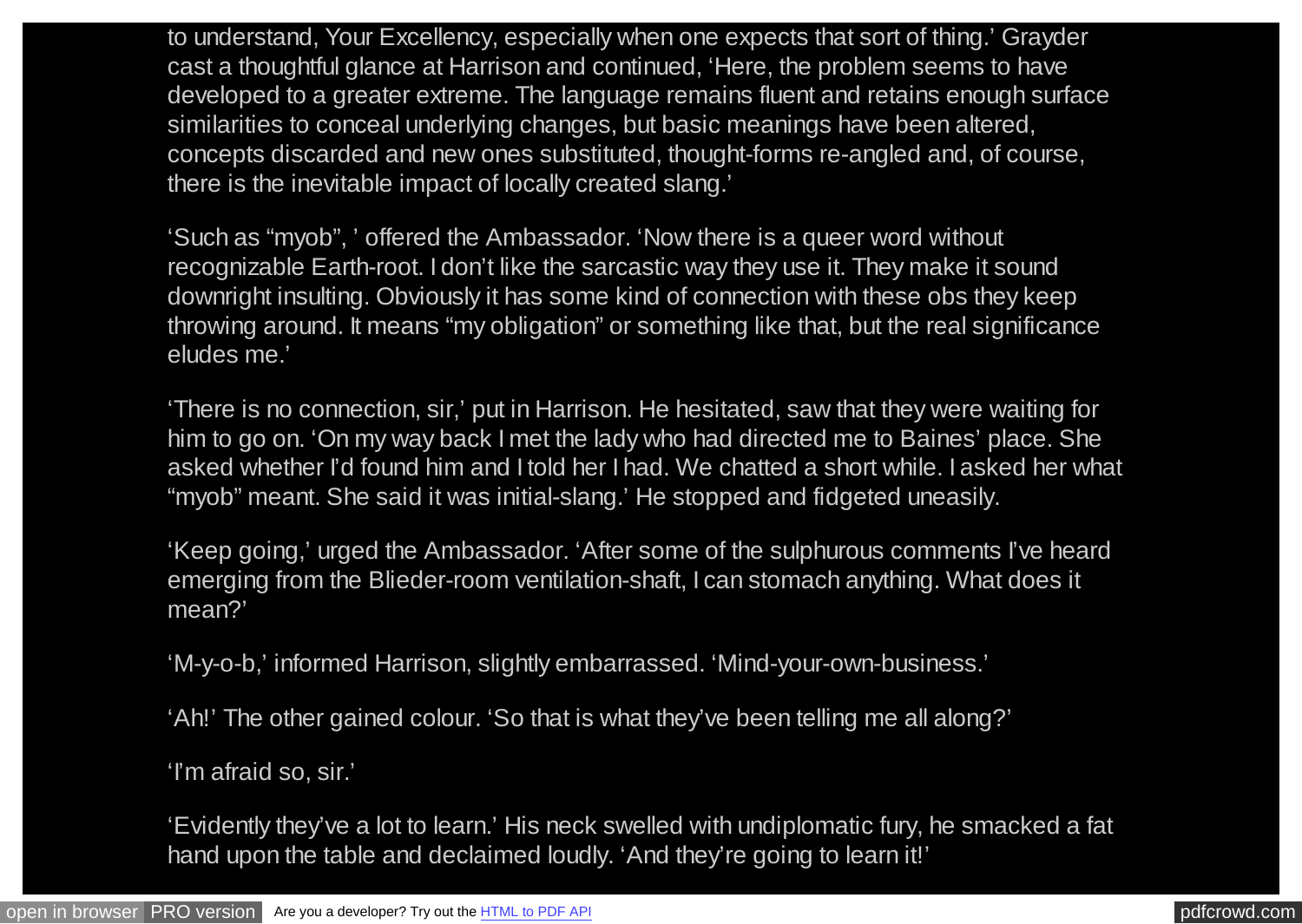to understand, Your Excellency, especially when one expects that sort of thing.' Grayder cast a thoughtful glance at Harrison and continued, 'Here, the problem seems to have developed to a greater extreme. The language remains fluent and retains enough surface similarities to conceal underlying changes, but basic meanings have been altered, concepts discarded and new ones substituted, thought-forms re-angled and, of course, there is the inevitable impact of locally created slang.'

'Such as "myob", ' offered the Ambassador. 'Now there is a queer word without recognizable Earth-root. I don't like the sarcastic way they use it. They make it sound downright insulting. Obviously it has some kind of connection with these obs they keep throwing around. It means "my obligation" or something like that, but the real significance eludes me.'

'There is no connection, sir,' put in Harrison. He hesitated, saw that they were waiting for him to go on. 'On my way back I met the lady who had directed me to Baines' place. She asked whether I'd found him and I told her I had. We chatted a short while. I asked her what "myob" meant. She said it was initial-slang.' He stopped and fidgeted uneasily.

'Keep going,' urged the Ambassador. 'After some of the sulphurous comments I've heard emerging from the Blieder-room ventilation-shaft, I can stomach anything. What does it mean?'

'M-y-o-b,' informed Harrison, slightly embarrassed. 'Mind-your-own-business.'

'Ah!' The other gained colour. 'So that is what they've been telling me all along?'

'I'm afraid so, sir.'

'Evidently they've a lot to learn.' His neck swelled with undiplomatic fury, he smacked a fat hand upon the table and declaimed loudly. 'And they're going to learn it!'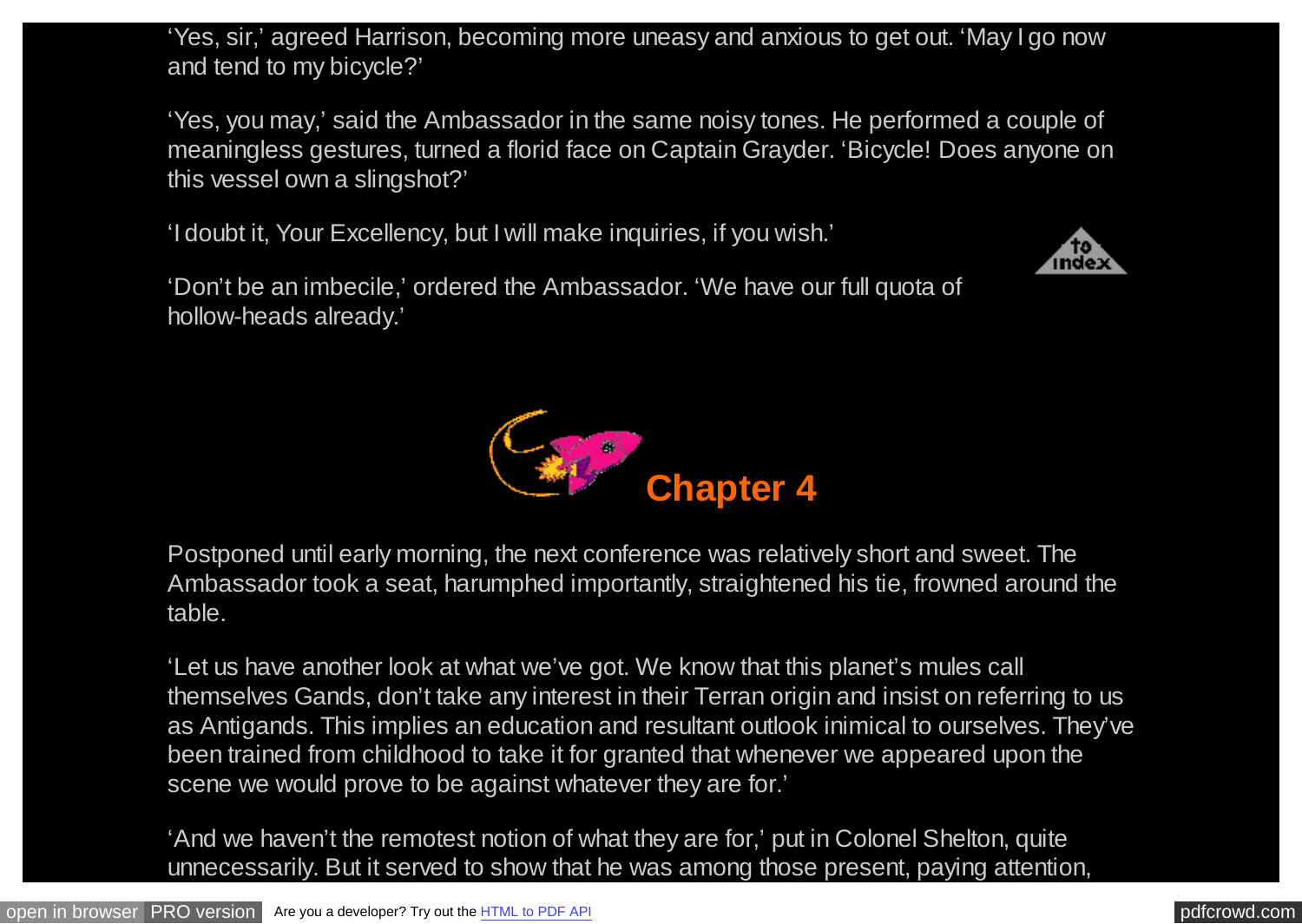'Yes, sir,' agreed Harrison, becoming more uneasy and anxious to get out. 'May I go now and tend to my bicycle?'

'Yes, you may,' said the Ambassador in the same noisy tones. He performed a couple of meaningless gestures, turned a florid face on Captain Grayder. 'Bicycle! Does anyone on this vessel own a slingshot?'

'I doubt it, Your Excellency, but I will make inquiries, if you wish.'



'Don't be an imbecile,' ordered the Ambassador. 'We have our full quota of hollow-heads already.'



Postponed until early morning, the next conference was relatively short and sweet. The Ambassador took a seat, harumphed importantly, straightened his tie, frowned around the table.

'Let us have another look at what we've got. We know that this planet's mules call themselves Gands, don't take any interest in their Terran origin and insist on referring to us as Antigands. This implies an education and resultant outlook inimical to ourselves. They've been trained from childhood to take it for granted that whenever we appeared upon the scene we would prove to be against whatever they are for.'

'And we haven't the remotest notion of what they are for,' put in Colonel Shelton, quite unnecessarily. But it served to show that he was among those present, paying attention,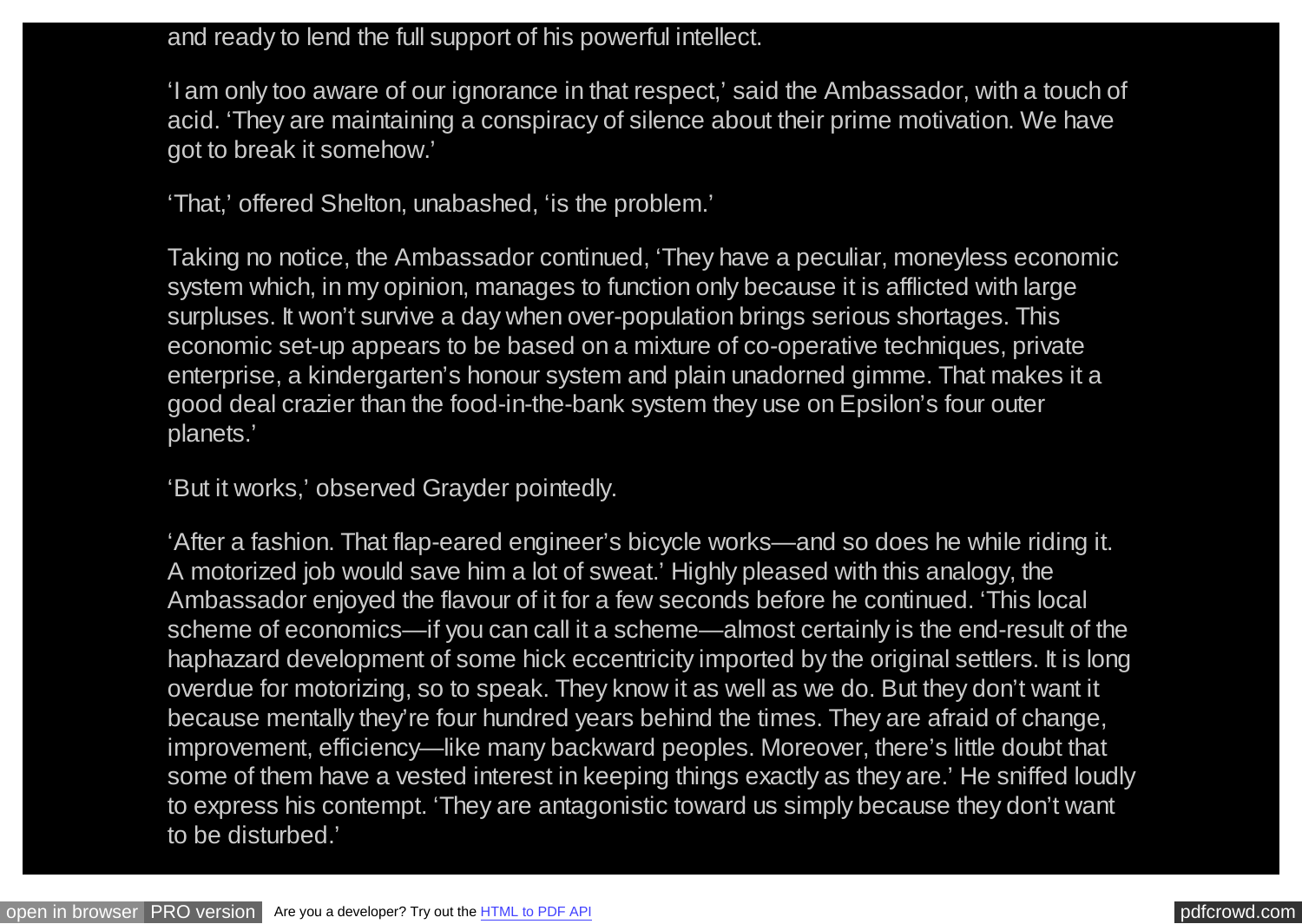# and ready to lend the full support of his powerful intellect.

'I am only too aware of our ignorance in that respect,' said the Ambassador, with a touch of acid. 'They are maintaining a conspiracy of silence about their prime motivation. We have got to break it somehow.'

'That,' offered Shelton, unabashed, 'is the problem.'

Taking no notice, the Ambassador continued, 'They have a peculiar, moneyless economic system which, in my opinion, manages to function only because it is afflicted with large surpluses. It won't survive a day when over-population brings serious shortages. This economic set-up appears to be based on a mixture of co-operative techniques, private enterprise, a kindergarten's honour system and plain unadorned gimme. That makes it a good deal crazier than the food-in-the-bank system they use on Epsilon's four outer planets.'

'But it works,' observed Grayder pointedly.

'After a fashion. That flap-eared engineer's bicycle works—and so does he while riding it. A motorized job would save him a lot of sweat.' Highly pleased with this analogy, the Ambassador enjoyed the flavour of it for a few seconds before he continued. 'This local scheme of economics—if you can call it a scheme—almost certainly is the end-result of the haphazard development of some hick eccentricity imported by the original settlers. It is long overdue for motorizing, so to speak. They know it as well as we do. But they don't want it because mentally they're four hundred years behind the times. They are afraid of change, improvement, efficiency—like many backward peoples. Moreover, there's little doubt that some of them have a vested interest in keeping things exactly as they are.' He sniffed loudly to express his contempt. 'They are antagonistic toward us simply because they don't want to be disturbed.'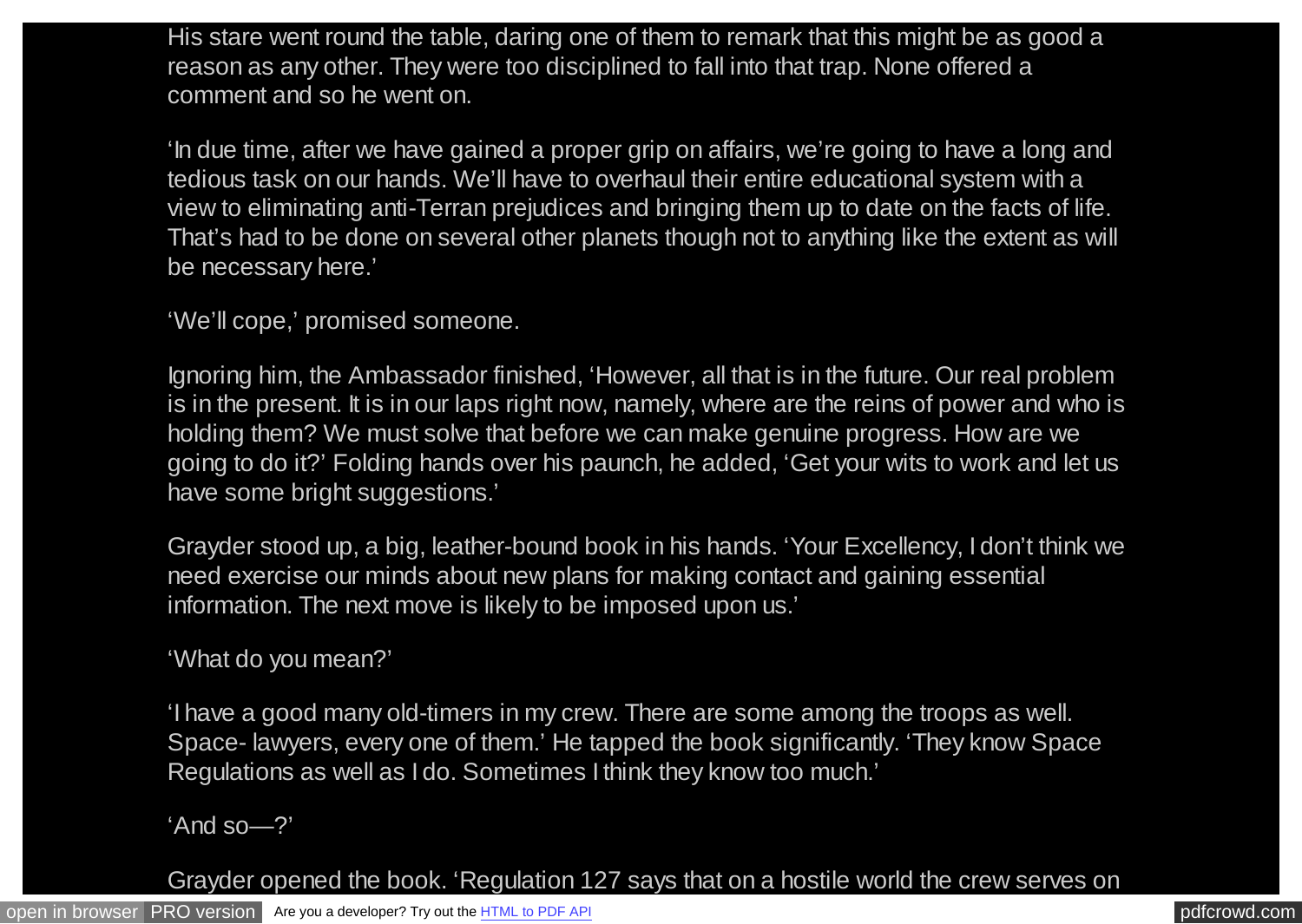His stare went round the table, daring one of them to remark that this might be as good a reason as any other. They were too disciplined to fall into that trap. None offered a comment and so he went on.

'In due time, after we have gained a proper grip on affairs, we're going to have a long and tedious task on our hands. We'll have to overhaul their entire educational system with a view to eliminating anti-Terran prejudices and bringing them up to date on the facts of life. That's had to be done on several other planets though not to anything like the extent as will be necessary here.'

'We'll cope,' promised someone.

Ignoring him, the Ambassador finished, 'However, all that is in the future. Our real problem is in the present. It is in our laps right now, namely, where are the reins of power and who is holding them? We must solve that before we can make genuine progress. How are we going to do it?' Folding hands over his paunch, he added, 'Get your wits to work and let us have some bright suggestions.'

Grayder stood up, a big, leather-bound book in his hands. 'Your Excellency, I don't think we need exercise our minds about new plans for making contact and gaining essential information. The next move is likely to be imposed upon us.'

'What do you mean?'

'I have a good many old-timers in my crew. There are some among the troops as well. Space- lawyers, every one of them.' He tapped the book significantly. 'They know Space Regulations as well as I do. Sometimes I think they know too much.'

'And so—?'

Grayder opened the book. 'Regulation 127 says that on a hostile world the crew serves on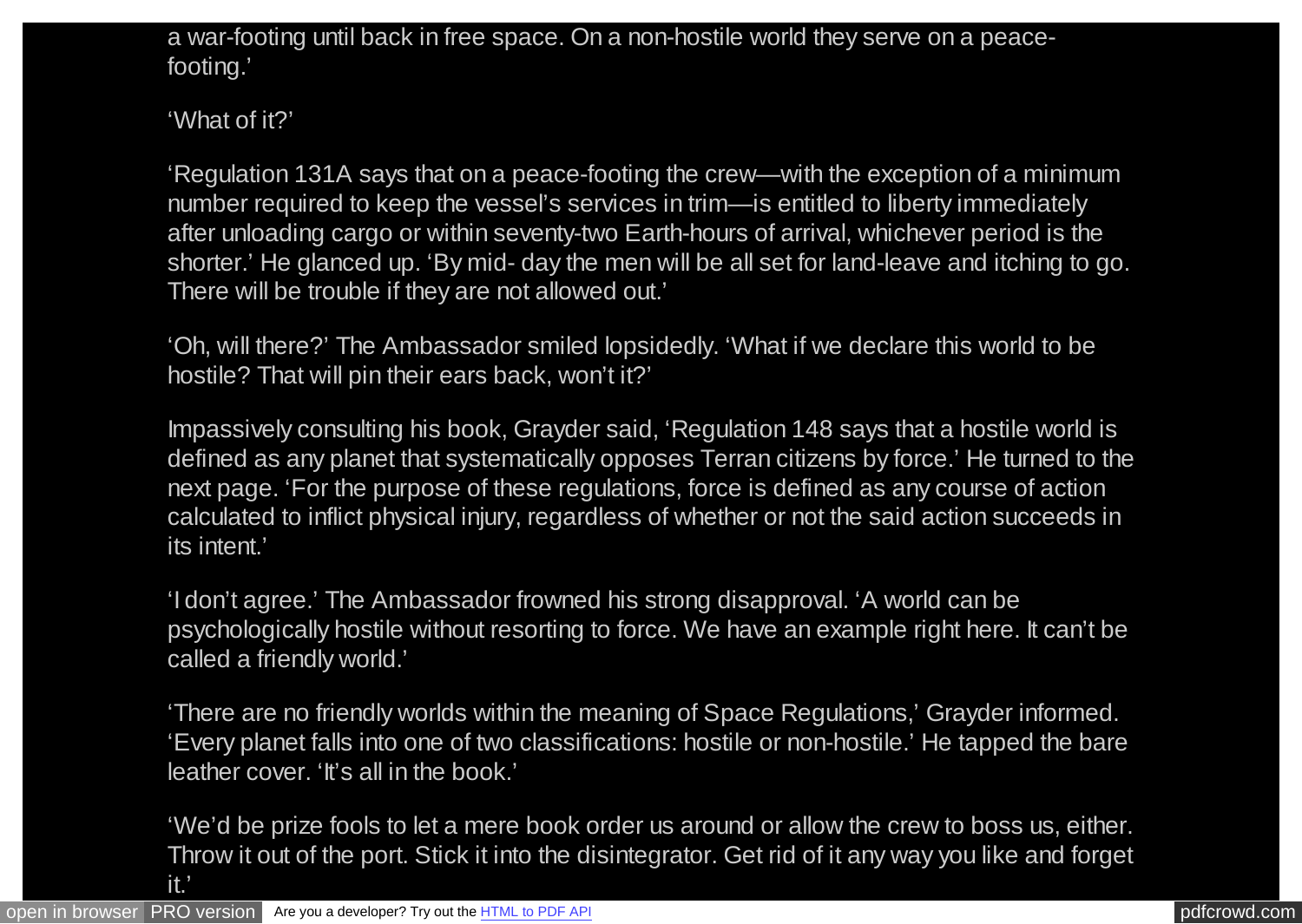a war-footing until back in free space. On a non-hostile world they serve on a peacefooting.'

'What of it?'

'Regulation 131A says that on a peace-footing the crew—with the exception of a minimum number required to keep the vessel's services in trim—is entitled to liberty immediately after unloading cargo or within seventy-two Earth-hours of arrival, whichever period is the shorter.' He glanced up. 'By mid- day the men will be all set for land-leave and itching to go. There will be trouble if they are not allowed out.'

'Oh, will there?' The Ambassador smiled lopsidedly. 'What if we declare this world to be hostile? That will pin their ears back, won't it?'

Impassively consulting his book, Grayder said, 'Regulation 148 says that a hostile world is defined as any planet that systematically opposes Terran citizens by force.' He turned to the next page. 'For the purpose of these regulations, force is defined as any course of action calculated to inflict physical injury, regardless of whether or not the said action succeeds in its intent.'

'I don't agree.' The Ambassador frowned his strong disapproval. 'A world can be psychologically hostile without resorting to force. We have an example right here. It can't be called a friendly world.'

'There are no friendly worlds within the meaning of Space Regulations,' Grayder informed. 'Every planet falls into one of two classifications: hostile or non-hostile.' He tapped the bare leather cover. 'It's all in the book.'

'We'd be prize fools to let a mere book order us around or allow the crew to boss us, either. Throw it out of the port. Stick it into the disintegrator. Get rid of it any way you like and forget it.'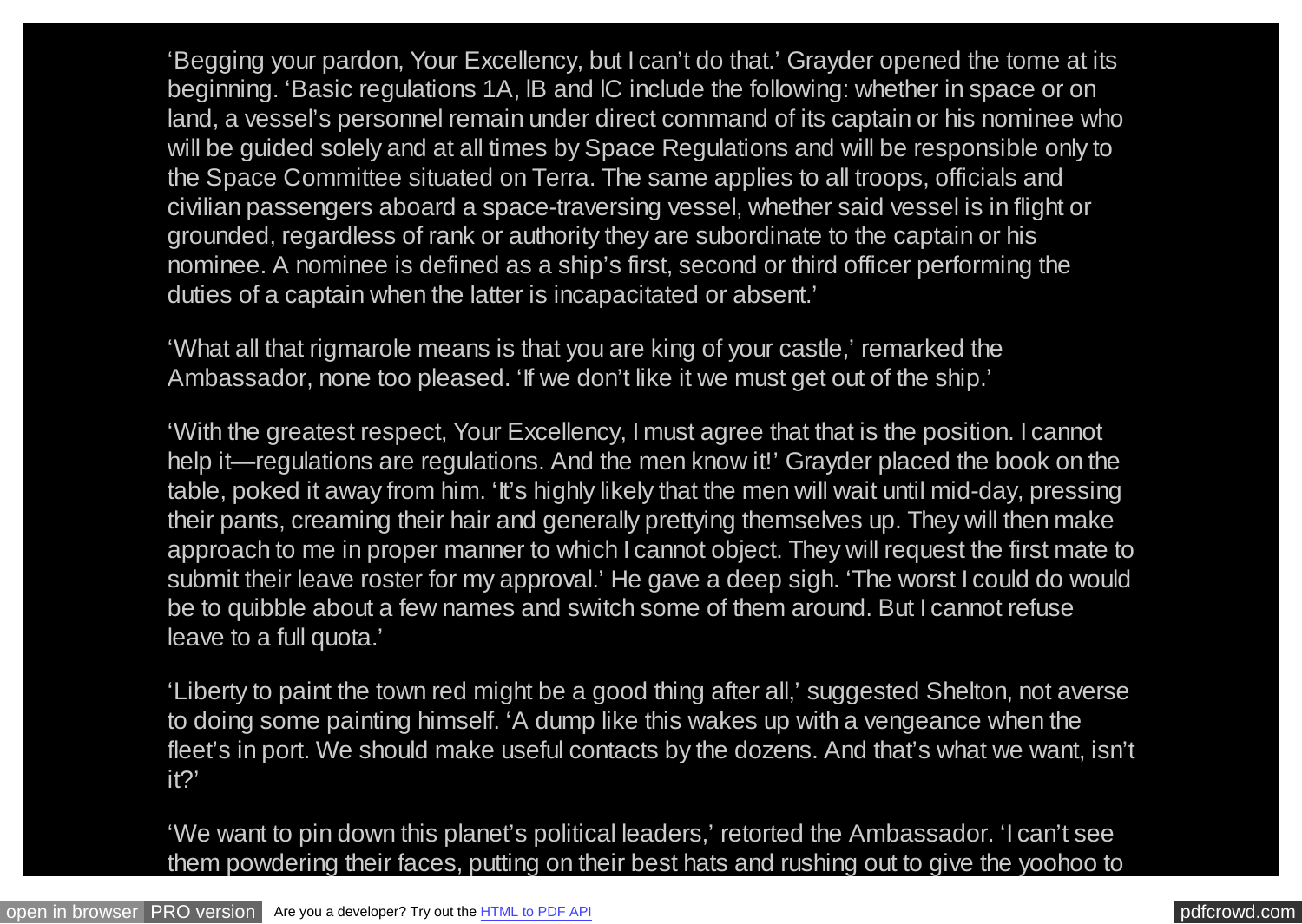'Begging your pardon, Your Excellency, but I can't do that.' Grayder opened the tome at its beginning. 'Basic regulations 1A, lB and lC include the following: whether in space or on land, a vessel's personnel remain under direct command of its captain or his nominee who will be guided solely and at all times by Space Regulations and will be responsible only to the Space Committee situated on Terra. The same applies to all troops, officials and civilian passengers aboard a space-traversing vessel, whether said vessel is in flight or grounded, regardless of rank or authority they are subordinate to the captain or his nominee. A nominee is defined as a ship's first, second or third officer performing the duties of a captain when the latter is incapacitated or absent.'

'What all that rigmarole means is that you are king of your castle,' remarked the Ambassador, none too pleased. 'If we don't like it we must get out of the ship.'

'With the greatest respect, Your Excellency, I must agree that that is the position. I cannot help it—regulations are regulations. And the men know it!' Grayder placed the book on the table, poked it away from him. 'It's highly likely that the men will wait until mid-day, pressing their pants, creaming their hair and generally prettying themselves up. They will then make approach to me in proper manner to which I cannot object. They will request the first mate to submit their leave roster for my approval.' He gave a deep sigh. 'The worst I could do would be to quibble about a few names and switch some of them around. But I cannot refuse leave to a full quota.'

'Liberty to paint the town red might be a good thing after all,' suggested Shelton, not averse to doing some painting himself. 'A dump like this wakes up with a vengeance when the fleet's in port. We should make useful contacts by the dozens. And that's what we want, isn't it?'

'We want to pin down this planet's political leaders,' retorted the Ambassador. 'I can't see them powdering their faces, putting on their best hats and rushing out to give the yoohoo to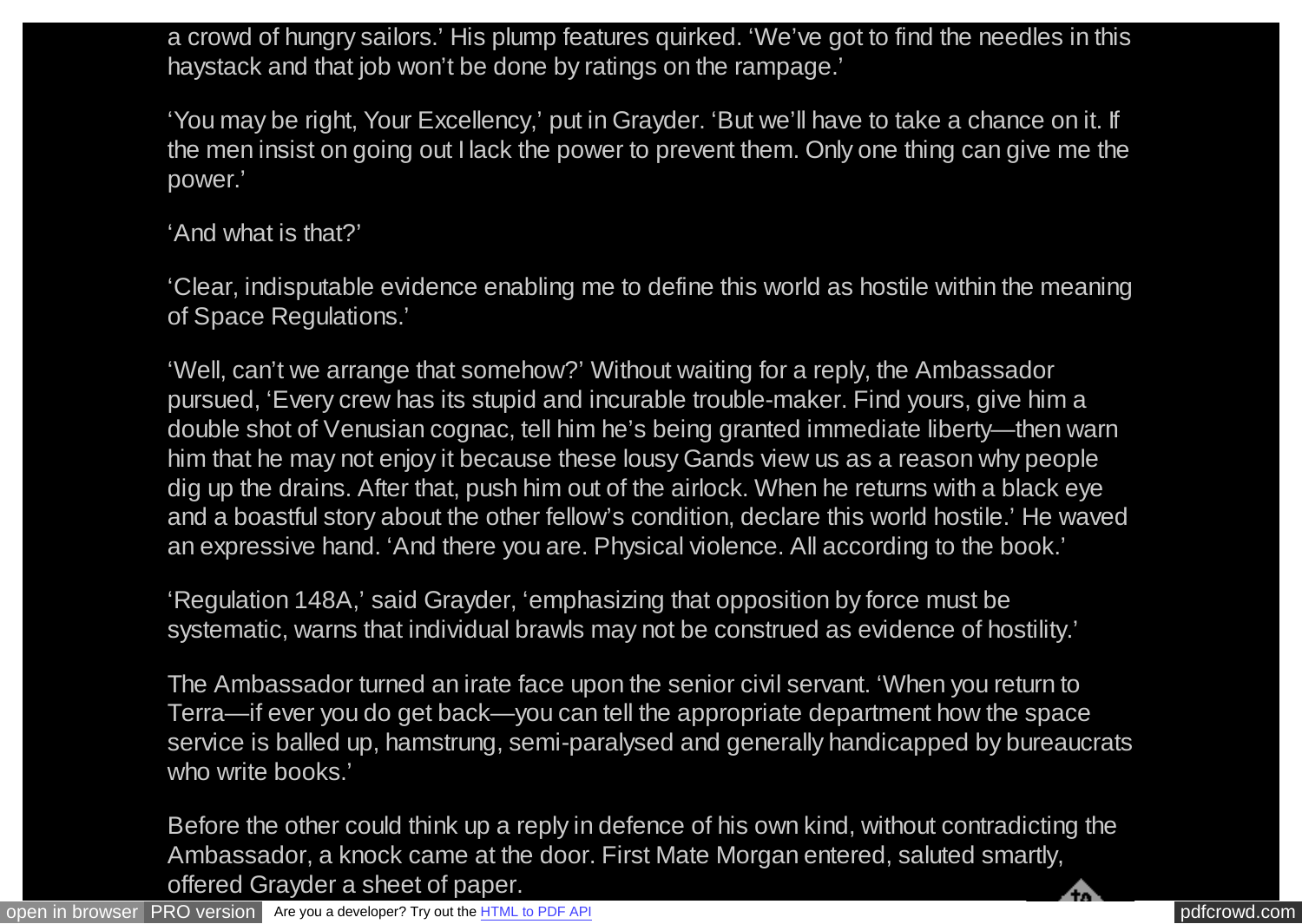a crowd of hungry sailors.' His plump features quirked. 'We've got to find the needles in this haystack and that job won't be done by ratings on the rampage.'

'You may be right, Your Excellency,' put in Grayder. 'But we'll have to take a chance on it. If the men insist on going out I lack the power to prevent them. Only one thing can give me the power.'

'And what is that?'

'Clear, indisputable evidence enabling me to define this world as hostile within the meaning of Space Regulations.'

'Well, can't we arrange that somehow?' Without waiting for a reply, the Ambassador pursued, 'Every crew has its stupid and incurable trouble-maker. Find yours, give him a double shot of Venusian cognac, tell him he's being granted immediate liberty—then warn him that he may not enjoy it because these lousy Gands view us as a reason why people dig up the drains. After that, push him out of the airlock. When he returns with a black eye and a boastful story about the other fellow's condition, declare this world hostile.' He waved an expressive hand. 'And there you are. Physical violence. All according to the book.'

'Regulation 148A,' said Grayder, 'emphasizing that opposition by force must be systematic, warns that individual brawls may not be construed as evidence of hostility.'

The Ambassador turned an irate face upon the senior civil servant. 'When you return to Terra—if ever you do get back—you can tell the appropriate department how the space service is balled up, hamstrung, semi-paralysed and generally handicapped by bureaucrats who write books.'

Before the other could think up a reply in defence of his own kind, without contradicting the Ambassador, a knock came at the door. First Mate Morgan entered, saluted smartly, offered Grayder a sheet of paper.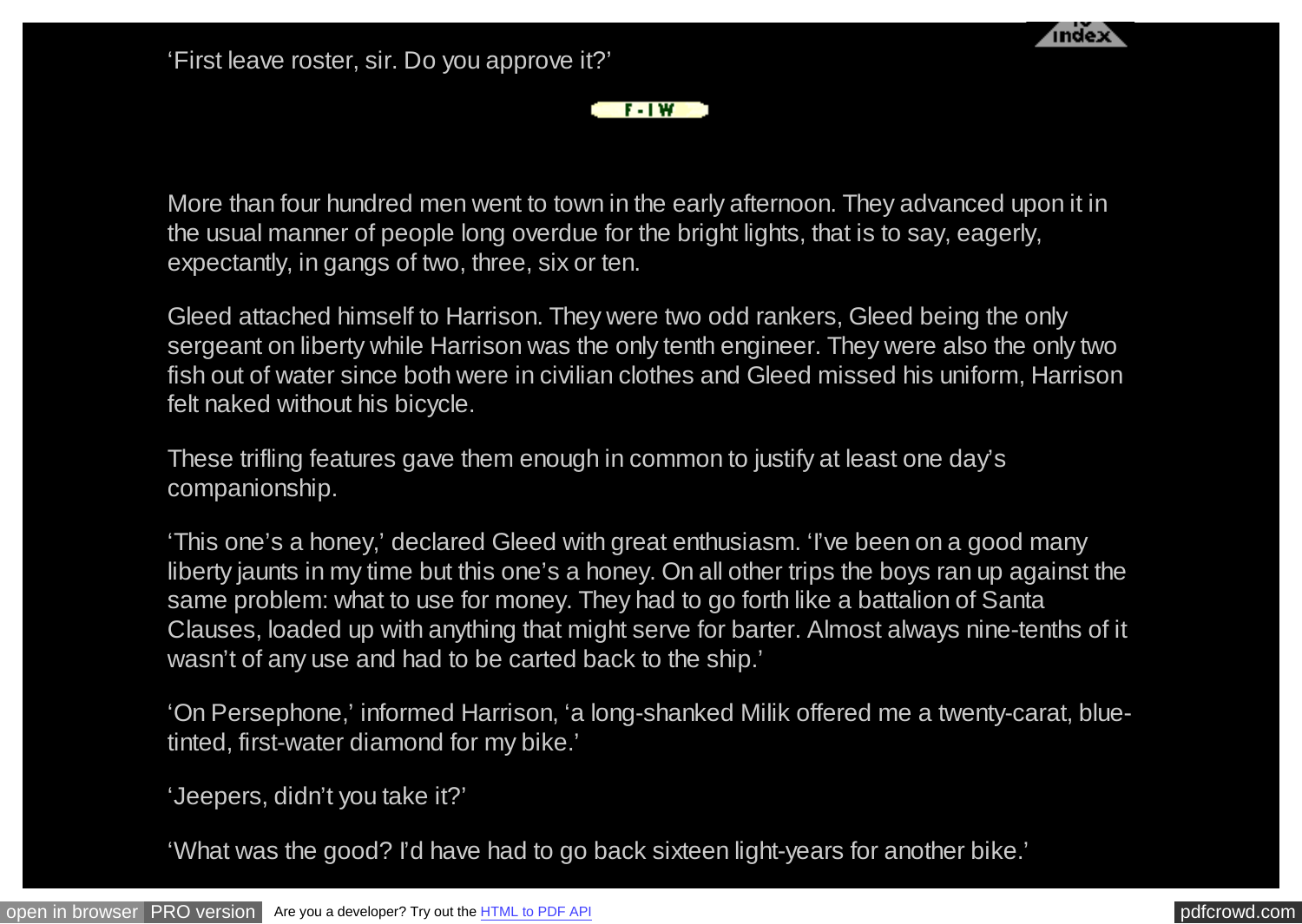

 $F - I W$ 

More than four hundred men went to town in the early afternoon. They advanced upon it in the usual manner of people long overdue for the bright lights, that is to say, eagerly, expectantly, in gangs of two, three, six or ten.

Gleed attached himself to Harrison. They were two odd rankers, Gleed being the only sergeant on liberty while Harrison was the only tenth engineer. They were also the only two fish out of water since both were in civilian clothes and Gleed missed his uniform, Harrison felt naked without his bicycle.

These trifling features gave them enough in common to justify at least one day's companionship.

'This one's a honey,' declared Gleed with great enthusiasm. 'I've been on a good many liberty jaunts in my time but this one's a honey. On all other trips the boys ran up against the same problem: what to use for money. They had to go forth like a battalion of Santa Clauses, loaded up with anything that might serve for barter. Almost always nine-tenths of it wasn't of any use and had to be carted back to the ship.'

'On Persephone,' informed Harrison, 'a long-shanked Milik offered me a twenty-carat, bluetinted, first-water diamond for my bike.'

'Jeepers, didn't you take it?'

'What was the good? I'd have had to go back sixteen light-years for another bike.'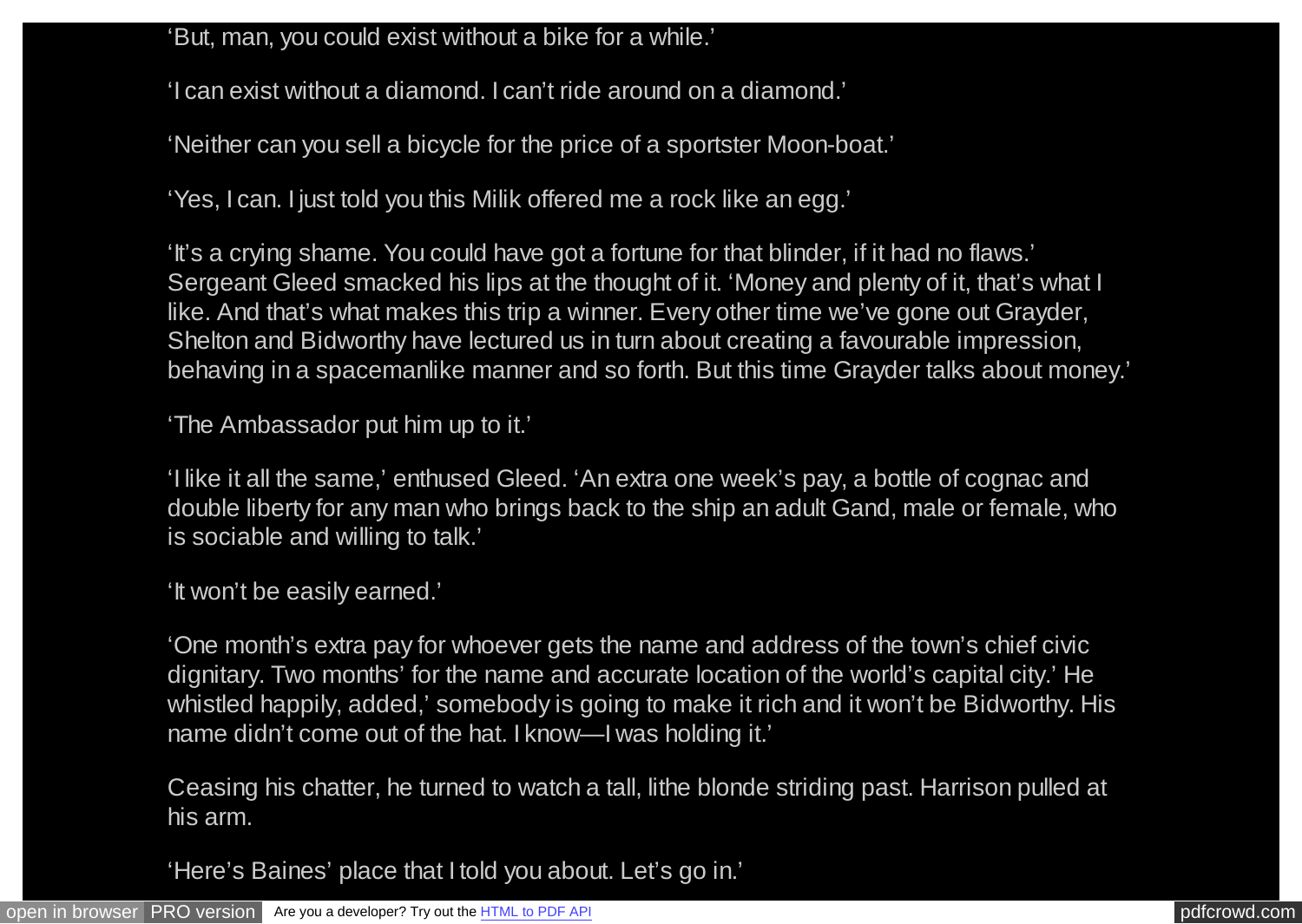# 'But, man, you could exist without a bike for a while.'

'I can exist without a diamond. I can't ride around on a diamond.'

'Neither can you sell a bicycle for the price of a sportster Moon-boat.'

'Yes, I can. I just told you this Milik offered me a rock like an egg.'

'It's a crying shame. You could have got a fortune for that blinder, if it had no flaws.' Sergeant Gleed smacked his lips at the thought of it. 'Money and plenty of it, that's what I like. And that's what makes this trip a winner. Every other time we've gone out Grayder, Shelton and Bidworthy have lectured us in turn about creating a favourable impression, behaving in a spacemanlike manner and so forth. But this time Grayder talks about money.'

'The Ambassador put him up to it.'

'I like it all the same,' enthused Gleed. 'An extra one week's pay, a bottle of cognac and double liberty for any man who brings back to the ship an adult Gand, male or female, who is sociable and willing to talk.'

'It won't be easily earned.'

'One month's extra pay for whoever gets the name and address of the town's chief civic dignitary. Two months' for the name and accurate location of the world's capital city.' He whistled happily, added,' somebody is going to make it rich and it won't be Bidworthy. His name didn't come out of the hat. I know—I was holding it.'

Ceasing his chatter, he turned to watch a tall, lithe blonde striding past. Harrison pulled at his arm.

'Here's Baines' place that I told you about. Let's go in.'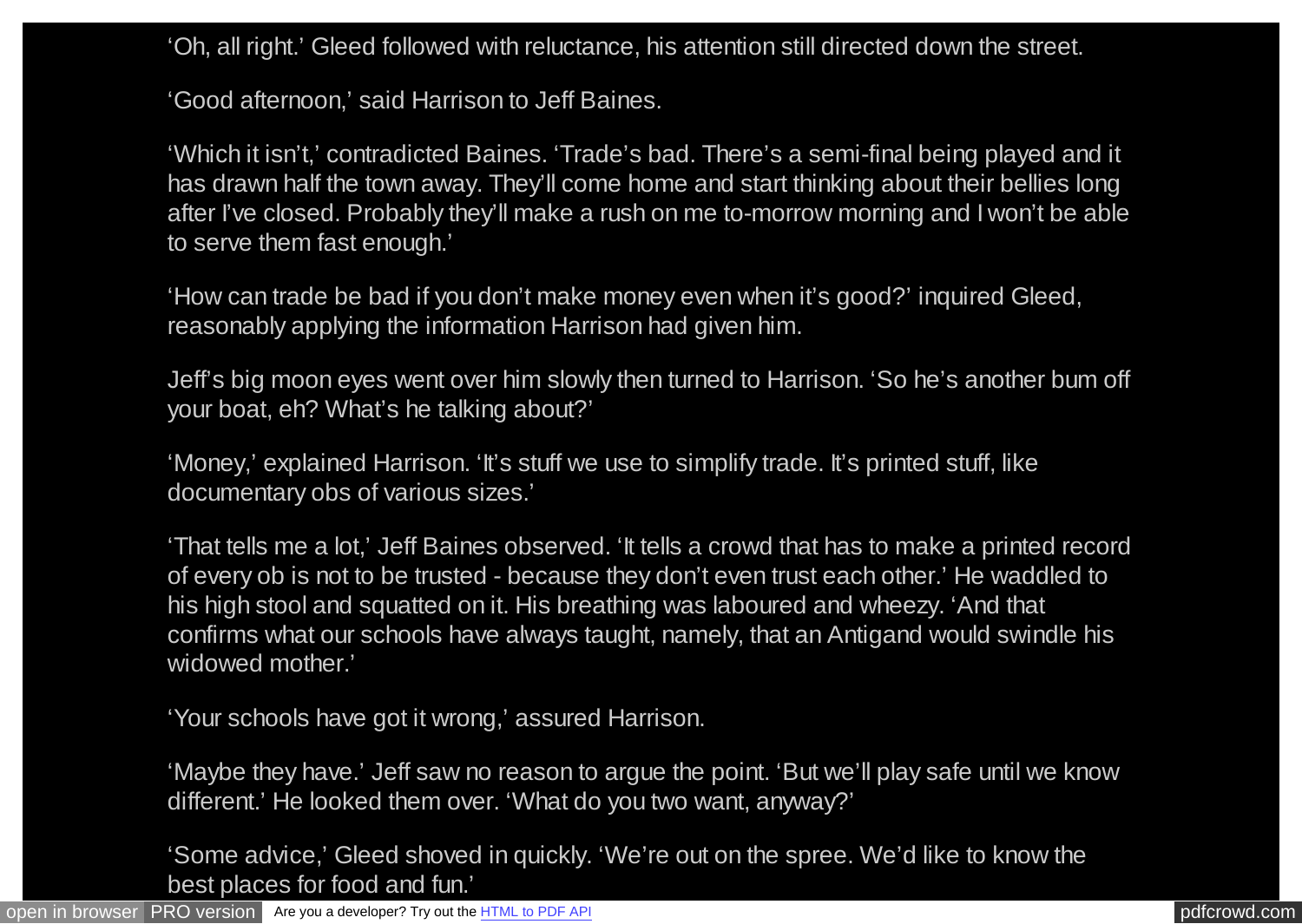'Oh, all right.' Gleed followed with reluctance, his attention still directed down the street.

'Good afternoon,' said Harrison to Jeff Baines.

'Which it isn't,' contradicted Baines. 'Trade's bad. There's a semi-final being played and it has drawn half the town away. They'll come home and start thinking about their bellies long after I've closed. Probably they'll make a rush on me to-morrow morning and I won't be able to serve them fast enough.'

'How can trade be bad if you don't make money even when it's good?' inquired Gleed, reasonably applying the information Harrison had given him.

Jeff's big moon eyes went over him slowly then turned to Harrison. 'So he's another bum off your boat, eh? What's he talking about?'

'Money,' explained Harrison. 'It's stuff we use to simplify trade. It's printed stuff, like documentary obs of various sizes.'

'That tells me a lot,' Jeff Baines observed. 'It tells a crowd that has to make a printed record of every ob is not to be trusted - because they don't even trust each other.' He waddled to his high stool and squatted on it. His breathing was laboured and wheezy. 'And that confirms what our schools have always taught, namely, that an Antigand would swindle his widowed mother.'

'Your schools have got it wrong,' assured Harrison.

'Maybe they have.' Jeff saw no reason to argue the point. 'But we'll play safe until we know different.' He looked them over. 'What do you two want, anyway?'

'Some advice,' Gleed shoved in quickly. 'We're out on the spree. We'd like to know the best places for food and fun.'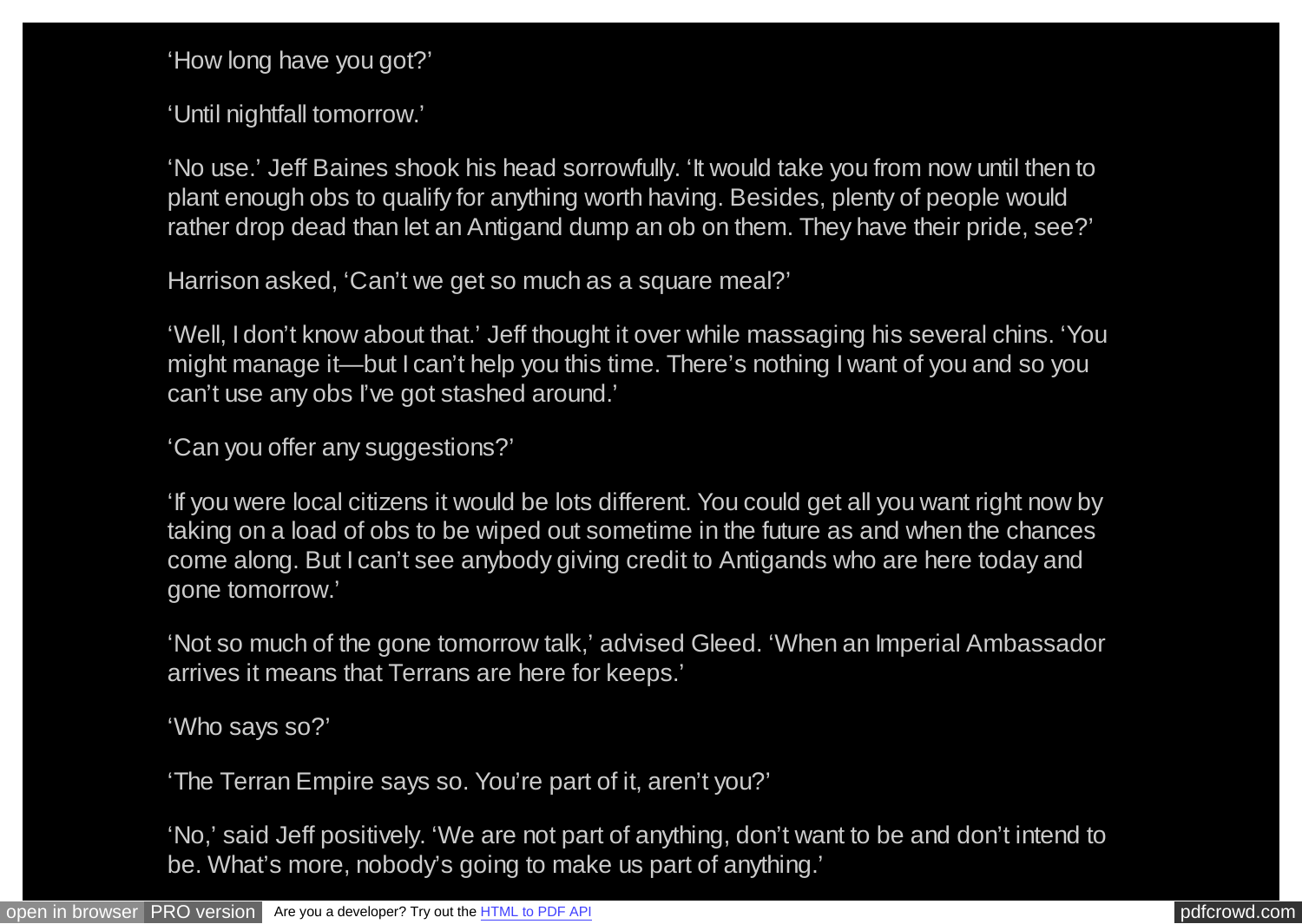'How long have you got?'

'Until nightfall tomorrow.'

'No use.' Jeff Baines shook his head sorrowfully. 'It would take you from now until then to plant enough obs to qualify for anything worth having. Besides, plenty of people would rather drop dead than let an Antigand dump an ob on them. They have their pride, see?'

Harrison asked, 'Can't we get so much as a square meal?'

'Well, I don't know about that.' Jeff thought it over while massaging his several chins. 'You might manage it—but I can't help you this time. There's nothing I want of you and so you can't use any obs I've got stashed around.'

'Can you offer any suggestions?'

'If you were local citizens it would be lots different. You could get all you want right now by taking on a load of obs to be wiped out sometime in the future as and when the chances come along. But I can't see anybody giving credit to Antigands who are here today and gone tomorrow.'

'Not so much of the gone tomorrow talk,' advised Gleed. 'When an Imperial Ambassador arrives it means that Terrans are here for keeps.'

'Who says so?'

'The Terran Empire says so. You're part of it, aren't you?'

'No,' said Jeff positively. 'We are not part of anything, don't want to be and don't intend to be. What's more, nobody's going to make us part of anything.'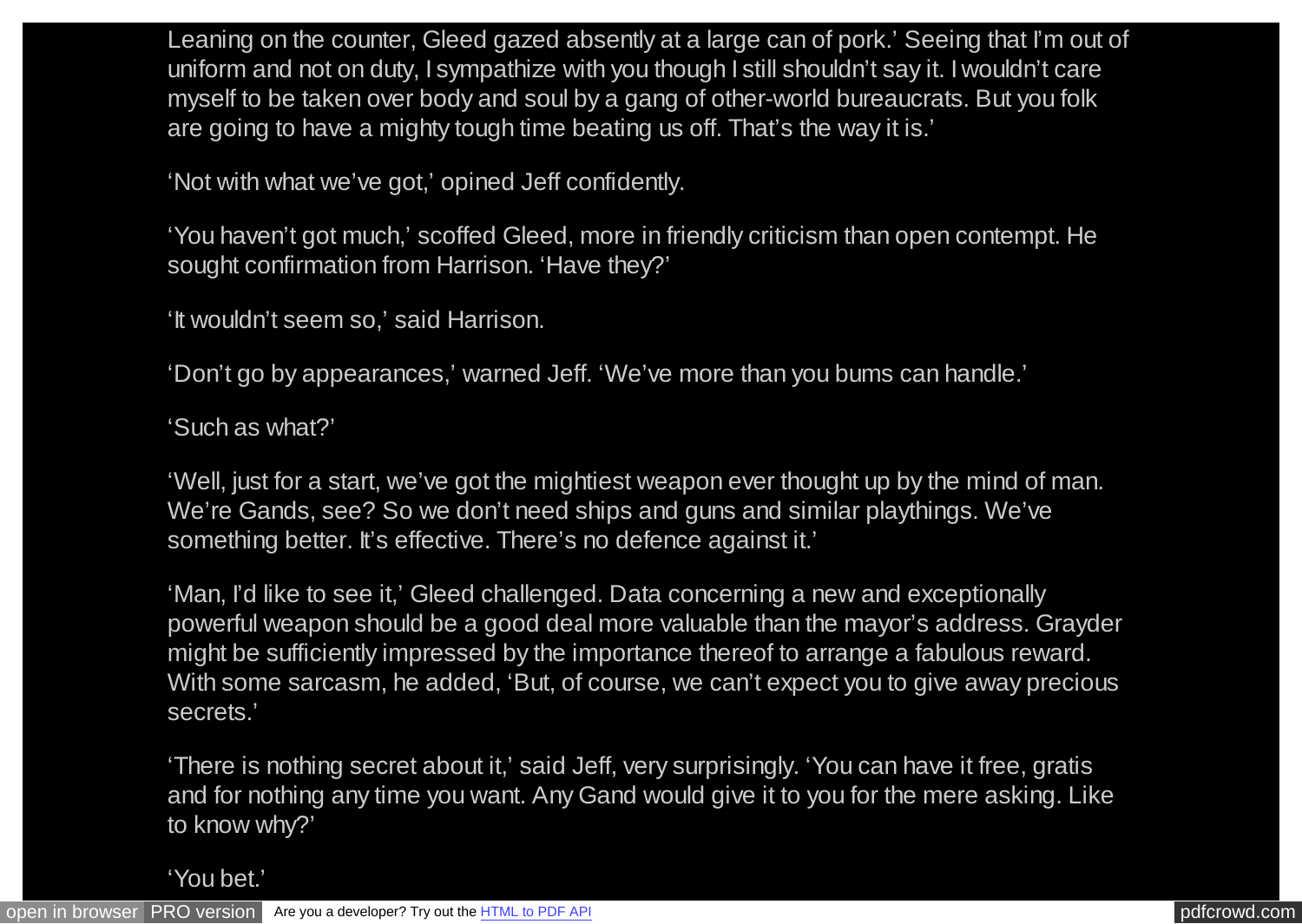Leaning on the counter, Gleed gazed absently at a large can of pork.' Seeing that I'm out of uniform and not on duty, I sympathize with you though I still shouldn't say it. I wouldn't care myself to be taken over body and soul by a gang of other-world bureaucrats. But you folk are going to have a mighty tough time beating us off. That's the way it is.'

'Not with what we've got,' opined Jeff confidently.

'You haven't got much,' scoffed Gleed, more in friendly criticism than open contempt. He sought confirmation from Harrison. 'Have they?'

'It wouldn't seem so,' said Harrison.

'Don't go by appearances,' warned Jeff. 'We've more than you bums can handle.'

'Such as what?'

'Well, just for a start, we've got the mightiest weapon ever thought up by the mind of man. We're Gands, see? So we don't need ships and guns and similar playthings. We've something better. It's effective. There's no defence against it.'

'Man, I'd like to see it,' Gleed challenged. Data concerning a new and exceptionally powerful weapon should be a good deal more valuable than the mayor's address. Grayder might be sufficiently impressed by the importance thereof to arrange a fabulous reward. With some sarcasm, he added, 'But, of course, we can't expect you to give away precious secrets.'

'There is nothing secret about it,' said Jeff, very surprisingly. 'You can have it free, gratis and for nothing any time you want. Any Gand would give it to you for the mere asking. Like to know why?'

'You bet.'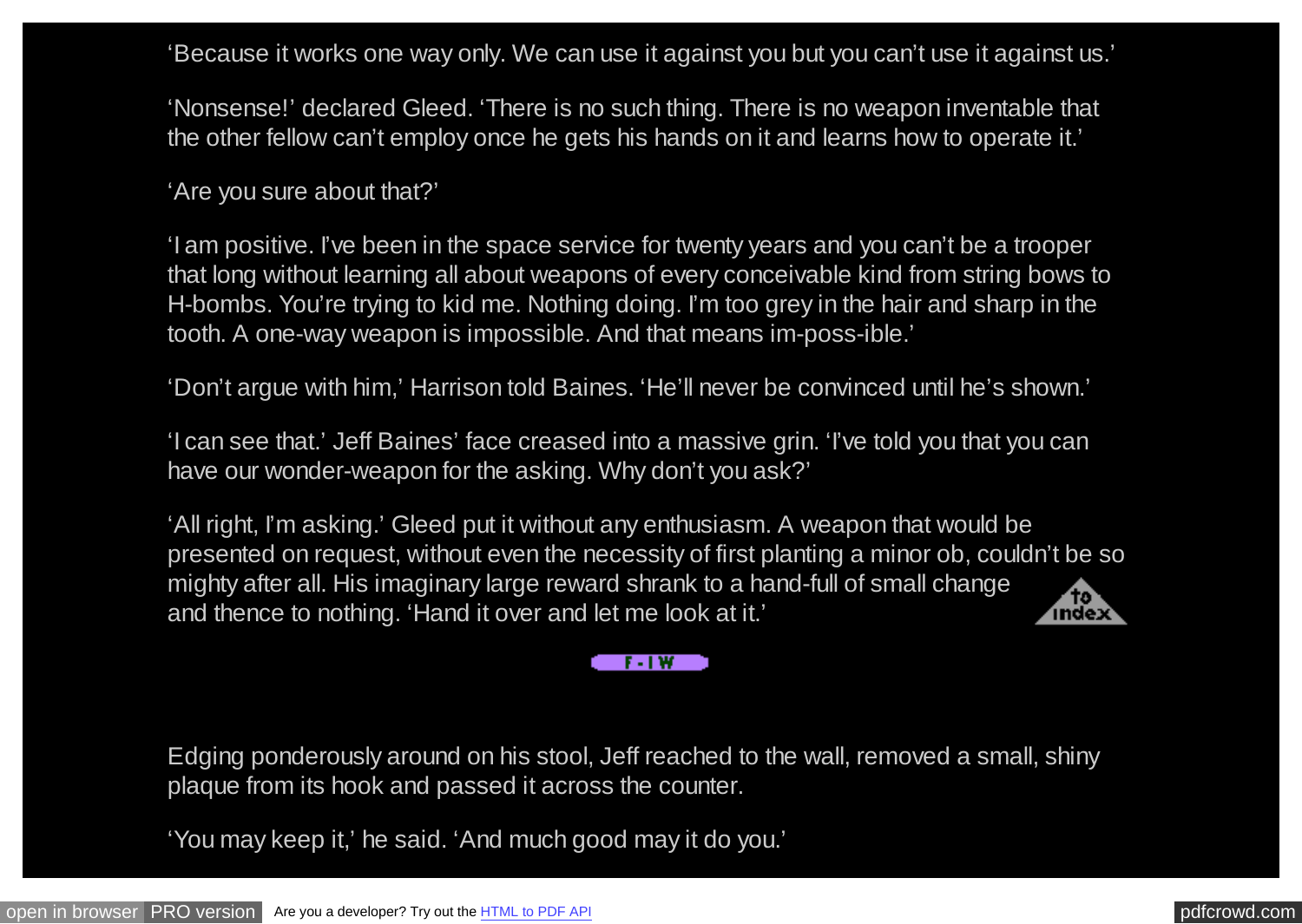'Because it works one way only. We can use it against you but you can't use it against us.'

'Nonsense!' declared Gleed. 'There is no such thing. There is no weapon inventable that the other fellow can't employ once he gets his hands on it and learns how to operate it.'

'Are you sure about that?'

'I am positive. I've been in the space service for twenty years and you can't be a trooper that long without learning all about weapons of every conceivable kind from string bows to H-bombs. You're trying to kid me. Nothing doing. I'm too grey in the hair and sharp in the tooth. A one-way weapon is impossible. And that means im-poss-ible.'

'Don't argue with him,' Harrison told Baines. 'He'll never be convinced until he's shown.'

'I can see that.' Jeff Baines' face creased into a massive grin. 'I've told you that you can have our wonder-weapon for the asking. Why don't you ask?'

'All right, I'm asking.' Gleed put it without any enthusiasm. A weapon that would be presented on request, without even the necessity of first planting a minor ob, couldn't be so mighty after all. His imaginary large reward shrank to a hand-full of small change fo and thence to nothing. 'Hand it over and let me look at it.' **index** 

#### $F - I W$

Edging ponderously around on his stool, Jeff reached to the wall, removed a small, shiny plaque from its hook and passed it across the counter.

'You may keep it,' he said. 'And much good may it do you.'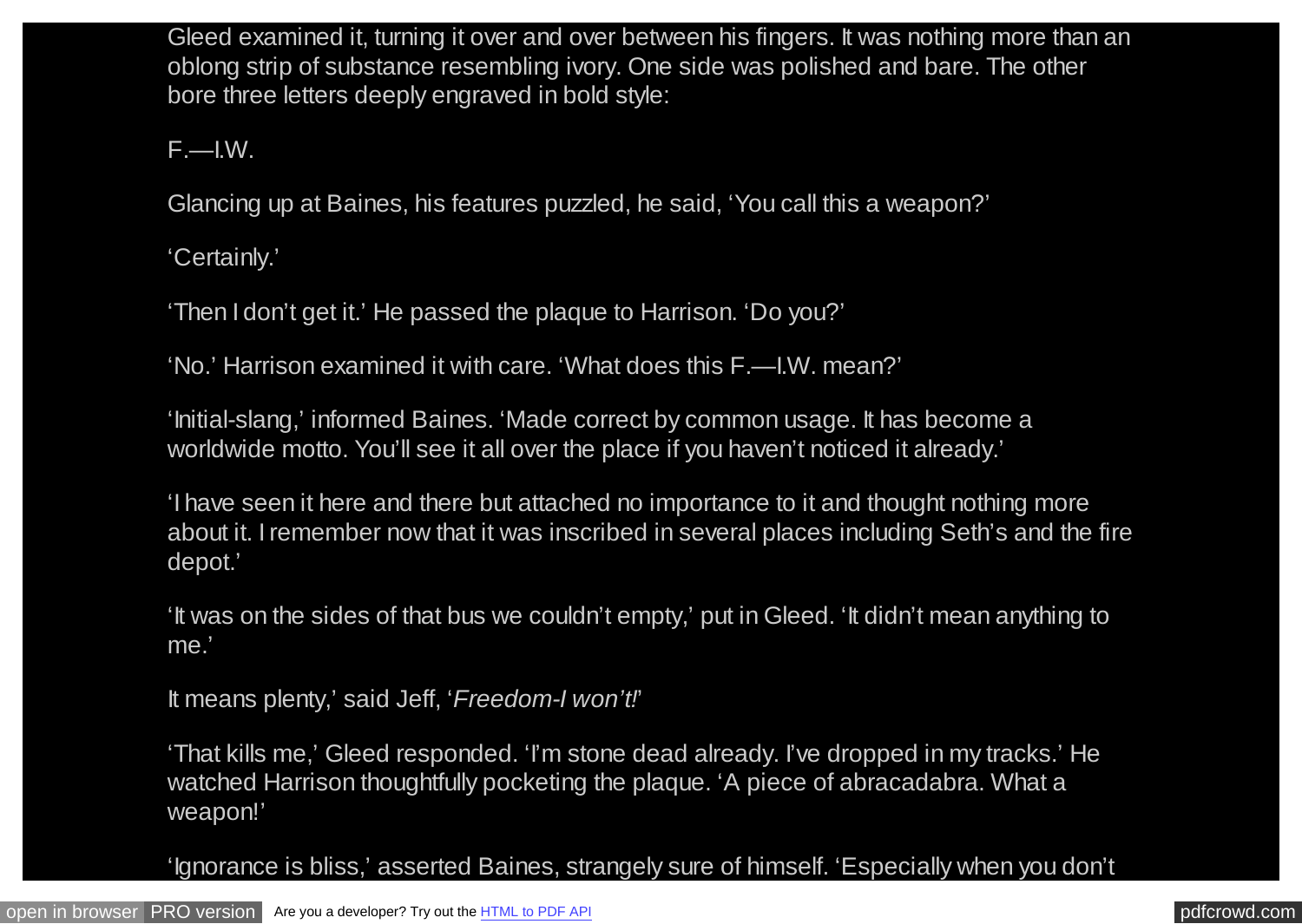Gleed examined it, turning it over and over between his fingers. It was nothing more than an oblong strip of substance resembling ivory. One side was polished and bare. The other bore three letters deeply engraved in bold style:

F.—I.W.

Glancing up at Baines, his features puzzled, he said, 'You call this a weapon?'

'Certainly.'

'Then I don't get it.' He passed the plaque to Harrison. 'Do you?'

'No.' Harrison examined it with care. 'What does this F.—I.W. mean?'

'Initial-slang,' informed Baines. 'Made correct by common usage. It has become a worldwide motto. You'll see it all over the place if you haven't noticed it already.'

'I have seen it here and there but attached no importance to it and thought nothing more about it. I remember now that it was inscribed in several places including Seth's and the fire depot.'

'It was on the sides of that bus we couldn't empty,' put in Gleed. 'It didn't mean anything to me.'

It means plenty,' said Jeff, '*Freedom-I won't!*'

'That kills me,' Gleed responded. 'I'm stone dead already. I've dropped in my tracks.' He watched Harrison thoughtfully pocketing the plaque. 'A piece of abracadabra. What a weapon!'

'Ignorance is bliss,' asserted Baines, strangely sure of himself. 'Especially when you don't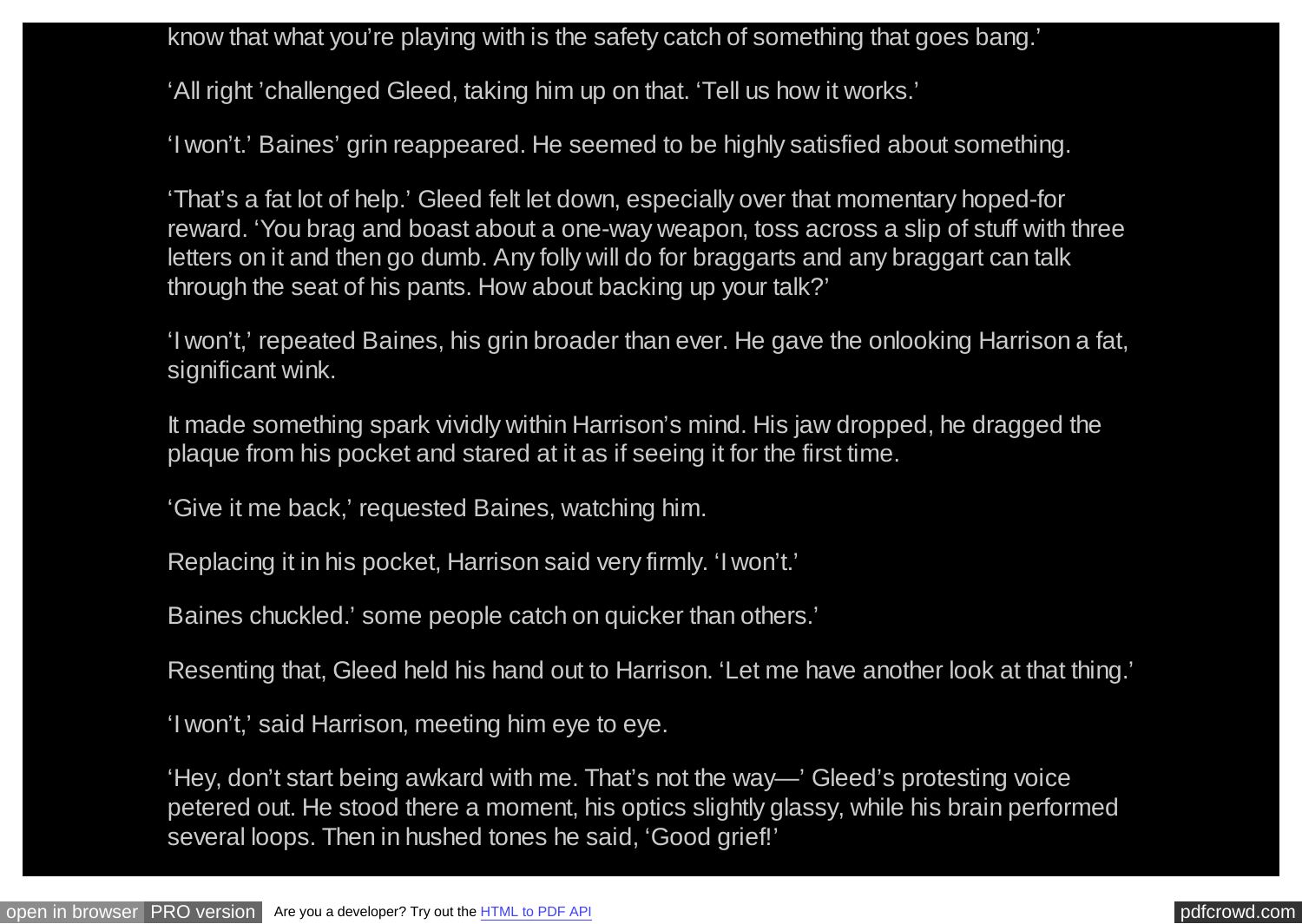know that what you're playing with is the safety catch of something that goes bang.'

'All right 'challenged Gleed, taking him up on that. 'Tell us how it works.'

'I won't.' Baines' grin reappeared. He seemed to be highly satisfied about something.

'That's a fat lot of help.' Gleed felt let down, especially over that momentary hoped-for reward. 'You brag and boast about a one-way weapon, toss across a slip of stuff with three letters on it and then go dumb. Any folly will do for braggarts and any braggart can talk through the seat of his pants. How about backing up your talk?'

'I won't,' repeated Baines, his grin broader than ever. He gave the onlooking Harrison a fat, significant wink.

It made something spark vividly within Harrison's mind. His jaw dropped, he dragged the plaque from his pocket and stared at it as if seeing it for the first time.

'Give it me back,' requested Baines, watching him.

Replacing it in his pocket, Harrison said very firmly. 'I won't.'

Baines chuckled.' some people catch on quicker than others.'

Resenting that, Gleed held his hand out to Harrison. 'Let me have another look at that thing.'

'I won't,' said Harrison, meeting him eye to eye.

'Hey, don't start being awkard with me. That's not the way—' Gleed's protesting voice petered out. He stood there a moment, his optics slightly glassy, while his brain performed several loops. Then in hushed tones he said, 'Good grief!'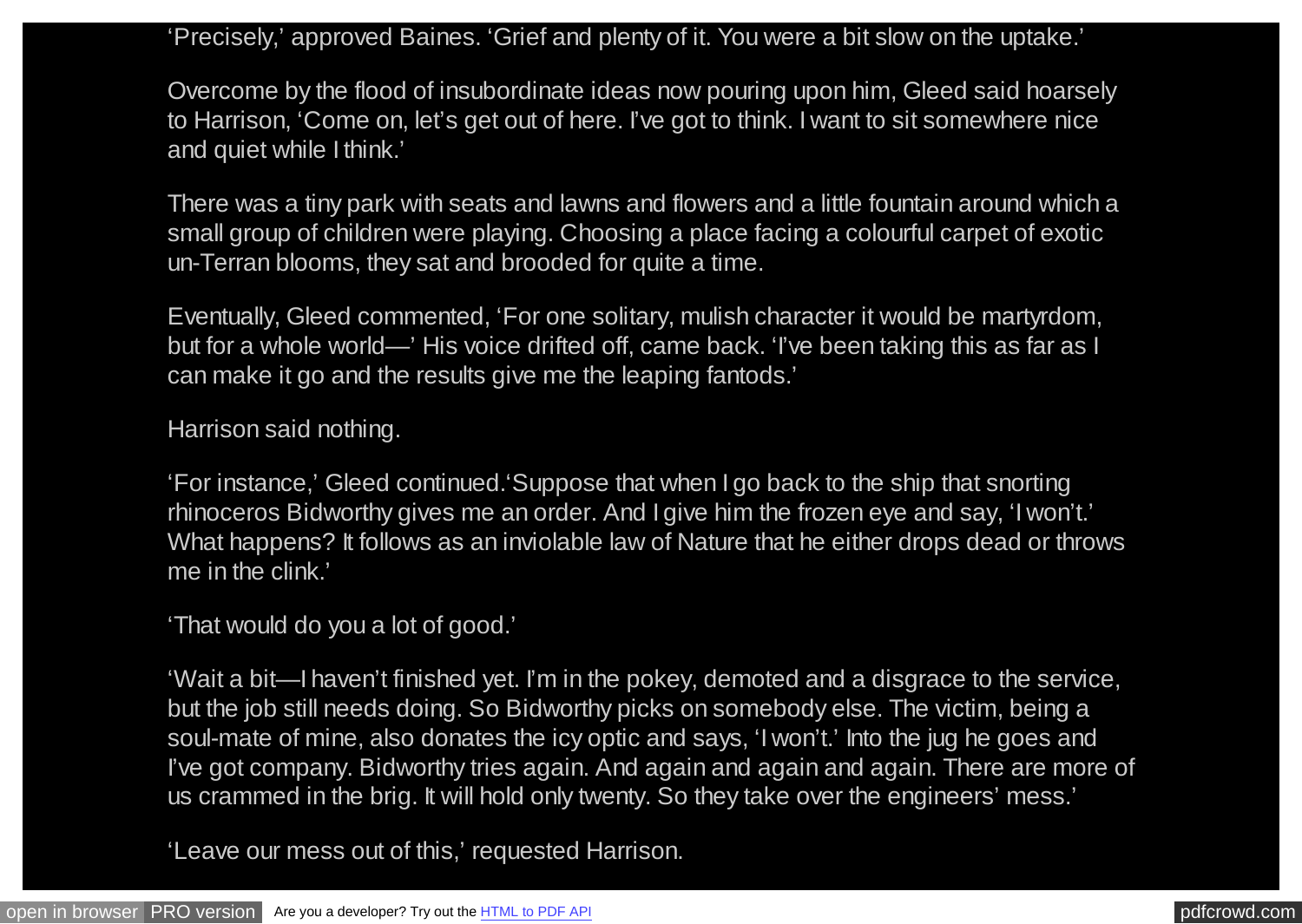'Precisely,' approved Baines. 'Grief and plenty of it. You were a bit slow on the uptake.'

Overcome by the flood of insubordinate ideas now pouring upon him, Gleed said hoarsely to Harrison, 'Come on, let's get out of here. I've got to think. I want to sit somewhere nice and quiet while I think.'

There was a tiny park with seats and lawns and flowers and a little fountain around which a small group of children were playing. Choosing a place facing a colourful carpet of exotic un-Terran blooms, they sat and brooded for quite a time.

Eventually, Gleed commented, 'For one solitary, mulish character it would be martyrdom, but for a whole world—' His voice drifted off, came back. 'I've been taking this as far as I can make it go and the results give me the leaping fantods.'

Harrison said nothing.

'For instance,' Gleed continued.'Suppose that when I go back to the ship that snorting rhinoceros Bidworthy gives me an order. And I give him the frozen eye and say, 'I won't.' What happens? It follows as an inviolable law of Nature that he either drops dead or throws me in the clink.'

'That would do you a lot of good.'

'Wait a bit—I haven't finished yet. I'm in the pokey, demoted and a disgrace to the service, but the job still needs doing. So Bidworthy picks on somebody else. The victim, being a soul-mate of mine, also donates the icy optic and says, 'I won't.' Into the jug he goes and I've got company. Bidworthy tries again. And again and again and again. There are more of us crammed in the brig. It will hold only twenty. So they take over the engineers' mess.'

'Leave our mess out of this,' requested Harrison.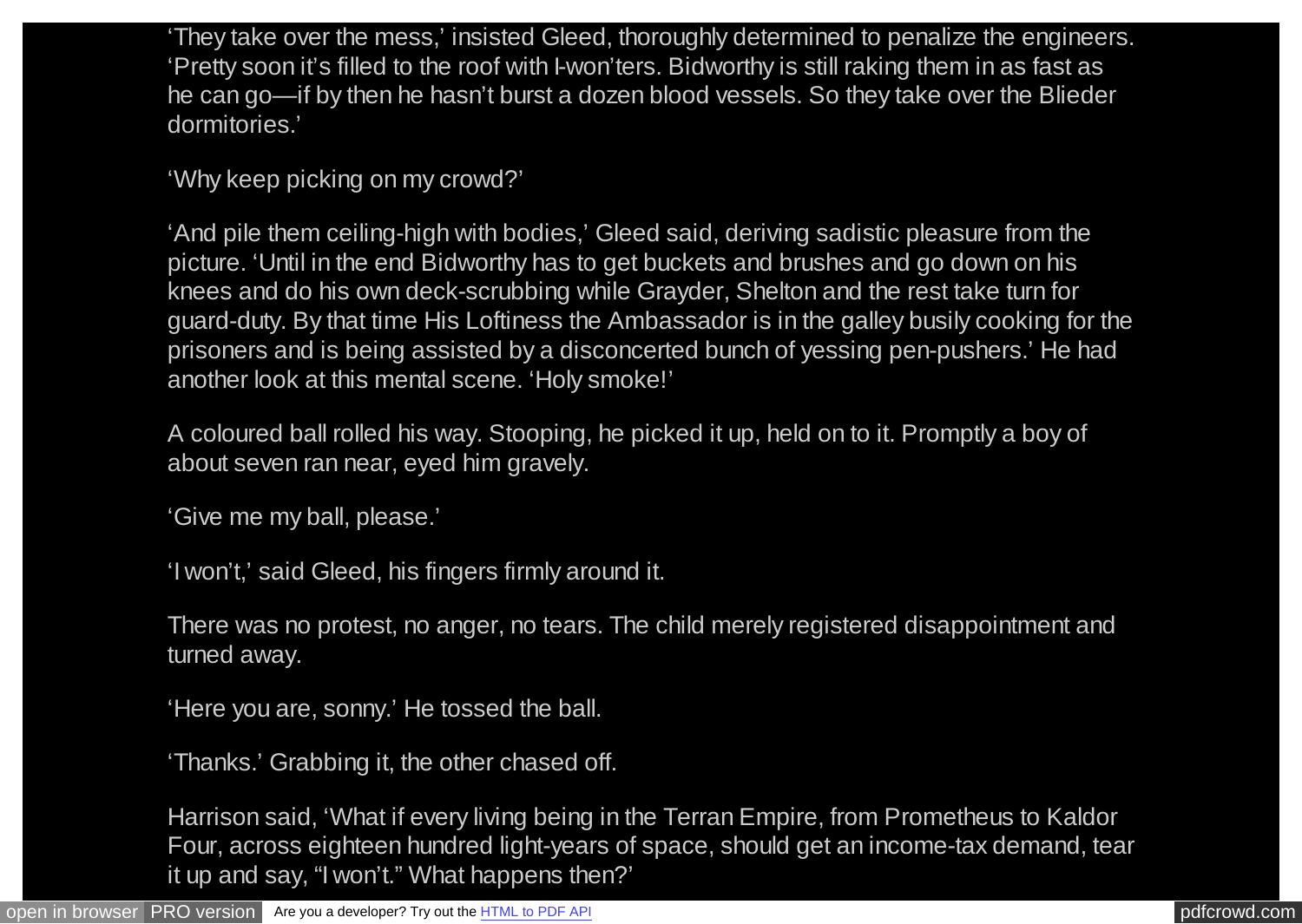'They take over the mess,' insisted Gleed, thoroughly determined to penalize the engineers. 'Pretty soon it's filled to the roof with I-won'ters. Bidworthy is still raking them in as fast as he can go—if by then he hasn't burst a dozen blood vessels. So they take over the Blieder dormitories.'

'Why keep picking on my crowd?'

'And pile them ceiling-high with bodies,' Gleed said, deriving sadistic pleasure from the picture. 'Until in the end Bidworthy has to get buckets and brushes and go down on his knees and do his own deck-scrubbing while Grayder, Shelton and the rest take turn for guard-duty. By that time His Loftiness the Ambassador is in the galley busily cooking for the prisoners and is being assisted by a disconcerted bunch of yessing pen-pushers.' He had another look at this mental scene. 'Holy smoke!'

A coloured ball rolled his way. Stooping, he picked it up, held on to it. Promptly a boy of about seven ran near, eyed him gravely.

'Give me my ball, please.'

'I won't,' said Gleed, his fingers firmly around it.

There was no protest, no anger, no tears. The child merely registered disappointment and turned away.

'Here you are, sonny.' He tossed the ball.

'Thanks.' Grabbing it, the other chased off.

Harrison said, 'What if every living being in the Terran Empire, from Prometheus to Kaldor Four, across eighteen hundred light-years of space, should get an income-tax demand, tear it up and say, "I won't." What happens then?'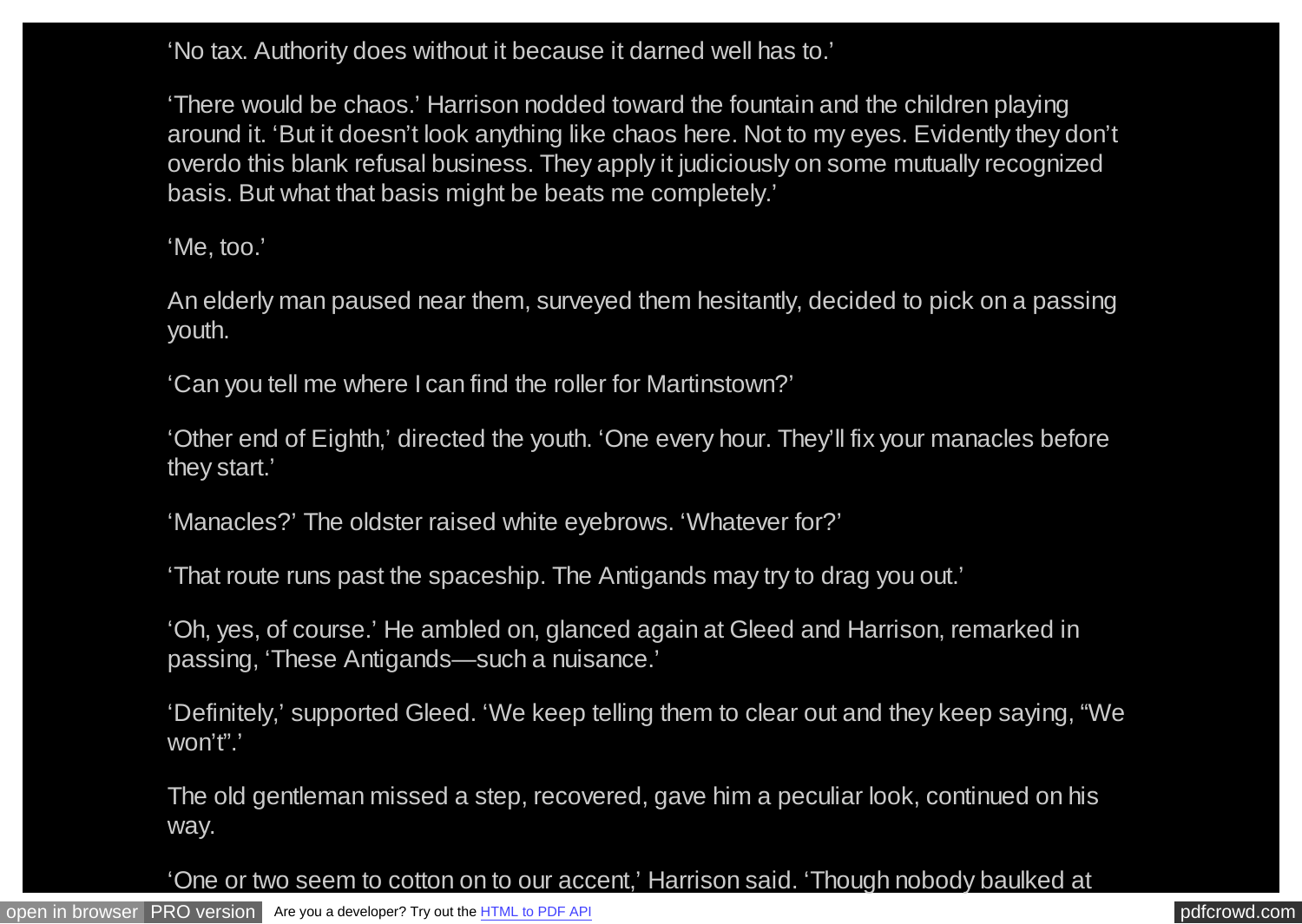'No tax. Authority does without it because it darned well has to.'

'There would be chaos.' Harrison nodded toward the fountain and the children playing around it. 'But it doesn't look anything like chaos here. Not to my eyes. Evidently they don't overdo this blank refusal business. They apply it judiciously on some mutually recognized basis. But what that basis might be beats me completely.'

'Me, too.'

An elderly man paused near them, surveyed them hesitantly, decided to pick on a passing youth.

'Can you tell me where I can find the roller for Martinstown?'

'Other end of Eighth,' directed the youth. 'One every hour. They'll fix your manacles before they start.'

'Manacles?' The oldster raised white eyebrows. 'Whatever for?'

'That route runs past the spaceship. The Antigands may try to drag you out.'

'Oh, yes, of course.' He ambled on, glanced again at Gleed and Harrison, remarked in passing, 'These Antigands—such a nuisance.'

'Definitely,' supported Gleed. 'We keep telling them to clear out and they keep saying, "We won't".'

The old gentleman missed a step, recovered, gave him a peculiar look, continued on his way.

'One or two seem to cotton on to our accent,' Harrison said. 'Though nobody baulked at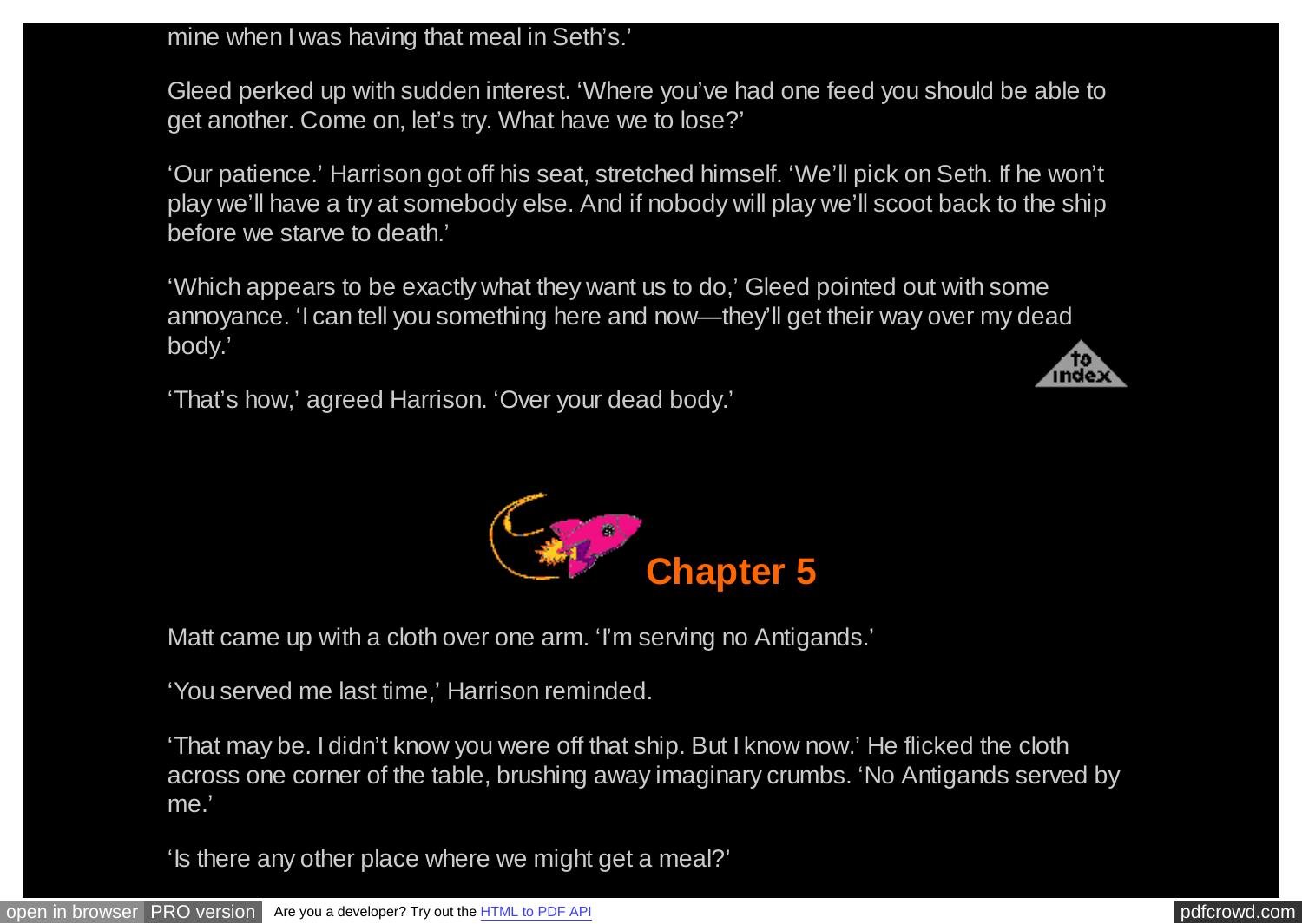## mine when I was having that meal in Seth's.'

Gleed perked up with sudden interest. 'Where you've had one feed you should be able to get another. Come on, let's try. What have we to lose?'

'Our patience.' Harrison got off his seat, stretched himself. 'We'll pick on Seth. If he won't play we'll have a try at somebody else. And if nobody will play we'll scoot back to the ship before we starve to death.'

'Which appears to be exactly what they want us to do,' Gleed pointed out with some annoyance. 'I can tell you something here and now—they'll get their way over my dead body.'

'That's how,' agreed Harrison. 'Over your dead body.'

Matt came up with a cloth over one arm. 'I'm serving no Antigands.'

'You served me last time,' Harrison reminded.

'That may be. I didn't know you were off that ship. But I know now.' He flicked the cloth across one corner of the table, brushing away imaginary crumbs. 'No Antigands served by me.'

'Is there any other place where we might get a meal?'



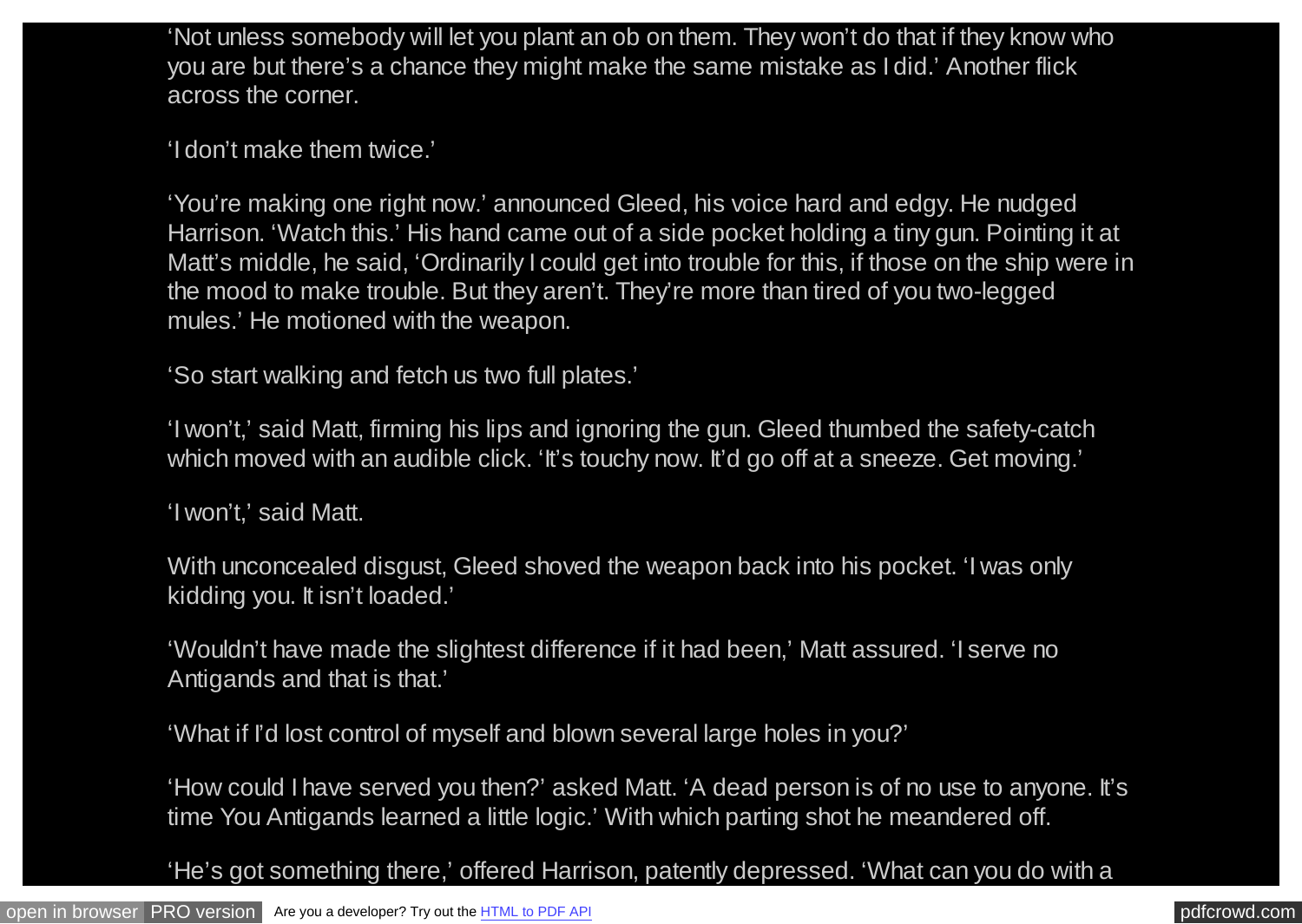'Not unless somebody will let you plant an ob on them. They won't do that if they know who you are but there's a chance they might make the same mistake as I did.' Another flick across the corner.

'I don't make them twice.'

'You're making one right now.' announced Gleed, his voice hard and edgy. He nudged Harrison. 'Watch this.' His hand came out of a side pocket holding a tiny gun. Pointing it at Matt's middle, he said, 'Ordinarily I could get into trouble for this, if those on the ship were in the mood to make trouble. But they aren't. They're more than tired of you two-legged mules.' He motioned with the weapon.

'So start walking and fetch us two full plates.'

'I won't,' said Matt, firming his lips and ignoring the gun. Gleed thumbed the safety-catch which moved with an audible click. 'It's touchy now. It'd go off at a sneeze. Get moving.'

'I won't,' said Matt.

With unconcealed disgust, Gleed shoved the weapon back into his pocket. 'I was only kidding you. It isn't loaded.'

'Wouldn't have made the slightest difference if it had been,' Matt assured. 'I serve no Antigands and that is that.'

'What if I'd lost control of myself and blown several large holes in you?'

'How could I have served you then?' asked Matt. 'A dead person is of no use to anyone. It's time You Antigands learned a little logic.' With which parting shot he meandered off.

'He's got something there,' offered Harrison, patently depressed. 'What can you do with a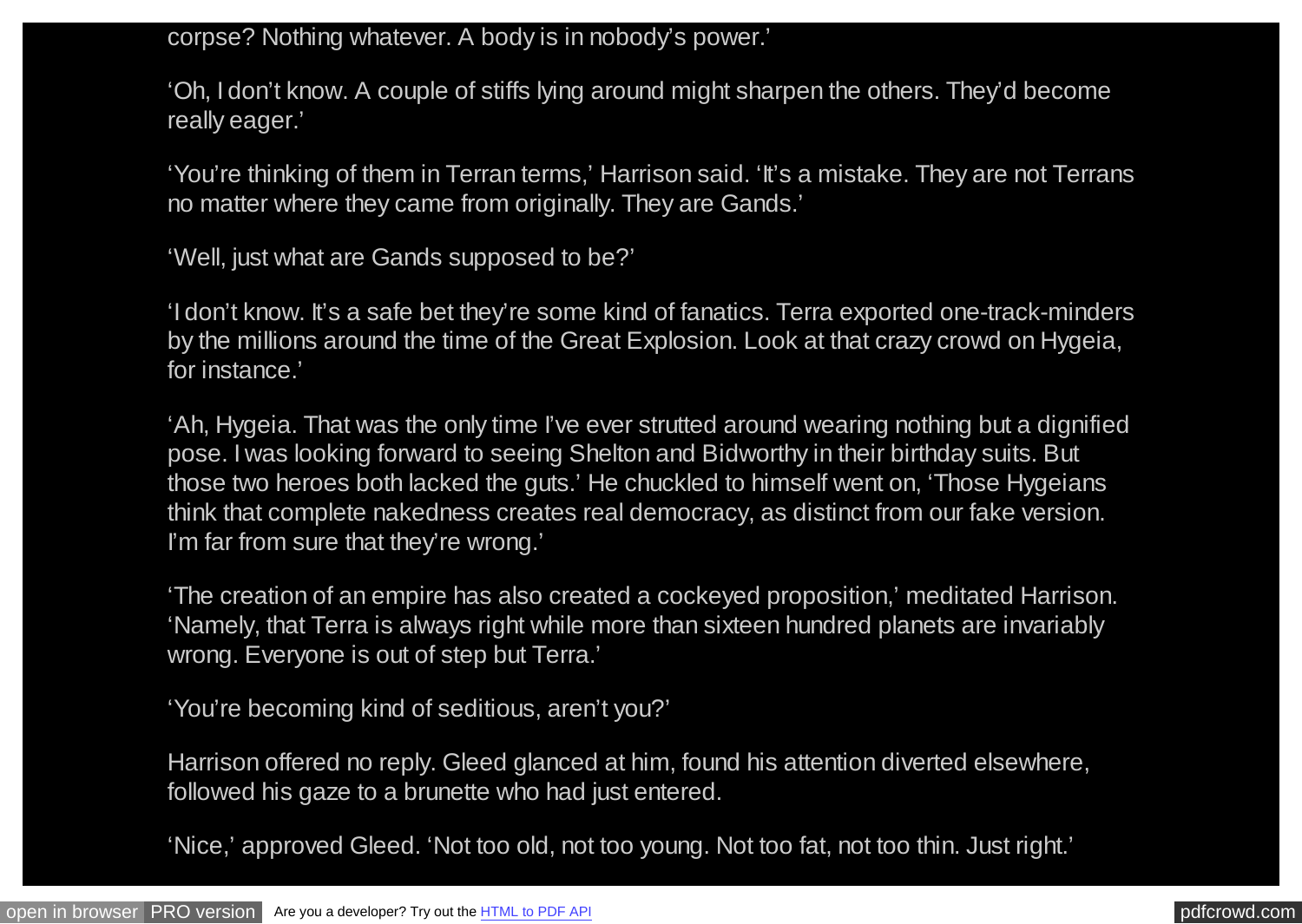#### corpse? Nothing whatever. A body is in nobody's power.'

'Oh, I don't know. A couple of stiffs lying around might sharpen the others. They'd become really eager.'

'You're thinking of them in Terran terms,' Harrison said. 'It's a mistake. They are not Terrans no matter where they came from originally. They are Gands.'

'Well, just what are Gands supposed to be?'

'I don't know. It's a safe bet they're some kind of fanatics. Terra exported one-track-minders by the millions around the time of the Great Explosion. Look at that crazy crowd on Hygeia, for instance.'

'Ah, Hygeia. That was the only time I've ever strutted around wearing nothing but a dignified pose. I was looking forward to seeing Shelton and Bidworthy in their birthday suits. But those two heroes both lacked the guts.' He chuckled to himself went on, 'Those Hygeians think that complete nakedness creates real democracy, as distinct from our fake version. I'm far from sure that they're wrong.'

'The creation of an empire has also created a cockeyed proposition,' meditated Harrison. 'Namely, that Terra is always right while more than sixteen hundred planets are invariably wrong. Everyone is out of step but Terra.'

'You're becoming kind of seditious, aren't you?'

Harrison offered no reply. Gleed glanced at him, found his attention diverted elsewhere, followed his gaze to a brunette who had just entered.

'Nice,' approved Gleed. 'Not too old, not too young. Not too fat, not too thin. Just right.'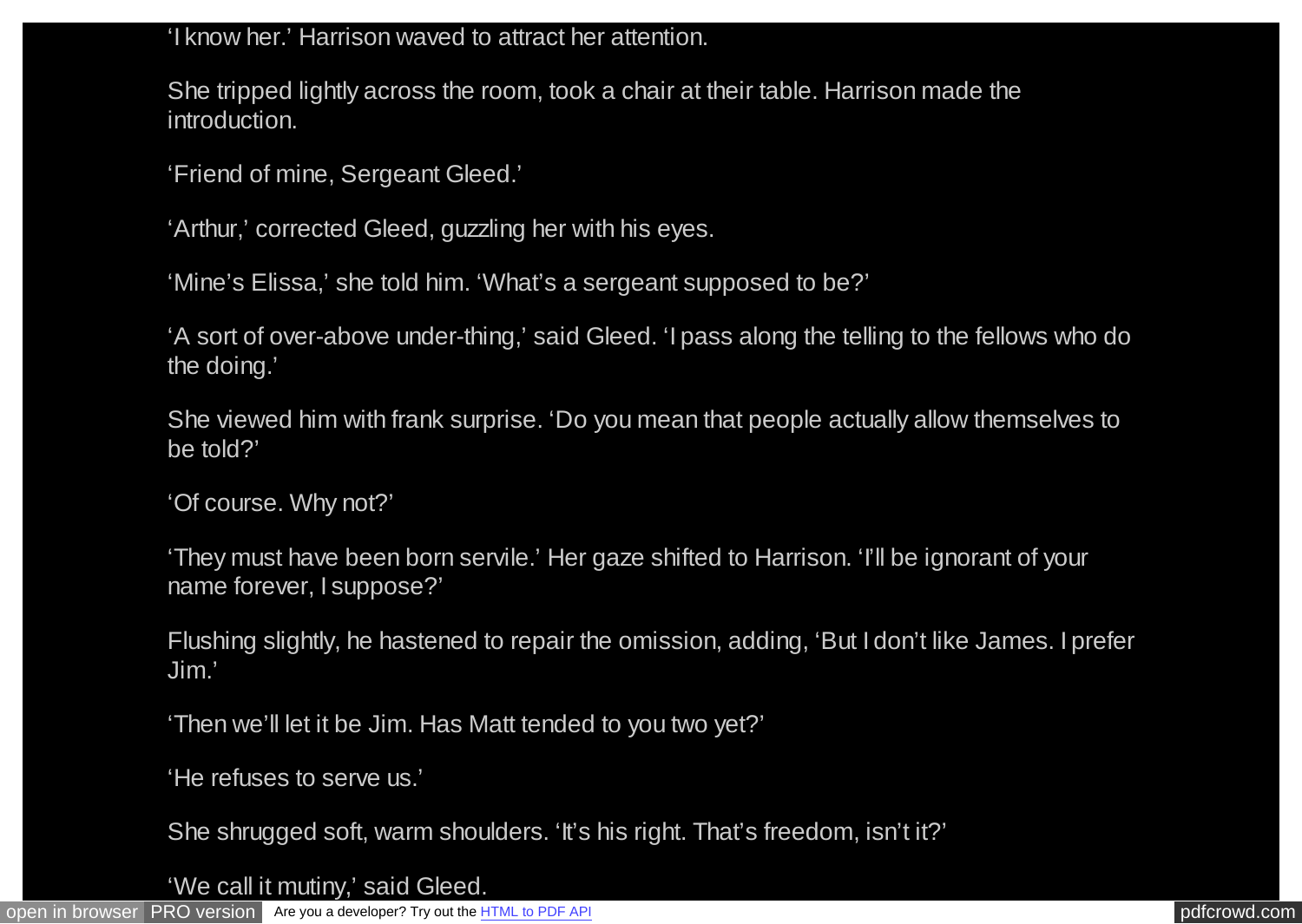#### 'I know her.' Harrison waved to attract her attention.

She tripped lightly across the room, took a chair at their table. Harrison made the introduction.

'Friend of mine, Sergeant Gleed.'

'Arthur,' corrected Gleed, guzzling her with his eyes.

'Mine's Elissa,' she told him. 'What's a sergeant supposed to be?'

'A sort of over-above under-thing,' said Gleed. 'I pass along the telling to the fellows who do the doing.'

She viewed him with frank surprise. 'Do you mean that people actually allow themselves to be told?'

'Of course. Why not?'

'They must have been born servile.' Her gaze shifted to Harrison. 'I'll be ignorant of your name forever, I suppose?'

Flushing slightly, he hastened to repair the omission, adding, 'But I don't like James. I prefer Jim.'

'Then we'll let it be Jim. Has Matt tended to you two yet?'

'He refuses to serve us.'

She shrugged soft, warm shoulders. 'It's his right. That's freedom, isn't it?'

'We call it mutiny,' said Gleed.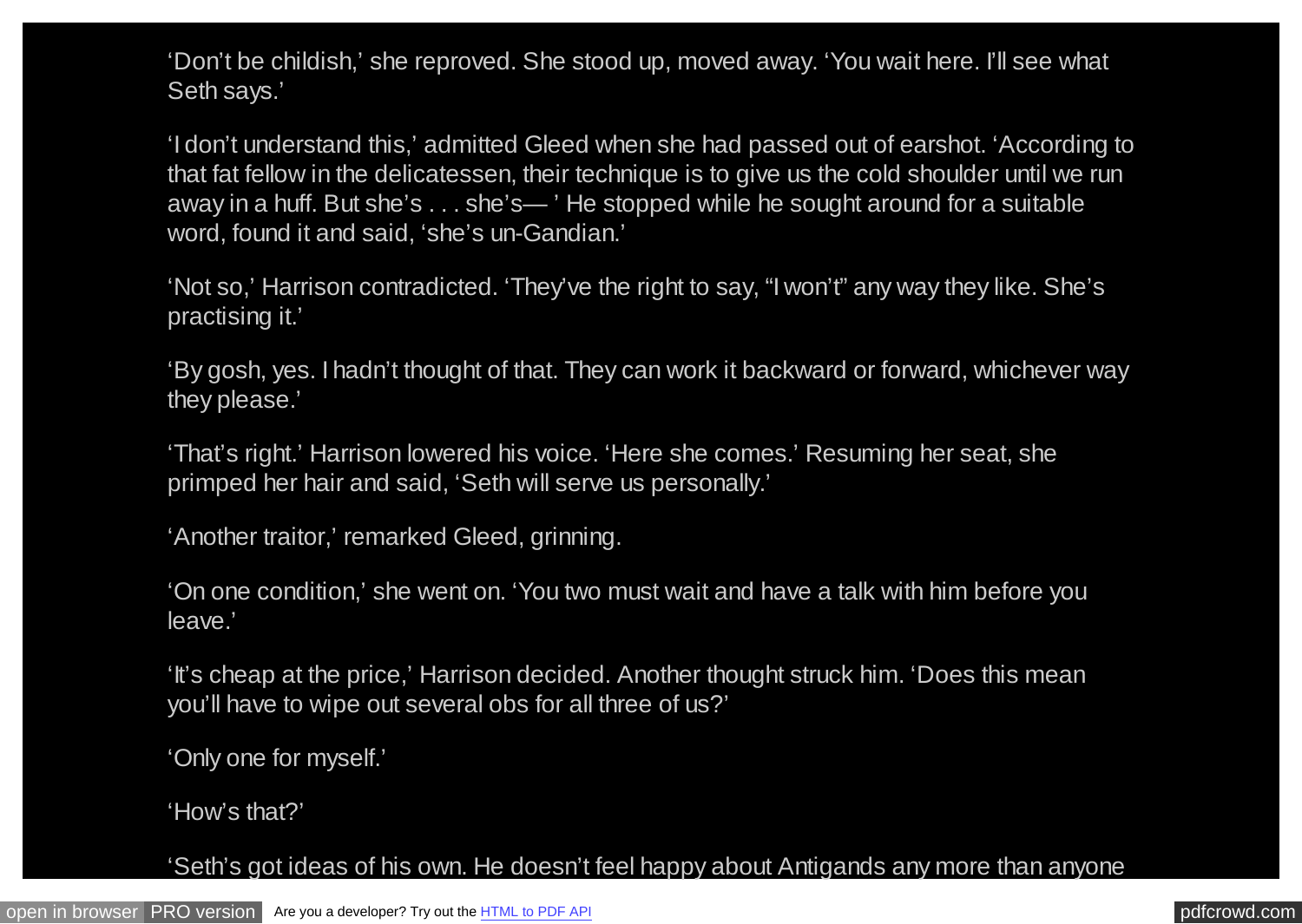'Don't be childish,' she reproved. She stood up, moved away. 'You wait here. I'll see what Seth says.'

'I don't understand this,' admitted Gleed when she had passed out of earshot. 'According to that fat fellow in the delicatessen, their technique is to give us the cold shoulder until we run away in a huff. But she's . . . she's— ' He stopped while he sought around for a suitable word, found it and said, 'she's un-Gandian.'

'Not so,' Harrison contradicted. 'They've the right to say, "I won't" any way they like. She's practising it.'

'By gosh, yes. I hadn't thought of that. They can work it backward or forward, whichever way they please.'

'That's right.' Harrison lowered his voice. 'Here she comes.' Resuming her seat, she primped her hair and said, 'Seth will serve us personally.'

'Another traitor,' remarked Gleed, grinning.

'On one condition,' she went on. 'You two must wait and have a talk with him before you leave.'

'It's cheap at the price,' Harrison decided. Another thought struck him. 'Does this mean you'll have to wipe out several obs for all three of us?'

'Only one for myself.'

'How's that?'

# 'Seth's got ideas of his own. He doesn't feel happy about Antigands any more than anyone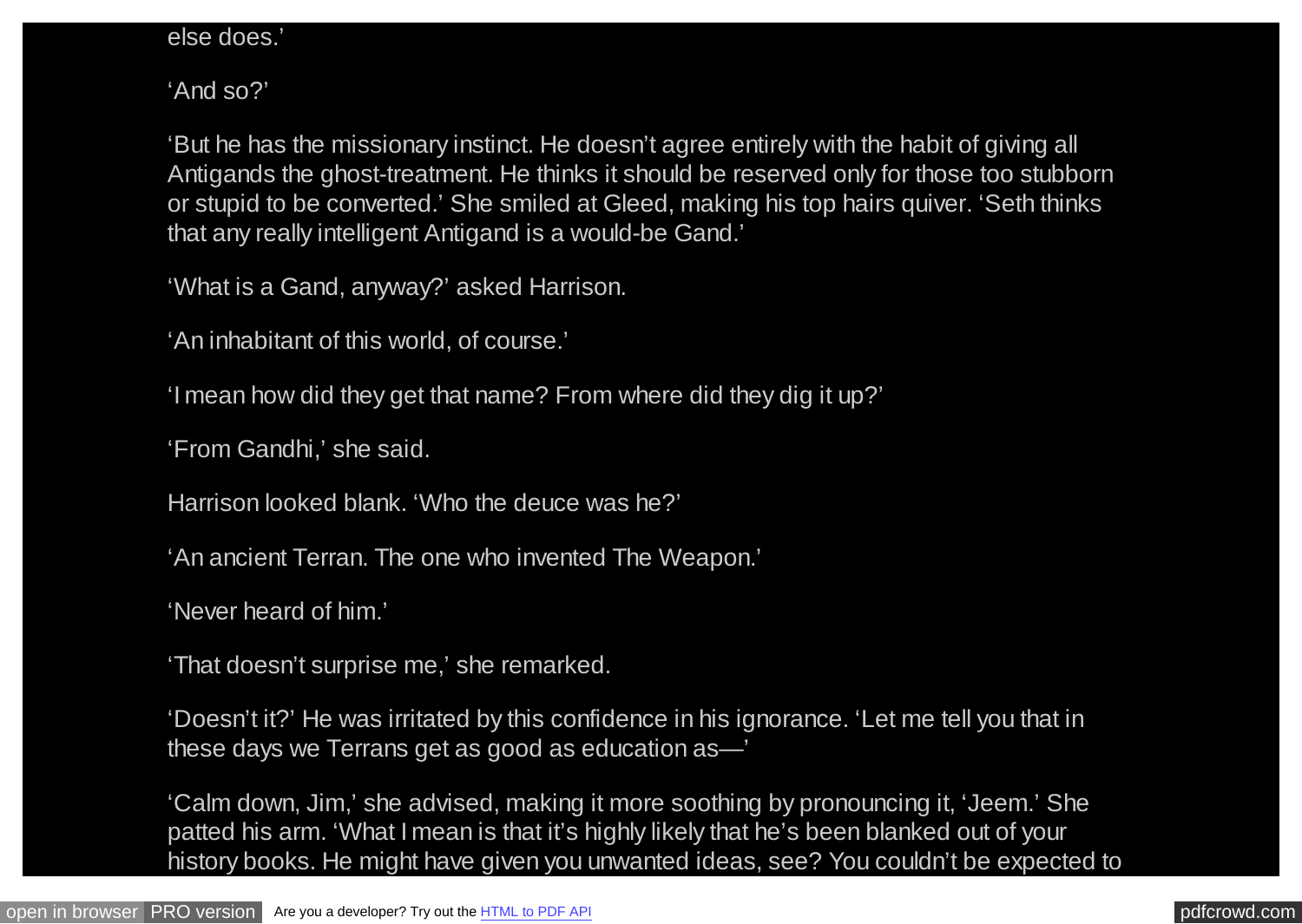else does.'

'And so?'

'But he has the missionary instinct. He doesn't agree entirely with the habit of giving all Antigands the ghost-treatment. He thinks it should be reserved only for those too stubborn or stupid to be converted.' She smiled at Gleed, making his top hairs quiver. 'Seth thinks that any really intelligent Antigand is a would-be Gand.'

'What is a Gand, anyway?' asked Harrison.

'An inhabitant of this world, of course.'

'I mean how did they get that name? From where did they dig it up?'

'From Gandhi,' she said.

Harrison looked blank. 'Who the deuce was he?'

'An ancient Terran. The one who invented The Weapon.'

'Never heard of him.'

'That doesn't surprise me,' she remarked.

'Doesn't it?' He was irritated by this confidence in his ignorance. 'Let me tell you that in these days we Terrans get as good as education as—'

'Calm down, Jim,' she advised, making it more soothing by pronouncing it, 'Jeem.' She patted his arm. 'What I mean is that it's highly likely that he's been blanked out of your history books. He might have given you unwanted ideas, see? You couldn't be expected to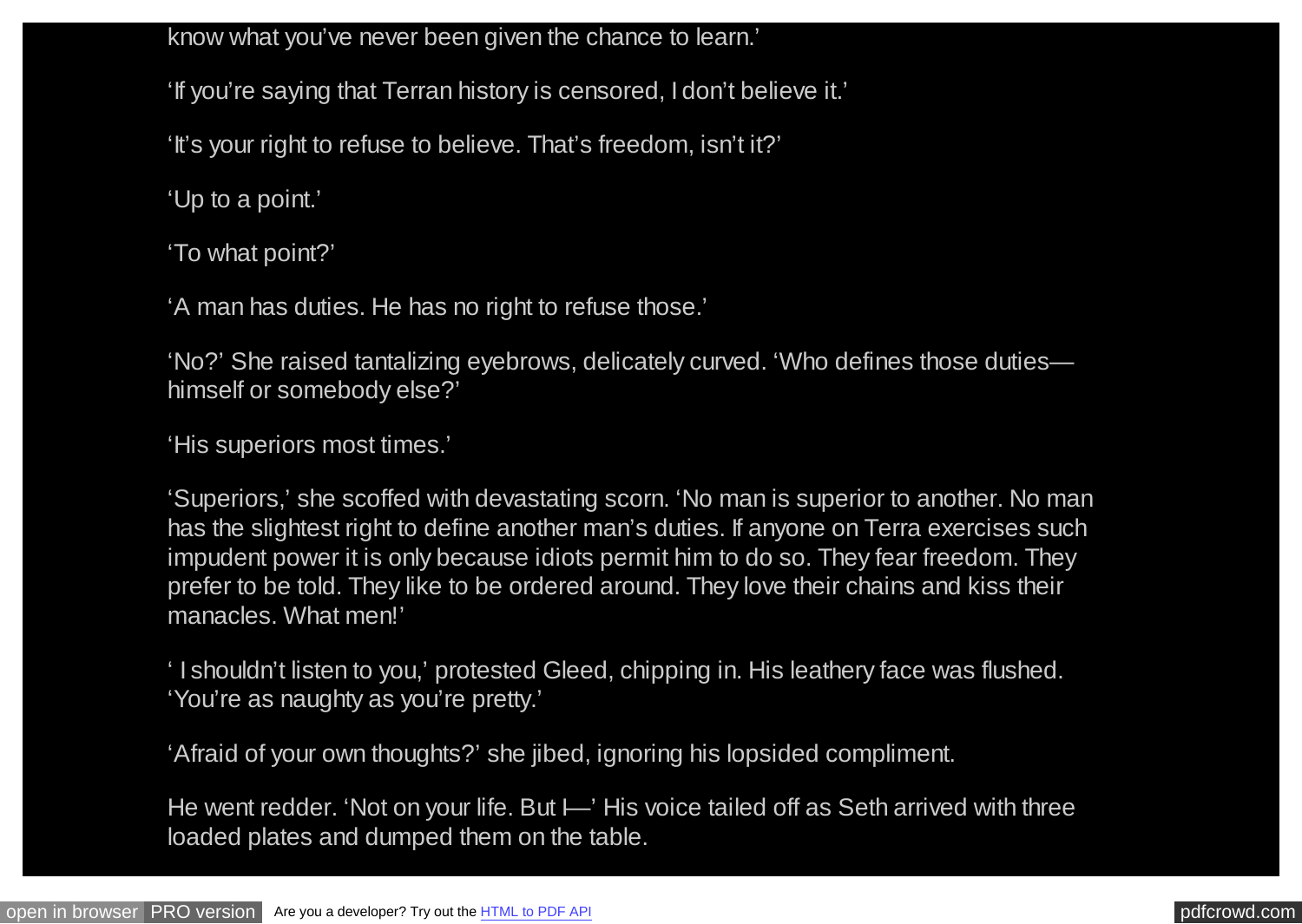#### know what you've never been given the chance to learn.'

'If you're saying that Terran history is censored, I don't believe it.'

'It's your right to refuse to believe. That's freedom, isn't it?'

'Up to a point.'

'To what point?'

'A man has duties. He has no right to refuse those.'

'No?' She raised tantalizing eyebrows, delicately curved. 'Who defines those duties himself or somebody else?'

'His superiors most times.'

'Superiors,' she scoffed with devastating scorn. 'No man is superior to another. No man has the slightest right to define another man's duties. If anyone on Terra exercises such impudent power it is only because idiots permit him to do so. They fear freedom. They prefer to be told. They like to be ordered around. They love their chains and kiss their manacles. What men!'

' I shouldn't listen to you,' protested Gleed, chipping in. His leathery face was flushed. 'You're as naughty as you're pretty.'

'Afraid of your own thoughts?' she jibed, ignoring his lopsided compliment.

He went redder. 'Not on your life. But  $H$  His voice tailed off as Seth arrived with three loaded plates and dumped them on the table.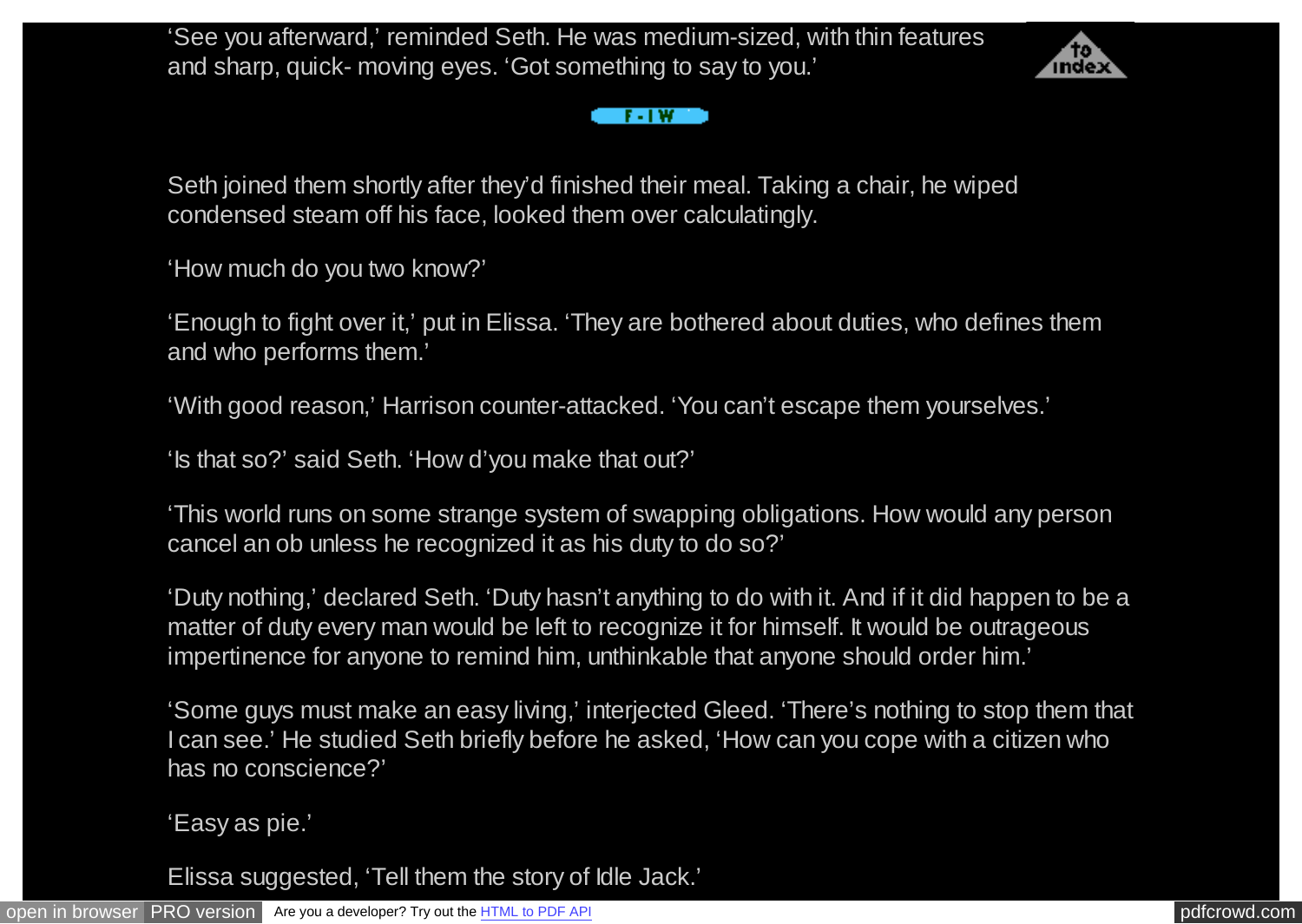'See you afterward,' reminded Seth. He was medium-sized, with thin features and sharp, quick- moving eyes. 'Got something to say to you.'



 $F - I W$ 

Seth joined them shortly after they'd finished their meal. Taking a chair, he wiped condensed steam off his face, looked them over calculatingly.

'How much do you two know?'

'Enough to fight over it,' put in Elissa. 'They are bothered about duties, who defines them and who performs them.'

'With good reason,' Harrison counter-attacked. 'You can't escape them yourselves.'

'Is that so?' said Seth. 'How d'you make that out?'

'This world runs on some strange system of swapping obligations. How would any person cancel an ob unless he recognized it as his duty to do so?'

'Duty nothing,' declared Seth. 'Duty hasn't anything to do with it. And if it did happen to be a matter of duty every man would be left to recognize it for himself. It would be outrageous impertinence for anyone to remind him, unthinkable that anyone should order him.'

'Some guys must make an easy living,' interjected Gleed. 'There's nothing to stop them that I can see.' He studied Seth briefly before he asked, 'How can you cope with a citizen who has no conscience?'

'Easy as pie.'

Elissa suggested, 'Tell them the story of Idle Jack.'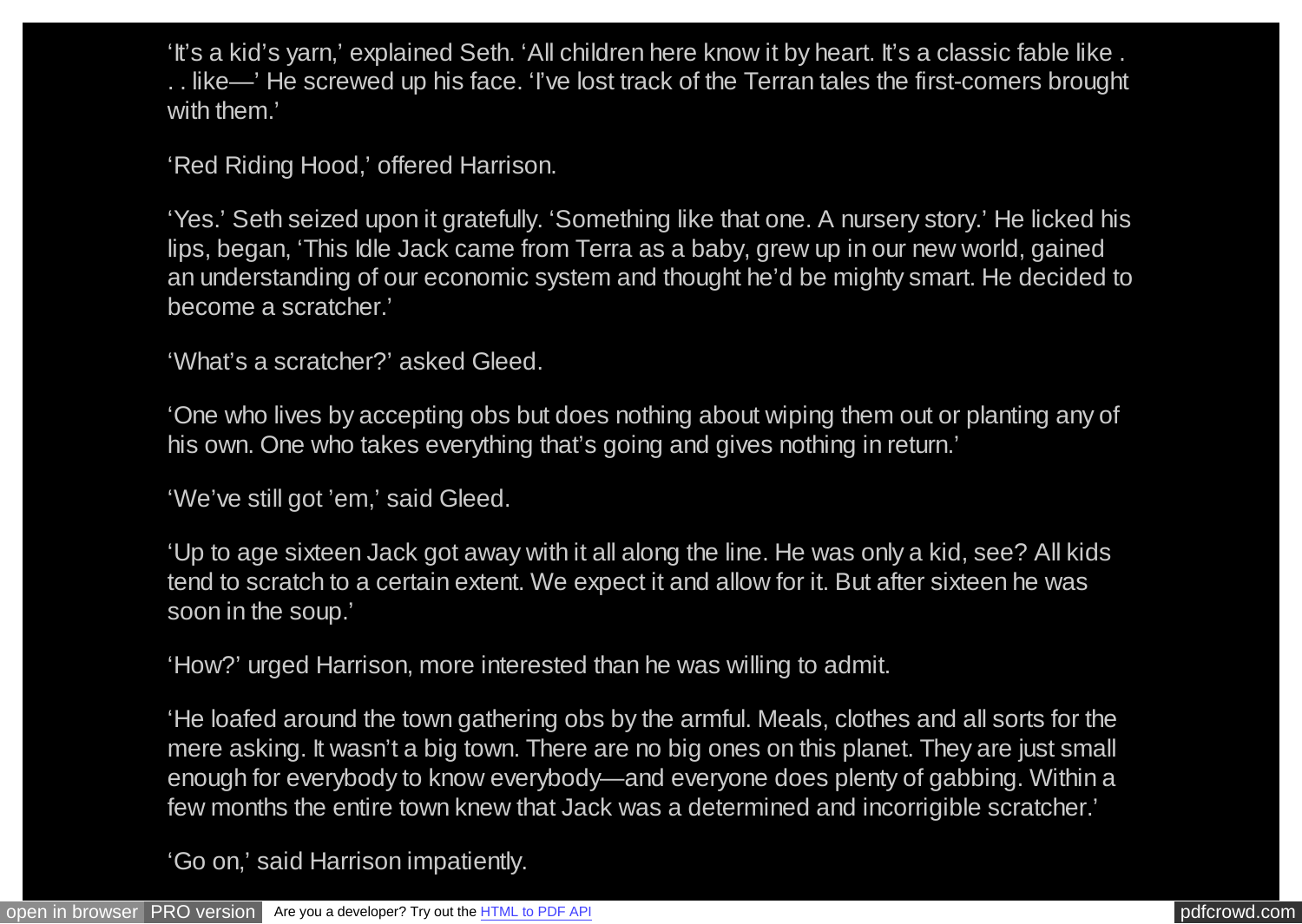'It's a kid's yarn,' explained Seth. 'All children here know it by heart. It's a classic fable like. . . like—' He screwed up his face. 'I've lost track of the Terran tales the first-comers brought with them.'

'Red Riding Hood,' offered Harrison.

'Yes.' Seth seized upon it gratefully. 'Something like that one. A nursery story.' He licked his lips, began, 'This Idle Jack came from Terra as a baby, grew up in our new world, gained an understanding of our economic system and thought he'd be mighty smart. He decided to become a scratcher.'

'What's a scratcher?' asked Gleed.

'One who lives by accepting obs but does nothing about wiping them out or planting any of his own. One who takes everything that's going and gives nothing in return.'

'We've still got 'em,' said Gleed.

'Up to age sixteen Jack got away with it all along the line. He was only a kid, see? All kids tend to scratch to a certain extent. We expect it and allow for it. But after sixteen he was soon in the soup.'

'How?' urged Harrison, more interested than he was willing to admit.

'He loafed around the town gathering obs by the armful. Meals, clothes and all sorts for the mere asking. It wasn't a big town. There are no big ones on this planet. They are just small enough for everybody to know everybody—and everyone does plenty of gabbing. Within a few months the entire town knew that Jack was a determined and incorrigible scratcher.'

'Go on,' said Harrison impatiently.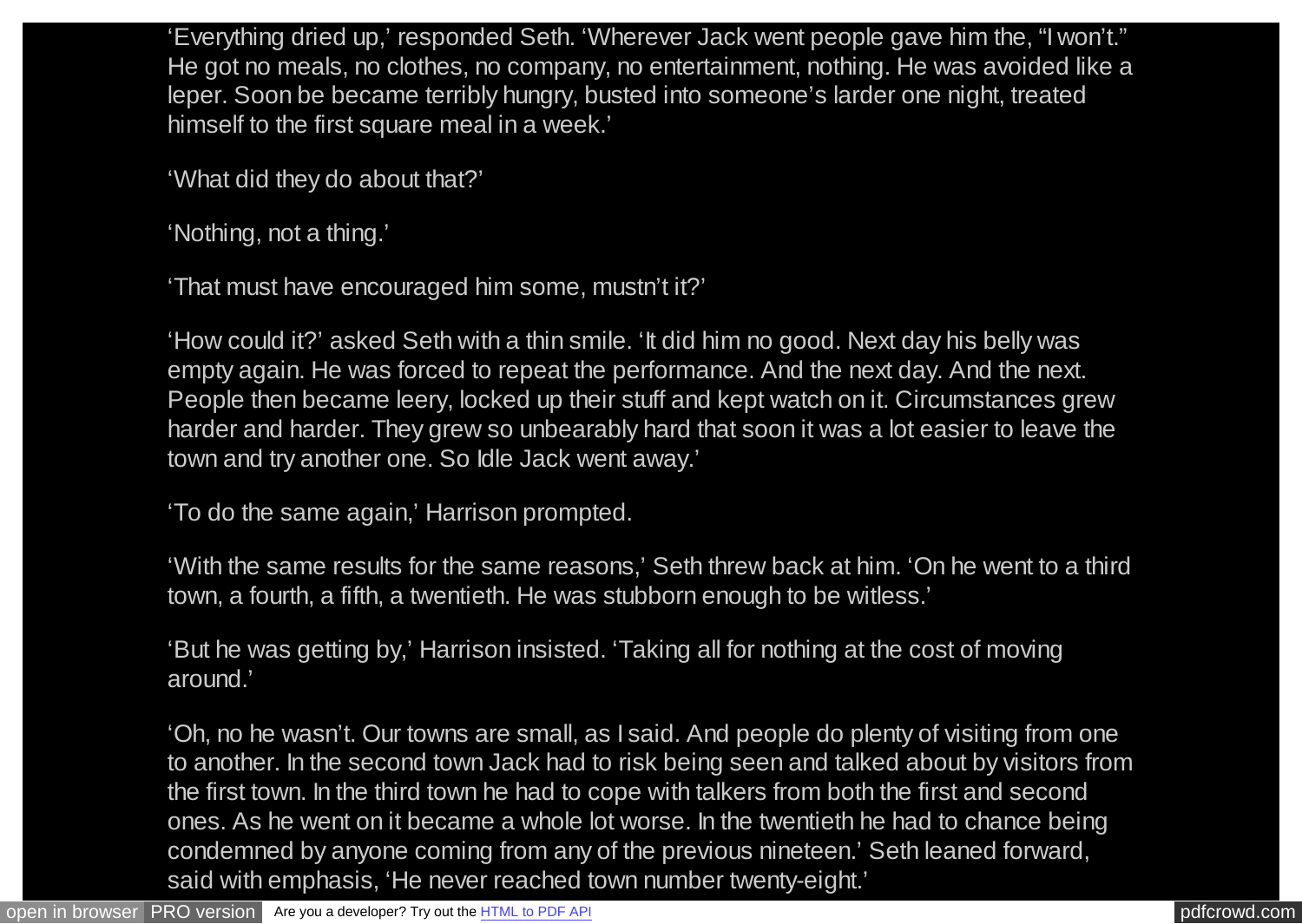'Everything dried up,' responded Seth. 'Wherever Jack went people gave him the, "I won't." He got no meals, no clothes, no company, no entertainment, nothing. He was avoided like a leper. Soon be became terribly hungry, busted into someone's larder one night, treated himself to the first square meal in a week.'

'What did they do about that?'

'Nothing, not a thing.'

'That must have encouraged him some, mustn't it?'

'How could it?' asked Seth with a thin smile. 'It did him no good. Next day his belly was empty again. He was forced to repeat the performance. And the next day. And the next. People then became leery, locked up their stuff and kept watch on it. Circumstances grew harder and harder. They grew so unbearably hard that soon it was a lot easier to leave the town and try another one. So Idle Jack went away.'

'To do the same again,' Harrison prompted.

'With the same results for the same reasons,' Seth threw back at him. 'On he went to a third town, a fourth, a fifth, a twentieth. He was stubborn enough to be witless.'

'But he was getting by,' Harrison insisted. 'Taking all for nothing at the cost of moving around.'

'Oh, no he wasn't. Our towns are small, as I said. And people do plenty of visiting from one to another. In the second town Jack had to risk being seen and talked about by visitors from the first town. In the third town he had to cope with talkers from both the first and second ones. As he went on it became a whole lot worse. In the twentieth he had to chance being condemned by anyone coming from any of the previous nineteen.' Seth leaned forward, said with emphasis, 'He never reached town number twenty-eight.'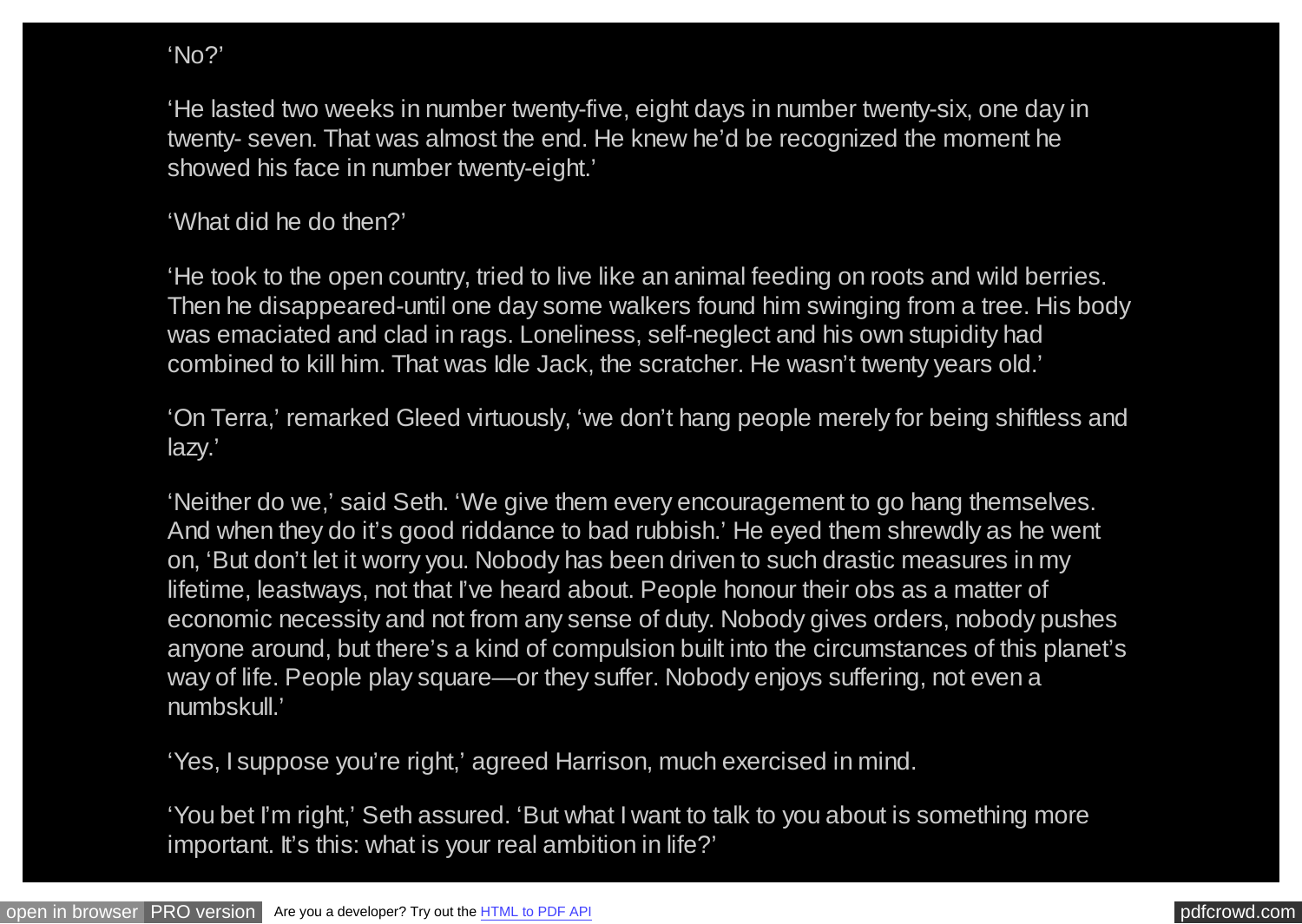#### 'No?'

'He lasted two weeks in number twenty-five, eight days in number twenty-six, one day in twenty- seven. That was almost the end. He knew he'd be recognized the moment he showed his face in number twenty-eight.'

'What did he do then?'

'He took to the open country, tried to live like an animal feeding on roots and wild berries. Then he disappeared-until one day some walkers found him swinging from a tree. His body was emaciated and clad in rags. Loneliness, self-neglect and his own stupidity had combined to kill him. That was Idle Jack, the scratcher. He wasn't twenty years old.'

'On Terra,' remarked Gleed virtuously, 'we don't hang people merely for being shiftless and lazy.'

'Neither do we,' said Seth. 'We give them every encouragement to go hang themselves. And when they do it's good riddance to bad rubbish.' He eyed them shrewdly as he went on, 'But don't let it worry you. Nobody has been driven to such drastic measures in my lifetime, leastways, not that I've heard about. People honour their obs as a matter of economic necessity and not from any sense of duty. Nobody gives orders, nobody pushes anyone around, but there's a kind of compulsion built into the circumstances of this planet's way of life. People play square—or they suffer. Nobody enjoys suffering, not even a numbskull.'

'Yes, I suppose you're right,' agreed Harrison, much exercised in mind.

'You bet I'm right,' Seth assured. 'But what I want to talk to you about is something more important. It's this: what is your real ambition in life?'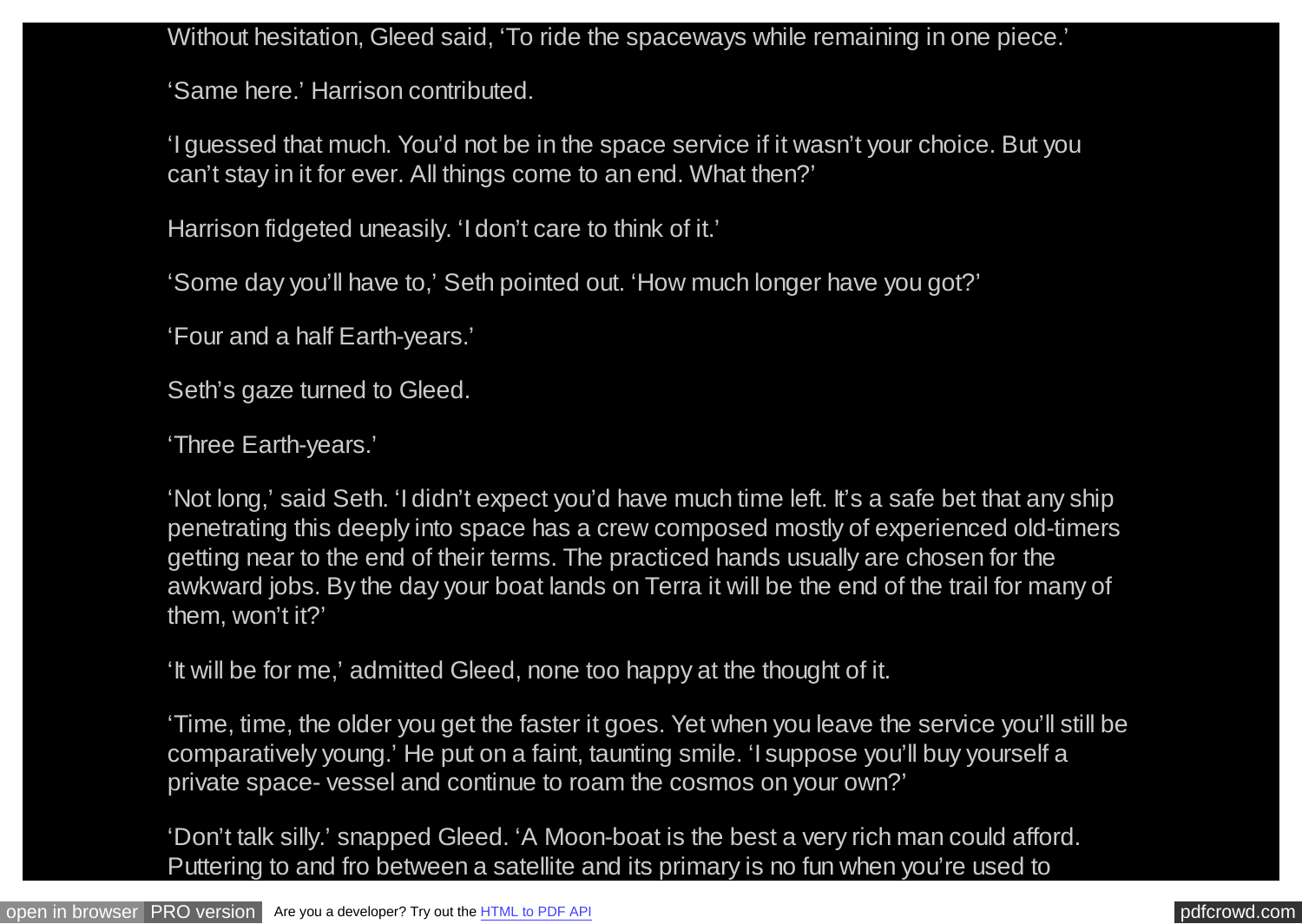Without hesitation, Gleed said, 'To ride the spaceways while remaining in one piece.'

'Same here.' Harrison contributed.

'I guessed that much. You'd not be in the space service if it wasn't your choice. But you can't stay in it for ever. All things come to an end. What then?'

Harrison fidgeted uneasily. 'I don't care to think of it.'

'Some day you'll have to,' Seth pointed out. 'How much longer have you got?'

'Four and a half Earth-years.'

Seth's gaze turned to Gleed.

'Three Earth-years.'

'Not long,' said Seth. 'I didn't expect you'd have much time left. It's a safe bet that any ship penetrating this deeply into space has a crew composed mostly of experienced old-timers getting near to the end of their terms. The practiced hands usually are chosen for the awkward jobs. By the day your boat lands on Terra it will be the end of the trail for many of them, won't it?'

'It will be for me,' admitted Gleed, none too happy at the thought of it.

'Time, time, the older you get the faster it goes. Yet when you leave the service you'll still be comparatively young.' He put on a faint, taunting smile. 'I suppose you'll buy yourself a private space- vessel and continue to roam the cosmos on your own?'

'Don't talk silly.' snapped Gleed. 'A Moon-boat is the best a very rich man could afford. Puttering to and fro between a satellite and its primary is no fun when you're used to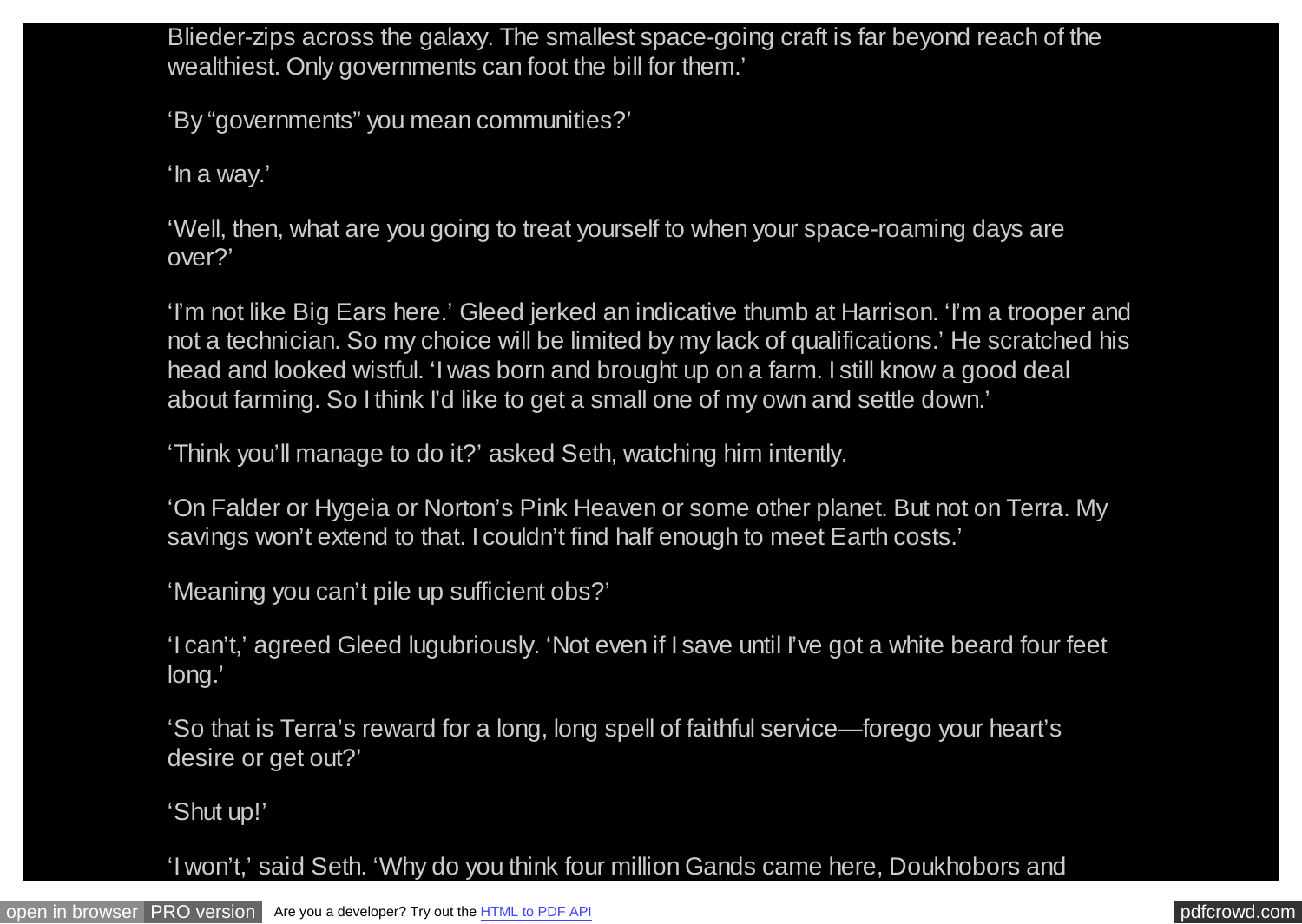Blieder-zips across the galaxy. The smallest space-going craft is far beyond reach of the wealthiest. Only governments can foot the bill for them.'

'By "governments" you mean communities?'

'In a way.'

'Well, then, what are you going to treat yourself to when your space-roaming days are over?'

'I'm not like Big Ears here.' Gleed jerked an indicative thumb at Harrison. 'I'm a trooper and not a technician. So my choice will be limited by my lack of qualifications.' He scratched his head and looked wistful. 'I was born and brought up on a farm. I still know a good deal about farming. So I think I'd like to get a small one of my own and settle down.'

'Think you'll manage to do it?' asked Seth, watching him intently.

'On Falder or Hygeia or Norton's Pink Heaven or some other planet. But not on Terra. My savings won't extend to that. I couldn't find half enough to meet Earth costs.'

'Meaning you can't pile up sufficient obs?'

'I can't,' agreed Gleed lugubriously. 'Not even if I save until I've got a white beard four feet long.'

'So that is Terra's reward for a long, long spell of faithful service—forego your heart's desire or get out?'

'Shut up!'

# 'I won't,' said Seth. 'Why do you think four million Gands came here, Doukhobors and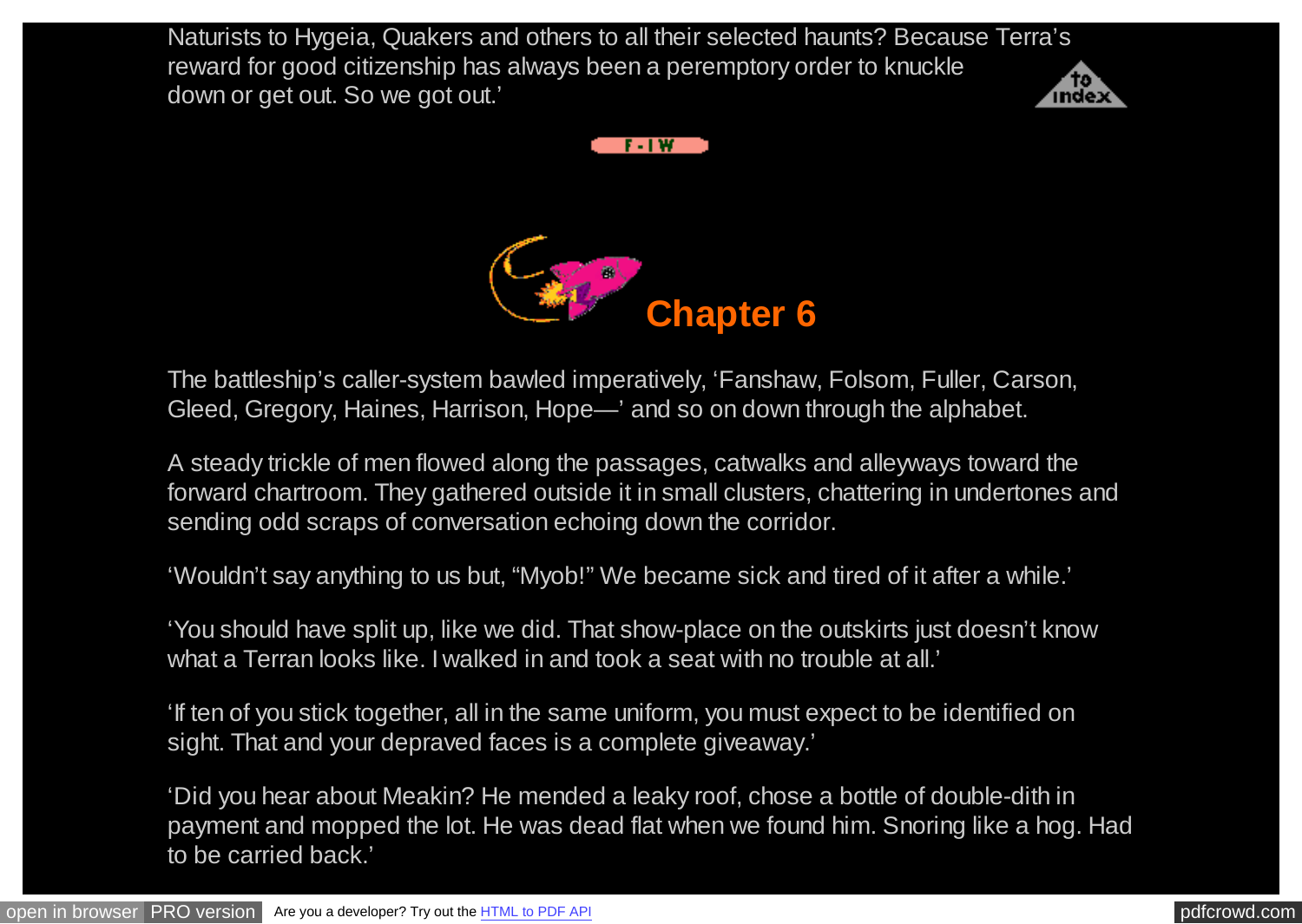Naturists to Hygeia, Quakers and others to all their selected haunts? Because Terra's reward for good citizenship has always been a peremptory order to knuckle down or get out. So we got out.'





The battleship's caller-system bawled imperatively, 'Fanshaw, Folsom, Fuller, Carson, Gleed, Gregory, Haines, Harrison, Hope—' and so on down through the alphabet.

A steady trickle of men flowed along the passages, catwalks and alleyways toward the forward chartroom. They gathered outside it in small clusters, chattering in undertones and sending odd scraps of conversation echoing down the corridor.

'Wouldn't say anything to us but, "Myob!" We became sick and tired of it after a while.'

'You should have split up, like we did. That show-place on the outskirts just doesn't know what a Terran looks like. I walked in and took a seat with no trouble at all.'

'If ten of you stick together, all in the same uniform, you must expect to be identified on sight. That and your depraved faces is a complete giveaway.'

'Did you hear about Meakin? He mended a leaky roof, chose a bottle of double-dith in payment and mopped the lot. He was dead flat when we found him. Snoring like a hog. Had to be carried back.'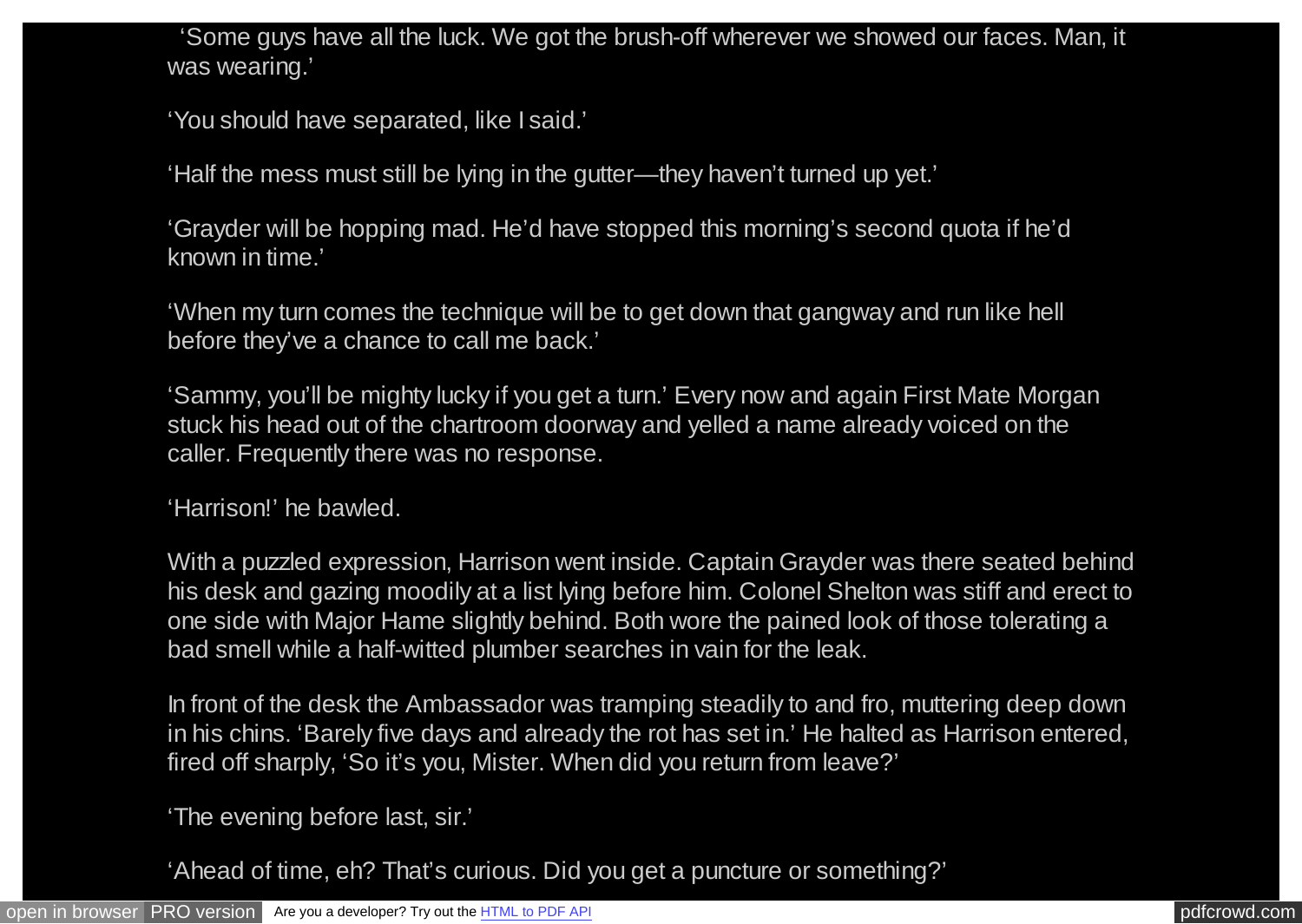'Some guys have all the luck. We got the brush-off wherever we showed our faces. Man, it was wearing.'

'You should have separated, like I said.'

'Half the mess must still be lying in the gutter—they haven't turned up yet.'

'Grayder will be hopping mad. He'd have stopped this morning's second quota if he'd known in time.'

'When my turn comes the technique will be to get down that gangway and run like hell before they've a chance to call me back.'

'Sammy, you'll be mighty lucky if you get a turn.' Every now and again First Mate Morgan stuck his head out of the chartroom doorway and yelled a name already voiced on the caller. Frequently there was no response.

'Harrison!' he bawled.

With a puzzled expression, Harrison went inside. Captain Grayder was there seated behind his desk and gazing moodily at a list lying before him. Colonel Shelton was stiff and erect to one side with Major Hame slightly behind. Both wore the pained look of those tolerating a bad smell while a half-witted plumber searches in vain for the leak.

In front of the desk the Ambassador was tramping steadily to and fro, muttering deep down in his chins. 'Barely five days and already the rot has set in.' He halted as Harrison entered, fired off sharply, 'So it's you, Mister. When did you return from leave?'

'The evening before last, sir.'

'Ahead of time, eh? That's curious. Did you get a puncture or something?'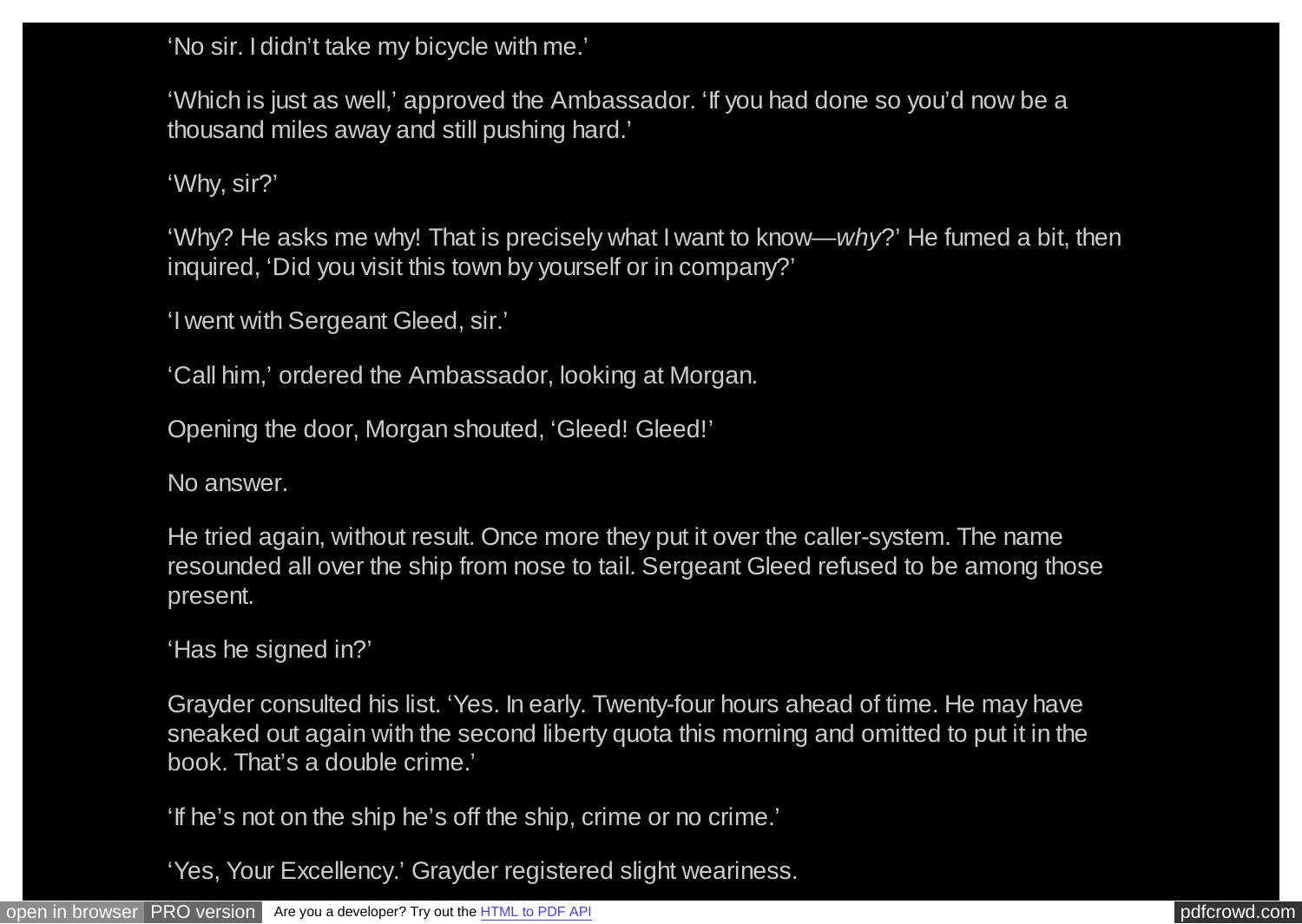'No sir. I didn't take my bicycle with me.'

'Which is just as well,' approved the Ambassador. 'If you had done so you'd now be a thousand miles away and still pushing hard.'

'Why, sir?'

'Why? He asks me why! That is precisely what I want to know—*why*?' He fumed a bit, then inquired, 'Did you visit this town by yourself or in company?'

'I went with Sergeant Gleed, sir.'

'Call him,' ordered the Ambassador, looking at Morgan.

Opening the door, Morgan shouted, 'Gleed! Gleed!'

No answer.

He tried again, without result. Once more they put it over the caller-system. The name resounded all over the ship from nose to tail. Sergeant Gleed refused to be among those present.

'Has he signed in?'

Grayder consulted his list. 'Yes. In early. Twenty-four hours ahead of time. He may have sneaked out again with the second liberty quota this morning and omitted to put it in the book. That's a double crime.'

'If he's not on the ship he's off the ship, crime or no crime.'

'Yes, Your Excellency.' Grayder registered slight weariness.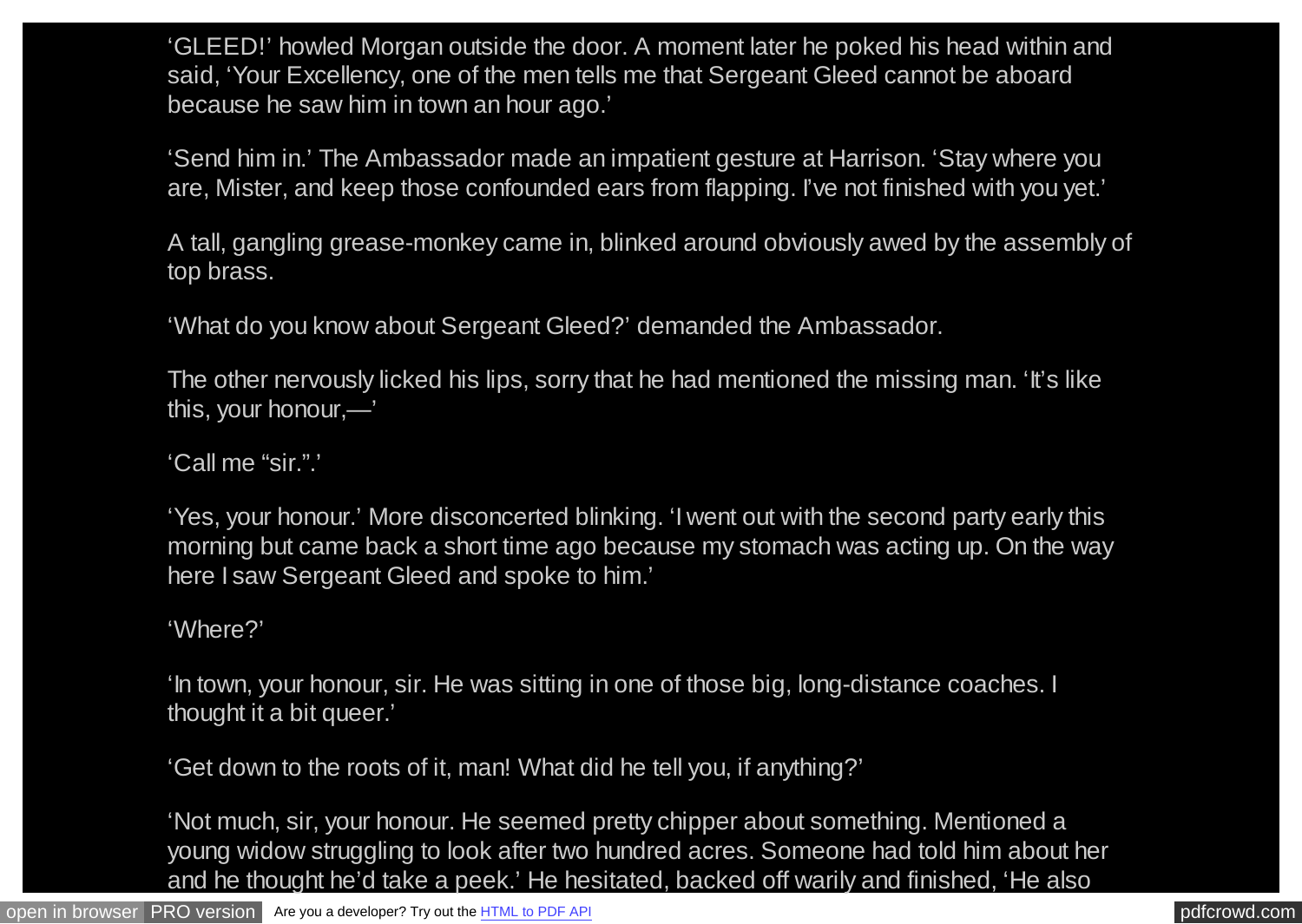'GLEED!' howled Morgan outside the door. A moment later he poked his head within and said, 'Your Excellency, one of the men tells me that Sergeant Gleed cannot be aboard because he saw him in town an hour ago.'

'Send him in.' The Ambassador made an impatient gesture at Harrison. 'Stay where you are, Mister, and keep those confounded ears from flapping. I've not finished with you yet.'

A tall, gangling grease-monkey came in, blinked around obviously awed by the assembly of top brass.

'What do you know about Sergeant Gleed?' demanded the Ambassador.

The other nervously licked his lips, sorry that he had mentioned the missing man. 'It's like this, your honour,—'

'Call me "sir.".'

'Yes, your honour.' More disconcerted blinking. 'I went out with the second party early this morning but came back a short time ago because my stomach was acting up. On the way here I saw Sergeant Gleed and spoke to him.'

'Where?'

'In town, your honour, sir. He was sitting in one of those big, long-distance coaches. I thought it a bit queer.'

'Get down to the roots of it, man! What did he tell you, if anything?'

'Not much, sir, your honour. He seemed pretty chipper about something. Mentioned a young widow struggling to look after two hundred acres. Someone had told him about her and he thought he'd take a peek.' He hesitated, backed off warily and finished, 'He also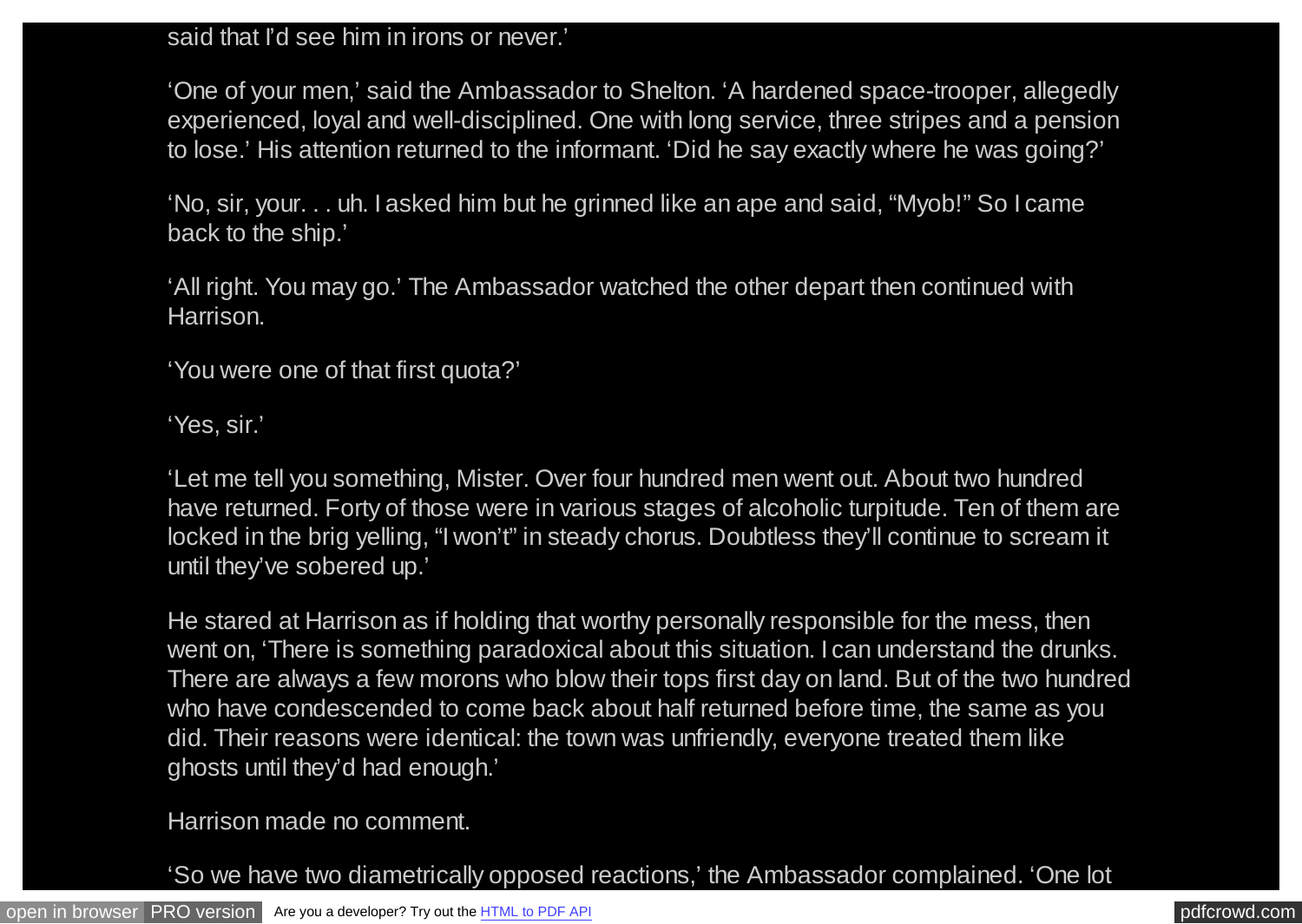#### said that I'd see him in irons or never.'

'One of your men,' said the Ambassador to Shelton. 'A hardened space-trooper, allegedly experienced, loyal and well-disciplined. One with long service, three stripes and a pension to lose.' His attention returned to the informant. 'Did he say exactly where he was going?'

'No, sir, your. . . uh. I asked him but he grinned like an ape and said, "Myob!" So I came back to the ship.'

'All right. You may go.' The Ambassador watched the other depart then continued with Harrison.

'You were one of that first quota?'

'Yes, sir.'

'Let me tell you something, Mister. Over four hundred men went out. About two hundred have returned. Forty of those were in various stages of alcoholic turpitude. Ten of them are locked in the brig yelling, "I won't" in steady chorus. Doubtless they'll continue to scream it until they've sobered up.'

He stared at Harrison as if holding that worthy personally responsible for the mess, then went on, 'There is something paradoxical about this situation. I can understand the drunks. There are always a few morons who blow their tops first day on land. But of the two hundred who have condescended to come back about half returned before time, the same as you did. Their reasons were identical: the town was unfriendly, everyone treated them like ghosts until they'd had enough.'

Harrison made no comment.

'So we have two diametrically opposed reactions,' the Ambassador complained. 'One lot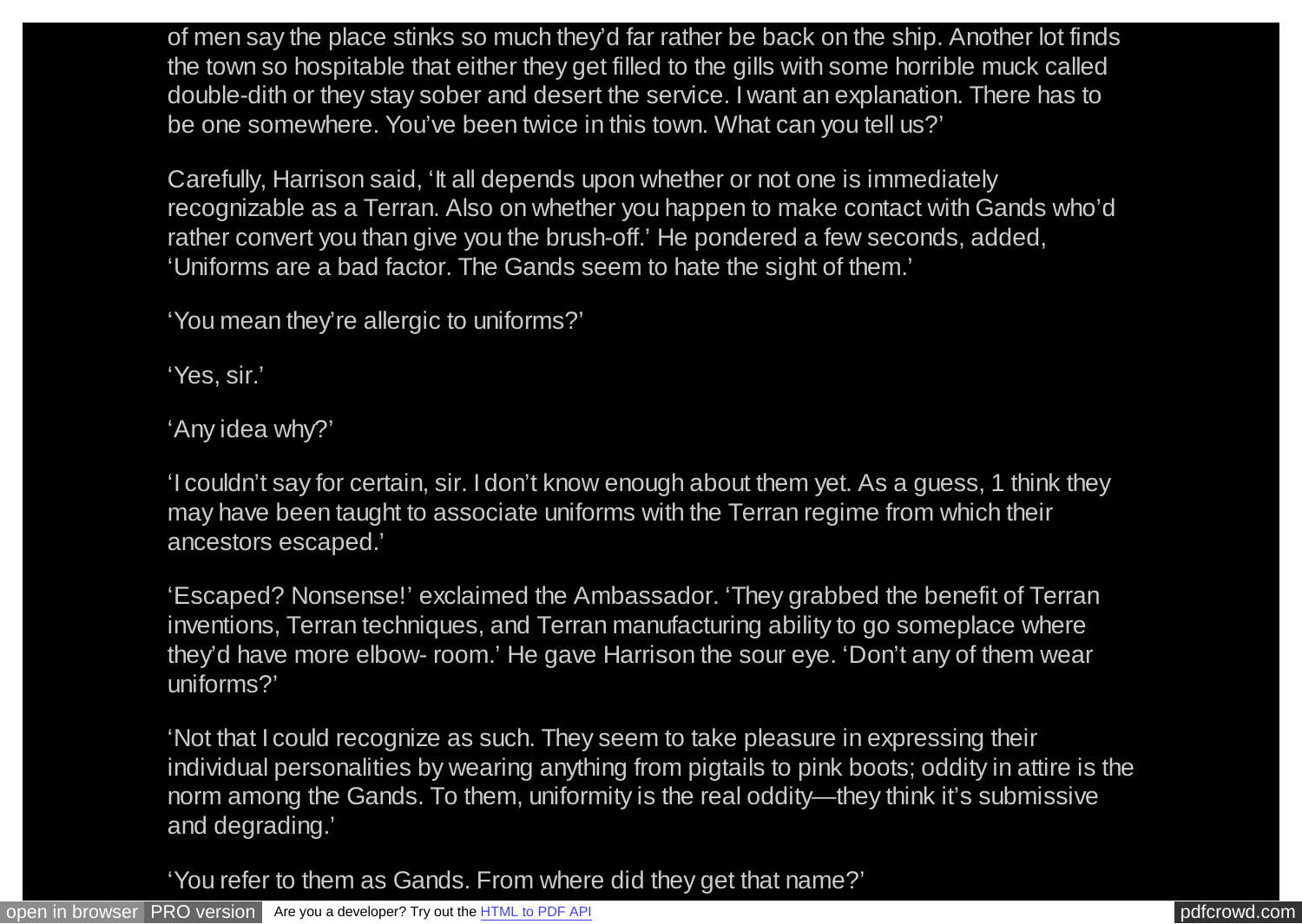of men say the place stinks so much they'd far rather be back on the ship. Another lot finds the town so hospitable that either they get filled to the gills with some horrible muck called double-dith or they stay sober and desert the service. I want an explanation. There has to be one somewhere. You've been twice in this town. What can you tell us?'

Carefully, Harrison said, 'It all depends upon whether or not one is immediately recognizable as a Terran. Also on whether you happen to make contact with Gands who'd rather convert you than give you the brush-off.' He pondered a few seconds, added, 'Uniforms are a bad factor. The Gands seem to hate the sight of them.'

'You mean they're allergic to uniforms?'

'Yes, sir.'

'Any idea why?'

'I couldn't say for certain, sir. I don't know enough about them yet. As a guess, 1 think they may have been taught to associate uniforms with the Terran regime from which their ancestors escaped.'

'Escaped? Nonsense!' exclaimed the Ambassador. 'They grabbed the benefit of Terran inventions, Terran techniques, and Terran manufacturing ability to go someplace where they'd have more elbow- room.' He gave Harrison the sour eye. 'Don't any of them wear uniforms?'

'Not that I could recognize as such. They seem to take pleasure in expressing their individual personalities by wearing anything from pigtails to pink boots; oddity in attire is the norm among the Gands. To them, uniformity is the real oddity—they think it's submissive and degrading.'

'You refer to them as Gands. From where did they get that name?'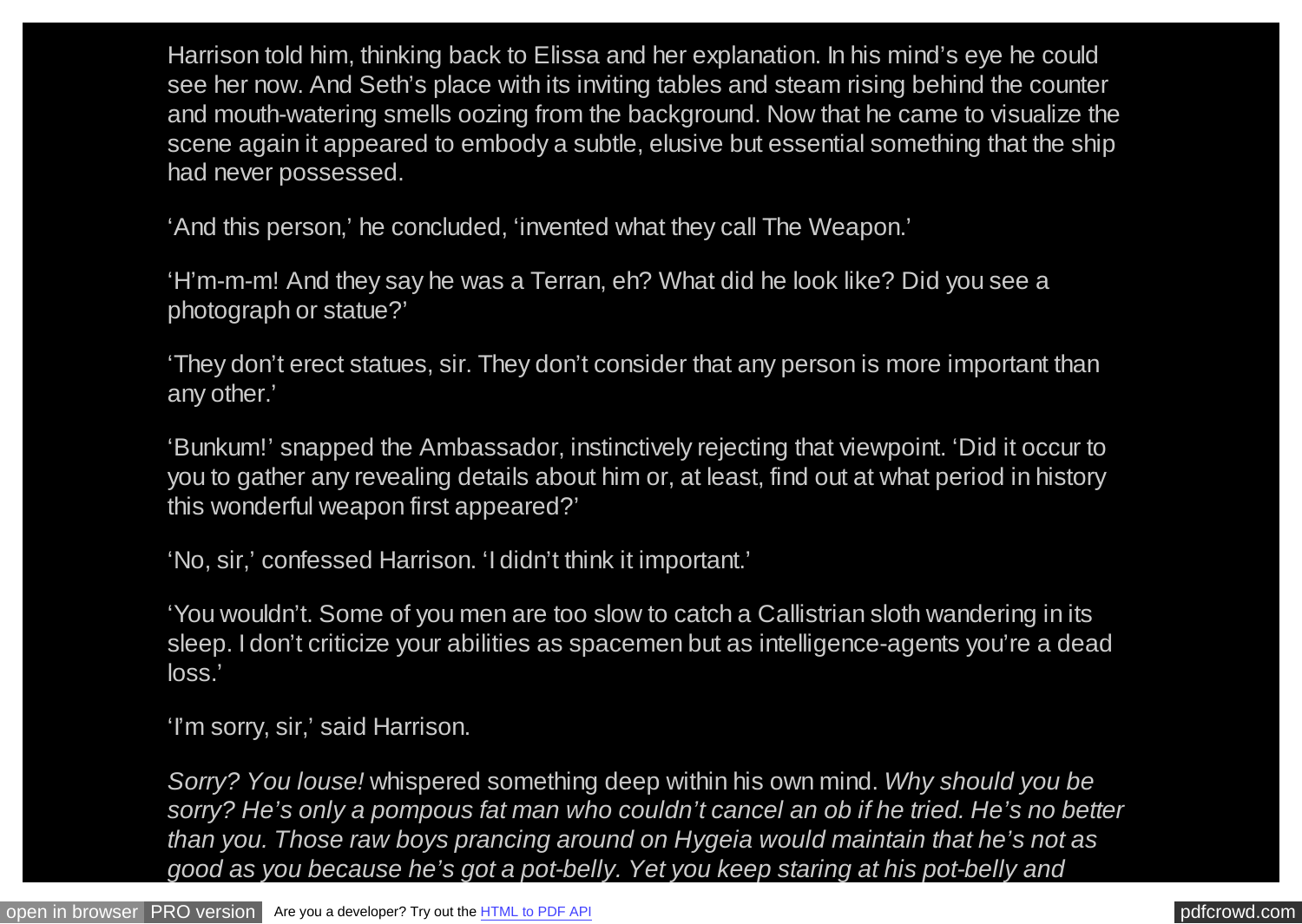Harrison told him, thinking back to Elissa and her explanation. In his mind's eye he could see her now. And Seth's place with its inviting tables and steam rising behind the counter and mouth-watering smells oozing from the background. Now that he came to visualize the scene again it appeared to embody a subtle, elusive but essential something that the ship had never possessed.

'And this person,' he concluded, 'invented what they call The Weapon.'

'H'm-m-m! And they say he was a Terran, eh? What did he look like? Did you see a photograph or statue?'

'They don't erect statues, sir. They don't consider that any person is more important than any other.'

'Bunkum!' snapped the Ambassador, instinctively rejecting that viewpoint. 'Did it occur to you to gather any revealing details about him or, at least, find out at what period in history this wonderful weapon first appeared?'

'No, sir,' confessed Harrison. 'I didn't think it important.'

'You wouldn't. Some of you men are too slow to catch a Callistrian sloth wandering in its sleep. I don't criticize your abilities as spacemen but as intelligence-agents you're a dead loss.'

'I'm sorry, sir,' said Harrison.

*Sorry? You louse!* whispered something deep within his own mind. *Why should you be sorry? He's only a pompous fat man who couldn't cancel an ob if he tried. He's no better than you. Those raw boys prancing around on Hygeia would maintain that he's not as good as you because he's got a pot-belly. Yet you keep staring at his pot-belly and*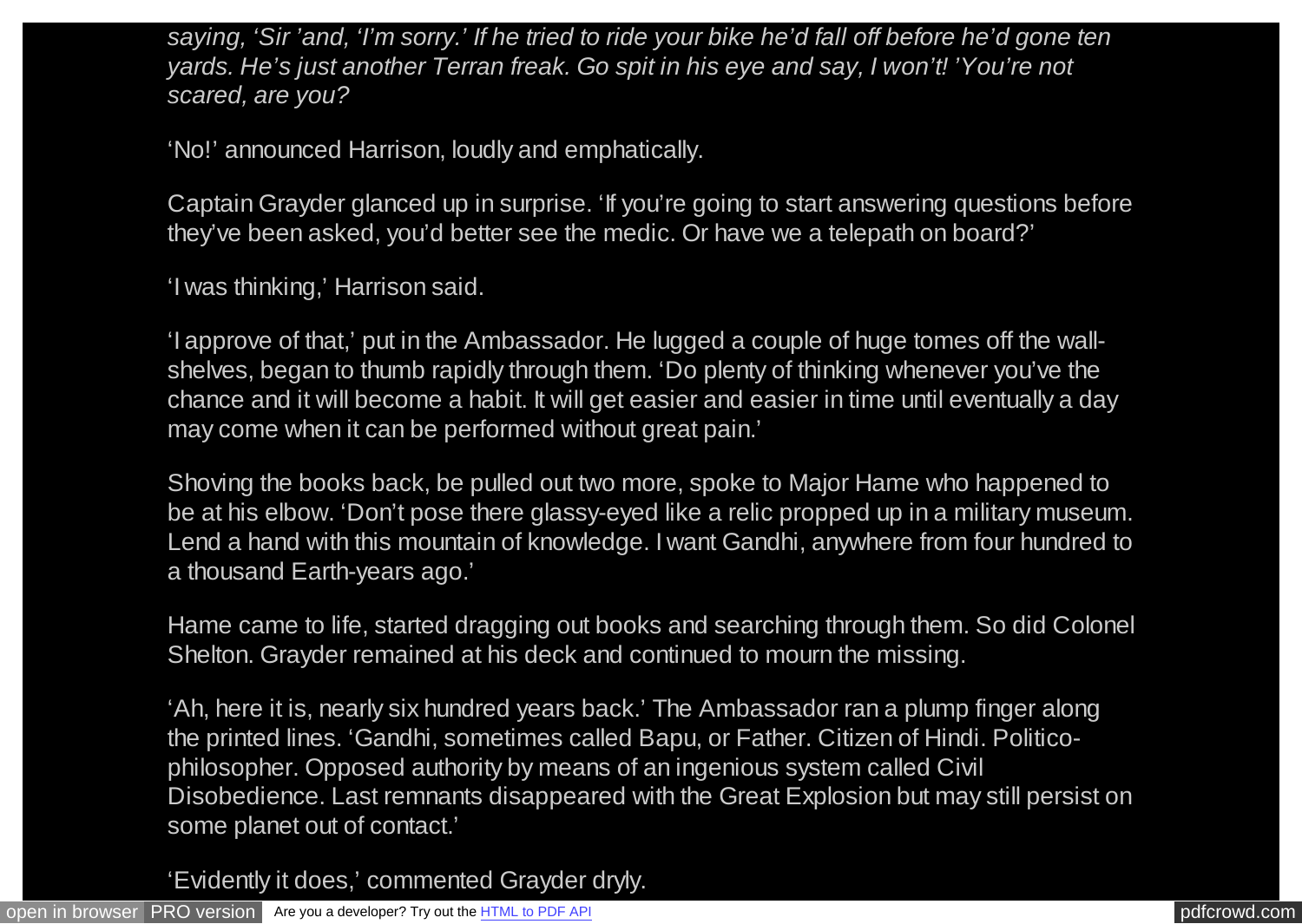*saying, 'Sir 'and, 'I'm sorry.' If he tried to ride your bike he'd fall off before he'd gone ten yards. He's just another Terran freak. Go spit in his eye and say, I won't! 'You're not scared, are you?*

'No!' announced Harrison, loudly and emphatically.

Captain Grayder glanced up in surprise. 'If you're going to start answering questions before they've been asked, you'd better see the medic. Or have we a telepath on board?'

'I was thinking,' Harrison said.

'I approve of that,' put in the Ambassador. He lugged a couple of huge tomes off the wallshelves, began to thumb rapidly through them. 'Do plenty of thinking whenever you've the chance and it will become a habit. It will get easier and easier in time until eventually a day may come when it can be performed without great pain.'

Shoving the books back, be pulled out two more, spoke to Major Hame who happened to be at his elbow. 'Don't pose there glassy-eyed like a relic propped up in a military museum. Lend a hand with this mountain of knowledge. I want Gandhi, anywhere from four hundred to a thousand Earth-years ago.'

Hame came to life, started dragging out books and searching through them. So did Colonel Shelton. Grayder remained at his deck and continued to mourn the missing.

'Ah, here it is, nearly six hundred years back.' The Ambassador ran a plump finger along the printed lines. 'Gandhi, sometimes called Bapu, or Father. Citizen of Hindi. Politicophilosopher. Opposed authority by means of an ingenious system called Civil Disobedience. Last remnants disappeared with the Great Explosion but may still persist on some planet out of contact.'

'Evidently it does,' commented Grayder dryly.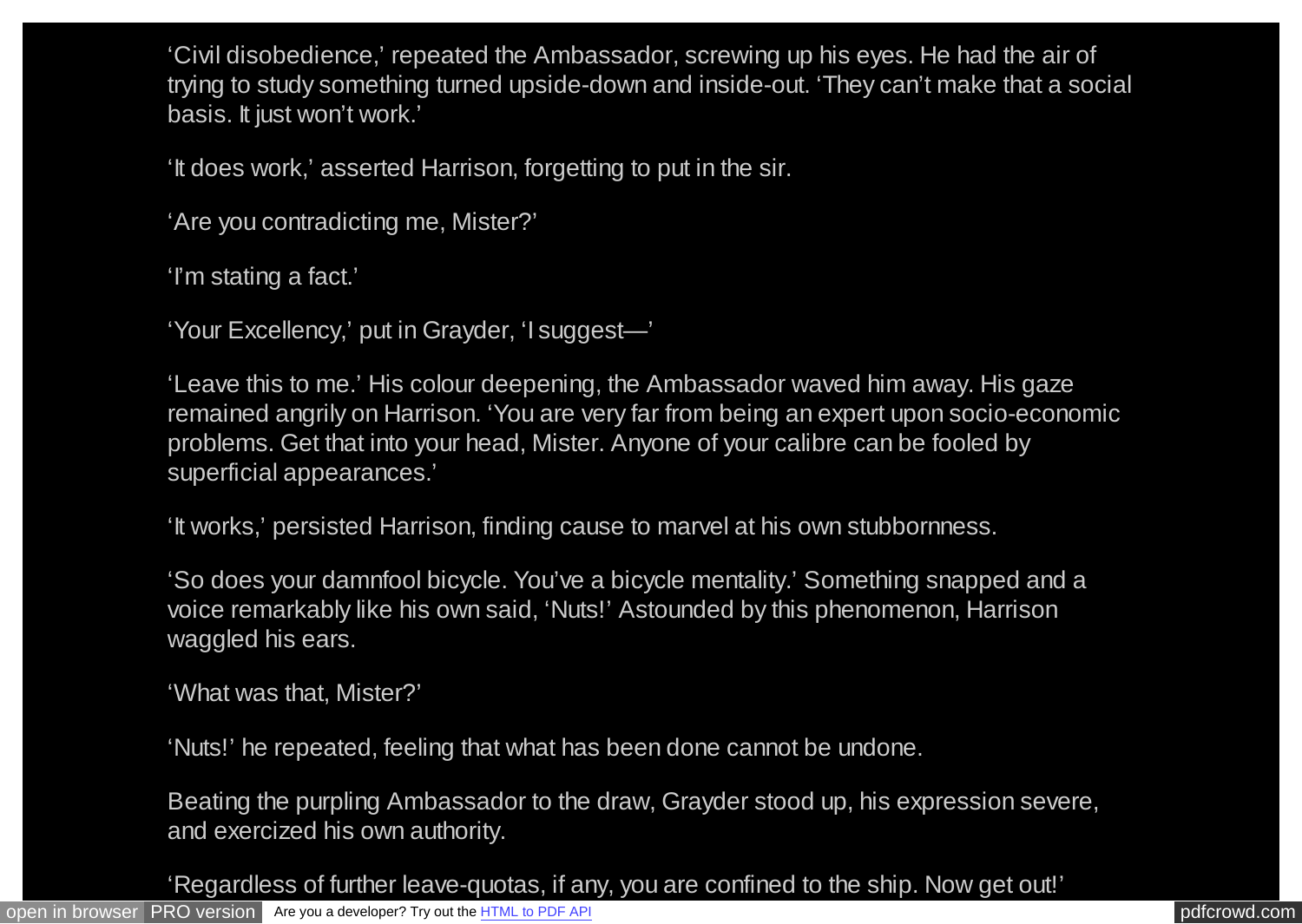'Civil disobedience,' repeated the Ambassador, screwing up his eyes. He had the air of trying to study something turned upside-down and inside-out. 'They can't make that a social basis. It just won't work.'

'It does work,' asserted Harrison, forgetting to put in the sir.

'Are you contradicting me, Mister?'

'I'm stating a fact.'

'Your Excellency,' put in Grayder, 'I suggest—'

'Leave this to me.' His colour deepening, the Ambassador waved him away. His gaze remained angrily on Harrison. 'You are very far from being an expert upon socio-economic problems. Get that into your head, Mister. Anyone of your calibre can be fooled by superficial appearances.'

'It works,' persisted Harrison, finding cause to marvel at his own stubbornness.

'So does your damnfool bicycle. You've a bicycle mentality.' Something snapped and a voice remarkably like his own said, 'Nuts!' Astounded by this phenomenon, Harrison waggled his ears.

'What was that, Mister?'

'Nuts!' he repeated, feeling that what has been done cannot be undone.

Beating the purpling Ambassador to the draw, Grayder stood up, his expression severe, and exercized his own authority.

'Regardless of further leave-quotas, if any, you are confined to the ship. Now get out!'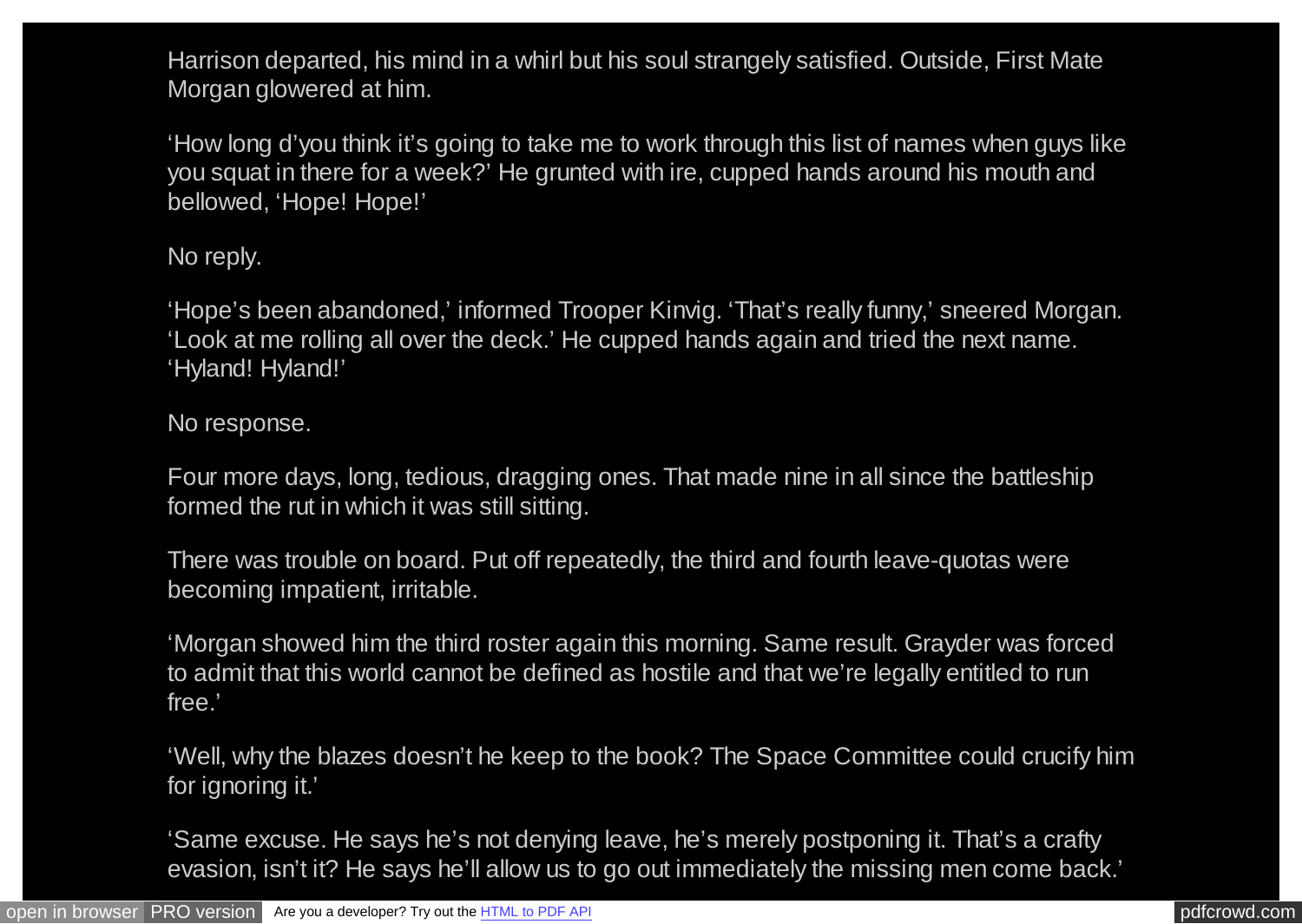Harrison departed, his mind in a whirl but his soul strangely satisfied. Outside, First Mate Morgan glowered at him.

'How long d'you think it's going to take me to work through this list of names when guys like you squat in there for a week?' He grunted with ire, cupped hands around his mouth and bellowed, 'Hope! Hope!'

No reply.

'Hope's been abandoned,' informed Trooper Kinvig. 'That's really funny,' sneered Morgan. 'Look at me rolling all over the deck.' He cupped hands again and tried the next name. 'Hyland! Hyland!'

No response.

Four more days, long, tedious, dragging ones. That made nine in all since the battleship formed the rut in which it was still sitting.

There was trouble on board. Put off repeatedly, the third and fourth leave-quotas were becoming impatient, irritable.

'Morgan showed him the third roster again this morning. Same result. Grayder was forced to admit that this world cannot be defined as hostile and that we're legally entitled to run free.'

'Well, why the blazes doesn't he keep to the book? The Space Committee could crucify him for ignoring it.'

'Same excuse. He says he's not denying leave, he's merely postponing it. That's a crafty evasion, isn't it? He says he'll allow us to go out immediately the missing men come back.'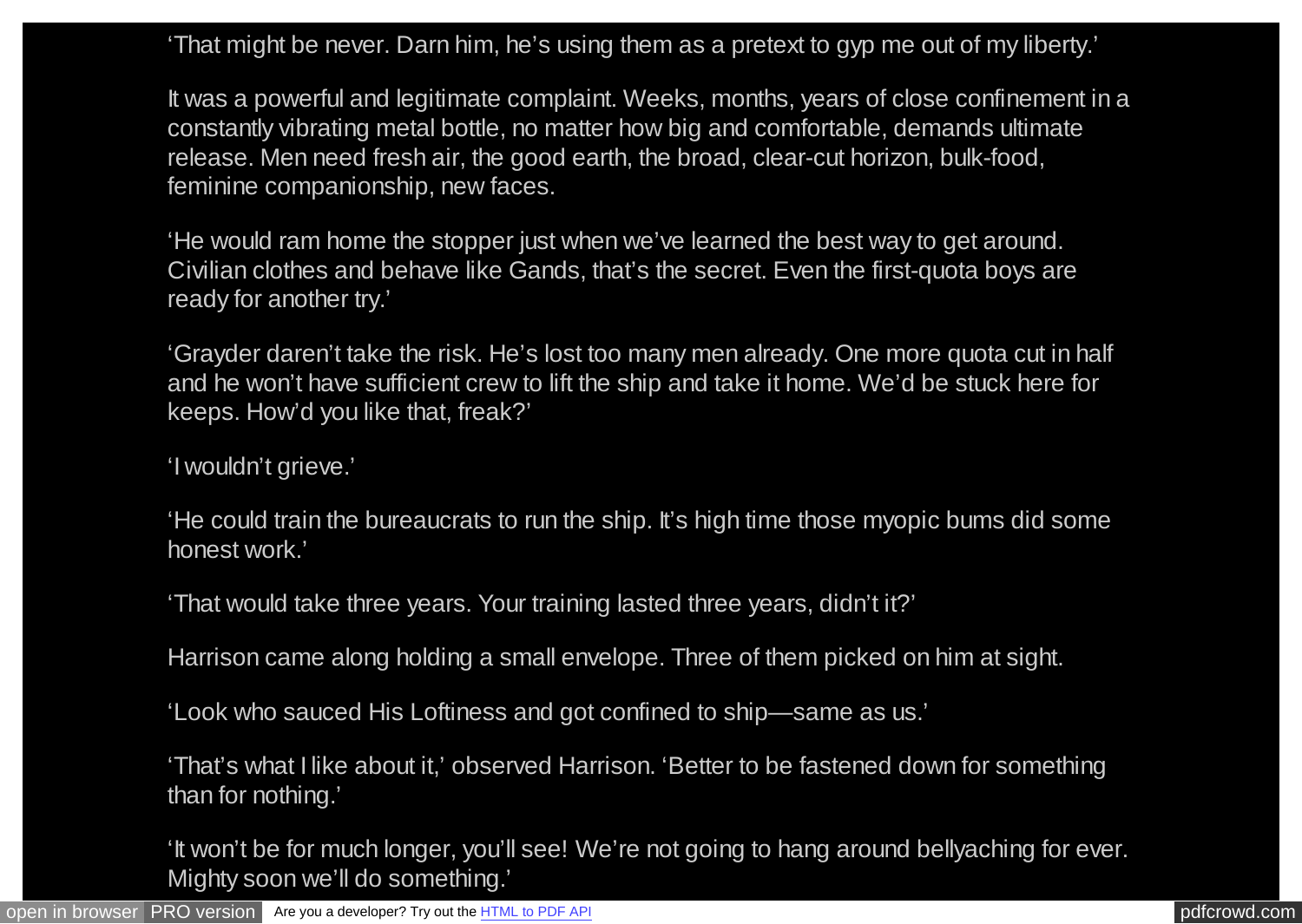'That might be never. Darn him, he's using them as a pretext to gyp me out of my liberty.'

It was a powerful and legitimate complaint. Weeks, months, years of close confinement in a constantly vibrating metal bottle, no matter how big and comfortable, demands ultimate release. Men need fresh air, the good earth, the broad, clear-cut horizon, bulk-food, feminine companionship, new faces.

'He would ram home the stopper just when we've learned the best way to get around. Civilian clothes and behave like Gands, that's the secret. Even the first-quota boys are ready for another try.'

'Grayder daren't take the risk. He's lost too many men already. One more quota cut in half and he won't have sufficient crew to lift the ship and take it home. We'd be stuck here for keeps. How'd you like that, freak?'

'I wouldn't grieve.'

'He could train the bureaucrats to run the ship. It's high time those myopic bums did some honest work.'

'That would take three years. Your training lasted three years, didn't it?'

Harrison came along holding a small envelope. Three of them picked on him at sight.

'Look who sauced His Loftiness and got confined to ship—same as us.'

'That's what I like about it,' observed Harrison. 'Better to be fastened down for something than for nothing.'

'It won't be for much longer, you'll see! We're not going to hang around bellyaching for ever. Mighty soon we'll do something.'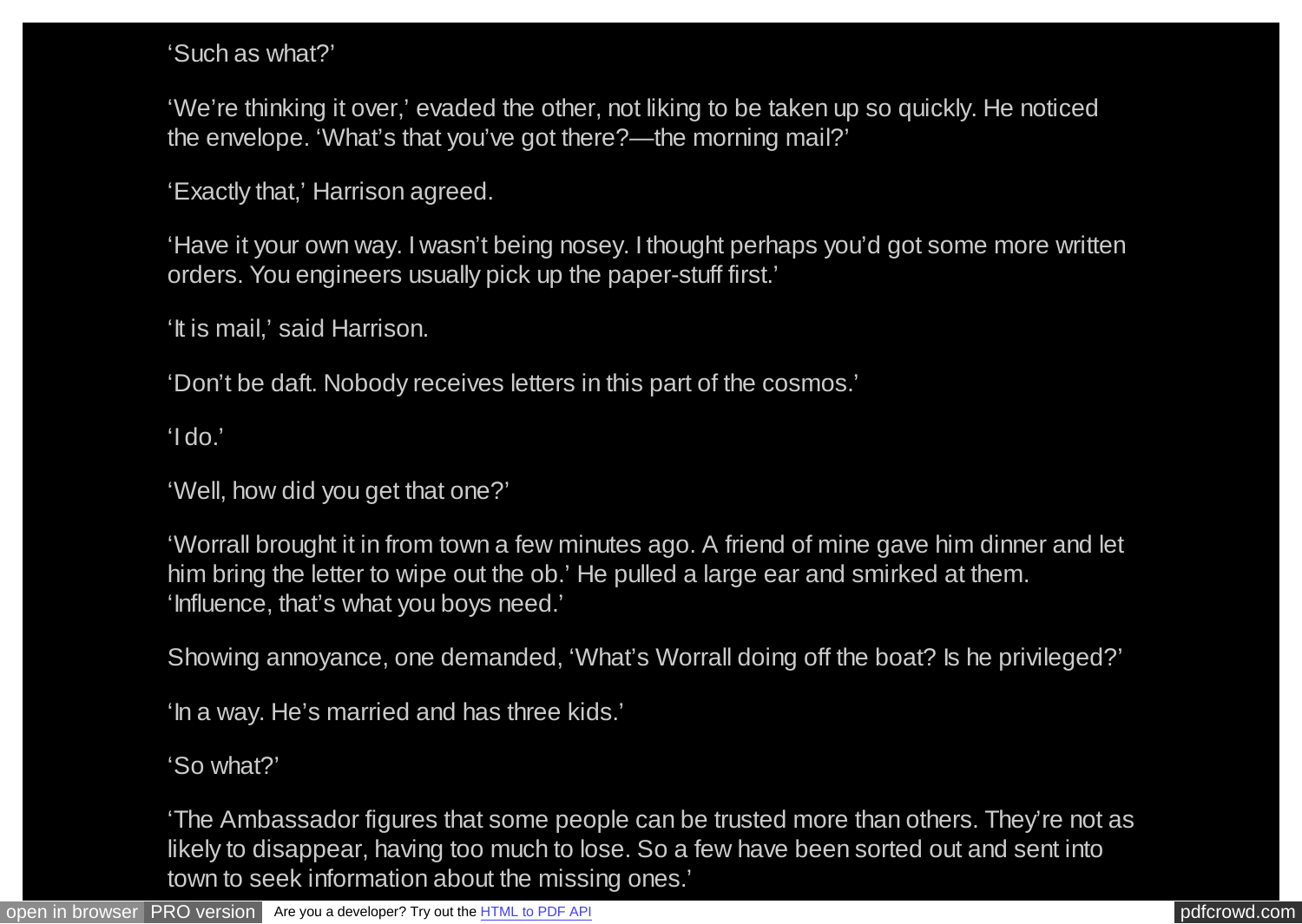# 'Such as what?'

'We're thinking it over,' evaded the other, not liking to be taken up so quickly. He noticed the envelope. 'What's that you've got there?—the morning mail?'

'Exactly that,' Harrison agreed.

'Have it your own way. I wasn't being nosey. I thought perhaps you'd got some more written orders. You engineers usually pick up the paper-stuff first.'

'It is mail,' said Harrison.

'Don't be daft. Nobody receives letters in this part of the cosmos.'

'I do.'

'Well, how did you get that one?'

'Worrall brought it in from town a few minutes ago. A friend of mine gave him dinner and let him bring the letter to wipe out the ob.' He pulled a large ear and smirked at them. 'Influence, that's what you boys need.'

Showing annoyance, one demanded, 'What's Worrall doing off the boat? Is he privileged?'

'In a way. He's married and has three kids.'

'So what?'

'The Ambassador figures that some people can be trusted more than others. They're not as likely to disappear, having too much to lose. So a few have been sorted out and sent into town to seek information about the missing ones.'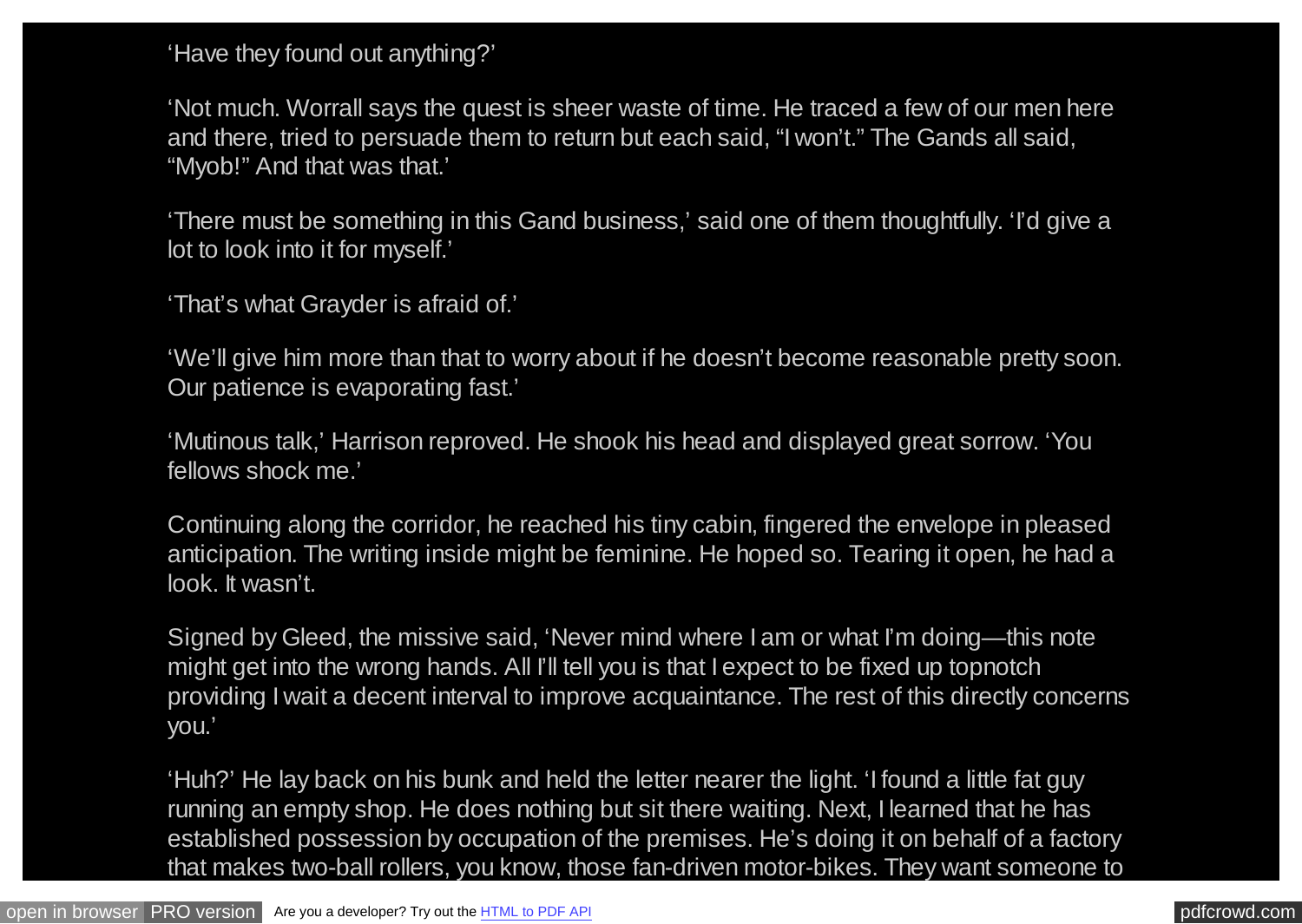'Have they found out anything?'

'Not much. Worrall says the quest is sheer waste of time. He traced a few of our men here and there, tried to persuade them to return but each said, "I won't." The Gands all said, "Myob!" And that was that.'

'There must be something in this Gand business,' said one of them thoughtfully. 'I'd give a lot to look into it for myself.'

'That's what Grayder is afraid of.'

'We'll give him more than that to worry about if he doesn't become reasonable pretty soon. Our patience is evaporating fast.'

'Mutinous talk,' Harrison reproved. He shook his head and displayed great sorrow. 'You fellows shock me.'

Continuing along the corridor, he reached his tiny cabin, fingered the envelope in pleased anticipation. The writing inside might be feminine. He hoped so. Tearing it open, he had a look. It wasn't.

Signed by Gleed, the missive said, 'Never mind where I am or what I'm doing—this note might get into the wrong hands. All I'll tell you is that I expect to be fixed up topnotch providing I wait a decent interval to improve acquaintance. The rest of this directly concerns you.'

'Huh?' He lay back on his bunk and held the letter nearer the light. 'I found a little fat guy running an empty shop. He does nothing but sit there waiting. Next, I learned that he has established possession by occupation of the premises. He's doing it on behalf of a factory that makes two-ball rollers, you know, those fan-driven motor-bikes. They want someone to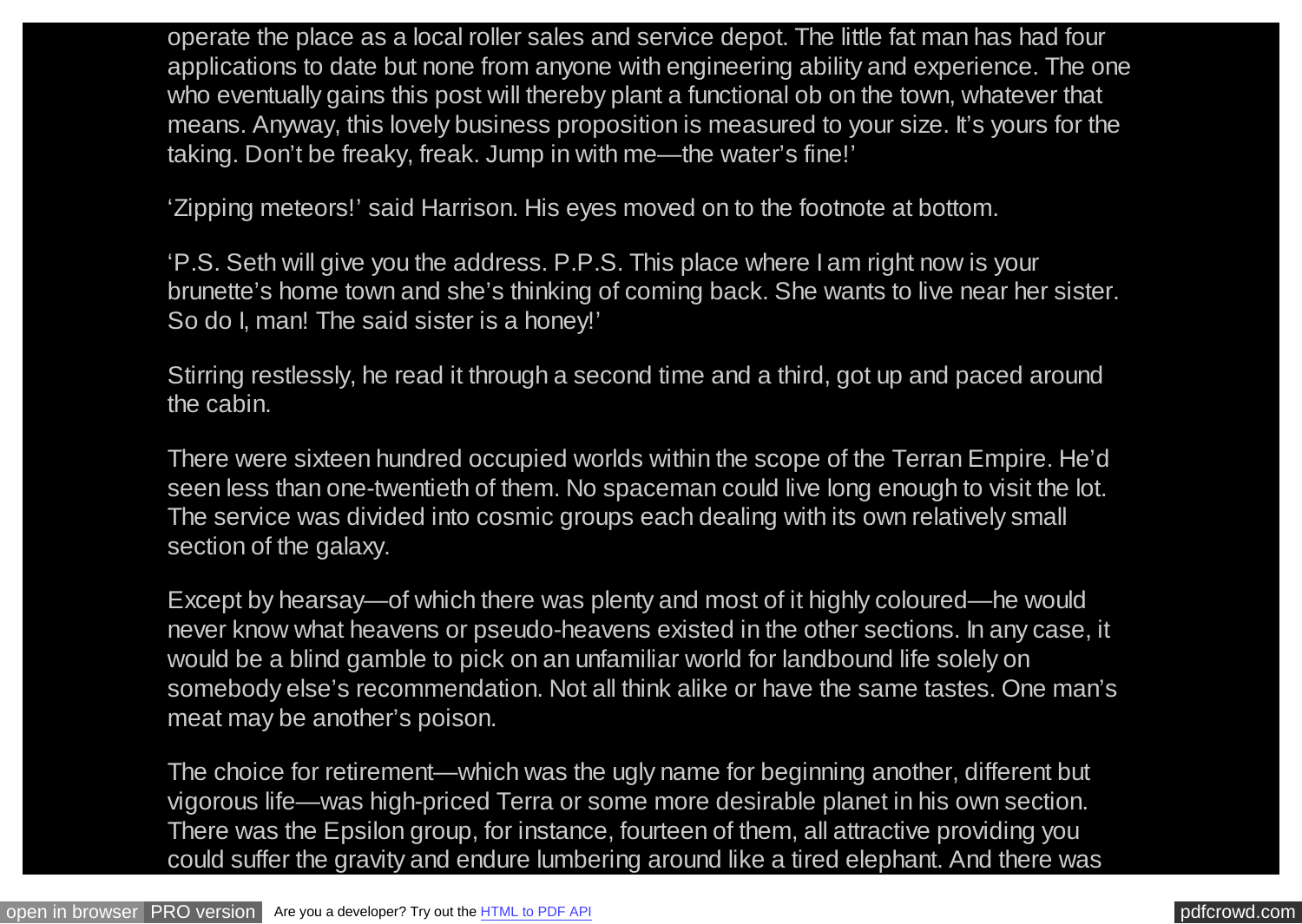operate the place as a local roller sales and service depot. The little fat man has had four applications to date but none from anyone with engineering ability and experience. The one who eventually gains this post will thereby plant a functional ob on the town, whatever that means. Anyway, this lovely business proposition is measured to your size. It's yours for the taking. Don't be freaky, freak. Jump in with me—the water's fine!'

'Zipping meteors!' said Harrison. His eyes moved on to the footnote at bottom.

'P.S. Seth will give you the address. P.P.S. This place where I am right now is your brunette's home town and she's thinking of coming back. She wants to live near her sister. So do I, man! The said sister is a honey!'

Stirring restlessly, he read it through a second time and a third, got up and paced around the cabin.

There were sixteen hundred occupied worlds within the scope of the Terran Empire. He'd seen less than one-twentieth of them. No spaceman could live long enough to visit the lot. The service was divided into cosmic groups each dealing with its own relatively small section of the galaxy.

Except by hearsay—of which there was plenty and most of it highly coloured—he would never know what heavens or pseudo-heavens existed in the other sections. In any case, it would be a blind gamble to pick on an unfamiliar world for landbound life solely on somebody else's recommendation. Not all think alike or have the same tastes. One man's meat may be another's poison.

The choice for retirement—which was the ugly name for beginning another, different but vigorous life—was high-priced Terra or some more desirable planet in his own section. There was the Epsilon group, for instance, fourteen of them, all attractive providing you could suffer the gravity and endure lumbering around like a tired elephant. And there was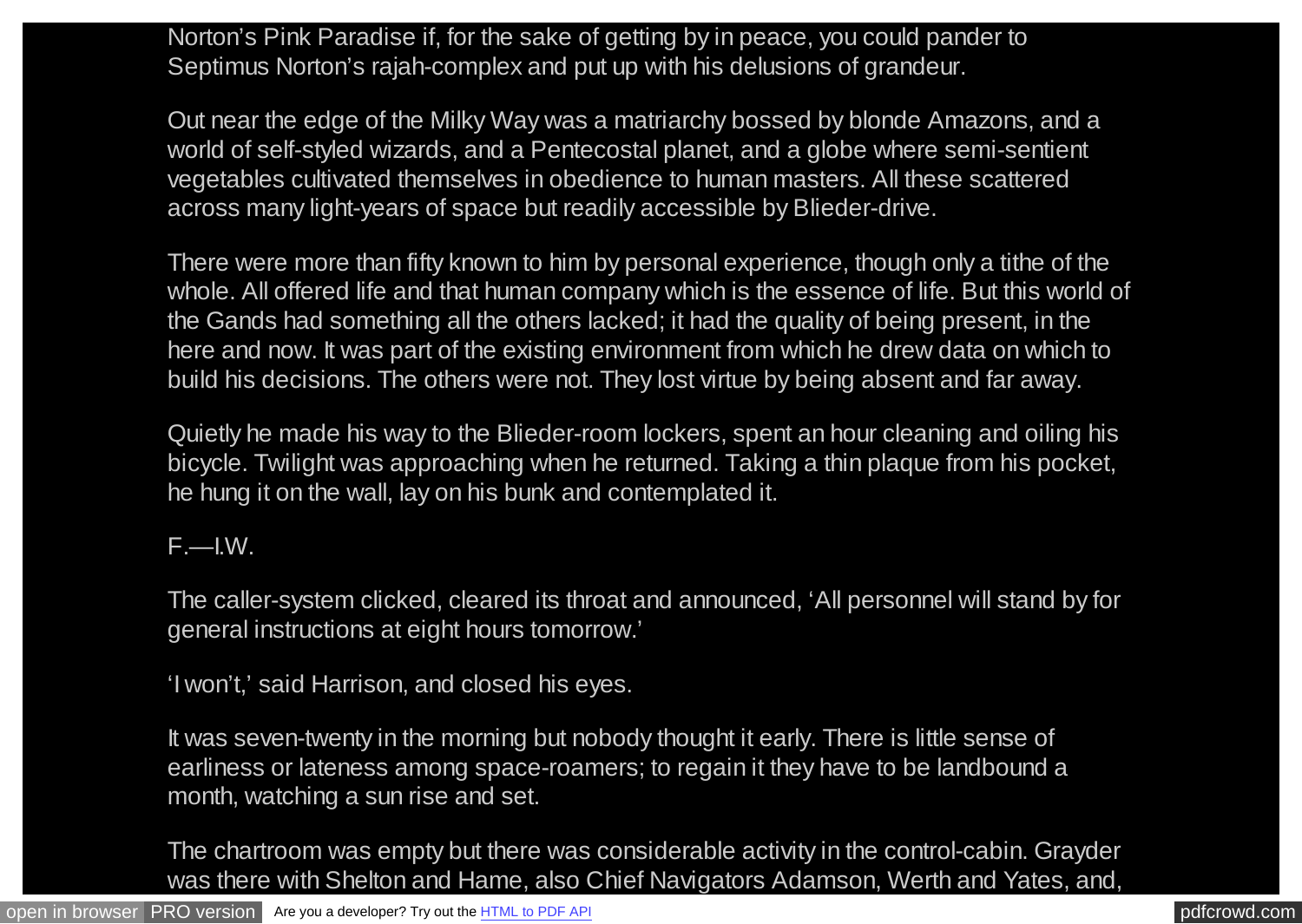Norton's Pink Paradise if, for the sake of getting by in peace, you could pander to Septimus Norton's rajah-complex and put up with his delusions of grandeur.

Out near the edge of the Milky Way was a matriarchy bossed by blonde Amazons, and a world of self-styled wizards, and a Pentecostal planet, and a globe where semi-sentient vegetables cultivated themselves in obedience to human masters. All these scattered across many light-years of space but readily accessible by Blieder-drive.

There were more than fifty known to him by personal experience, though only a tithe of the whole. All offered life and that human company which is the essence of life. But this world of the Gands had something all the others lacked; it had the quality of being present, in the here and now. It was part of the existing environment from which he drew data on which to build his decisions. The others were not. They lost virtue by being absent and far away.

Quietly he made his way to the Blieder-room lockers, spent an hour cleaning and oiling his bicycle. Twilight was approaching when he returned. Taking a thin plaque from his pocket, he hung it on the wall, lay on his bunk and contemplated it.

#### $F.$ — $I.W.$

The caller-system clicked, cleared its throat and announced, 'All personnel will stand by for general instructions at eight hours tomorrow.'

'I won't,' said Harrison, and closed his eyes.

It was seven-twenty in the morning but nobody thought it early. There is little sense of earliness or lateness among space-roamers; to regain it they have to be landbound a month, watching a sun rise and set.

The chartroom was empty but there was considerable activity in the control-cabin. Grayder was there with Shelton and Hame, also Chief Navigators Adamson, Werth and Yates, and,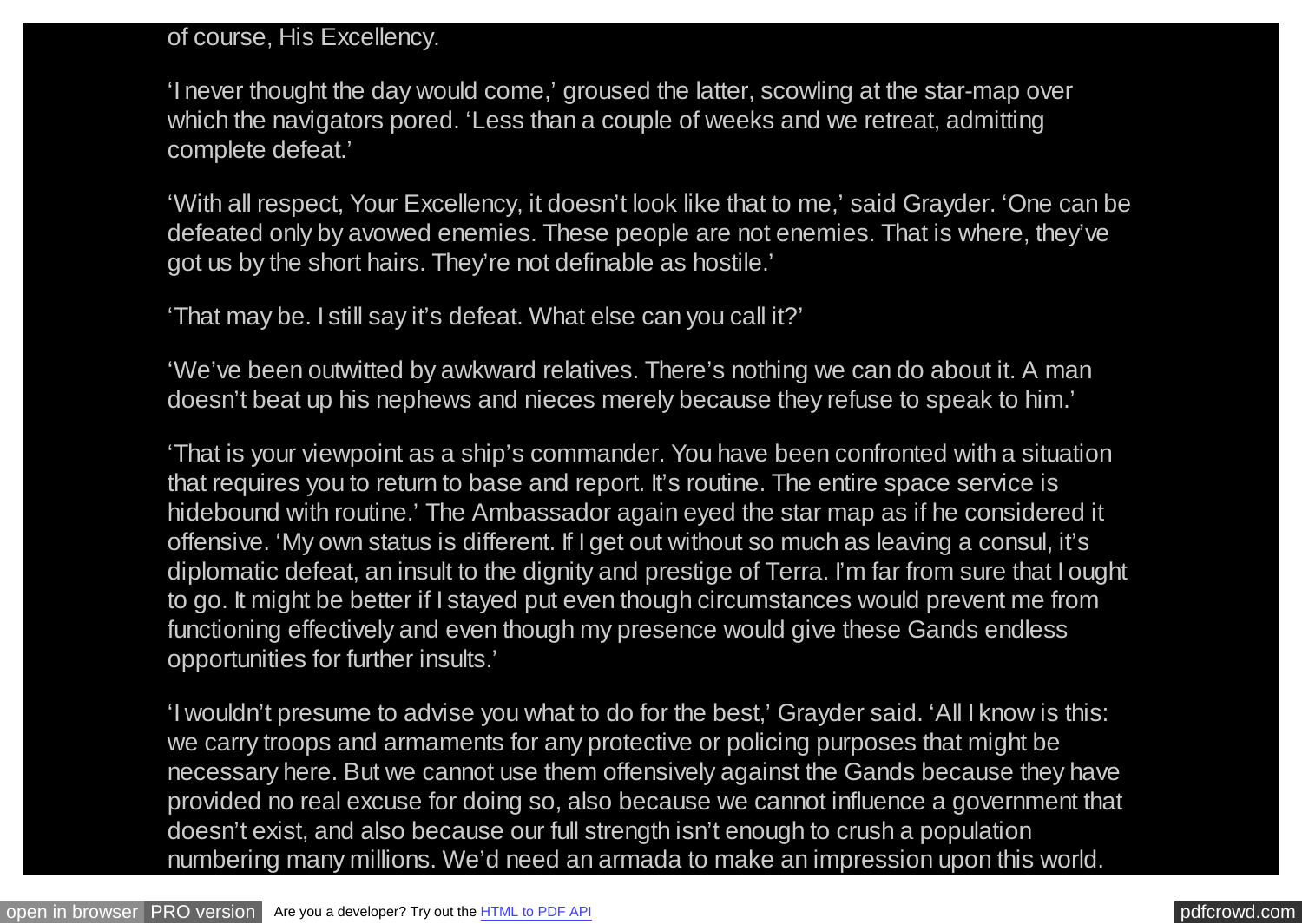#### of course, His Excellency.

'I never thought the day would come,' groused the latter, scowling at the star-map over which the navigators pored. 'Less than a couple of weeks and we retreat, admitting complete defeat.'

'With all respect, Your Excellency, it doesn't look like that to me,' said Grayder. 'One can be defeated only by avowed enemies. These people are not enemies. That is where, they've got us by the short hairs. They're not definable as hostile.'

'That may be. I still say it's defeat. What else can you call it?'

'We've been outwitted by awkward relatives. There's nothing we can do about it. A man doesn't beat up his nephews and nieces merely because they refuse to speak to him.'

'That is your viewpoint as a ship's commander. You have been confronted with a situation that requires you to return to base and report. It's routine. The entire space service is hidebound with routine.' The Ambassador again eyed the star map as if he considered it offensive. 'My own status is different. If I get out without so much as leaving a consul, it's diplomatic defeat, an insult to the dignity and prestige of Terra. I'm far from sure that I ought to go. It might be better if I stayed put even though circumstances would prevent me from functioning effectively and even though my presence would give these Gands endless opportunities for further insults.'

'I wouldn't presume to advise you what to do for the best,' Grayder said. 'All I know is this: we carry troops and armaments for any protective or policing purposes that might be necessary here. But we cannot use them offensively against the Gands because they have provided no real excuse for doing so, also because we cannot influence a government that doesn't exist, and also because our full strength isn't enough to crush a population numbering many millions. We'd need an armada to make an impression upon this world.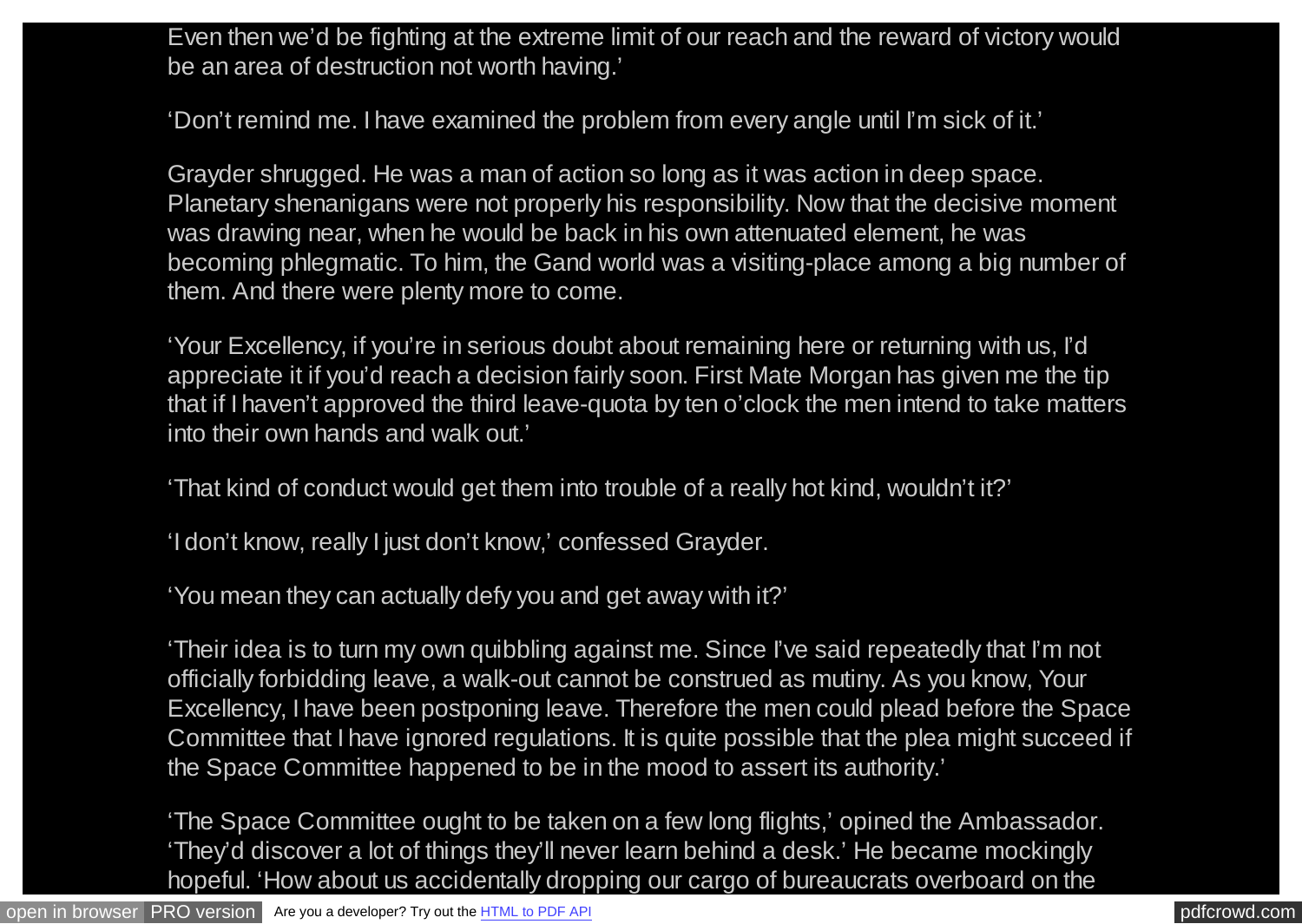Even then we'd be fighting at the extreme limit of our reach and the reward of victory would be an area of destruction not worth having.'

'Don't remind me. I have examined the problem from every angle until I'm sick of it.'

Grayder shrugged. He was a man of action so long as it was action in deep space. Planetary shenanigans were not properly his responsibility. Now that the decisive moment was drawing near, when he would be back in his own attenuated element, he was becoming phlegmatic. To him, the Gand world was a visiting-place among a big number of them. And there were plenty more to come.

'Your Excellency, if you're in serious doubt about remaining here or returning with us, I'd appreciate it if you'd reach a decision fairly soon. First Mate Morgan has given me the tip that if I haven't approved the third leave-quota by ten o'clock the men intend to take matters into their own hands and walk out.'

'That kind of conduct would get them into trouble of a really hot kind, wouldn't it?'

'I don't know, really I just don't know,' confessed Grayder.

'You mean they can actually defy you and get away with it?'

'Their idea is to turn my own quibbling against me. Since I've said repeatedly that I'm not officially forbidding leave, a walk-out cannot be construed as mutiny. As you know, Your Excellency, I have been postponing leave. Therefore the men could plead before the Space Committee that I have ignored regulations. It is quite possible that the plea might succeed if the Space Committee happened to be in the mood to assert its authority.'

'The Space Committee ought to be taken on a few long flights,' opined the Ambassador. 'They'd discover a lot of things they'll never learn behind a desk.' He became mockingly hopeful. 'How about us accidentally dropping our cargo of bureaucrats overboard on the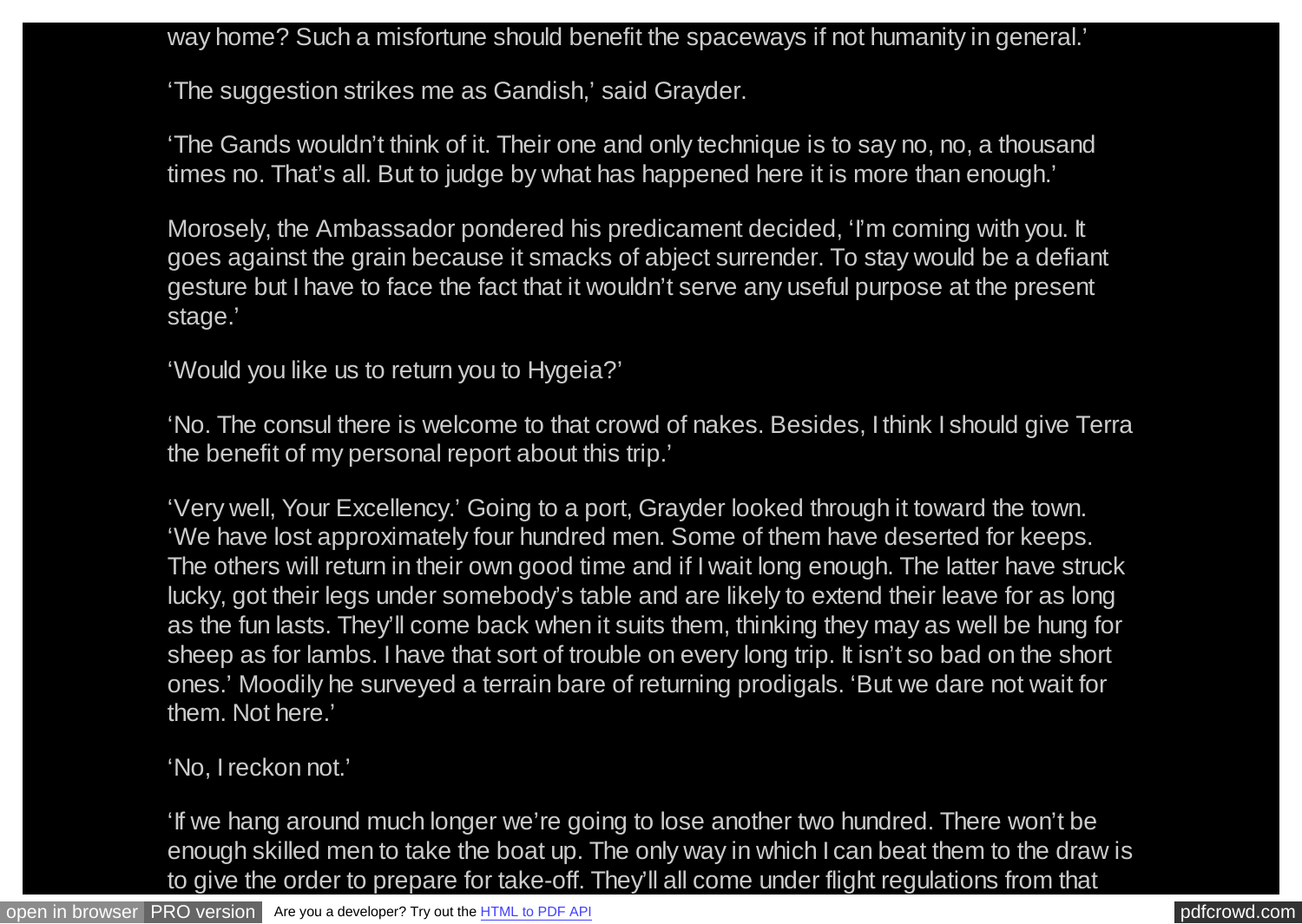way home? Such a misfortune should benefit the spaceways if not humanity in general.'

'The suggestion strikes me as Gandish,' said Grayder.

'The Gands wouldn't think of it. Their one and only technique is to say no, no, a thousand times no. That's all. But to judge by what has happened here it is more than enough.'

Morosely, the Ambassador pondered his predicament decided, 'I'm coming with you. It goes against the grain because it smacks of abject surrender. To stay would be a defiant gesture but I have to face the fact that it wouldn't serve any useful purpose at the present stage.'

'Would you like us to return you to Hygeia?'

'No. The consul there is welcome to that crowd of nakes. Besides, I think I should give Terra the benefit of my personal report about this trip.'

'Very well, Your Excellency.' Going to a port, Grayder looked through it toward the town. 'We have lost approximately four hundred men. Some of them have deserted for keeps. The others will return in their own good time and if I wait long enough. The latter have struck lucky, got their legs under somebody's table and are likely to extend their leave for as long as the fun lasts. They'll come back when it suits them, thinking they may as well be hung for sheep as for lambs. I have that sort of trouble on every long trip. It isn't so bad on the short ones.' Moodily he surveyed a terrain bare of returning prodigals. 'But we dare not wait for them. Not here.'

'No, I reckon not.'

'If we hang around much longer we're going to lose another two hundred. There won't be enough skilled men to take the boat up. The only way in which I can beat them to the draw is to give the order to prepare for take-off. They'll all come under flight regulations from that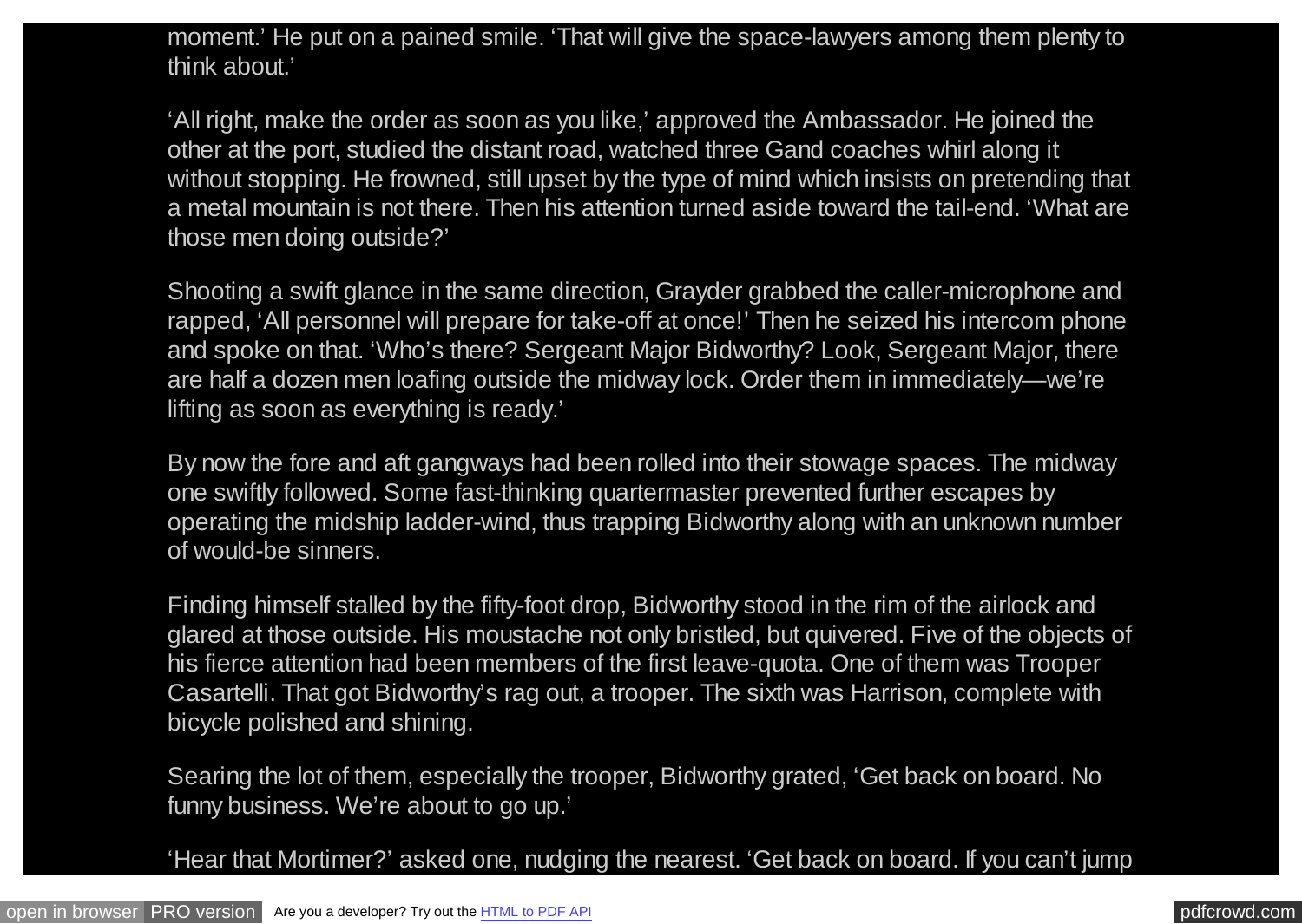moment.' He put on a pained smile. 'That will give the space-lawyers among them plenty to think about.'

'All right, make the order as soon as you like,' approved the Ambassador. He joined the other at the port, studied the distant road, watched three Gand coaches whirl along it without stopping. He frowned, still upset by the type of mind which insists on pretending that a metal mountain is not there. Then his attention turned aside toward the tail-end. 'What are those men doing outside?'

Shooting a swift glance in the same direction, Grayder grabbed the caller-microphone and rapped, 'All personnel will prepare for take-off at once!' Then he seized his intercom phone and spoke on that. 'Who's there? Sergeant Major Bidworthy? Look, Sergeant Major, there are half a dozen men loafing outside the midway lock. Order them in immediately—we're lifting as soon as everything is ready.'

By now the fore and aft gangways had been rolled into their stowage spaces. The midway one swiftly followed. Some fast-thinking quartermaster prevented further escapes by operating the midship ladder-wind, thus trapping Bidworthy along with an unknown number of would-be sinners.

Finding himself stalled by the fifty-foot drop, Bidworthy stood in the rim of the airlock and glared at those outside. His moustache not only bristled, but quivered. Five of the objects of his fierce attention had been members of the first leave-quota. One of them was Trooper Casartelli. That got Bidworthy's rag out, a trooper. The sixth was Harrison, complete with bicycle polished and shining.

Searing the lot of them, especially the trooper, Bidworthy grated, 'Get back on board. No funny business. We're about to go up.'

# 'Hear that Mortimer?' asked one, nudging the nearest. 'Get back on board. If you can't jump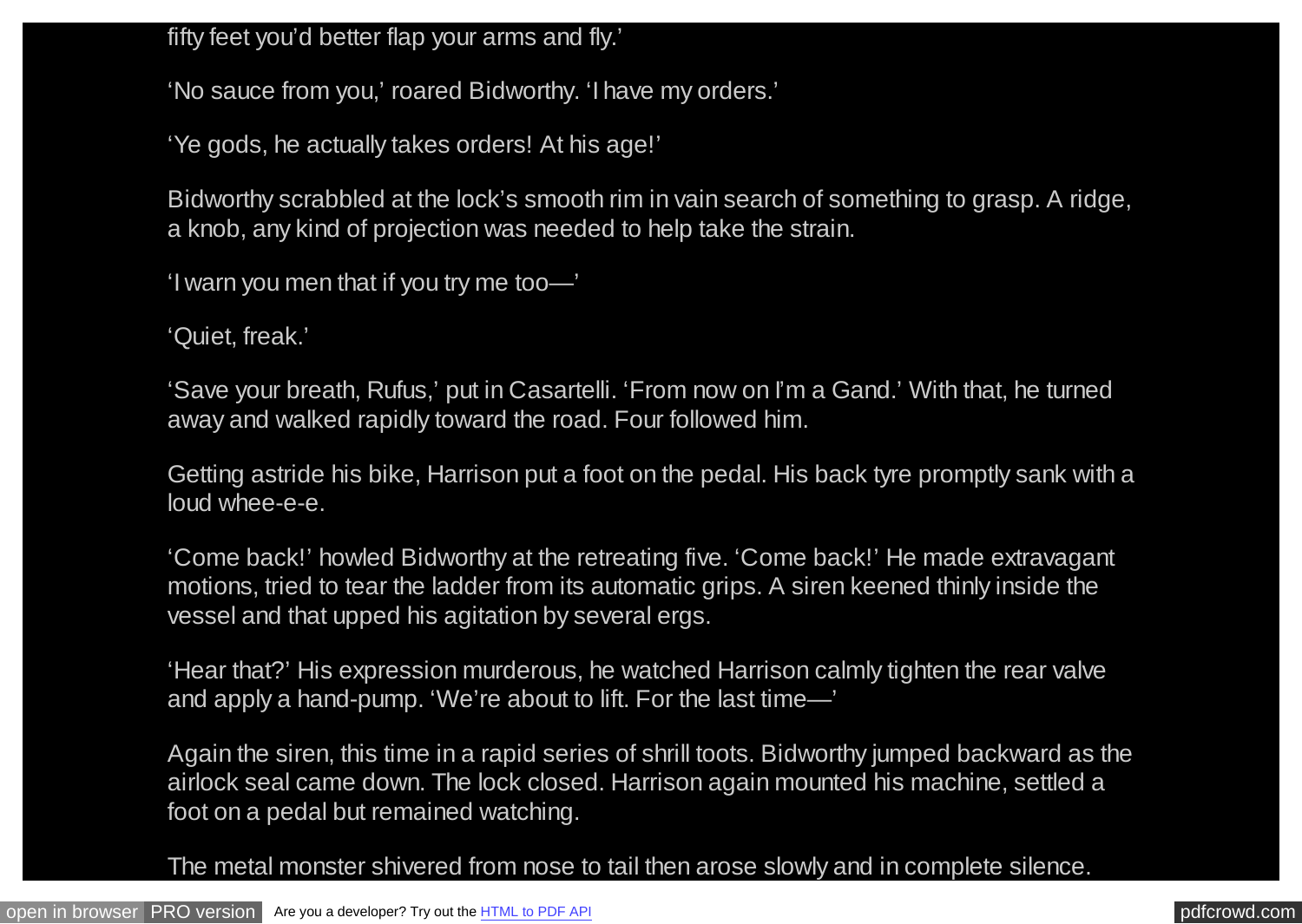## fifty feet you'd better flap your arms and fly.'

'No sauce from you,' roared Bidworthy. 'I have my orders.'

'Ye gods, he actually takes orders! At his age!'

Bidworthy scrabbled at the lock's smooth rim in vain search of something to grasp. A ridge, a knob, any kind of projection was needed to help take the strain.

'I warn you men that if you try me too—'

'Quiet, freak.'

'Save your breath, Rufus,' put in Casartelli. 'From now on I'm a Gand.' With that, he turned away and walked rapidly toward the road. Four followed him.

Getting astride his bike, Harrison put a foot on the pedal. His back tyre promptly sank with a loud whee-e-e.

'Come back!' howled Bidworthy at the retreating five. 'Come back!' He made extravagant motions, tried to tear the ladder from its automatic grips. A siren keened thinly inside the vessel and that upped his agitation by several ergs.

'Hear that?' His expression murderous, he watched Harrison calmly tighten the rear valve and apply a hand-pump. 'We're about to lift. For the last time—'

Again the siren, this time in a rapid series of shrill toots. Bidworthy jumped backward as the airlock seal came down. The lock closed. Harrison again mounted his machine, settled a foot on a pedal but remained watching.

The metal monster shivered from nose to tail then arose slowly and in complete silence.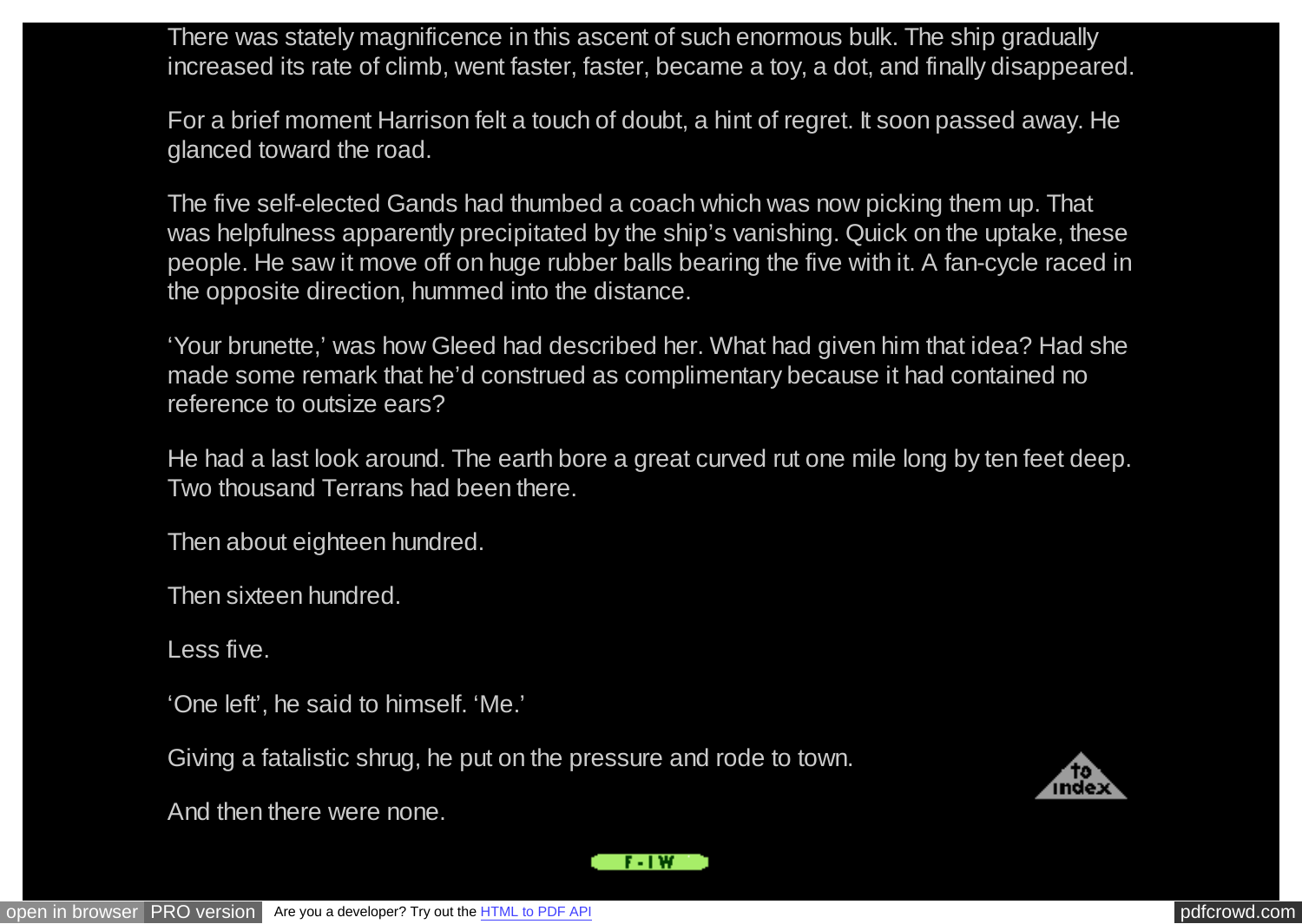There was stately magnificence in this ascent of such enormous bulk. The ship gradually increased its rate of climb, went faster, faster, became a toy, a dot, and finally disappeared.

For a brief moment Harrison felt a touch of doubt, a hint of regret. It soon passed away. He glanced toward the road.

The five self-elected Gands had thumbed a coach which was now picking them up. That was helpfulness apparently precipitated by the ship's vanishing. Quick on the uptake, these people. He saw it move off on huge rubber balls bearing the five with it. A fan-cycle raced in the opposite direction, hummed into the distance.

'Your brunette,' was how Gleed had described her. What had given him that idea? Had she made some remark that he'd construed as complimentary because it had contained no reference to outsize ears?

He had a last look around. The earth bore a great curved rut one mile long by ten feet deep. Two thousand Terrans had been there.

Then about eighteen hundred.

Then sixteen hundred.

Less five.

'One left', he said to himself. 'Me.'

Giving a fatalistic shrug, he put on the pressure and rode to town.

to nde>

And then there were none.

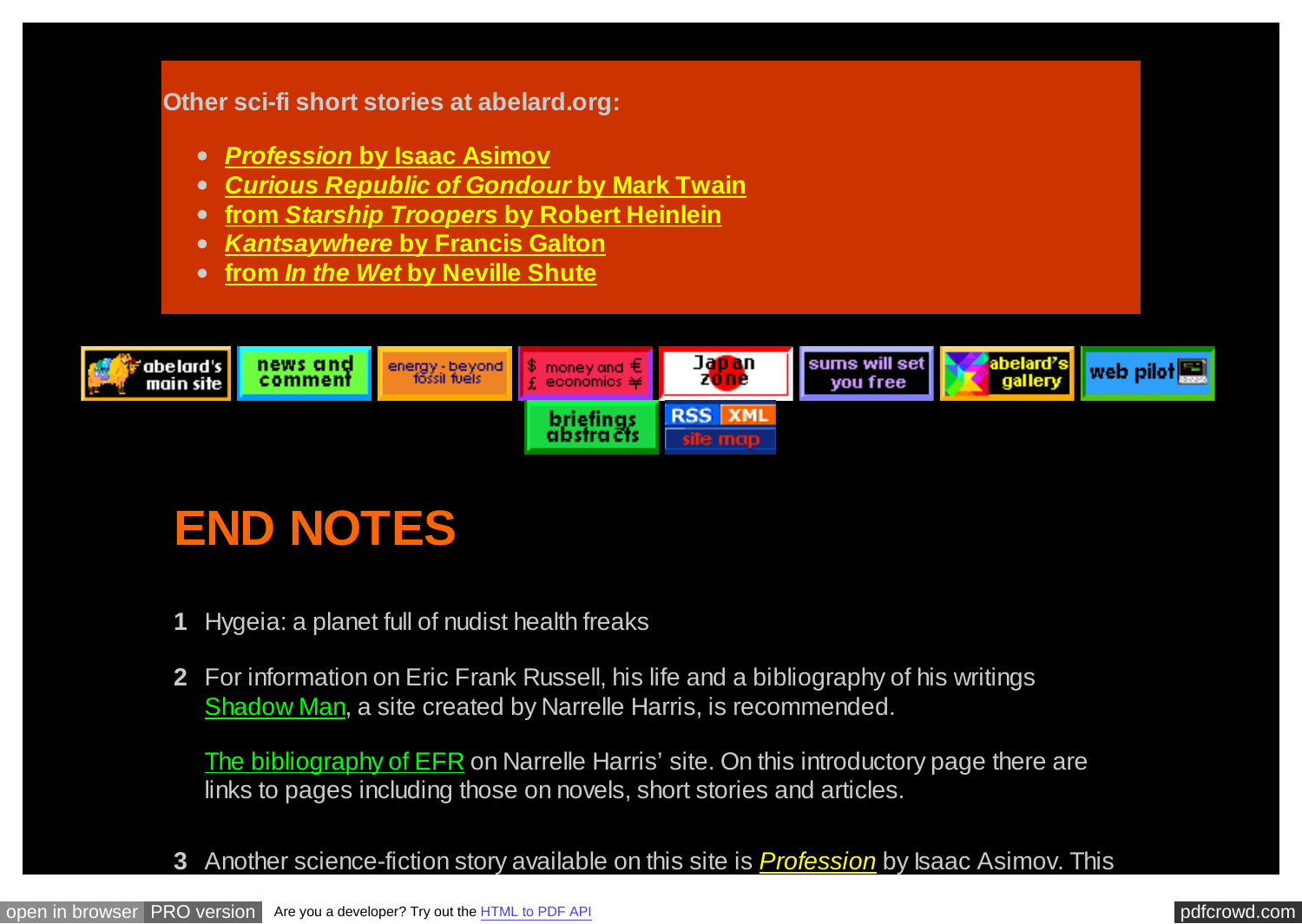# **Other sci-fi short stories at abelard.org:**

- *Profession* **[by Isaac Asimov](http://www.abelard.org/asimov.php)**  $\bullet$
- *[Curious Republic of Gondour](http://www.abelard.org/iqedfran/gondour.php)* **by Mark Twain**  $\bullet$
- **from** *Starship Troopers* **[by Robert Heinlein](http://www.abelard.org/iqedfran/starship.php)**
- *Kantsaywhere* **[by Francis Galton](http://www.abelard.org/iqedfran/kantsaywhere.php)**  $\bullet$
- **from** *In the Wet* **[by Neville Shute](http://www.abelard.org/iqedfran/in_the_wet.php)**



# **END NOTES**

- **1** Hygeia: a planet full of nudist health freaks
- **2** For information on Eric Frank Russell, his life and a bibliography of his writings [Shadow Man,](http://members.iinet.net.au/~parallax/efr/index.html) a site created by Narrelle Harris, is recommended.

[The bibliography of EFR](http://members.iinet.net.au/~parallax/efr/efr_intro.html) on Narrelle Harris' site. On this introductory page there are links to pages including those on novels, short stories and articles.

#### **3** Another science-fiction story available on this site is *[Profession](http://www.abelard.org/asimov.php)* by Isaac Asimov. This